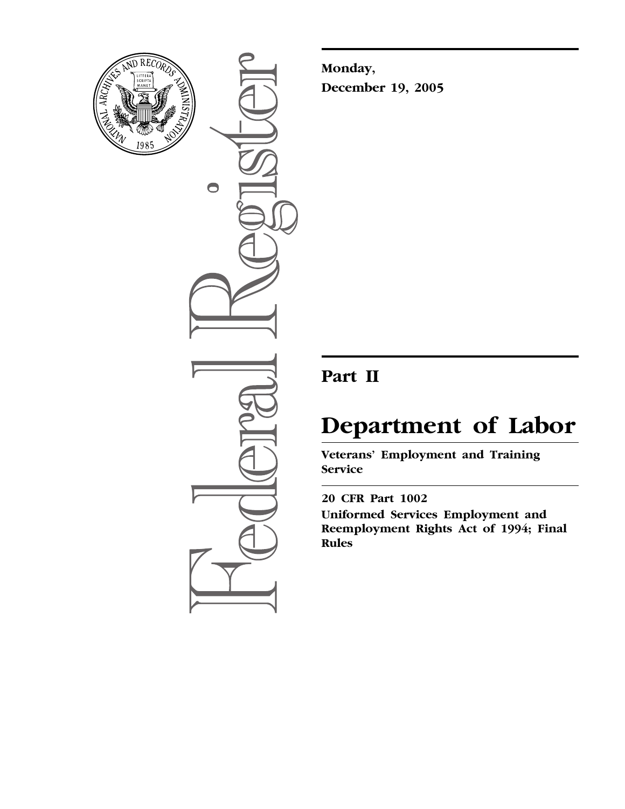

 $\bigcirc$ 

**Monday, December 19, 2005** 

# **Part II**

# **Department of Labor**

**Veterans' Employment and Training Service** 

# **20 CFR Part 1002**

**Uniformed Services Employment and Reemployment Rights Act of 1994; Final Rules**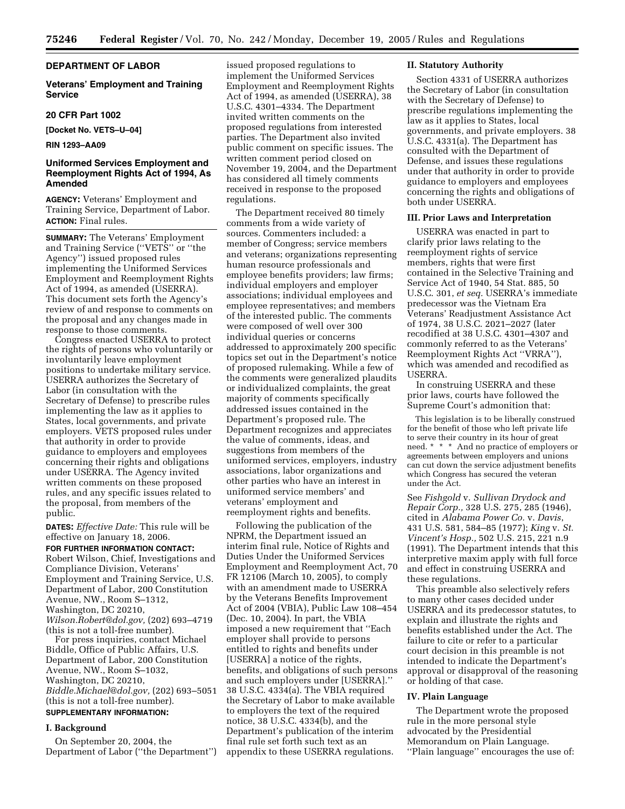# **DEPARTMENT OF LABOR**

**Veterans' Employment and Training Service** 

# **20 CFR Part 1002**

**[Docket No. VETS–U–04]** 

**RIN 1293–AA09** 

# **Uniformed Services Employment and Reemployment Rights Act of 1994, As Amended**

**AGENCY:** Veterans' Employment and Training Service, Department of Labor. **ACTION:** Final rules.

**SUMMARY:** The Veterans' Employment and Training Service (''VETS'' or ''the Agency'') issued proposed rules implementing the Uniformed Services Employment and Reemployment Rights Act of 1994, as amended (USERRA). This document sets forth the Agency's review of and response to comments on the proposal and any changes made in response to those comments.

Congress enacted USERRA to protect the rights of persons who voluntarily or involuntarily leave employment positions to undertake military service. USERRA authorizes the Secretary of Labor (in consultation with the Secretary of Defense) to prescribe rules implementing the law as it applies to States, local governments, and private employers. VETS proposed rules under that authority in order to provide guidance to employers and employees concerning their rights and obligations under USERRA. The Agency invited written comments on these proposed rules, and any specific issues related to the proposal, from members of the public.

**DATES:** *Effective Date:* This rule will be effective on January 18, 2006.

**FOR FURTHER INFORMATION CONTACT:**  Robert Wilson, Chief, Investigations and Compliance Division, Veterans' Employment and Training Service, U.S. Department of Labor, 200 Constitution Avenue, NW., Room S–1312, Washington, DC 20210, *[Wilson.Robert@dol.gov,](mailto:Wilson.Robert@dol.gov)* (202) 693–4719 (this is not a toll-free number). For press inquiries, contact Michael Biddle, Office of Public Affairs, U.S. Department of Labor, 200 Constitution Avenue, NW., Room S–1032, Washington, DC 20210, *[Biddle.Michael@dol.gov,](mailto:Biddle.Michael@dol.gov)* (202) 693–5051 (this is not a toll-free number).

# **SUPPLEMENTARY INFORMATION:**

# **I. Background**

On September 20, 2004, the Department of Labor (''the Department'') issued proposed regulations to implement the Uniformed Services Employment and Reemployment Rights Act of 1994, as amended (USERRA), 38 U.S.C. 4301–4334. The Department invited written comments on the proposed regulations from interested parties. The Department also invited public comment on specific issues. The written comment period closed on November 19, 2004, and the Department has considered all timely comments received in response to the proposed regulations.

The Department received 80 timely comments from a wide variety of sources. Commenters included: a member of Congress; service members and veterans; organizations representing human resource professionals and employee benefits providers; law firms; individual employers and employer associations; individual employees and employee representatives; and members of the interested public. The comments were composed of well over 300 individual queries or concerns addressed to approximately 200 specific topics set out in the Department's notice of proposed rulemaking. While a few of the comments were generalized plaudits or individualized complaints, the great majority of comments specifically addressed issues contained in the Department's proposed rule. The Department recognizes and appreciates the value of comments, ideas, and suggestions from members of the uniformed services, employers, industry associations, labor organizations and other parties who have an interest in uniformed service members' and veterans' employment and reemployment rights and benefits.

Following the publication of the NPRM, the Department issued an interim final rule, Notice of Rights and Duties Under the Uniformed Services Employment and Reemployment Act, 70 FR 12106 (March 10, 2005), to comply with an amendment made to USERRA by the Veterans Benefits Improvement Act of 2004 (VBIA), Public Law 108–454 (Dec. 10, 2004). In part, the VBIA imposed a new requirement that ''Each employer shall provide to persons entitled to rights and benefits under [USERRA] a notice of the rights, benefits, and obligations of such persons and such employers under [USERRA].'' 38 U.S.C. 4334(a). The VBIA required the Secretary of Labor to make available to employers the text of the required notice, 38 U.S.C. 4334(b), and the Department's publication of the interim final rule set forth such text as an appendix to these USERRA regulations.

# **II. Statutory Authority**

Section 4331 of USERRA authorizes the Secretary of Labor (in consultation with the Secretary of Defense) to prescribe regulations implementing the law as it applies to States, local governments, and private employers. 38 U.S.C. 4331(a). The Department has consulted with the Department of Defense, and issues these regulations under that authority in order to provide guidance to employers and employees concerning the rights and obligations of both under USERRA.

# **III. Prior Laws and Interpretation**

USERRA was enacted in part to clarify prior laws relating to the reemployment rights of service members, rights that were first contained in the Selective Training and Service Act of 1940, 54 Stat. 885, 50 U.S.C. 301, *et seq.* USERRA's immediate predecessor was the Vietnam Era Veterans' Readjustment Assistance Act of 1974, 38 U.S.C. 2021–2027 (later recodified at 38 U.S.C. 4301–4307 and commonly referred to as the Veterans' Reemployment Rights Act ''VRRA''), which was amended and recodified as USERRA.

In construing USERRA and these prior laws, courts have followed the Supreme Court's admonition that:

This legislation is to be liberally construed for the benefit of those who left private life to serve their country in its hour of great need. \* \* \* And no practice of employers or agreements between employers and unions can cut down the service adjustment benefits which Congress has secured the veteran under the Act.

See *Fishgold* v. *Sullivan Drydock and Repair Corp.,* 328 U.S. 275, 285 (1946), cited in *Alabama Power Co.* v. *Davis*, 431 U.S. 581, 584–85 (1977); *King* v. *St. Vincent's Hosp.,* 502 U.S. 215, 221 n.9 (1991). The Department intends that this interpretive maxim apply with full force and effect in construing USERRA and these regulations.

This preamble also selectively refers to many other cases decided under USERRA and its predecessor statutes, to explain and illustrate the rights and benefits established under the Act. The failure to cite or refer to a particular court decision in this preamble is not intended to indicate the Department's approval or disapproval of the reasoning or holding of that case.

#### **IV. Plain Language**

The Department wrote the proposed rule in the more personal style advocated by the Presidential Memorandum on Plain Language. ''Plain language'' encourages the use of: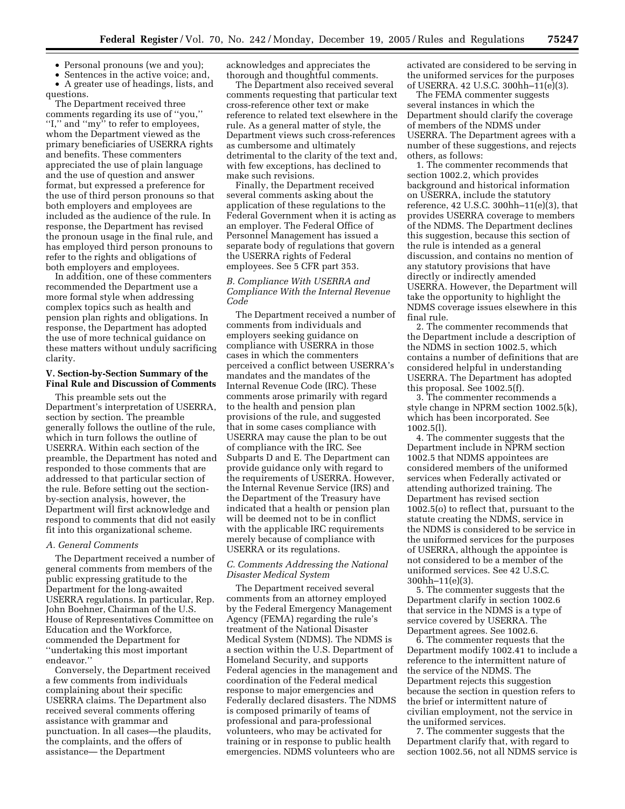• Personal pronouns (we and you);

Sentences in the active voice; and,

• A greater use of headings, lists, and questions.

The Department received three comments regarding its use of ''you,'' "I," and "my" to refer to employees, whom the Department viewed as the primary beneficiaries of USERRA rights and benefits. These commenters appreciated the use of plain language and the use of question and answer format, but expressed a preference for the use of third person pronouns so that both employers and employees are included as the audience of the rule. In response, the Department has revised the pronoun usage in the final rule, and has employed third person pronouns to refer to the rights and obligations of both employers and employees.

In addition, one of these commenters recommended the Department use a more formal style when addressing complex topics such as health and pension plan rights and obligations. In response, the Department has adopted the use of more technical guidance on these matters without unduly sacrificing clarity.

# **V. Section-by-Section Summary of the Final Rule and Discussion of Comments**

This preamble sets out the Department's interpretation of USERRA, section by section. The preamble generally follows the outline of the rule, which in turn follows the outline of USERRA. Within each section of the preamble, the Department has noted and responded to those comments that are addressed to that particular section of the rule. Before setting out the sectionby-section analysis, however, the Department will first acknowledge and respond to comments that did not easily fit into this organizational scheme.

# *A. General Comments*

The Department received a number of general comments from members of the public expressing gratitude to the Department for the long-awaited USERRA regulations. In particular, Rep. John Boehner, Chairman of the U.S. House of Representatives Committee on Education and the Workforce, commended the Department for ''undertaking this most important endeavor.''

Conversely, the Department received a few comments from individuals complaining about their specific USERRA claims. The Department also received several comments offering assistance with grammar and punctuation. In all cases—the plaudits, the complaints, and the offers of assistance— the Department

acknowledges and appreciates the thorough and thoughtful comments.

The Department also received several comments requesting that particular text cross-reference other text or make reference to related text elsewhere in the rule. As a general matter of style, the Department views such cross-references as cumbersome and ultimately detrimental to the clarity of the text and, with few exceptions, has declined to make such revisions.

Finally, the Department received several comments asking about the application of these regulations to the Federal Government when it is acting as an employer. The Federal Office of Personnel Management has issued a separate body of regulations that govern the USERRA rights of Federal employees. See 5 CFR part 353.

# *B. Compliance With USERRA and Compliance With the Internal Revenue Code*

The Department received a number of comments from individuals and employers seeking guidance on compliance with USERRA in those cases in which the commenters perceived a conflict between USERRA's mandates and the mandates of the Internal Revenue Code (IRC). These comments arose primarily with regard to the health and pension plan provisions of the rule, and suggested that in some cases compliance with USERRA may cause the plan to be out of compliance with the IRC. See Subparts D and E. The Department can provide guidance only with regard to the requirements of USERRA. However, the Internal Revenue Service (IRS) and the Department of the Treasury have indicated that a health or pension plan will be deemed not to be in conflict with the applicable IRC requirements merely because of compliance with USERRA or its regulations.

# *C. Comments Addressing the National Disaster Medical System*

The Department received several comments from an attorney employed by the Federal Emergency Management Agency (FEMA) regarding the rule's treatment of the National Disaster Medical System (NDMS). The NDMS is a section within the U.S. Department of Homeland Security, and supports Federal agencies in the management and coordination of the Federal medical response to major emergencies and Federally declared disasters. The NDMS is composed primarily of teams of professional and para-professional volunteers, who may be activated for training or in response to public health emergencies. NDMS volunteers who are

activated are considered to be serving in the uniformed services for the purposes of USERRA. 42 U.S.C. 300hh–11(e)(3).

The FEMA commenter suggests several instances in which the Department should clarify the coverage of members of the NDMS under USERRA. The Department agrees with a number of these suggestions, and rejects others, as follows:

1. The commenter recommends that section 1002.2, which provides background and historical information on USERRA, include the statutory reference, 42 U.S.C. 300hh–11(e)(3), that provides USERRA coverage to members of the NDMS. The Department declines this suggestion, because this section of the rule is intended as a general discussion, and contains no mention of any statutory provisions that have directly or indirectly amended USERRA. However, the Department will take the opportunity to highlight the NDMS coverage issues elsewhere in this final rule.

2. The commenter recommends that the Department include a description of the NDMS in section 1002.5, which contains a number of definitions that are considered helpful in understanding USERRA. The Department has adopted this proposal. See 1002.5(f).

3. The commenter recommends a style change in NPRM section 1002.5(k), which has been incorporated. See 1002.5(l).

4. The commenter suggests that the Department include in NPRM section 1002.5 that NDMS appointees are considered members of the uniformed services when Federally activated or attending authorized training. The Department has revised section 1002.5(o) to reflect that, pursuant to the statute creating the NDMS, service in the NDMS is considered to be service in the uniformed services for the purposes of USERRA, although the appointee is not considered to be a member of the uniformed services. See 42 U.S.C. 300hh–11(e)(3).

5. The commenter suggests that the Department clarify in section 1002.6 that service in the NDMS is a type of service covered by USERRA. The Department agrees. See 1002.6.

6. The commenter requests that the Department modify 1002.41 to include a reference to the intermittent nature of the service of the NDMS. The Department rejects this suggestion because the section in question refers to the brief or intermittent nature of civilian employment, not the service in the uniformed services.

7. The commenter suggests that the Department clarify that, with regard to section 1002.56, not all NDMS service is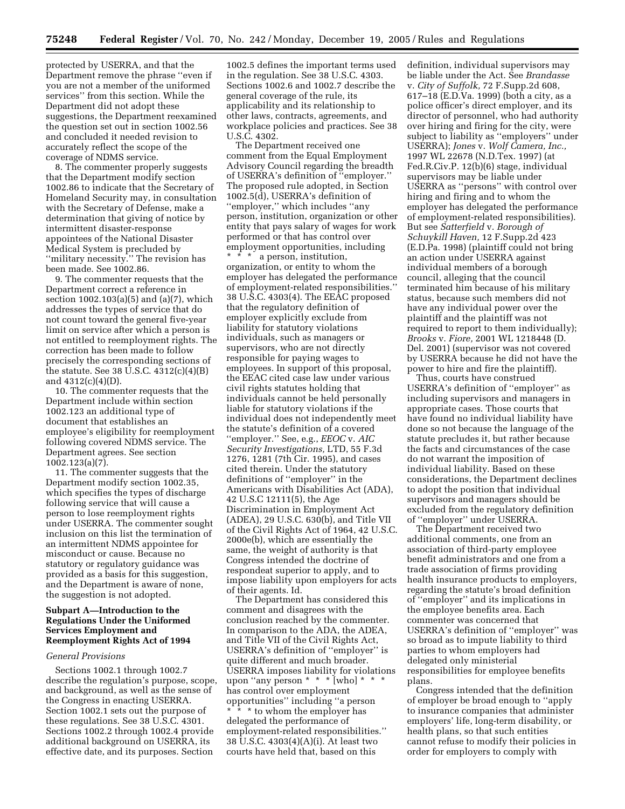protected by USERRA, and that the Department remove the phrase ''even if you are not a member of the uniformed services'' from this section. While the Department did not adopt these suggestions, the Department reexamined the question set out in section 1002.56 and concluded it needed revision to accurately reflect the scope of the coverage of NDMS service.

8. The commenter properly suggests that the Department modify section 1002.86 to indicate that the Secretary of Homeland Security may, in consultation with the Secretary of Defense, make a determination that giving of notice by intermittent disaster-response appointees of the National Disaster Medical System is precluded by ''military necessity.'' The revision has been made. See 1002.86.

9. The commenter requests that the Department correct a reference in section 1002.103(a)(5) and (a)(7), which addresses the types of service that do not count toward the general five-year limit on service after which a person is not entitled to reemployment rights. The correction has been made to follow precisely the corresponding sections of the statute. See 38 U.S.C. 4312(c)(4)(B) and 4312(c)(4)(D).

10. The commenter requests that the Department include within section 1002.123 an additional type of document that establishes an employee's eligibility for reemployment following covered NDMS service. The Department agrees. See section 1002.123(a)(7).

11. The commenter suggests that the Department modify section 1002.35, which specifies the types of discharge following service that will cause a person to lose reemployment rights under USERRA. The commenter sought inclusion on this list the termination of an intermittent NDMS appointee for misconduct or cause. Because no statutory or regulatory guidance was provided as a basis for this suggestion, and the Department is aware of none, the suggestion is not adopted.

# **Subpart A—Introduction to the Regulations Under the Uniformed Services Employment and Reemployment Rights Act of 1994**

#### *General Provisions*

Sections 1002.1 through 1002.7 describe the regulation's purpose, scope, and background, as well as the sense of the Congress in enacting USERRA. Section 1002.1 sets out the purpose of these regulations. See 38 U.S.C. 4301. Sections 1002.2 through 1002.4 provide additional background on USERRA, its effective date, and its purposes. Section

1002.5 defines the important terms used in the regulation. See 38 U.S.C. 4303. Sections 1002.6 and 1002.7 describe the general coverage of the rule, its applicability and its relationship to other laws, contracts, agreements, and workplace policies and practices. See 38 U.S.C. 4302.

The Department received one comment from the Equal Employment Advisory Council regarding the breadth of USERRA's definition of ''employer.'' The proposed rule adopted, in Section 1002.5(d), USERRA's definition of ''employer,'' which includes ''any person, institution, organization or other entity that pays salary of wages for work performed or that has control over employment opportunities, including \* \* \* a person, institution, organization, or entity to whom the employer has delegated the performance of employment-related responsibilities.'' 38 U.S.C. 4303(4). The EEAC proposed that the regulatory definition of employer explicitly exclude from liability for statutory violations individuals, such as managers or supervisors, who are not directly responsible for paying wages to employees. In support of this proposal, the EEAC cited case law under various civil rights statutes holding that individuals cannot be held personally liable for statutory violations if the individual does not independently meet the statute's definition of a covered ''employer.'' See, e.g., *EEOC* v. *AIC Security Investigations,* LTD, 55 F.3d 1276, 1281 (7th Cir. 1995), and cases cited therein. Under the statutory definitions of ''employer'' in the Americans with Disabilities Act (ADA), 42 U.S.C 12111(5), the Age Discrimination in Employment Act (ADEA), 29 U.S.C. 630(b), and Title VII of the Civil Rights Act of 1964, 42 U.S.C. 2000e(b), which are essentially the same, the weight of authority is that Congress intended the doctrine of respondeat superior to apply, and to impose liability upon employers for acts of their agents. Id.

The Department has considered this comment and disagrees with the conclusion reached by the commenter. In comparison to the ADA, the ADEA, and Title VII of the Civil Rights Act, USERRA's definition of ''employer'' is quite different and much broader. USERRA imposes liability for violations upon "any person  $* * * [who] * * *$ has control over employment opportunities'' including ''a person \* \* \* to whom the employer has delegated the performance of employment-related responsibilities.'' 38 U.S.C. 4303(4)(A)(i). At least two courts have held that, based on this

definition, individual supervisors may be liable under the Act. See *Brandasse*  v. *City of Suffolk,* 72 F.Supp.2d 608, 617–18 (E.D.Va. 1999) (both a city, as a police officer's direct employer, and its director of personnel, who had authority over hiring and firing for the city, were subject to liability as ''employers'' under USERRA); *Jones* v. *Wolf Camera, Inc.,*  1997 WL 22678 (N.D.Tex. 1997) (at Fed.R.Civ.P. 12(b)(6) stage, individual supervisors may be liable under USERRA as ''persons'' with control over hiring and firing and to whom the employer has delegated the performance of employment-related responsibilities). But see *Satterfield* v. *Borough of Schuykill Haven,* 12 F.Supp.2d 423 (E.D.Pa. 1998) (plaintiff could not bring an action under USERRA against individual members of a borough council, alleging that the council terminated him because of his military status, because such members did not have any individual power over the plaintiff and the plaintiff was not required to report to them individually); *Brooks* v. *Fiore,* 2001 WL 1218448 (D. Del. 2001) (supervisor was not covered by USERRA because he did not have the power to hire and fire the plaintiff).

Thus, courts have construed USERRA's definition of ''employer'' as including supervisors and managers in appropriate cases. Those courts that have found no individual liability have done so not because the language of the statute precludes it, but rather because the facts and circumstances of the case do not warrant the imposition of individual liability. Based on these considerations, the Department declines to adopt the position that individual supervisors and managers should be excluded from the regulatory definition of ''employer'' under USERRA.

The Department received two additional comments, one from an association of third-party employee benefit administrators and one from a trade association of firms providing health insurance products to employers, regarding the statute's broad definition of ''employer'' and its implications in the employee benefits area. Each commenter was concerned that USERRA's definition of ''employer'' was so broad as to impute liability to third parties to whom employers had delegated only ministerial responsibilities for employee benefits plans.

Congress intended that the definition of employer be broad enough to ''apply to insurance companies that administer employers' life, long-term disability, or health plans, so that such entities cannot refuse to modify their policies in order for employers to comply with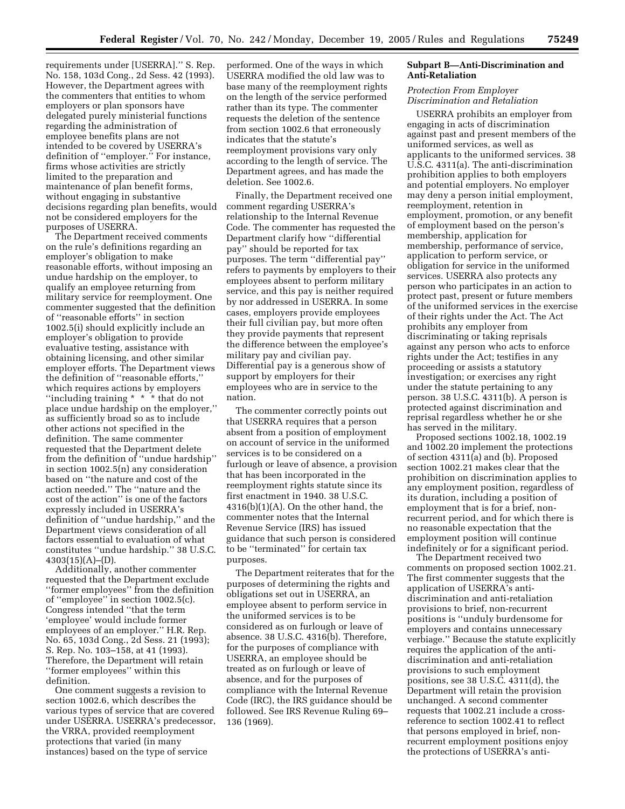requirements under [USERRA].'' S. Rep. No. 158, 103d Cong., 2d Sess. 42 (1993). However, the Department agrees with the commenters that entities to whom employers or plan sponsors have delegated purely ministerial functions regarding the administration of employee benefits plans are not intended to be covered by USERRA's definition of ''employer.'' For instance, firms whose activities are strictly limited to the preparation and maintenance of plan benefit forms, without engaging in substantive decisions regarding plan benefits, would not be considered employers for the purposes of USERRA.

The Department received comments on the rule's definitions regarding an employer's obligation to make reasonable efforts, without imposing an undue hardship on the employer, to qualify an employee returning from military service for reemployment. One commenter suggested that the definition of ''reasonable efforts'' in section 1002.5(i) should explicitly include an employer's obligation to provide evaluative testing, assistance with obtaining licensing, and other similar employer efforts. The Department views the definition of ''reasonable efforts,'' which requires actions by employers ''including training \* \* \* that do not place undue hardship on the employer,'' as sufficiently broad so as to include other actions not specified in the definition. The same commenter requested that the Department delete from the definition of ''undue hardship'' in section 1002.5(n) any consideration based on ''the nature and cost of the action needed.'' The ''nature and the cost of the action'' is one of the factors expressly included in USERRA's definition of ''undue hardship,'' and the Department views consideration of all factors essential to evaluation of what constitutes ''undue hardship.'' 38 U.S.C.  $4303(15)(A)–(D).$ 

Additionally, another commenter requested that the Department exclude ''former employees'' from the definition of ''employee'' in section 1002.5(c). Congress intended ''that the term 'employee' would include former employees of an employer.'' H.R. Rep. No. 65, 103d Cong., 2d Sess. 21 (1993); S. Rep. No. 103–158, at 41 (1993). Therefore, the Department will retain ''former employees'' within this definition.

One comment suggests a revision to section 1002.6, which describes the various types of service that are covered under USERRA. USERRA's predecessor, the VRRA, provided reemployment protections that varied (in many instances) based on the type of service

performed. One of the ways in which USERRA modified the old law was to base many of the reemployment rights on the length of the service performed rather than its type. The commenter requests the deletion of the sentence from section 1002.6 that erroneously indicates that the statute's reemployment provisions vary only according to the length of service. The Department agrees, and has made the deletion. See 1002.6.

Finally, the Department received one comment regarding USERRA's relationship to the Internal Revenue Code. The commenter has requested the Department clarify how ''differential pay'' should be reported for tax purposes. The term ''differential pay'' refers to payments by employers to their employees absent to perform military service, and this pay is neither required by nor addressed in USERRA. In some cases, employers provide employees their full civilian pay, but more often they provide payments that represent the difference between the employee's military pay and civilian pay. Differential pay is a generous show of support by employers for their employees who are in service to the nation.

The commenter correctly points out that USERRA requires that a person absent from a position of employment on account of service in the uniformed services is to be considered on a furlough or leave of absence, a provision that has been incorporated in the reemployment rights statute since its first enactment in 1940. 38 U.S.C.  $4316(b)(1)(A)$ . On the other hand, the commenter notes that the Internal Revenue Service (IRS) has issued guidance that such person is considered to be ''terminated'' for certain tax purposes.

The Department reiterates that for the purposes of determining the rights and obligations set out in USERRA, an employee absent to perform service in the uniformed services is to be considered as on furlough or leave of absence. 38 U.S.C. 4316(b). Therefore, for the purposes of compliance with USERRA, an employee should be treated as on furlough or leave of absence, and for the purposes of compliance with the Internal Revenue Code (IRC), the IRS guidance should be followed. See IRS Revenue Ruling 69– 136 (1969).

# **Subpart B—Anti-Discrimination and Anti-Retaliation**

#### *Protection From Employer Discrimination and Retaliation*

USERRA prohibits an employer from engaging in acts of discrimination against past and present members of the uniformed services, as well as applicants to the uniformed services. 38 U.S.C. 4311(a). The anti-discrimination prohibition applies to both employers and potential employers. No employer may deny a person initial employment, reemployment, retention in employment, promotion, or any benefit of employment based on the person's membership, application for membership, performance of service, application to perform service, or obligation for service in the uniformed services. USERRA also protects any person who participates in an action to protect past, present or future members of the uniformed services in the exercise of their rights under the Act. The Act prohibits any employer from discriminating or taking reprisals against any person who acts to enforce rights under the Act; testifies in any proceeding or assists a statutory investigation; or exercises any right under the statute pertaining to any person. 38 U.S.C. 4311(b). A person is protected against discrimination and reprisal regardless whether he or she has served in the military.

Proposed sections 1002.18, 1002.19 and 1002.20 implement the protections of section 4311(a) and (b). Proposed section 1002.21 makes clear that the prohibition on discrimination applies to any employment position, regardless of its duration, including a position of employment that is for a brief, nonrecurrent period, and for which there is no reasonable expectation that the employment position will continue indefinitely or for a significant period.

The Department received two comments on proposed section 1002.21. The first commenter suggests that the application of USERRA's antidiscrimination and anti-retaliation provisions to brief, non-recurrent positions is ''unduly burdensome for employers and contains unnecessary verbiage.'' Because the statute explicitly requires the application of the antidiscrimination and anti-retaliation provisions to such employment positions, see 38 U.S.C. 4311(d), the Department will retain the provision unchanged. A second commenter requests that 1002.21 include a crossreference to section 1002.41 to reflect that persons employed in brief, nonrecurrent employment positions enjoy the protections of USERRA's anti-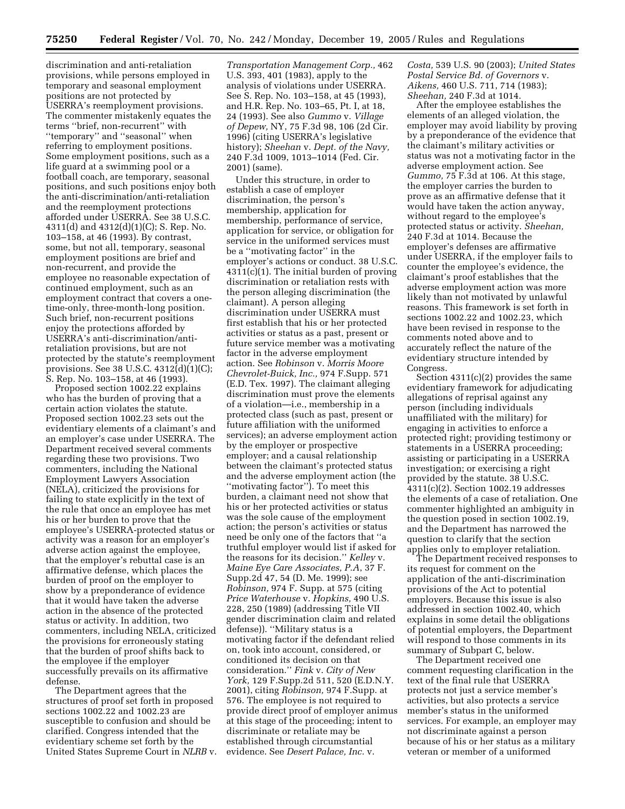discrimination and anti-retaliation provisions, while persons employed in temporary and seasonal employment positions are not protected by USERRA's reemployment provisions. The commenter mistakenly equates the terms ''brief, non-recurrent'' with ''temporary'' and ''seasonal'' when referring to employment positions. Some employment positions, such as a life guard at a swimming pool or a football coach, are temporary, seasonal positions, and such positions enjoy both the anti-discrimination/anti-retaliation and the reemployment protections afforded under USERRA. See 38 U.S.C. 4311(d) and 4312(d)(1)(C); S. Rep. No. 103–158, at 46 (1993). By contrast, some, but not all, temporary, seasonal employment positions are brief and non-recurrent, and provide the employee no reasonable expectation of continued employment, such as an employment contract that covers a onetime-only, three-month-long position. Such brief, non-recurrent positions enjoy the protections afforded by USERRA's anti-discrimination/antiretaliation provisions, but are not protected by the statute's reemployment provisions. See 38 U.S.C. 4312(d)(1)(C); S. Rep. No. 103–158, at 46 (1993).

Proposed section 1002.22 explains who has the burden of proving that a certain action violates the statute. Proposed section 1002.23 sets out the evidentiary elements of a claimant's and an employer's case under USERRA. The Department received several comments regarding these two provisions. Two commenters, including the National Employment Lawyers Association (NELA), criticized the provisions for failing to state explicitly in the text of the rule that once an employee has met his or her burden to prove that the employee's USERRA-protected status or activity was a reason for an employer's adverse action against the employee, that the employer's rebuttal case is an affirmative defense, which places the burden of proof on the employer to show by a preponderance of evidence that it would have taken the adverse action in the absence of the protected status or activity. In addition, two commenters, including NELA, criticized the provisions for erroneously stating that the burden of proof shifts back to the employee if the employer successfully prevails on its affirmative defense.

The Department agrees that the structures of proof set forth in proposed sections 1002.22 and 1002.23 are susceptible to confusion and should be clarified. Congress intended that the evidentiary scheme set forth by the United States Supreme Court in *NLRB* v.

*Transportation Management Corp.,* 462 U.S. 393, 401 (1983), apply to the analysis of violations under USERRA. See S. Rep. No. 103–158, at 45 (1993), and H.R. Rep. No. 103–65, Pt. I, at 18, 24 (1993). See also *Gummo* v. *Village of Depew,* NY, 75 F.3d 98, 106 (2d Cir. 1996) (citing USERRA's legislative history); *Sheehan* v. *Dept. of the Navy,*  240 F.3d 1009, 1013–1014 (Fed. Cir. 2001) (same).

Under this structure, in order to establish a case of employer discrimination, the person's membership, application for membership, performance of service, application for service, or obligation for service in the uniformed services must be a ''motivating factor'' in the employer's actions or conduct. 38 U.S.C. 4311(c)(1). The initial burden of proving discrimination or retaliation rests with the person alleging discrimination (the claimant). A person alleging discrimination under USERRA must first establish that his or her protected activities or status as a past, present or future service member was a motivating factor in the adverse employment action. See *Robinson* v. *Morris Moore Chevrolet-Buick, Inc.,* 974 F.Supp. 571 (E.D. Tex. 1997). The claimant alleging discrimination must prove the elements of a violation—i.e., membership in a protected class (such as past, present or future affiliation with the uniformed services); an adverse employment action by the employer or prospective employer; and a causal relationship between the claimant's protected status and the adverse employment action (the ''motivating factor''). To meet this burden, a claimant need not show that his or her protected activities or status was the sole cause of the employment action; the person's activities or status need be only one of the factors that ''a truthful employer would list if asked for the reasons for its decision.'' *Kelley* v. *Maine Eye Care Associates, P.A*, 37 F. Supp.2d 47, 54 (D. Me. 1999); see *Robinson,* 974 F. Supp. at 575 (citing *Price Waterhouse* v. *Hopkins,* 490 U.S. 228, 250 (1989) (addressing Title VII gender discrimination claim and related defense)). ''Military status is a motivating factor if the defendant relied on, took into account, considered, or conditioned its decision on that consideration.'' *Fink* v. *City of New York,* 129 F.Supp.2d 511, 520 (E.D.N.Y. 2001), citing *Robinson,* 974 F.Supp. at 576. The employee is not required to provide direct proof of employer animus at this stage of the proceeding; intent to discriminate or retaliate may be established through circumstantial evidence. See *Desert Palace, Inc.* v.

*Costa,* 539 U.S. 90 (2003); *United States Postal Service Bd. of Governors* v. *Aikens,* 460 U.S. 711, 714 (1983); *Sheehan,* 240 F.3d at 1014.

After the employee establishes the elements of an alleged violation, the employer may avoid liability by proving by a preponderance of the evidence that the claimant's military activities or status was not a motivating factor in the adverse employment action. See *Gummo,* 75 F.3d at 106. At this stage, the employer carries the burden to prove as an affirmative defense that it would have taken the action anyway, without regard to the employee's protected status or activity. *Sheehan,*  240 F.3d at 1014. Because the employer's defenses are affirmative under USERRA, if the employer fails to counter the employee's evidence, the claimant's proof establishes that the adverse employment action was more likely than not motivated by unlawful reasons. This framework is set forth in sections 1002.22 and 1002.23, which have been revised in response to the comments noted above and to accurately reflect the nature of the evidentiary structure intended by Congress.

Section 4311(c)(2) provides the same evidentiary framework for adjudicating allegations of reprisal against any person (including individuals unaffiliated with the military) for engaging in activities to enforce a protected right; providing testimony or statements in a USERRA proceeding; assisting or participating in a USERRA investigation; or exercising a right provided by the statute. 38 U.S.C. 4311(c)(2). Section 1002.19 addresses the elements of a case of retaliation. One commenter highlighted an ambiguity in the question posed in section 1002.19, and the Department has narrowed the question to clarify that the section applies only to employer retaliation.

The Department received responses to its request for comment on the application of the anti-discrimination provisions of the Act to potential employers. Because this issue is also addressed in section 1002.40, which explains in some detail the obligations of potential employers, the Department will respond to those comments in its summary of Subpart C, below.

The Department received one comment requesting clarification in the text of the final rule that USERRA protects not just a service member's activities, but also protects a service member's status in the uniformed services. For example, an employer may not discriminate against a person because of his or her status as a military veteran or member of a uniformed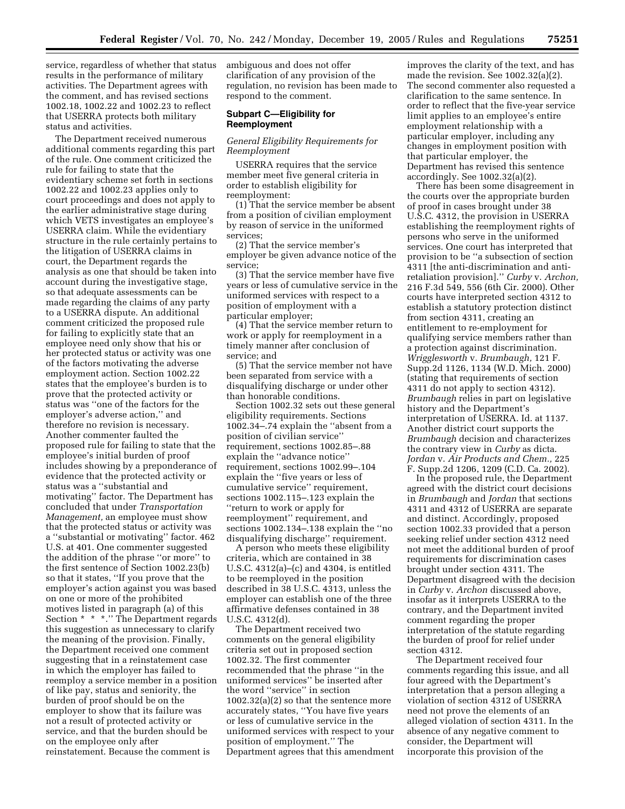service, regardless of whether that status results in the performance of military activities. The Department agrees with the comment, and has revised sections 1002.18, 1002.22 and 1002.23 to reflect that USERRA protects both military status and activities.

The Department received numerous additional comments regarding this part of the rule. One comment criticized the rule for failing to state that the evidentiary scheme set forth in sections 1002.22 and 1002.23 applies only to court proceedings and does not apply to the earlier administrative stage during which VETS investigates an employee's USERRA claim. While the evidentiary structure in the rule certainly pertains to the litigation of USERRA claims in court, the Department regards the analysis as one that should be taken into account during the investigative stage, so that adequate assessments can be made regarding the claims of any party to a USERRA dispute. An additional comment criticized the proposed rule for failing to explicitly state that an employee need only show that his or her protected status or activity was one of the factors motivating the adverse employment action. Section 1002.22 states that the employee's burden is to prove that the protected activity or status was ''one of the factors for the employer's adverse action,'' and therefore no revision is necessary. Another commenter faulted the proposed rule for failing to state that the employee's initial burden of proof includes showing by a preponderance of evidence that the protected activity or status was a ''substantial and motivating'' factor. The Department has concluded that under *Transportation Management,* an employee must show that the protected status or activity was a ''substantial or motivating'' factor. 462 U.S. at 401. One commenter suggested the addition of the phrase ''or more'' to the first sentence of Section 1002.23(b) so that it states, ''If you prove that the employer's action against you was based on one or more of the prohibited motives listed in paragraph (a) of this Section \* \* \*." The Department regards this suggestion as unnecessary to clarify the meaning of the provision. Finally, the Department received one comment suggesting that in a reinstatement case in which the employer has failed to reemploy a service member in a position of like pay, status and seniority, the burden of proof should be on the employer to show that its failure was not a result of protected activity or service, and that the burden should be on the employee only after reinstatement. Because the comment is

ambiguous and does not offer clarification of any provision of the regulation, no revision has been made to respond to the comment.

# **Subpart C—Eligibility for Reemployment**

# *General Eligibility Requirements for Reemployment*

USERRA requires that the service member meet five general criteria in order to establish eligibility for reemployment:

(1) That the service member be absent from a position of civilian employment by reason of service in the uniformed services;

(2) That the service member's employer be given advance notice of the service;

(3) That the service member have five years or less of cumulative service in the uniformed services with respect to a position of employment with a particular employer;

(4) That the service member return to work or apply for reemployment in a timely manner after conclusion of service; and

(5) That the service member not have been separated from service with a disqualifying discharge or under other than honorable conditions.

Section 1002.32 sets out these general eligibility requirements. Sections 1002.34–.74 explain the ''absent from a position of civilian service'' requirement, sections 1002.85–.88 explain the ''advance notice'' requirement, sections 1002.99–.104 explain the ''five years or less of cumulative service'' requirement, sections 1002.115–.123 explain the ''return to work or apply for reemployment'' requirement, and sections 1002.134–.138 explain the ''no disqualifying discharge'' requirement.

A person who meets these eligibility criteria, which are contained in 38 U.S.C. 4312(a)–(c) and 4304, is entitled to be reemployed in the position described in 38 U.S.C. 4313, unless the employer can establish one of the three affirmative defenses contained in 38 U.S.C. 4312(d).

The Department received two comments on the general eligibility criteria set out in proposed section 1002.32. The first commenter recommended that the phrase ''in the uniformed services'' be inserted after the word ''service'' in section 1002.32(a)(2) so that the sentence more accurately states, ''You have five years or less of cumulative service in the uniformed services with respect to your position of employment.'' The Department agrees that this amendment improves the clarity of the text, and has made the revision. See 1002.32(a)(2). The second commenter also requested a clarification to the same sentence. In order to reflect that the five-year service limit applies to an employee's entire employment relationship with a particular employer, including any changes in employment position with that particular employer, the Department has revised this sentence accordingly. See 1002.32(a)(2).

There has been some disagreement in the courts over the appropriate burden of proof in cases brought under 38 U.S.C. 4312, the provision in USERRA establishing the reemployment rights of persons who serve in the uniformed services. One court has interpreted that provision to be ''a subsection of section 4311 [the anti-discrimination and antiretaliation provision].'' *Curby* v. *Archon,*  216 F.3d 549, 556 (6th Cir. 2000). Other courts have interpreted section 4312 to establish a statutory protection distinct from section 4311, creating an entitlement to re-employment for qualifying service members rather than a protection against discrimination. *Wrigglesworth* v. *Brumbaugh,* 121 F. Supp.2d 1126, 1134 (W.D. Mich. 2000) (stating that requirements of section 4311 do not apply to section 4312). *Brumbaugh* relies in part on legislative history and the Department's interpretation of USERRA. Id. at 1137. Another district court supports the *Brumbaugh* decision and characterizes the contrary view in *Curby* as dicta. *Jordan* v. *Air Products and Chem.,* 225 F. Supp.2d 1206, 1209 (C.D. Ca. 2002).

In the proposed rule, the Department agreed with the district court decisions in *Brumbaugh* and *Jordan* that sections 4311 and 4312 of USERRA are separate and distinct. Accordingly, proposed section 1002.33 provided that a person seeking relief under section 4312 need not meet the additional burden of proof requirements for discrimination cases brought under section 4311. The Department disagreed with the decision in *Curby* v. *Archon* discussed above, insofar as it interprets USERRA to the contrary, and the Department invited comment regarding the proper interpretation of the statute regarding the burden of proof for relief under section 4312.

The Department received four comments regarding this issue, and all four agreed with the Department's interpretation that a person alleging a violation of section 4312 of USERRA need not prove the elements of an alleged violation of section 4311. In the absence of any negative comment to consider, the Department will incorporate this provision of the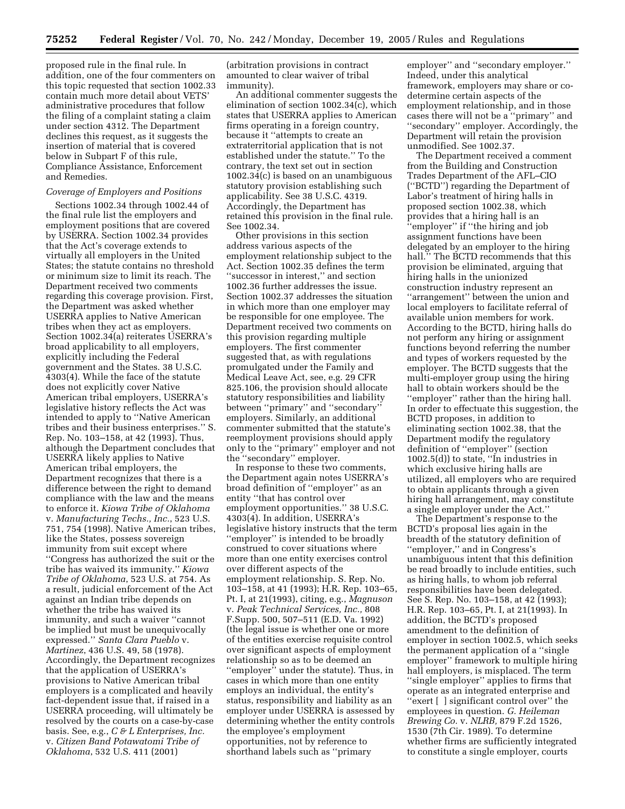proposed rule in the final rule. In addition, one of the four commenters on this topic requested that section 1002.33 contain much more detail about VETS' administrative procedures that follow the filing of a complaint stating a claim under section 4312. The Department declines this request, as it suggests the insertion of material that is covered below in Subpart F of this rule, Compliance Assistance, Enforcement and Remedies.

# *Coverage of Employers and Positions*

Sections 1002.34 through 1002.44 of the final rule list the employers and employment positions that are covered by USERRA. Section 1002.34 provides that the Act's coverage extends to virtually all employers in the United States; the statute contains no threshold or minimum size to limit its reach. The Department received two comments regarding this coverage provision. First, the Department was asked whether USERRA applies to Native American tribes when they act as employers. Section 1002.34(a) reiterates USERRA's broad applicability to all employers, explicitly including the Federal government and the States. 38 U.S.C. 4303(4). While the face of the statute does not explicitly cover Native American tribal employers, USERRA's legislative history reflects the Act was intended to apply to ''Native American tribes and their business enterprises.'' S. Rep. No. 103–158, at 42 (1993). Thus, although the Department concludes that USERRA likely applies to Native American tribal employers, the Department recognizes that there is a difference between the right to demand compliance with the law and the means to enforce it. *Kiowa Tribe of Oklahoma*  v. *Manufacturing Techs., Inc.*, 523 U.S. 751, 754 (1998). Native American tribes, like the States, possess sovereign immunity from suit except where ''Congress has authorized the suit or the tribe has waived its immunity.'' *Kiowa Tribe of Oklahoma*, 523 U.S. at 754. As a result, judicial enforcement of the Act against an Indian tribe depends on whether the tribe has waived its immunity, and such a waiver ''cannot be implied but must be unequivocally expressed.'' *Santa Clara Pueblo* v. *Martinez*, 436 U.S. 49, 58 (1978). Accordingly, the Department recognizes that the application of USERRA's provisions to Native American tribal employers is a complicated and heavily fact-dependent issue that, if raised in a USERRA proceeding, will ultimately be resolved by the courts on a case-by-case basis. See, e.g., *C & L Enterprises, Inc.*  v. *Citizen Band Potawatomi Tribe of Oklahoma*, 532 U.S. 411 (2001)

(arbitration provisions in contract amounted to clear waiver of tribal immunity).

An additional commenter suggests the elimination of section 1002.34(c), which states that USERRA applies to American firms operating in a foreign country, because it ''attempts to create an extraterritorial application that is not established under the statute.'' To the contrary, the text set out in section 1002.34(c) is based on an unambiguous statutory provision establishing such applicability. See 38 U.S.C. 4319. Accordingly, the Department has retained this provision in the final rule. See 1002.34.

Other provisions in this section address various aspects of the employment relationship subject to the Act. Section 1002.35 defines the term ''successor in interest,'' and section 1002.36 further addresses the issue. Section 1002.37 addresses the situation in which more than one employer may be responsible for one employee. The Department received two comments on this provision regarding multiple employers. The first commenter suggested that, as with regulations promulgated under the Family and Medical Leave Act, see, e.g. 29 CFR 825.106, the provision should allocate statutory responsibilities and liability between ''primary'' and ''secondary'' employers. Similarly, an additional commenter submitted that the statute's reemployment provisions should apply only to the ''primary'' employer and not the ''secondary'' employer.

In response to these two comments, the Department again notes USERRA's broad definition of ''employer'' as an entity ''that has control over employment opportunities.'' 38 U.S.C. 4303(4). In addition, USERRA's legislative history instructs that the term ''employer'' is intended to be broadly construed to cover situations where more than one entity exercises control over different aspects of the employment relationship. S. Rep. No. 103–158, at 41 (1993); H.R. Rep. 103–65, Pt. I, at 21(1993), citing, e.g., *Magnuson*  v. *Peak Technical Services, Inc.,* 808 F.Supp. 500, 507–511 (E.D. Va. 1992) (the legal issue is whether one or more of the entities exercise requisite control over significant aspects of employment relationship so as to be deemed an ''employer'' under the statute). Thus, in cases in which more than one entity employs an individual, the entity's status, responsibility and liability as an employer under USERRA is assessed by determining whether the entity controls the employee's employment opportunities, not by reference to shorthand labels such as ''primary

employer'' and ''secondary employer.'' Indeed, under this analytical framework, employers may share or codetermine certain aspects of the employment relationship, and in those cases there will not be a ''primary'' and ''secondary'' employer. Accordingly, the Department will retain the provision unmodified. See 1002.37.

The Department received a comment from the Building and Construction Trades Department of the AFL–CIO (''BCTD'') regarding the Department of Labor's treatment of hiring halls in proposed section 1002.38, which provides that a hiring hall is an "employer" if "the hiring and job assignment functions have been delegated by an employer to the hiring hall." The BCTD recommends that this provision be eliminated, arguing that hiring halls in the unionized construction industry represent an ''arrangement'' between the union and local employers to facilitate referral of available union members for work. According to the BCTD, hiring halls do not perform any hiring or assignment functions beyond referring the number and types of workers requested by the employer. The BCTD suggests that the multi-employer group using the hiring hall to obtain workers should be the ''employer'' rather than the hiring hall. In order to effectuate this suggestion, the BCTD proposes, in addition to eliminating section 1002.38, that the Department modify the regulatory definition of ''employer'' (section 1002.5(d)) to state, ''In industries in which exclusive hiring halls are utilized, all employers who are required to obtain applicants through a given hiring hall arrangement, may constitute a single employer under the Act.''

The Department's response to the BCTD's proposal lies again in the breadth of the statutory definition of ''employer,'' and in Congress's unambiguous intent that this definition be read broadly to include entities, such as hiring halls, to whom job referral responsibilities have been delegated. See S. Rep. No. 103–158, at 42 (1993); H.R. Rep. 103–65, Pt. I, at 21(1993). In addition, the BCTD's proposed amendment to the definition of employer in section 1002.5, which seeks the permanent application of a ''single employer'' framework to multiple hiring hall employers, is misplaced. The term ''single employer'' applies to firms that operate as an integrated enterprise and ''exert [ ] significant control over'' the employees in question. *G. Heileman Brewing Co.* v. *NLRB,* 879 F.2d 1526, 1530 (7th Cir. 1989). To determine whether firms are sufficiently integrated to constitute a single employer, courts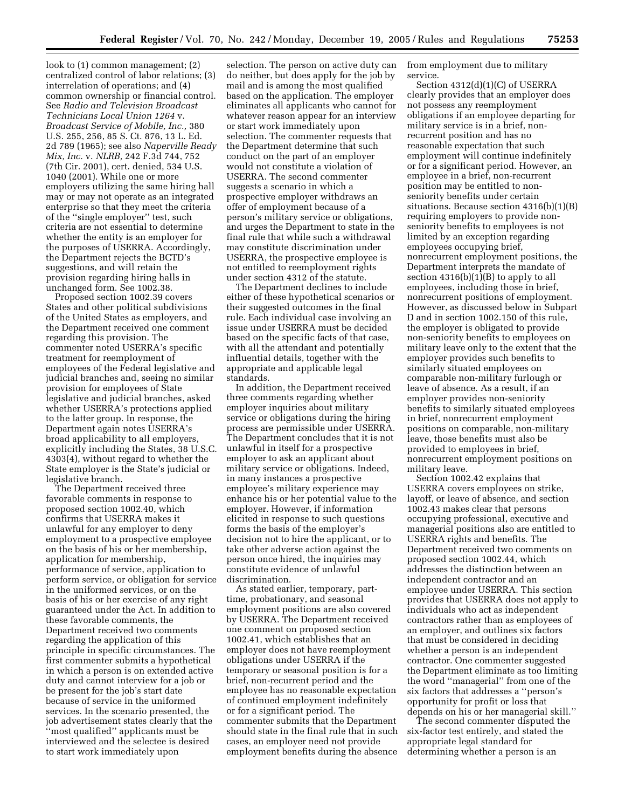look to (1) common management; (2) centralized control of labor relations; (3) interrelation of operations; and (4) common ownership or financial control. See *Radio and Television Broadcast Technicians Local Union 1264* v. *Broadcast Service of Mobile, Inc.,* 380 U.S. 255, 256, 85 S. Ct. 876, 13 L. Ed. 2d 789 (1965); see also *Naperville Ready Mix, Inc.* v. *NLRB,* 242 F.3d 744, 752 (7th Cir. 2001), cert. denied, 534 U.S. 1040 (2001). While one or more employers utilizing the same hiring hall may or may not operate as an integrated enterprise so that they meet the criteria of the ''single employer'' test, such criteria are not essential to determine whether the entity is an employer for the purposes of USERRA. Accordingly, the Department rejects the BCTD's suggestions, and will retain the provision regarding hiring halls in unchanged form. See 1002.38.

Proposed section 1002.39 covers States and other political subdivisions of the United States as employers, and the Department received one comment regarding this provision. The commenter noted USERRA's specific treatment for reemployment of employees of the Federal legislative and judicial branches and, seeing no similar provision for employees of State legislative and judicial branches, asked whether USERRA's protections applied to the latter group. In response, the Department again notes USERRA's broad applicability to all employers, explicitly including the States, 38 U.S.C. 4303(4), without regard to whether the State employer is the State's judicial or legislative branch.

The Department received three favorable comments in response to proposed section 1002.40, which confirms that USERRA makes it unlawful for any employer to deny employment to a prospective employee on the basis of his or her membership, application for membership, performance of service, application to perform service, or obligation for service in the uniformed services, or on the basis of his or her exercise of any right guaranteed under the Act. In addition to these favorable comments, the Department received two comments regarding the application of this principle in specific circumstances. The first commenter submits a hypothetical in which a person is on extended active duty and cannot interview for a job or be present for the job's start date because of service in the uniformed services. In the scenario presented, the job advertisement states clearly that the ''most qualified'' applicants must be interviewed and the selectee is desired to start work immediately upon

selection. The person on active duty can do neither, but does apply for the job by mail and is among the most qualified based on the application. The employer eliminates all applicants who cannot for whatever reason appear for an interview or start work immediately upon selection. The commenter requests that the Department determine that such conduct on the part of an employer would not constitute a violation of USERRA. The second commenter suggests a scenario in which a prospective employer withdraws an offer of employment because of a person's military service or obligations, and urges the Department to state in the final rule that while such a withdrawal may constitute discrimination under USERRA, the prospective employee is not entitled to reemployment rights under section 4312 of the statute.

The Department declines to include either of these hypothetical scenarios or their suggested outcomes in the final rule. Each individual case involving an issue under USERRA must be decided based on the specific facts of that case, with all the attendant and potentially influential details, together with the appropriate and applicable legal standards.

In addition, the Department received three comments regarding whether employer inquiries about military service or obligations during the hiring process are permissible under USERRA. The Department concludes that it is not unlawful in itself for a prospective employer to ask an applicant about military service or obligations. Indeed, in many instances a prospective employee's military experience may enhance his or her potential value to the employer. However, if information elicited in response to such questions forms the basis of the employer's decision not to hire the applicant, or to take other adverse action against the person once hired, the inquiries may constitute evidence of unlawful discrimination.

As stated earlier, temporary, parttime, probationary, and seasonal employment positions are also covered by USERRA. The Department received one comment on proposed section 1002.41, which establishes that an employer does not have reemployment obligations under USERRA if the temporary or seasonal position is for a brief, non-recurrent period and the employee has no reasonable expectation of continued employment indefinitely or for a significant period. The commenter submits that the Department should state in the final rule that in such cases, an employer need not provide employment benefits during the absence

from employment due to military service.

Section 4312(d)(1)(C) of USERRA clearly provides that an employer does not possess any reemployment obligations if an employee departing for military service is in a brief, nonrecurrent position and has no reasonable expectation that such employment will continue indefinitely or for a significant period. However, an employee in a brief, non-recurrent position may be entitled to nonseniority benefits under certain situations. Because section 4316(b)(1)(B) requiring employers to provide nonseniority benefits to employees is not limited by an exception regarding employees occupying brief, nonrecurrent employment positions, the Department interprets the mandate of section 4316(b)(1)(B) to apply to all employees, including those in brief, nonrecurrent positions of employment. However, as discussed below in Subpart D and in section 1002.150 of this rule, the employer is obligated to provide non-seniority benefits to employees on military leave only to the extent that the employer provides such benefits to similarly situated employees on comparable non-military furlough or leave of absence. As a result, if an employer provides non-seniority benefits to similarly situated employees in brief, nonrecurrent employment positions on comparable, non-military leave, those benefits must also be provided to employees in brief, nonrecurrent employment positions on military leave.

Section 1002.42 explains that USERRA covers employees on strike, layoff, or leave of absence, and section 1002.43 makes clear that persons occupying professional, executive and managerial positions also are entitled to USERRA rights and benefits. The Department received two comments on proposed section 1002.44, which addresses the distinction between an independent contractor and an employee under USERRA. This section provides that USERRA does not apply to individuals who act as independent contractors rather than as employees of an employer, and outlines six factors that must be considered in deciding whether a person is an independent contractor. One commenter suggested the Department eliminate as too limiting the word ''managerial'' from one of the six factors that addresses a ''person's opportunity for profit or loss that depends on his or her managerial skill.''

The second commenter disputed the six-factor test entirely, and stated the appropriate legal standard for determining whether a person is an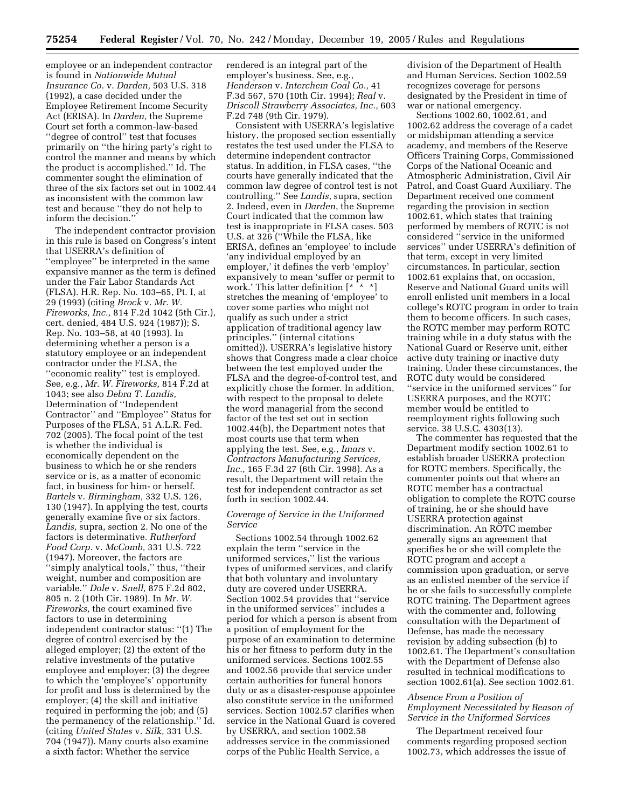employee or an independent contractor is found in *Nationwide Mutual Insurance Co.* v. *Darden,* 503 U.S. 318 (1992), a case decided under the Employee Retirement Income Security Act (ERISA). In *Darden,* the Supreme Court set forth a common-law-based ''degree of control'' test that focuses primarily on ''the hiring party's right to control the manner and means by which the product is accomplished.'' Id. The commenter sought the elimination of three of the six factors set out in 1002.44 as inconsistent with the common law test and because ''they do not help to inform the decision.''

The independent contractor provision in this rule is based on Congress's intent that USERRA's definition of ''employee'' be interpreted in the same expansive manner as the term is defined under the Fair Labor Standards Act (FLSA). H.R. Rep. No. 103–65, Pt. I, at 29 (1993) (citing *Brock* v. *Mr. W. Fireworks, Inc.,* 814 F.2d 1042 (5th Cir.), cert. denied, 484 U.S. 924 (1987)); S. Rep. No. 103–58, at 40 (1993). In determining whether a person is a statutory employee or an independent contractor under the FLSA, the ''economic reality'' test is employed. See, e.g., *Mr. W. Fireworks,* 814 F.2d at 1043; see also *Debra T. Landis,*  Determination of ''Independent Contractor'' and ''Employee'' Status for Purposes of the FLSA, 51 A.L.R. Fed. 702 (2005). The focal point of the test is whether the individual is economically dependent on the business to which he or she renders service or is, as a matter of economic fact, in business for him- or herself. *Bartels* v. *Birmingham,* 332 U.S. 126, 130 (1947). In applying the test, courts generally examine five or six factors. *Landis,* supra, section 2. No one of the factors is determinative. *Rutherford Food Corp.* v. *McComb,* 331 U.S. 722 (1947). Moreover, the factors are ''simply analytical tools,'' thus, ''their weight, number and composition are variable.'' *Dole* v. *Snell,* 875 F.2d 802, 805 n. 2 (10th Cir. 1989). In *Mr. W. Fireworks,* the court examined five factors to use in determining independent contractor status: ''(1) The degree of control exercised by the alleged employer; (2) the extent of the relative investments of the putative employee and employer; (3) the degree to which the 'employee's' opportunity for profit and loss is determined by the employer; (4) the skill and initiative required in performing the job; and (5) the permanency of the relationship.'' Id. (citing *United States* v. *Silk,* 331 U.S. 704 (1947)). Many courts also examine a sixth factor: Whether the service

rendered is an integral part of the employer's business. See, e.g., *Henderson* v. *Interchem Coal Co.,* 41 F.3d 567, 570 (10th Cir. 1994); *Real* v. *Driscoll Strawberry Associates, Inc.,* 603 F.2d 748 (9th Cir. 1979).

Consistent with USERRA's legislative history, the proposed section essentially restates the test used under the FLSA to determine independent contractor status. In addition, in FLSA cases, ''the courts have generally indicated that the common law degree of control test is not controlling.'' See *Landis*, supra, section 2. Indeed, even in *Darden*, the Supreme Court indicated that the common law test is inappropriate in FLSA cases. 503 U.S. at 326 (''While the FLSA, like ERISA, defines an 'employee' to include 'any individual employed by an employer,' it defines the verb 'employ' expansively to mean 'suffer or permit to work.' This latter definition [\* \* \*] stretches the meaning of 'employee' to cover some parties who might not qualify as such under a strict application of traditional agency law principles.'' (internal citations omitted)). USERRA's legislative history shows that Congress made a clear choice between the test employed under the FLSA and the degree-of-control test, and explicitly chose the former. In addition, with respect to the proposal to delete the word managerial from the second factor of the test set out in section 1002.44(b), the Department notes that most courts use that term when applying the test. See, e.g., *Imars* v. *Contractors Manufacturing Services, Inc.,* 165 F.3d 27 (6th Cir. 1998). As a result, the Department will retain the test for independent contractor as set forth in section 1002.44.

# *Coverage of Service in the Uniformed Service*

Sections 1002.54 through 1002.62 explain the term ''service in the uniformed services,'' list the various types of uniformed services, and clarify that both voluntary and involuntary duty are covered under USERRA. Section 1002.54 provides that ''service in the uniformed services'' includes a period for which a person is absent from a position of employment for the purpose of an examination to determine his or her fitness to perform duty in the uniformed services. Sections 1002.55 and 1002.56 provide that service under certain authorities for funeral honors duty or as a disaster-response appointee also constitute service in the uniformed services. Section 1002.57 clarifies when service in the National Guard is covered by USERRA, and section 1002.58 addresses service in the commissioned corps of the Public Health Service, a

division of the Department of Health and Human Services. Section 1002.59 recognizes coverage for persons designated by the President in time of war or national emergency.

Sections 1002.60, 1002.61, and 1002.62 address the coverage of a cadet or midshipman attending a service academy, and members of the Reserve Officers Training Corps, Commissioned Corps of the National Oceanic and Atmospheric Administration, Civil Air Patrol, and Coast Guard Auxiliary. The Department received one comment regarding the provision in section 1002.61, which states that training performed by members of ROTC is not considered ''service in the uniformed services'' under USERRA's definition of that term, except in very limited circumstances. In particular, section 1002.61 explains that, on occasion, Reserve and National Guard units will enroll enlisted unit members in a local college's ROTC program in order to train them to become officers. In such cases, the ROTC member may perform ROTC training while in a duty status with the National Guard or Reserve unit, either active duty training or inactive duty training. Under these circumstances, the ROTC duty would be considered ''service in the uniformed services'' for USERRA purposes, and the ROTC member would be entitled to reemployment rights following such service. 38 U.S.C. 4303(13).

The commenter has requested that the Department modify section 1002.61 to establish broader USERRA protection for ROTC members. Specifically, the commenter points out that where an ROTC member has a contractual obligation to complete the ROTC course of training, he or she should have USERRA protection against discrimination. An ROTC member generally signs an agreement that specifies he or she will complete the ROTC program and accept a commission upon graduation, or serve as an enlisted member of the service if he or she fails to successfully complete ROTC training. The Department agrees with the commenter and, following consultation with the Department of Defense, has made the necessary revision by adding subsection (b) to 1002.61. The Department's consultation with the Department of Defense also resulted in technical modifications to section 1002.61(a). See section 1002.61.

# *Absence From a Position of Employment Necessitated by Reason of Service in the Uniformed Services*

The Department received four comments regarding proposed section 1002.73, which addresses the issue of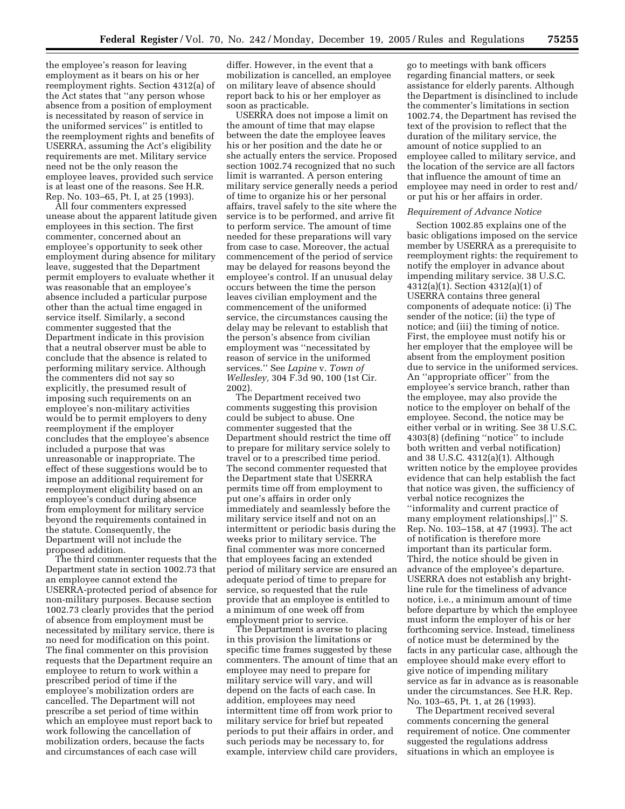the employee's reason for leaving employment as it bears on his or her reemployment rights. Section 4312(a) of the Act states that ''any person whose absence from a position of employment is necessitated by reason of service in the uniformed services'' is entitled to the reemployment rights and benefits of USERRA, assuming the Act's eligibility requirements are met. Military service need not be the only reason the employee leaves, provided such service is at least one of the reasons. See H.R. Rep. No. 103–65, Pt. I, at 25 (1993).

All four commenters expressed unease about the apparent latitude given employees in this section. The first commenter, concerned about an employee's opportunity to seek other employment during absence for military leave, suggested that the Department permit employers to evaluate whether it was reasonable that an employee's absence included a particular purpose other than the actual time engaged in service itself. Similarly, a second commenter suggested that the Department indicate in this provision that a neutral observer must be able to conclude that the absence is related to performing military service. Although the commenters did not say so explicitly, the presumed result of imposing such requirements on an employee's non-military activities would be to permit employers to deny reemployment if the employer concludes that the employee's absence included a purpose that was unreasonable or inappropriate. The effect of these suggestions would be to impose an additional requirement for reemployment eligibility based on an employee's conduct during absence from employment for military service beyond the requirements contained in the statute. Consequently, the Department will not include the proposed addition.

The third commenter requests that the Department state in section 1002.73 that an employee cannot extend the USERRA-protected period of absence for non-military purposes. Because section 1002.73 clearly provides that the period of absence from employment must be necessitated by military service, there is no need for modification on this point. The final commenter on this provision requests that the Department require an employee to return to work within a prescribed period of time if the employee's mobilization orders are cancelled. The Department will not prescribe a set period of time within which an employee must report back to work following the cancellation of mobilization orders, because the facts and circumstances of each case will

differ. However, in the event that a mobilization is cancelled, an employee on military leave of absence should report back to his or her employer as soon as practicable.

USERRA does not impose a limit on the amount of time that may elapse between the date the employee leaves his or her position and the date he or she actually enters the service. Proposed section 1002.74 recognized that no such limit is warranted. A person entering military service generally needs a period of time to organize his or her personal affairs, travel safely to the site where the service is to be performed, and arrive fit to perform service. The amount of time needed for these preparations will vary from case to case. Moreover, the actual commencement of the period of service may be delayed for reasons beyond the employee's control. If an unusual delay occurs between the time the person leaves civilian employment and the commencement of the uniformed service, the circumstances causing the delay may be relevant to establish that the person's absence from civilian employment was ''necessitated by reason of service in the uniformed services.'' See *Lapine* v. *Town of Wellesley,* 304 F.3d 90, 100 (1st Cir. 2002).

The Department received two comments suggesting this provision could be subject to abuse. One commenter suggested that the Department should restrict the time off to prepare for military service solely to travel or to a prescribed time period. The second commenter requested that the Department state that USERRA permits time off from employment to put one's affairs in order only immediately and seamlessly before the military service itself and not on an intermittent or periodic basis during the weeks prior to military service. The final commenter was more concerned that employees facing an extended period of military service are ensured an adequate period of time to prepare for service, so requested that the rule provide that an employee is entitled to a minimum of one week off from employment prior to service.

The Department is averse to placing in this provision the limitations or specific time frames suggested by these commenters. The amount of time that an employee may need to prepare for military service will vary, and will depend on the facts of each case. In addition, employees may need intermittent time off from work prior to military service for brief but repeated periods to put their affairs in order, and such periods may be necessary to, for example, interview child care providers,

go to meetings with bank officers regarding financial matters, or seek assistance for elderly parents. Although the Department is disinclined to include the commenter's limitations in section 1002.74, the Department has revised the text of the provision to reflect that the duration of the military service, the amount of notice supplied to an employee called to military service, and the location of the service are all factors that influence the amount of time an employee may need in order to rest and/ or put his or her affairs in order.

# *Requirement of Advance Notice*

Section 1002.85 explains one of the basic obligations imposed on the service member by USERRA as a prerequisite to reemployment rights: the requirement to notify the employer in advance about impending military service. 38 U.S.C. 4312(a)(1). Section 4312(a)(1) of USERRA contains three general components of adequate notice: (i) The sender of the notice; (ii) the type of notice; and (iii) the timing of notice. First, the employee must notify his or her employer that the employee will be absent from the employment position due to service in the uniformed services. An ''appropriate officer'' from the employee's service branch, rather than the employee, may also provide the notice to the employer on behalf of the employee. Second, the notice may be either verbal or in writing. See 38 U.S.C. 4303(8) (defining ''notice'' to include both written and verbal notification) and 38 U.S.C. 4312(a)(1). Although written notice by the employee provides evidence that can help establish the fact that notice was given, the sufficiency of verbal notice recognizes the ''informality and current practice of many employment relationships[.]'' S. Rep. No. 103–158, at 47 (1993). The act of notification is therefore more important than its particular form. Third, the notice should be given in advance of the employee's departure. USERRA does not establish any brightline rule for the timeliness of advance notice, i.e., a minimum amount of time before departure by which the employee must inform the employer of his or her forthcoming service. Instead, timeliness of notice must be determined by the facts in any particular case, although the employee should make every effort to give notice of impending military service as far in advance as is reasonable under the circumstances. See H.R. Rep. No. 103–65, Pt. 1, at 26 (1993).

The Department received several comments concerning the general requirement of notice. One commenter suggested the regulations address situations in which an employee is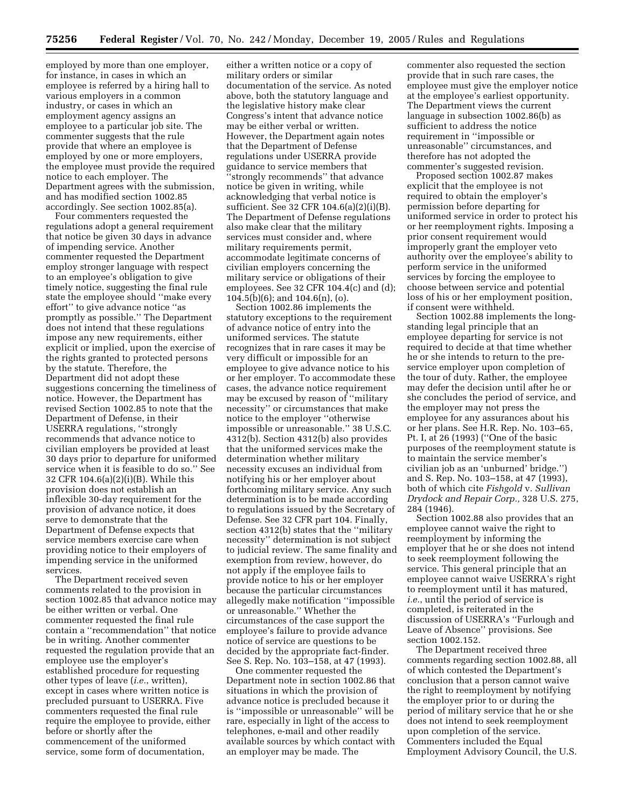employed by more than one employer, for instance, in cases in which an employee is referred by a hiring hall to various employers in a common industry, or cases in which an employment agency assigns an employee to a particular job site. The commenter suggests that the rule provide that where an employee is employed by one or more employers, the employee must provide the required notice to each employer. The Department agrees with the submission, and has modified section 1002.85 accordingly. See section 1002.85(a).

Four commenters requested the regulations adopt a general requirement that notice be given 30 days in advance of impending service. Another commenter requested the Department employ stronger language with respect to an employee's obligation to give timely notice, suggesting the final rule state the employee should ''make every effort'' to give advance notice ''as promptly as possible.'' The Department does not intend that these regulations impose any new requirements, either explicit or implied, upon the exercise of the rights granted to protected persons by the statute. Therefore, the Department did not adopt these suggestions concerning the timeliness of notice. However, the Department has revised Section 1002.85 to note that the Department of Defense, in their USERRA regulations, ''strongly recommends that advance notice to civilian employers be provided at least 30 days prior to departure for uniformed service when it is feasible to do so.'' See 32 CFR 104.6(a)(2)(i)(B). While this provision does not establish an inflexible 30-day requirement for the provision of advance notice, it does serve to demonstrate that the Department of Defense expects that service members exercise care when providing notice to their employers of impending service in the uniformed services.

The Department received seven comments related to the provision in section 1002.85 that advance notice may be either written or verbal. One commenter requested the final rule contain a ''recommendation'' that notice be in writing. Another commenter requested the regulation provide that an employee use the employer's established procedure for requesting other types of leave (*i.e.*, written), except in cases where written notice is precluded pursuant to USERRA. Five commenters requested the final rule require the employee to provide, either before or shortly after the commencement of the uniformed service, some form of documentation,

either a written notice or a copy of military orders or similar documentation of the service. As noted above, both the statutory language and the legislative history make clear Congress's intent that advance notice may be either verbal or written. However, the Department again notes that the Department of Defense regulations under USERRA provide guidance to service members that ''strongly recommends'' that advance notice be given in writing, while acknowledging that verbal notice is sufficient. See 32 CFR 104.6(a)(2)(i)(B). The Department of Defense regulations also make clear that the military services must consider and, where military requirements permit, accommodate legitimate concerns of civilian employers concerning the military service or obligations of their employees. See 32 CFR 104.4(c) and (d); 104.5(b)(6); and 104.6(n), (o).

Section 1002.86 implements the statutory exceptions to the requirement of advance notice of entry into the uniformed services. The statute recognizes that in rare cases it may be very difficult or impossible for an employee to give advance notice to his or her employer. To accommodate these cases, the advance notice requirement may be excused by reason of ''military necessity'' or circumstances that make notice to the employer ''otherwise impossible or unreasonable.'' 38 U.S.C. 4312(b). Section 4312(b) also provides that the uniformed services make the determination whether military necessity excuses an individual from notifying his or her employer about forthcoming military service. Any such determination is to be made according to regulations issued by the Secretary of Defense. See 32 CFR part 104. Finally, section 4312(b) states that the ''military necessity'' determination is not subject to judicial review. The same finality and exemption from review, however, do not apply if the employee fails to provide notice to his or her employer because the particular circumstances allegedly make notification ''impossible or unreasonable.'' Whether the circumstances of the case support the employee's failure to provide advance notice of service are questions to be decided by the appropriate fact-finder. See S. Rep. No. 103–158, at 47 (1993).

One commenter requested the Department note in section 1002.86 that situations in which the provision of advance notice is precluded because it is ''impossible or unreasonable'' will be rare, especially in light of the access to telephones, e-mail and other readily available sources by which contact with an employer may be made. The

commenter also requested the section provide that in such rare cases, the employee must give the employer notice at the employee's earliest opportunity. The Department views the current language in subsection 1002.86(b) as sufficient to address the notice requirement in ''impossible or unreasonable'' circumstances, and therefore has not adopted the commenter's suggested revision.

Proposed section 1002.87 makes explicit that the employee is not required to obtain the employer's permission before departing for uniformed service in order to protect his or her reemployment rights. Imposing a prior consent requirement would improperly grant the employer veto authority over the employee's ability to perform service in the uniformed services by forcing the employee to choose between service and potential loss of his or her employment position, if consent were withheld.

Section 1002.88 implements the longstanding legal principle that an employee departing for service is not required to decide at that time whether he or she intends to return to the preservice employer upon completion of the tour of duty. Rather, the employee may defer the decision until after he or she concludes the period of service, and the employer may not press the employee for any assurances about his or her plans. See H.R. Rep. No. 103–65, Pt. I, at 26 (1993) (''One of the basic purposes of the reemployment statute is to maintain the service member's civilian job as an 'unburned' bridge.'') and S. Rep. No. 103–158, at 47 (1993), both of which cite *Fishgold* v. *Sullivan Drydock and Repair Corp.,* 328 U.S. 275, 284 (1946).

Section 1002.88 also provides that an employee cannot waive the right to reemployment by informing the employer that he or she does not intend to seek reemployment following the service. This general principle that an employee cannot waive USERRA's right to reemployment until it has matured, *i.e.*, until the period of service is completed, is reiterated in the discussion of USERRA's ''Furlough and Leave of Absence'' provisions. See section 1002.152.

The Department received three comments regarding section 1002.88, all of which contested the Department's conclusion that a person cannot waive the right to reemployment by notifying the employer prior to or during the period of military service that he or she does not intend to seek reemployment upon completion of the service. Commenters included the Equal Employment Advisory Council, the U.S.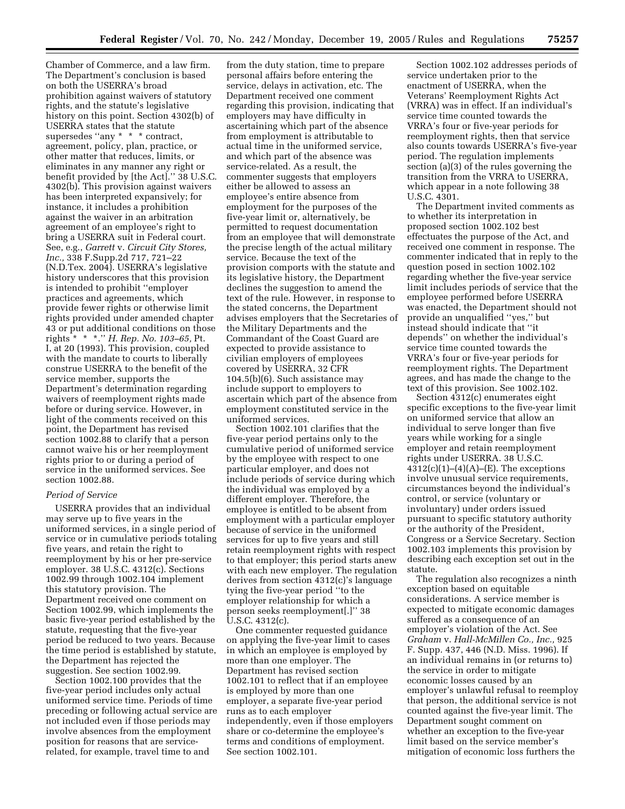Chamber of Commerce, and a law firm. The Department's conclusion is based on both the USERRA's broad prohibition against waivers of statutory rights, and the statute's legislative history on this point. Section 4302(b) of USERRA states that the statute supersedes "any \* \* \* contract, agreement, policy, plan, practice, or other matter that reduces, limits, or eliminates in any manner any right or benefit provided by [the Act].'' 38 U.S.C. 4302(b). This provision against waivers has been interpreted expansively; for instance, it includes a prohibition against the waiver in an arbitration agreement of an employee's right to bring a USERRA suit in Federal court. See, e.g., *Garrett* v. *Circuit City Stores, Inc.,* 338 F.Supp.2d 717, 721–22 (N.D.Tex. 2004). USERRA's legislative history underscores that this provision is intended to prohibit ''employer practices and agreements, which provide fewer rights or otherwise limit rights provided under amended chapter 43 or put additional conditions on those rights \* \* \*.'' *H. Rep. No. 103–65,* Pt. I, at 20 (1993). This provision, coupled with the mandate to courts to liberally construe USERRA to the benefit of the service member, supports the Department's determination regarding waivers of reemployment rights made before or during service. However, in light of the comments received on this point, the Department has revised section 1002.88 to clarify that a person cannot waive his or her reemployment rights prior to or during a period of service in the uniformed services. See section 1002.88.

#### *Period of Service*

USERRA provides that an individual may serve up to five years in the uniformed services, in a single period of service or in cumulative periods totaling five years, and retain the right to reemployment by his or her pre-service employer. 38 U.S.C. 4312(c). Sections 1002.99 through 1002.104 implement this statutory provision. The Department received one comment on Section 1002.99, which implements the basic five-year period established by the statute, requesting that the five-year period be reduced to two years. Because the time period is established by statute, the Department has rejected the suggestion. See section 1002.99.

Section 1002.100 provides that the five-year period includes only actual uniformed service time. Periods of time preceding or following actual service are not included even if those periods may involve absences from the employment position for reasons that are servicerelated, for example, travel time to and

from the duty station, time to prepare personal affairs before entering the service, delays in activation, etc. The Department received one comment regarding this provision, indicating that employers may have difficulty in ascertaining which part of the absence from employment is attributable to actual time in the uniformed service, and which part of the absence was service-related. As a result, the commenter suggests that employers either be allowed to assess an employee's entire absence from employment for the purposes of the five-year limit or, alternatively, be permitted to request documentation from an employee that will demonstrate the precise length of the actual military service. Because the text of the provision comports with the statute and its legislative history, the Department declines the suggestion to amend the text of the rule. However, in response to the stated concerns, the Department advises employers that the Secretaries of the Military Departments and the Commandant of the Coast Guard are expected to provide assistance to civilian employers of employees covered by USERRA, 32 CFR 104.5(b)(6). Such assistance may include support to employers to ascertain which part of the absence from employment constituted service in the uniformed services.

Section 1002.101 clarifies that the five-year period pertains only to the cumulative period of uniformed service by the employee with respect to one particular employer, and does not include periods of service during which the individual was employed by a different employer. Therefore, the employee is entitled to be absent from employment with a particular employer because of service in the uniformed services for up to five years and still retain reemployment rights with respect to that employer; this period starts anew with each new employer. The regulation derives from section 4312(c)'s language tying the five-year period ''to the employer relationship for which a person seeks reemployment[.]'' 38 U.S.C. 4312(c).

One commenter requested guidance on applying the five-year limit to cases in which an employee is employed by more than one employer. The Department has revised section 1002.101 to reflect that if an employee is employed by more than one employer, a separate five-year period runs as to each employer independently, even if those employers share or co-determine the employee's terms and conditions of employment. See section 1002.101.

Section 1002.102 addresses periods of service undertaken prior to the enactment of USERRA, when the Veterans' Reemployment Rights Act (VRRA) was in effect. If an individual's service time counted towards the VRRA's four or five-year periods for reemployment rights, then that service also counts towards USERRA's five-year period. The regulation implements section (a)(3) of the rules governing the transition from the VRRA to USERRA, which appear in a note following 38 U.S.C. 4301.

The Department invited comments as to whether its interpretation in proposed section 1002.102 best effectuates the purpose of the Act, and received one comment in response. The commenter indicated that in reply to the question posed in section 1002.102 regarding whether the five-year service limit includes periods of service that the employee performed before USERRA was enacted, the Department should not provide an unqualified ''yes,'' but instead should indicate that ''it depends'' on whether the individual's service time counted towards the VRRA's four or five-year periods for reemployment rights. The Department agrees, and has made the change to the text of this provision. See 1002.102.

Section 4312(c) enumerates eight specific exceptions to the five-year limit on uniformed service that allow an individual to serve longer than five years while working for a single employer and retain reemployment rights under USERRA. 38 U.S.C.  $4312(c)(1)–(4)(A)–(E)$ . The exceptions involve unusual service requirements, circumstances beyond the individual's control, or service (voluntary or involuntary) under orders issued pursuant to specific statutory authority or the authority of the President, Congress or a Service Secretary. Section 1002.103 implements this provision by describing each exception set out in the statute.

The regulation also recognizes a ninth exception based on equitable considerations. A service member is expected to mitigate economic damages suffered as a consequence of an employer's violation of the Act. See *Graham* v. *Hall-McMillen Co., Inc.,* 925 F. Supp. 437, 446 (N.D. Miss. 1996). If an individual remains in (or returns to) the service in order to mitigate economic losses caused by an employer's unlawful refusal to reemploy that person, the additional service is not counted against the five-year limit. The Department sought comment on whether an exception to the five-year limit based on the service member's mitigation of economic loss furthers the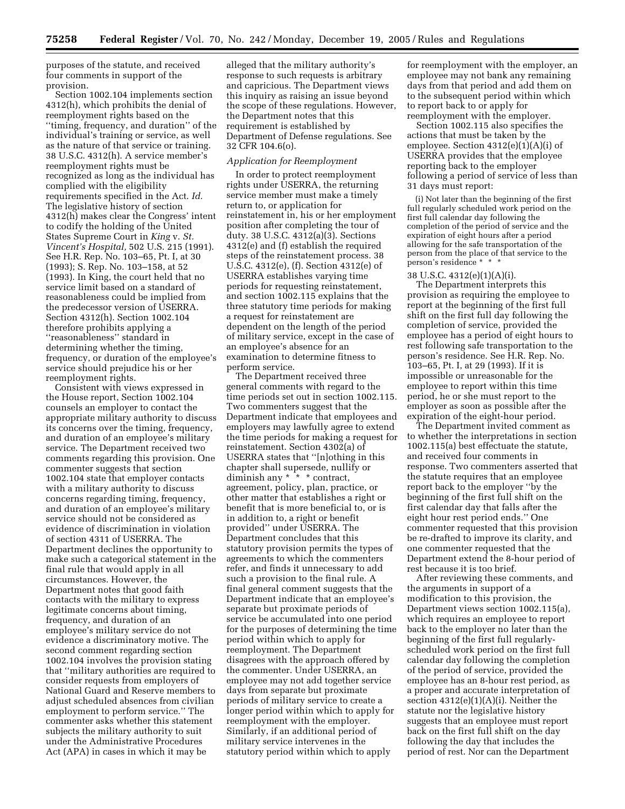purposes of the statute, and received four comments in support of the provision.

Section 1002.104 implements section 4312(h), which prohibits the denial of reemployment rights based on the ''timing, frequency, and duration'' of the individual's training or service, as well as the nature of that service or training. 38 U.S.C. 4312(h). A service member's reemployment rights must be recognized as long as the individual has complied with the eligibility requirements specified in the Act. *Id.*  The legislative history of section 4312(h) makes clear the Congress' intent to codify the holding of the United States Supreme Court in *King* v. *St. Vincent's Hospital,* 502 U.S. 215 (1991). See H.R. Rep. No. 103–65, Pt. I, at 30 (1993); S. Rep. No. 103–158, at 52 (1993). In King, the court held that no service limit based on a standard of reasonableness could be implied from the predecessor version of USERRA. Section 4312(h). Section 1002.104 therefore prohibits applying a ''reasonableness'' standard in determining whether the timing, frequency, or duration of the employee's service should prejudice his or her reemployment rights.

Consistent with views expressed in the House report, Section 1002.104 counsels an employer to contact the appropriate military authority to discuss its concerns over the timing, frequency, and duration of an employee's military service. The Department received two comments regarding this provision. One commenter suggests that section 1002.104 state that employer contacts with a military authority to discuss concerns regarding timing, frequency, and duration of an employee's military service should not be considered as evidence of discrimination in violation of section 4311 of USERRA. The Department declines the opportunity to make such a categorical statement in the final rule that would apply in all circumstances. However, the Department notes that good faith contacts with the military to express legitimate concerns about timing, frequency, and duration of an employee's military service do not evidence a discriminatory motive. The second comment regarding section 1002.104 involves the provision stating that ''military authorities are required to consider requests from employers of National Guard and Reserve members to adjust scheduled absences from civilian employment to perform service.'' The commenter asks whether this statement subjects the military authority to suit under the Administrative Procedures Act (APA) in cases in which it may be

alleged that the military authority's response to such requests is arbitrary and capricious. The Department views this inquiry as raising an issue beyond the scope of these regulations. However, the Department notes that this requirement is established by Department of Defense regulations. See 32 CFR 104.6(o).

# *Application for Reemployment*

In order to protect reemployment rights under USERRA, the returning service member must make a timely return to, or application for reinstatement in, his or her employment position after completing the tour of duty. 38 U.S.C. 4312(a)(3). Sections 4312(e) and (f) establish the required steps of the reinstatement process. 38 U.S.C. 4312(e), (f). Section 4312(e) of USERRA establishes varying time periods for requesting reinstatement, and section 1002.115 explains that the three statutory time periods for making a request for reinstatement are dependent on the length of the period of military service, except in the case of an employee's absence for an examination to determine fitness to perform service.

The Department received three general comments with regard to the time periods set out in section 1002.115. Two commenters suggest that the Department indicate that employees and employers may lawfully agree to extend the time periods for making a request for reinstatement. Section 4302(a) of USERRA states that ''[n]othing in this chapter shall supersede, nullify or diminish any \* \* \* contract, agreement, policy, plan, practice, or other matter that establishes a right or benefit that is more beneficial to, or is in addition to, a right or benefit provided'' under USERRA. The Department concludes that this statutory provision permits the types of agreements to which the commenters refer, and finds it unnecessary to add such a provision to the final rule. A final general comment suggests that the Department indicate that an employee's separate but proximate periods of service be accumulated into one period for the purposes of determining the time period within which to apply for reemployment. The Department disagrees with the approach offered by the commenter. Under USERRA, an employee may not add together service days from separate but proximate periods of military service to create a longer period within which to apply for reemployment with the employer. Similarly, if an additional period of military service intervenes in the statutory period within which to apply

for reemployment with the employer, an employee may not bank any remaining days from that period and add them on to the subsequent period within which to report back to or apply for reemployment with the employer.

Section 1002.115 also specifies the actions that must be taken by the employee. Section 4312(e)(1)(A)(i) of USERRA provides that the employee reporting back to the employer following a period of service of less than 31 days must report:

(i) Not later than the beginning of the first full regularly scheduled work period on the first full calendar day following the completion of the period of service and the expiration of eight hours after a period allowing for the safe transportation of the person from the place of that service to the person's residence \* \* \*

# 38 U.S.C. 4312(e)(1)(A)(i).

The Department interprets this provision as requiring the employee to report at the beginning of the first full shift on the first full day following the completion of service, provided the employee has a period of eight hours to rest following safe transportation to the person's residence. See H.R. Rep. No. 103–65, Pt. I, at 29 (1993). If it is impossible or unreasonable for the employee to report within this time period, he or she must report to the employer as soon as possible after the expiration of the eight-hour period.

The Department invited comment as to whether the interpretations in section 1002.115(a) best effectuate the statute, and received four comments in response. Two commenters asserted that the statute requires that an employee report back to the employer ''by the beginning of the first full shift on the first calendar day that falls after the eight hour rest period ends.'' One commenter requested that this provision be re-drafted to improve its clarity, and one commenter requested that the Department extend the 8-hour period of rest because it is too brief.

After reviewing these comments, and the arguments in support of a modification to this provision, the Department views section 1002.115(a), which requires an employee to report back to the employer no later than the beginning of the first full regularlyscheduled work period on the first full calendar day following the completion of the period of service, provided the employee has an 8-hour rest period, as a proper and accurate interpretation of section 4312(e)(1)(A)(i). Neither the statute nor the legislative history suggests that an employee must report back on the first full shift on the day following the day that includes the period of rest. Nor can the Department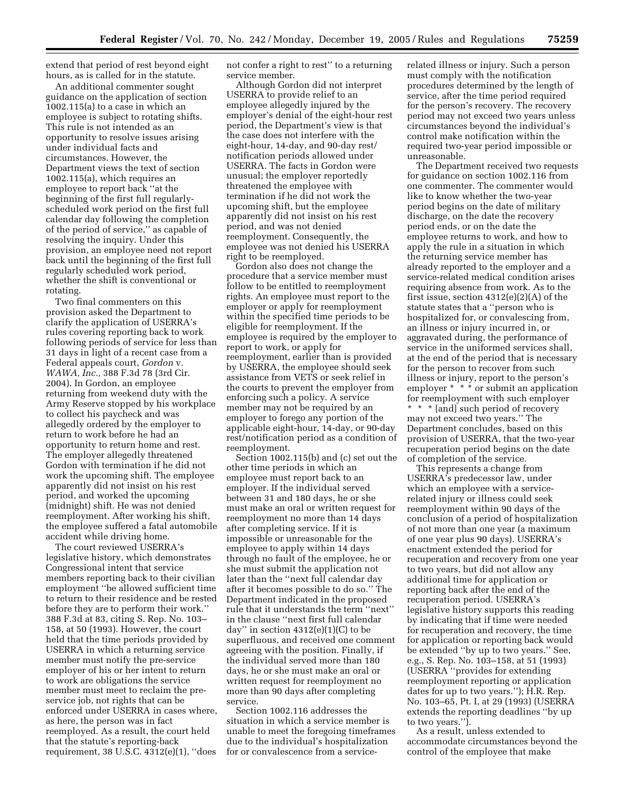extend that period of rest beyond eight hours, as is called for in the statute.

An additional commenter sought guidance on the application of section 1002.115(a) to a case in which an employee is subject to rotating shifts. This rule is not intended as an opportunity to resolve issues arising under individual facts and circumstances. However, the Department views the text of section 1002.115(a), which requires an employee to report back ''at the beginning of the first full regularlyscheduled work period on the first full calendar day following the completion of the period of service,'' as capable of resolving the inquiry. Under this provision, an employee need not report back until the beginning of the first full regularly scheduled work period, whether the shift is conventional or rotating.

Two final commenters on this provision asked the Department to clarify the application of USERRA's rules covering reporting back to work following periods of service for less than 31 days in light of a recent case from a Federal appeals court, *Gordon* v. *WAWA, Inc.,* 388 F.3d 78 (3rd Cir. 2004). In Gordon, an employee returning from weekend duty with the Army Reserve stopped by his workplace to collect his paycheck and was allegedly ordered by the employer to return to work before he had an opportunity to return home and rest. The employer allegedly threatened Gordon with termination if he did not work the upcoming shift. The employee apparently did not insist on his rest period, and worked the upcoming (midnight) shift. He was not denied reemployment. After working his shift, the employee suffered a fatal automobile accident while driving home.

The court reviewed USERRA's legislative history, which demonstrates Congressional intent that service members reporting back to their civilian employment ''be allowed sufficient time to return to their residence and be rested before they are to perform their work.'' 388 F.3d at 83, citing S. Rep. No. 103– 158, at 50 (1993). However, the court held that the time periods provided by USERRA in which a returning service member must notify the pre-service employer of his or her intent to return to work are obligations the service member must meet to reclaim the preservice job, not rights that can be enforced under USERRA in cases where, as here, the person was in fact reemployed. As a result, the court held that the statute's reporting-back requirement, 38 U.S.C. 4312(e)(1), ''does

not confer a right to rest'' to a returning service member.

Although Gordon did not interpret USERRA to provide relief to an employee allegedly injured by the employer's denial of the eight-hour rest period, the Department's view is that the case does not interfere with the eight-hour, 14-day, and 90-day rest/ notification periods allowed under USERRA. The facts in Gordon were unusual; the employer reportedly threatened the employee with termination if he did not work the upcoming shift, but the employee apparently did not insist on his rest period, and was not denied reemployment. Consequently, the employee was not denied his USERRA right to be reemployed.

Gordon also does not change the procedure that a service member must follow to be entitled to reemployment rights. An employee must report to the employer or apply for reemployment within the specified time periods to be eligible for reemployment. If the employee is required by the employer to report to work, or apply for reemployment, earlier than is provided by USERRA, the employee should seek assistance from VETS or seek relief in the courts to prevent the employer from enforcing such a policy. A service member may not be required by an employer to forego any portion of the applicable eight-hour, 14-day, or 90-day rest/notification period as a condition of reemployment.

Section 1002.115(b) and (c) set out the other time periods in which an employee must report back to an employer. If the individual served between 31 and 180 days, he or she must make an oral or written request for reemployment no more than 14 days after completing service. If it is impossible or unreasonable for the employee to apply within 14 days through no fault of the employee, he or she must submit the application not later than the ''next full calendar day after it becomes possible to do so.'' The Department indicated in the proposed rule that it understands the term ''next'' in the clause ''next first full calendar day" in section  $4312(e)(1)(C)$  to be superfluous, and received one comment agreeing with the position. Finally, if the individual served more than 180 days, he or she must make an oral or written request for reemployment no more than 90 days after completing service.

Section 1002.116 addresses the situation in which a service member is unable to meet the foregoing timeframes due to the individual's hospitalization for or convalescence from a servicerelated illness or injury. Such a person must comply with the notification procedures determined by the length of service, after the time period required for the person's recovery. The recovery period may not exceed two years unless circumstances beyond the individual's control make notification within the required two-year period impossible or unreasonable.

The Department received two requests for guidance on section 1002.116 from one commenter. The commenter would like to know whether the two-year period begins on the date of military discharge, on the date the recovery period ends, or on the date the employee returns to work, and how to apply the rule in a situation in which the returning service member has already reported to the employer and a service-related medical condition arises requiring absence from work. As to the first issue, section 4312(e)(2)(A) of the statute states that a ''person who is hospitalized for, or convalescing from, an illness or injury incurred in, or aggravated during, the performance of service in the uniformed services shall, at the end of the period that is necessary for the person to recover from such illness or injury, report to the person's employer \* \* \* or submit an application for reemployment with such employer \* \* \* [and] such period of recovery may not exceed two years.'' The Department concludes, based on this provision of USERRA, that the two-year recuperation period begins on the date

of completion of the service. This represents a change from USERRA's predecessor law, under which an employee with a servicerelated injury or illness could seek reemployment within 90 days of the conclusion of a period of hospitalization of not more than one year (a maximum of one year plus 90 days). USERRA's enactment extended the period for recuperation and recovery from one year to two years, but did not allow any additional time for application or reporting back after the end of the recuperation period. USERRA's legislative history supports this reading by indicating that if time were needed for recuperation and recovery, the time for application or reporting back would be extended ''by up to two years.'' See, e.g., S. Rep. No. 103–158, at 51 (1993) (USERRA ''provides for extending reemployment reporting or application dates for up to two years.''); H.R. Rep. No. 103–65, Pt. I, at 29 (1993) (USERRA extends the reporting deadlines ''by up to two years.'').

As a result, unless extended to accommodate circumstances beyond the control of the employee that make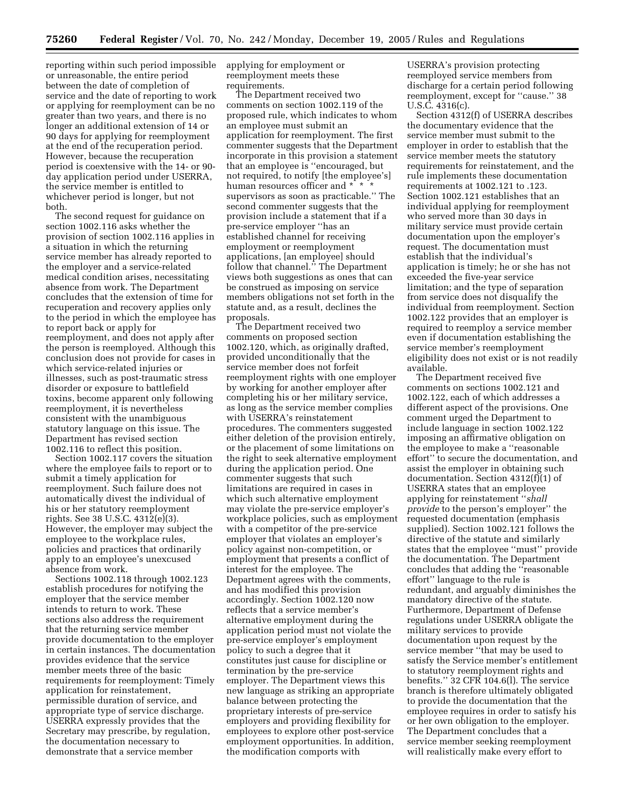reporting within such period impossible or unreasonable, the entire period between the date of completion of service and the date of reporting to work or applying for reemployment can be no greater than two years, and there is no longer an additional extension of 14 or 90 days for applying for reemployment at the end of the recuperation period. However, because the recuperation period is coextensive with the 14- or 90 day application period under USERRA, the service member is entitled to whichever period is longer, but not both.

The second request for guidance on section 1002.116 asks whether the provision of section 1002.116 applies in a situation in which the returning service member has already reported to the employer and a service-related medical condition arises, necessitating absence from work. The Department concludes that the extension of time for recuperation and recovery applies only to the period in which the employee has to report back or apply for reemployment, and does not apply after the person is reemployed. Although this conclusion does not provide for cases in which service-related injuries or illnesses, such as post-traumatic stress disorder or exposure to battlefield toxins, become apparent only following reemployment, it is nevertheless consistent with the unambiguous statutory language on this issue. The Department has revised section 1002.116 to reflect this position.

Section 1002.117 covers the situation where the employee fails to report or to submit a timely application for reemployment. Such failure does not automatically divest the individual of his or her statutory reemployment rights. See 38 U.S.C. 4312(e)(3). However, the employer may subject the employee to the workplace rules, policies and practices that ordinarily apply to an employee's unexcused absence from work.

Sections 1002.118 through 1002.123 establish procedures for notifying the employer that the service member intends to return to work. These sections also address the requirement that the returning service member provide documentation to the employer in certain instances. The documentation provides evidence that the service member meets three of the basic requirements for reemployment: Timely application for reinstatement, permissible duration of service, and appropriate type of service discharge. USERRA expressly provides that the Secretary may prescribe, by regulation, the documentation necessary to demonstrate that a service member

applying for employment or reemployment meets these requirements.

The Department received two comments on section 1002.119 of the proposed rule, which indicates to whom an employee must submit an application for reemployment. The first commenter suggests that the Department incorporate in this provision a statement that an employee is ''encouraged, but not required, to notify [the employee's] human resources officer and \* \* \* supervisors as soon as practicable.'' The second commenter suggests that the provision include a statement that if a pre-service employer ''has an established channel for receiving employment or reemployment applications, [an employee] should follow that channel.'' The Department views both suggestions as ones that can be construed as imposing on service members obligations not set forth in the statute and, as a result, declines the proposals.

The Department received two comments on proposed section 1002.120, which, as originally drafted, provided unconditionally that the service member does not forfeit reemployment rights with one employer by working for another employer after completing his or her military service, as long as the service member complies with USERRA's reinstatement procedures. The commenters suggested either deletion of the provision entirely, or the placement of some limitations on the right to seek alternative employment during the application period. One commenter suggests that such limitations are required in cases in which such alternative employment may violate the pre-service employer's workplace policies, such as employment with a competitor of the pre-service employer that violates an employer's policy against non-competition, or employment that presents a conflict of interest for the employee. The Department agrees with the comments, and has modified this provision accordingly. Section 1002.120 now reflects that a service member's alternative employment during the application period must not violate the pre-service employer's employment policy to such a degree that it constitutes just cause for discipline or termination by the pre-service employer. The Department views this new language as striking an appropriate balance between protecting the proprietary interests of pre-service employers and providing flexibility for employees to explore other post-service employment opportunities. In addition, the modification comports with

USERRA's provision protecting reemployed service members from discharge for a certain period following reemployment, except for ''cause.'' 38 U.S.C. 4316(c).

Section 4312(f) of USERRA describes the documentary evidence that the service member must submit to the employer in order to establish that the service member meets the statutory requirements for reinstatement, and the rule implements these documentation requirements at 1002.121 to .123. Section 1002.121 establishes that an individual applying for reemployment who served more than 30 days in military service must provide certain documentation upon the employer's request. The documentation must establish that the individual's application is timely; he or she has not exceeded the five-year service limitation; and the type of separation from service does not disqualify the individual from reemployment. Section 1002.122 provides that an employer is required to reemploy a service member even if documentation establishing the service member's reemployment eligibility does not exist or is not readily available.

The Department received five comments on sections 1002.121 and 1002.122, each of which addresses a different aspect of the provisions. One comment urged the Department to include language in section 1002.122 imposing an affirmative obligation on the employee to make a ''reasonable effort'' to secure the documentation, and assist the employer in obtaining such documentation. Section 4312(f)(1) of USERRA states that an employee applying for reinstatement ''*shall provide* to the person's employer'' the requested documentation (emphasis supplied). Section 1002.121 follows the directive of the statute and similarly states that the employee ''must'' provide the documentation. The Department concludes that adding the ''reasonable effort'' language to the rule is redundant, and arguably diminishes the mandatory directive of the statute. Furthermore, Department of Defense regulations under USERRA obligate the military services to provide documentation upon request by the service member ''that may be used to satisfy the Service member's entitlement to statutory reemployment rights and benefits.'' 32 CFR 104.6(l). The service branch is therefore ultimately obligated to provide the documentation that the employee requires in order to satisfy his or her own obligation to the employer. The Department concludes that a service member seeking reemployment will realistically make every effort to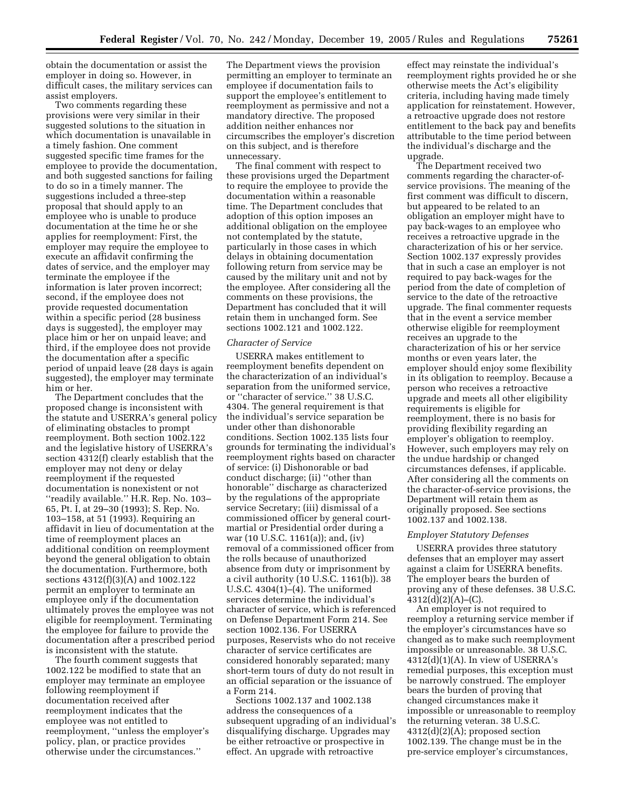obtain the documentation or assist the employer in doing so. However, in difficult cases, the military services can assist employers.

Two comments regarding these provisions were very similar in their suggested solutions to the situation in which documentation is unavailable in a timely fashion. One comment suggested specific time frames for the employee to provide the documentation, and both suggested sanctions for failing to do so in a timely manner. The suggestions included a three-step proposal that should apply to an employee who is unable to produce documentation at the time he or she applies for reemployment: First, the employer may require the employee to execute an affidavit confirming the dates of service, and the employer may terminate the employee if the information is later proven incorrect; second, if the employee does not provide requested documentation within a specific period (28 business days is suggested), the employer may place him or her on unpaid leave; and third, if the employee does not provide the documentation after a specific period of unpaid leave (28 days is again suggested), the employer may terminate him or her.

The Department concludes that the proposed change is inconsistent with the statute and USERRA's general policy of eliminating obstacles to prompt reemployment. Both section 1002.122 and the legislative history of USERRA's section 4312(f) clearly establish that the employer may not deny or delay reemployment if the requested documentation is nonexistent or not ''readily available.'' H.R. Rep. No. 103– 65, Pt. I, at 29–30 (1993); S. Rep. No. 103–158, at 51 (1993). Requiring an affidavit in lieu of documentation at the time of reemployment places an additional condition on reemployment beyond the general obligation to obtain the documentation. Furthermore, both sections 4312(f)(3)(A) and 1002.122 permit an employer to terminate an employee only if the documentation ultimately proves the employee was not eligible for reemployment. Terminating the employee for failure to provide the documentation after a prescribed period is inconsistent with the statute.

The fourth comment suggests that 1002.122 be modified to state that an employer may terminate an employee following reemployment if documentation received after reemployment indicates that the employee was not entitled to reemployment, ''unless the employer's policy, plan, or practice provides otherwise under the circumstances.''

The Department views the provision permitting an employer to terminate an employee if documentation fails to support the employee's entitlement to reemployment as permissive and not a mandatory directive. The proposed addition neither enhances nor circumscribes the employer's discretion on this subject, and is therefore unnecessary.

The final comment with respect to these provisions urged the Department to require the employee to provide the documentation within a reasonable time. The Department concludes that adoption of this option imposes an additional obligation on the employee not contemplated by the statute, particularly in those cases in which delays in obtaining documentation following return from service may be caused by the military unit and not by the employee. After considering all the comments on these provisions, the Department has concluded that it will retain them in unchanged form. See sections 1002.121 and 1002.122.

# *Character of Service*

USERRA makes entitlement to reemployment benefits dependent on the characterization of an individual's separation from the uniformed service, or ''character of service.'' 38 U.S.C. 4304. The general requirement is that the individual's service separation be under other than dishonorable conditions. Section 1002.135 lists four grounds for terminating the individual's reemployment rights based on character of service: (i) Dishonorable or bad conduct discharge; (ii) ''other than honorable'' discharge as characterized by the regulations of the appropriate service Secretary; (iii) dismissal of a commissioned officer by general courtmartial or Presidential order during a war (10 U.S.C. 1161(a)); and, (iv) removal of a commissioned officer from the rolls because of unauthorized absence from duty or imprisonment by a civil authority (10 U.S.C. 1161(b)). 38 U.S.C. 4304(1)–(4). The uniformed services determine the individual's character of service, which is referenced on Defense Department Form 214. See section 1002.136. For USERRA purposes, Reservists who do not receive character of service certificates are considered honorably separated; many short-term tours of duty do not result in an official separation or the issuance of a Form 214.

Sections 1002.137 and 1002.138 address the consequences of a subsequent upgrading of an individual's disqualifying discharge. Upgrades may be either retroactive or prospective in effect. An upgrade with retroactive

effect may reinstate the individual's reemployment rights provided he or she otherwise meets the Act's eligibility criteria, including having made timely application for reinstatement. However, a retroactive upgrade does not restore entitlement to the back pay and benefits attributable to the time period between the individual's discharge and the upgrade.

The Department received two comments regarding the character-ofservice provisions. The meaning of the first comment was difficult to discern, but appeared to be related to an obligation an employer might have to pay back-wages to an employee who receives a retroactive upgrade in the characterization of his or her service. Section 1002.137 expressly provides that in such a case an employer is not required to pay back-wages for the period from the date of completion of service to the date of the retroactive upgrade. The final commenter requests that in the event a service member otherwise eligible for reemployment receives an upgrade to the characterization of his or her service months or even years later, the employer should enjoy some flexibility in its obligation to reemploy. Because a person who receives a retroactive upgrade and meets all other eligibility requirements is eligible for reemployment, there is no basis for providing flexibility regarding an employer's obligation to reemploy. However, such employers may rely on the undue hardship or changed circumstances defenses, if applicable. After considering all the comments on the character-of-service provisions, the Department will retain them as originally proposed. See sections 1002.137 and 1002.138.

#### *Employer Statutory Defenses*

USERRA provides three statutory defenses that an employer may assert against a claim for USERRA benefits. The employer bears the burden of proving any of these defenses. 38 U.S.C.  $4312(d)(2)(A)–(C).$ 

An employer is not required to reemploy a returning service member if the employer's circumstances have so changed as to make such reemployment impossible or unreasonable. 38 U.S.C.  $4312(d)(1)(A)$ . In view of USERRA's remedial purposes, this exception must be narrowly construed. The employer bears the burden of proving that changed circumstances make it impossible or unreasonable to reemploy the returning veteran. 38 U.S.C. 4312(d)(2)(A); proposed section 1002.139. The change must be in the pre-service employer's circumstances,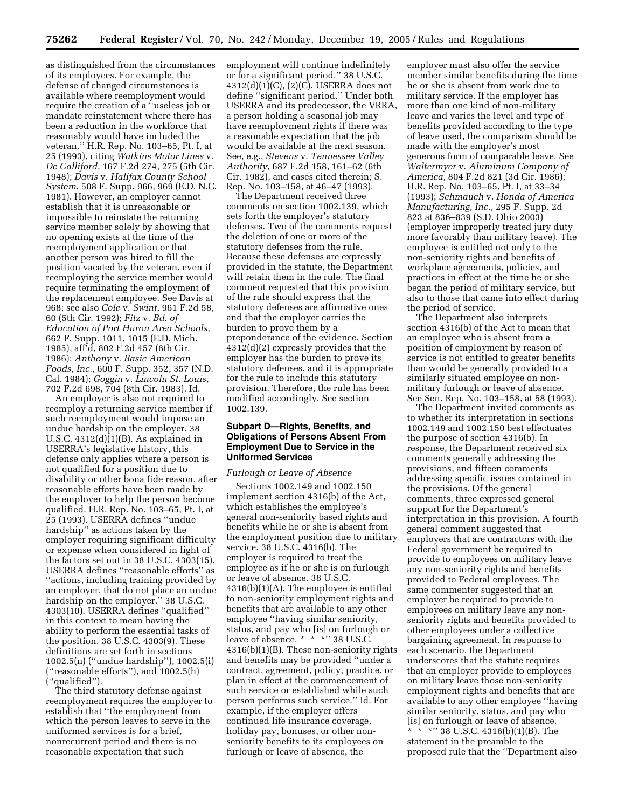as distinguished from the circumstances of its employees. For example, the defense of changed circumstances is available where reemployment would require the creation of a ''useless job or mandate reinstatement where there has been a reduction in the workforce that reasonably would have included the veteran.'' H.R. Rep. No. 103–65, Pt. I, at 25 (1993), citing *Watkins Motor Lines* v. *De Galliford*, 167 F.2d 274, 275 (5th Cir. 1948); *Davis* v. *Halifax County School System*, 508 F. Supp. 966, 969 (E.D. N.C. 1981). However, an employer cannot establish that it is unreasonable or impossible to reinstate the returning service member solely by showing that no opening exists at the time of the reemployment application or that another person was hired to fill the position vacated by the veteran, even if reemploying the service member would require terminating the employment of the replacement employee. See Davis at 968; see also *Cole* v. *Swint*, 961 F.2d 58, 60 (5th Cir. 1992); *Fitz* v. *Bd. of Education of Port Huron Area Schools*, 662 F. Supp. 1011, 1015 (E.D. Mich. 1985), aff'd, 802 F.2d 457 (6th Cir. 1986); *Anthony* v. *Basic American Foods, Inc.*, 600 F. Supp. 352, 357 (N.D. Cal. 1984); *Goggin* v. *Lincoln St. Louis*, 702 F.2d 698, 704 (8th Cir. 1983). Id.

An employer is also not required to reemploy a returning service member if such reemployment would impose an undue hardship on the employer. 38 U.S.C.  $4312(d)(1)(B)$ . As explained in USERRA's legislative history, this defense only applies where a person is not qualified for a position due to disability or other bona fide reason, after reasonable efforts have been made by the employer to help the person become qualified. H.R. Rep. No. 103–65, Pt. I, at 25 (1993). USERRA defines ''undue hardship'' as actions taken by the employer requiring significant difficulty or expense when considered in light of the factors set out in 38 U.S.C. 4303(15). USERRA defines ''reasonable efforts'' as ''actions, including training provided by an employer, that do not place an undue hardship on the employer.'' 38 U.S.C. 4303(10). USERRA defines ''qualified'' in this context to mean having the ability to perform the essential tasks of the position. 38 U.S.C. 4303(9). These definitions are set forth in sections 1002.5(n) (''undue hardship''), 1002.5(i) (''reasonable efforts''), and 1002.5(h) (''qualified'').

The third statutory defense against reemployment requires the employer to establish that ''the employment from which the person leaves to serve in the uniformed services is for a brief, nonrecurrent period and there is no reasonable expectation that such

employment will continue indefinitely or for a significant period.'' 38 U.S.C. 4312(d)(1)(C), (2)(C). USERRA does not define ''significant period.'' Under both USERRA and its predecessor, the VRRA, a person holding a seasonal job may have reemployment rights if there was a reasonable expectation that the job would be available at the next season. See, e.g., *Stevens* v. *Tennessee Valley Authority*, 687 F.2d 158, 161–62 (6th Cir. 1982), and cases cited therein; S. Rep. No. 103–158, at 46–47 (1993).

The Department received three comments on section 1002.139, which sets forth the employer's statutory defenses. Two of the comments request the deletion of one or more of the statutory defenses from the rule. Because these defenses are expressly provided in the statute, the Department will retain them in the rule. The final comment requested that this provision of the rule should express that the statutory defenses are affirmative ones and that the employer carries the burden to prove them by a preponderance of the evidence. Section 4312(d)(2) expressly provides that the employer has the burden to prove its statutory defenses, and it is appropriate for the rule to include this statutory provision. Therefore, the rule has been modified accordingly. See section 1002.139.

# **Subpart D—Rights, Benefits, and Obligations of Persons Absent From Employment Due to Service in the Uniformed Services**

#### *Furlough or Leave of Absence*

Sections 1002.149 and 1002.150 implement section 4316(b) of the Act, which establishes the employee's general non-seniority based rights and benefits while he or she is absent from the employment position due to military service. 38 U.S.C. 4316(b). The employer is required to treat the employee as if he or she is on furlough or leave of absence. 38 U.S.C. 4316(b)(1)(A). The employee is entitled to non-seniority employment rights and benefits that are available to any other employee ''having similar seniority, status, and pay who [is] on furlough or leave of absence. \* \* \* \* 38 U.S.C. 4316(b)(1)(B). These non-seniority rights and benefits may be provided ''under a contract, agreement, policy, practice, or plan in effect at the commencement of such service or established while such person performs such service.'' Id. For example, if the employer offers continued life insurance coverage, holiday pay, bonuses, or other nonseniority benefits to its employees on furlough or leave of absence, the

employer must also offer the service member similar benefits during the time he or she is absent from work due to military service. If the employer has more than one kind of non-military leave and varies the level and type of benefits provided according to the type of leave used, the comparison should be made with the employer's most generous form of comparable leave. See *Waltermyer* v. *Aluminum Company of America*, 804 F.2d 821 (3d Cir. 1986); H.R. Rep. No. 103–65, Pt. I, at 33–34 (1993); *Schmauch* v. *Honda of America Manufacturing, Inc.*, 295 F. Supp. 2d 823 at 836–839 (S.D. Ohio 2003) (employer improperly treated jury duty more favorably than military leave). The employee is entitled not only to the non-seniority rights and benefits of workplace agreements, policies, and practices in effect at the time he or she began the period of military service, but also to those that came into effect during the period of service.

The Department also interprets section 4316(b) of the Act to mean that an employee who is absent from a position of employment by reason of service is not entitled to greater benefits than would be generally provided to a similarly situated employee on nonmilitary furlough or leave of absence. See Sen. Rep. No. 103–158, at 58 (1993).

The Department invited comments as to whether its interpretation in sections 1002.149 and 1002.150 best effectuates the purpose of section 4316(b). In response, the Department received six comments generally addressing the provisions, and fifteen comments addressing specific issues contained in the provisions. Of the general comments, three expressed general support for the Department's interpretation in this provision. A fourth general comment suggested that employers that are contractors with the Federal government be required to provide to employees on military leave any non-seniority rights and benefits provided to Federal employees. The same commenter suggested that an employer be required to provide to employees on military leave any nonseniority rights and benefits provided to other employees under a collective bargaining agreement. In response to each scenario, the Department underscores that the statute requires that an employer provide to employees on military leave those non-seniority employment rights and benefits that are available to any other employee ''having similar seniority, status, and pay who [is] on furlough or leave of absence. \* \*" 38 U.S.C. 4316(b)(1)(B). The statement in the preamble to the proposed rule that the ''Department also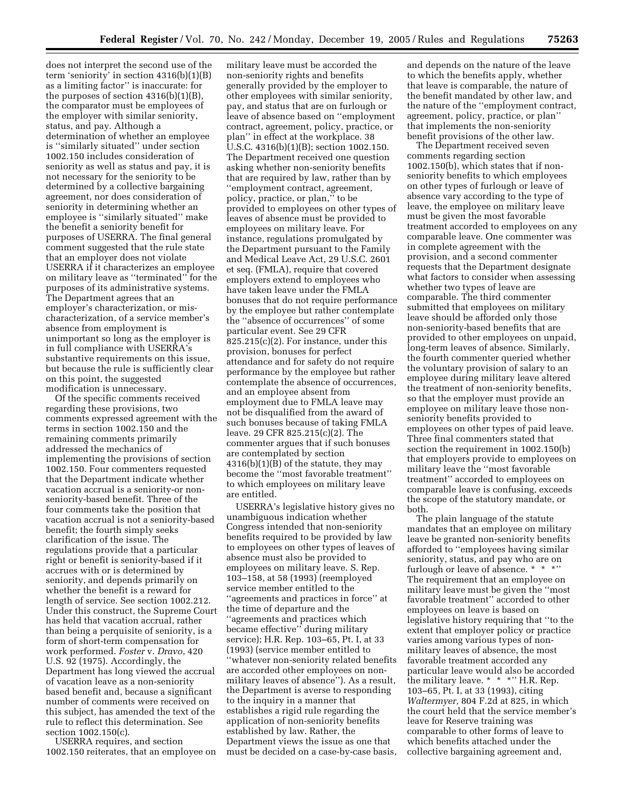does not interpret the second use of the term 'seniority' in section 4316(b)(1)(B) as a limiting factor'' is inaccurate: for the purposes of section 4316(b)(1)(B), the comparator must be employees of the employer with similar seniority, status, and pay. Although a determination of whether an employee is ''similarly situated'' under section 1002.150 includes consideration of seniority as well as status and pay, it is not necessary for the seniority to be determined by a collective bargaining agreement, nor does consideration of seniority in determining whether an employee is ''similarly situated'' make the benefit a seniority benefit for purposes of USERRA. The final general comment suggested that the rule state that an employer does not violate USERRA if it characterizes an employee on military leave as ''terminated'' for the purposes of its administrative systems. The Department agrees that an employer's characterization, or mischaracterization, of a service member's absence from employment is unimportant so long as the employer is in full compliance with USERRA's substantive requirements on this issue, but because the rule is sufficiently clear on this point, the suggested modification is unnecessary.

Of the specific comments received regarding these provisions, two comments expressed agreement with the terms in section 1002.150 and the remaining comments primarily addressed the mechanics of implementing the provisions of section 1002.150. Four commenters requested that the Department indicate whether vacation accrual is a seniority-or nonseniority-based benefit. Three of the four comments take the position that vacation accrual is not a seniority-based benefit; the fourth simply seeks clarification of the issue. The regulations provide that a particular right or benefit is seniority-based if it accrues with or is determined by seniority, and depends primarily on whether the benefit is a reward for length of service. See section 1002.212. Under this construct, the Supreme Court has held that vacation accrual, rather than being a perquisite of seniority, is a form of short-term compensation for work performed. *Foster* v. *Dravo*, 420 U.S. 92 (1975). Accordingly, the Department has long viewed the accrual of vacation leave as a non-seniority based benefit and, because a significant number of comments were received on this subject, has amended the text of the rule to reflect this determination. See section 1002.150(c).

USERRA requires, and section 1002.150 reiterates, that an employee on military leave must be accorded the non-seniority rights and benefits generally provided by the employer to other employees with similar seniority, pay, and status that are on furlough or leave of absence based on ''employment contract, agreement, policy, practice, or plan'' in effect at the workplace. 38 U.S.C. 4316(b)(1)(B); section 1002.150. The Department received one question asking whether non-seniority benefits that are required by law, rather than by ''employment contract, agreement, policy, practice, or plan,'' to be provided to employees on other types of leaves of absence must be provided to employees on military leave. For instance, regulations promulgated by the Department pursuant to the Family and Medical Leave Act, 29 U.S.C. 2601 et seq. (FMLA), require that covered employers extend to employees who have taken leave under the FMLA bonuses that do not require performance by the employee but rather contemplate the ''absence of occurrences'' of some particular event. See 29 CFR 825.215(c)(2). For instance, under this provision, bonuses for perfect attendance and for safety do not require performance by the employee but rather contemplate the absence of occurrences, and an employee absent from employment due to FMLA leave may not be disqualified from the award of such bonuses because of taking FMLA leave. 29 CFR 825.215(c)(2). The commenter argues that if such bonuses are contemplated by section 4316(b)(1)(B) of the statute, they may become the ''most favorable treatment'' to which employees on military leave are entitled.

USERRA's legislative history gives no unambiguous indication whether Congress intended that non-seniority benefits required to be provided by law to employees on other types of leaves of absence must also be provided to employees on military leave. S. Rep. 103–158, at 58 (1993) (reemployed service member entitled to the ''agreements and practices in force'' at the time of departure and the ''agreements and practices which became effective'' during military service); H.R. Rep. 103–65, Pt. I, at 33 (1993) (service member entitled to ''whatever non-seniority related benefits are accorded other employees on nonmilitary leaves of absence''). As a result, the Department is averse to responding to the inquiry in a manner that establishes a rigid rule regarding the application of non-seniority benefits established by law. Rather, the Department views the issue as one that must be decided on a case-by-case basis,

and depends on the nature of the leave to which the benefits apply, whether that leave is comparable, the nature of the benefit mandated by other law, and the nature of the ''employment contract, agreement, policy, practice, or plan'' that implements the non-seniority benefit provisions of the other law.

The Department received seven comments regarding section 1002.150(b), which states that if nonseniority benefits to which employees on other types of furlough or leave of absence vary according to the type of leave, the employee on military leave must be given the most favorable treatment accorded to employees on any comparable leave. One commenter was in complete agreement with the provision, and a second commenter requests that the Department designate what factors to consider when assessing whether two types of leave are comparable. The third commenter submitted that employees on military leave should be afforded only those non-seniority-based benefits that are provided to other employees on unpaid, long-term leaves of absence. Similarly, the fourth commenter queried whether the voluntary provision of salary to an employee during military leave altered the treatment of non-seniority benefits, so that the employer must provide an employee on military leave those nonseniority benefits provided to employees on other types of paid leave. Three final commenters stated that section the requirement in 1002.150(b) that employers provide to employees on military leave the ''most favorable treatment'' accorded to employees on comparable leave is confusing, exceeds the scope of the statutory mandate, or both.

The plain language of the statute mandates that an employee on military leave be granted non-seniority benefits afforded to ''employees having similar seniority, status, and pay who are on furlough or leave of absence. \* \* \*'' The requirement that an employee on military leave must be given the ''most favorable treatment'' accorded to other employees on leave is based on legislative history requiring that ''to the extent that employer policy or practice varies among various types of nonmilitary leaves of absence, the most favorable treatment accorded any particular leave would also be accorded the military leave. \* \* \*'' H.R. Rep. 103–65, Pt. I, at 33 (1993), citing *Waltermyer,* 804 F.2d at 825, in which the court held that the service member's leave for Reserve training was comparable to other forms of leave to which benefits attached under the collective bargaining agreement and,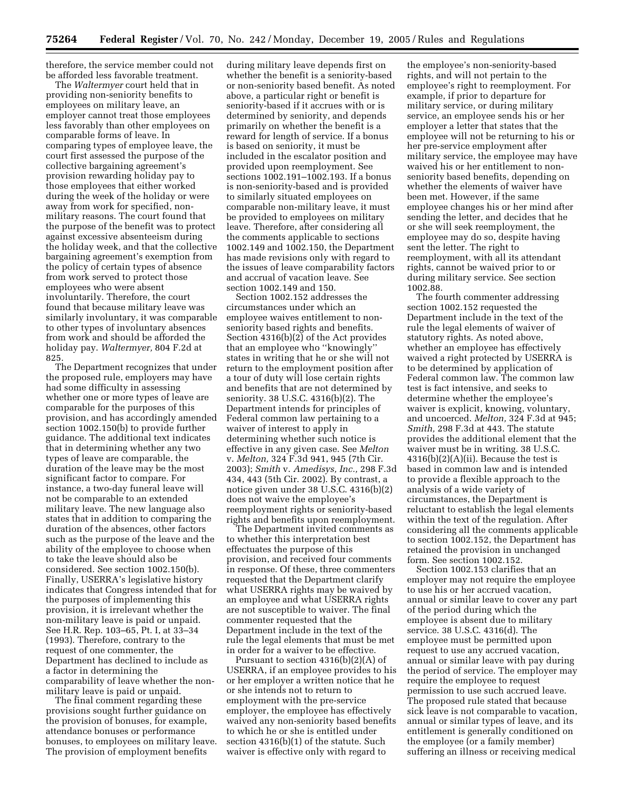therefore, the service member could not be afforded less favorable treatment.

The *Waltermyer* court held that in providing non-seniority benefits to employees on military leave, an employer cannot treat those employees less favorably than other employees on comparable forms of leave. In comparing types of employee leave, the court first assessed the purpose of the collective bargaining agreement's provision rewarding holiday pay to those employees that either worked during the week of the holiday or were away from work for specified, nonmilitary reasons. The court found that the purpose of the benefit was to protect against excessive absenteeism during the holiday week, and that the collective bargaining agreement's exemption from the policy of certain types of absence from work served to protect those employees who were absent involuntarily. Therefore, the court found that because military leave was similarly involuntary, it was comparable to other types of involuntary absences from work and should be afforded the holiday pay. *Waltermyer,* 804 F.2d at 825.

The Department recognizes that under the proposed rule, employers may have had some difficulty in assessing whether one or more types of leave are comparable for the purposes of this provision, and has accordingly amended section 1002.150(b) to provide further guidance. The additional text indicates that in determining whether any two types of leave are comparable, the duration of the leave may be the most significant factor to compare. For instance, a two-day funeral leave will not be comparable to an extended military leave. The new language also states that in addition to comparing the duration of the absences, other factors such as the purpose of the leave and the ability of the employee to choose when to take the leave should also be considered. See section 1002.150(b). Finally, USERRA's legislative history indicates that Congress intended that for the purposes of implementing this provision, it is irrelevant whether the non-military leave is paid or unpaid. See H.R. Rep. 103–65, Pt. I, at 33–34 (1993). Therefore, contrary to the request of one commenter, the Department has declined to include as a factor in determining the comparability of leave whether the nonmilitary leave is paid or unpaid.

The final comment regarding these provisions sought further guidance on the provision of bonuses, for example, attendance bonuses or performance bonuses, to employees on military leave. The provision of employment benefits

during military leave depends first on whether the benefit is a seniority-based or non-seniority based benefit. As noted above, a particular right or benefit is seniority-based if it accrues with or is determined by seniority, and depends primarily on whether the benefit is a reward for length of service. If a bonus is based on seniority, it must be included in the escalator position and provided upon reemployment. See sections 1002.191–1002.193. If a bonus is non-seniority-based and is provided to similarly situated employees on comparable non-military leave, it must be provided to employees on military leave. Therefore, after considering all the comments applicable to sections 1002.149 and 1002.150, the Department has made revisions only with regard to the issues of leave comparability factors and accrual of vacation leave. See section 1002.149 and 150.

Section 1002.152 addresses the circumstances under which an employee waives entitlement to nonseniority based rights and benefits. Section 4316(b)(2) of the Act provides that an employee who ''knowingly'' states in writing that he or she will not return to the employment position after a tour of duty will lose certain rights and benefits that are not determined by seniority. 38 U.S.C. 4316(b)(2). The Department intends for principles of Federal common law pertaining to a waiver of interest to apply in determining whether such notice is effective in any given case. See *Melton*  v. *Melton,* 324 F.3d 941, 945 (7th Cir. 2003); *Smith* v. *Amedisys, Inc.,* 298 F.3d 434, 443 (5th Cir. 2002). By contrast, a notice given under 38 U.S.C. 4316(b)(2) does not waive the employee's reemployment rights or seniority-based rights and benefits upon reemployment.

The Department invited comments as to whether this interpretation best effectuates the purpose of this provision, and received four comments in response. Of these, three commenters requested that the Department clarify what USERRA rights may be waived by an employee and what USERRA rights are not susceptible to waiver. The final commenter requested that the Department include in the text of the rule the legal elements that must be met in order for a waiver to be effective.

Pursuant to section 4316(b)(2)(A) of USERRA, if an employee provides to his or her employer a written notice that he or she intends not to return to employment with the pre-service employer, the employee has effectively waived any non-seniority based benefits to which he or she is entitled under section 4316(b)(1) of the statute. Such waiver is effective only with regard to

the employee's non-seniority-based rights, and will not pertain to the employee's right to reemployment. For example, if prior to departure for military service, or during military service, an employee sends his or her employer a letter that states that the employee will not be returning to his or her pre-service employment after military service, the employee may have waived his or her entitlement to nonseniority based benefits, depending on whether the elements of waiver have been met. However, if the same employee changes his or her mind after sending the letter, and decides that he or she will seek reemployment, the employee may do so, despite having sent the letter. The right to reemployment, with all its attendant rights, cannot be waived prior to or during military service. See section 1002.88.

The fourth commenter addressing section 1002.152 requested the Department include in the text of the rule the legal elements of waiver of statutory rights. As noted above, whether an employee has effectively waived a right protected by USERRA is to be determined by application of Federal common law. The common law test is fact intensive, and seeks to determine whether the employee's waiver is explicit, knowing, voluntary, and uncoerced. *Melton,* 324 F.3d at 945; *Smith,* 298 F.3d at 443. The statute provides the additional element that the waiver must be in writing. 38 U.S.C. 4316(b)(2)(A)(ii). Because the test is based in common law and is intended to provide a flexible approach to the analysis of a wide variety of circumstances, the Department is reluctant to establish the legal elements within the text of the regulation. After considering all the comments applicable to section 1002.152, the Department has retained the provision in unchanged form. See section 1002.152.

Section 1002.153 clarifies that an employer may not require the employee to use his or her accrued vacation, annual or similar leave to cover any part of the period during which the employee is absent due to military service. 38 U.S.C. 4316(d). The employee must be permitted upon request to use any accrued vacation, annual or similar leave with pay during the period of service. The employer may require the employee to request permission to use such accrued leave. The proposed rule stated that because sick leave is not comparable to vacation, annual or similar types of leave, and its entitlement is generally conditioned on the employee (or a family member) suffering an illness or receiving medical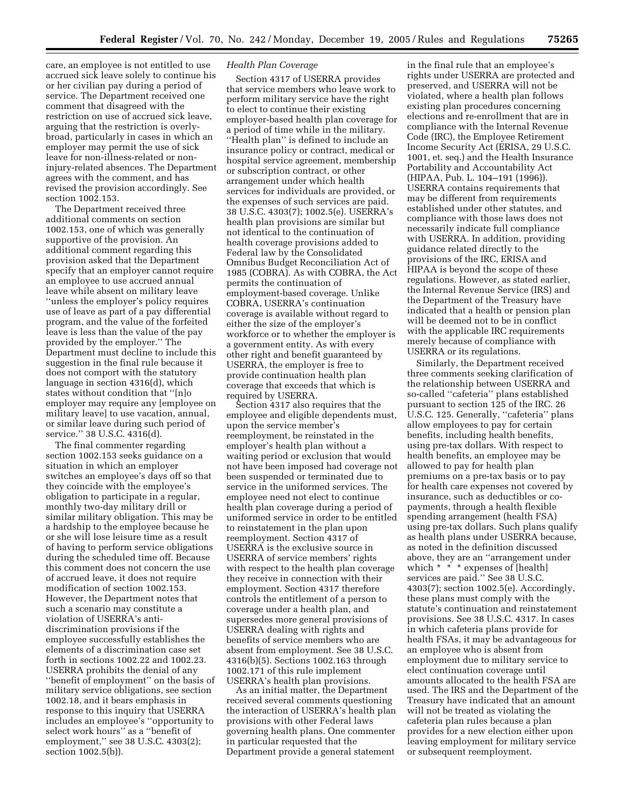care, an employee is not entitled to use accrued sick leave solely to continue his or her civilian pay during a period of service. The Department received one comment that disagreed with the restriction on use of accrued sick leave, arguing that the restriction is overlybroad, particularly in cases in which an employer may permit the use of sick leave for non-illness-related or noninjury-related absences. The Department agrees with the comment, and has revised the provision accordingly. See section 1002.153.

The Department received three additional comments on section 1002.153, one of which was generally supportive of the provision. An additional comment regarding this provision asked that the Department specify that an employer cannot require an employee to use accrued annual leave while absent on military leave ''unless the employer's policy requires use of leave as part of a pay differential program, and the value of the forfeited leave is less than the value of the pay provided by the employer.'' The Department must decline to include this suggestion in the final rule because it does not comport with the statutory language in section 4316(d), which states without condition that ''[n]o employer may require any [employee on military leave] to use vacation, annual, or similar leave during such period of service.'' 38 U.S.C. 4316(d).

The final commenter regarding section 1002.153 seeks guidance on a situation in which an employer switches an employee's days off so that they coincide with the employee's obligation to participate in a regular, monthly two-day military drill or similar military obligation. This may be a hardship to the employee because he or she will lose leisure time as a result of having to perform service obligations during the scheduled time off. Because this comment does not concern the use of accrued leave, it does not require modification of section 1002.153. However, the Department notes that such a scenario may constitute a violation of USERRA's antidiscrimination provisions if the employee successfully establishes the elements of a discrimination case set forth in sections 1002.22 and 1002.23. USERRA prohibits the denial of any ''benefit of employment'' on the basis of military service obligations, see section 1002.18, and it bears emphasis in response to this inquiry that USERRA includes an employee's ''opportunity to select work hours'' as a ''benefit of employment,'' see 38 U.S.C. 4303(2); section 1002.5(b)).

# *Health Plan Coverage*

Section 4317 of USERRA provides that service members who leave work to perform military service have the right to elect to continue their existing employer-based health plan coverage for a period of time while in the military. ''Health plan'' is defined to include an insurance policy or contract, medical or hospital service agreement, membership or subscription contract, or other arrangement under which health services for individuals are provided, or the expenses of such services are paid. 38 U.S.C. 4303(7); 1002.5(e). USERRA's health plan provisions are similar but not identical to the continuation of health coverage provisions added to Federal law by the Consolidated Omnibus Budget Reconciliation Act of 1985 (COBRA). As with COBRA, the Act permits the continuation of employment-based coverage. Unlike COBRA, USERRA's continuation coverage is available without regard to either the size of the employer's workforce or to whether the employer is a government entity. As with every other right and benefit guaranteed by USERRA, the employer is free to provide continuation health plan coverage that exceeds that which is required by USERRA.

Section 4317 also requires that the employee and eligible dependents must, upon the service member's reemployment, be reinstated in the employer's health plan without a waiting period or exclusion that would not have been imposed had coverage not been suspended or terminated due to service in the uniformed services. The employee need not elect to continue health plan coverage during a period of uniformed service in order to be entitled to reinstatement in the plan upon reemployment. Section 4317 of USERRA is the exclusive source in USERRA of service members' rights with respect to the health plan coverage they receive in connection with their employment. Section 4317 therefore controls the entitlement of a person to coverage under a health plan, and supersedes more general provisions of USERRA dealing with rights and benefits of service members who are absent from employment. See 38 U.S.C. 4316(b)(5). Sections 1002.163 through 1002.171 of this rule implement USERRA's health plan provisions.

As an initial matter, the Department received several comments questioning the interaction of USERRA's health plan provisions with other Federal laws governing health plans. One commenter in particular requested that the Department provide a general statement

in the final rule that an employee's rights under USERRA are protected and preserved, and USERRA will not be violated, where a health plan follows existing plan procedures concerning elections and re-enrollment that are in compliance with the Internal Revenue Code (IRC), the Employee Retirement Income Security Act (ERISA, 29 U.S.C. 1001, et. seq.) and the Health Insurance Portability and Accountability Act (HIPAA, Pub. L. 104–191 (1996)). USERRA contains requirements that may be different from requirements established under other statutes, and compliance with those laws does not necessarily indicate full compliance with USERRA. In addition, providing guidance related directly to the provisions of the IRC, ERISA and HIPAA is beyond the scope of these regulations. However, as stated earlier, the Internal Revenue Service (IRS) and the Department of the Treasury have indicated that a health or pension plan will be deemed not to be in conflict with the applicable IRC requirements merely because of compliance with USERRA or its regulations.

Similarly, the Department received three comments seeking clarification of the relationship between USERRA and so-called ''cafeteria'' plans established pursuant to section 125 of the IRC. 26 U.S.C. 125. Generally, ''cafeteria'' plans allow employees to pay for certain benefits, including health benefits, using pre-tax dollars. With respect to health benefits, an employee may be allowed to pay for health plan premiums on a pre-tax basis or to pay for health care expenses not covered by insurance, such as deductibles or copayments, through a health flexible spending arrangement (health FSA) using pre-tax dollars. Such plans qualify as health plans under USERRA because, as noted in the definition discussed above, they are an ''arrangement under which \* \* \* expenses of [health] services are paid.'' See 38 U.S.C. 4303(7); section 1002.5(e). Accordingly, these plans must comply with the statute's continuation and reinstatement provisions. See 38 U.S.C. 4317. In cases in which cafeteria plans provide for health FSAs, it may be advantageous for an employee who is absent from employment due to military service to elect continuation coverage until amounts allocated to the health FSA are used. The IRS and the Department of the Treasury have indicated that an amount will not be treated as violating the cafeteria plan rules because a plan provides for a new election either upon leaving employment for military service or subsequent reemployment.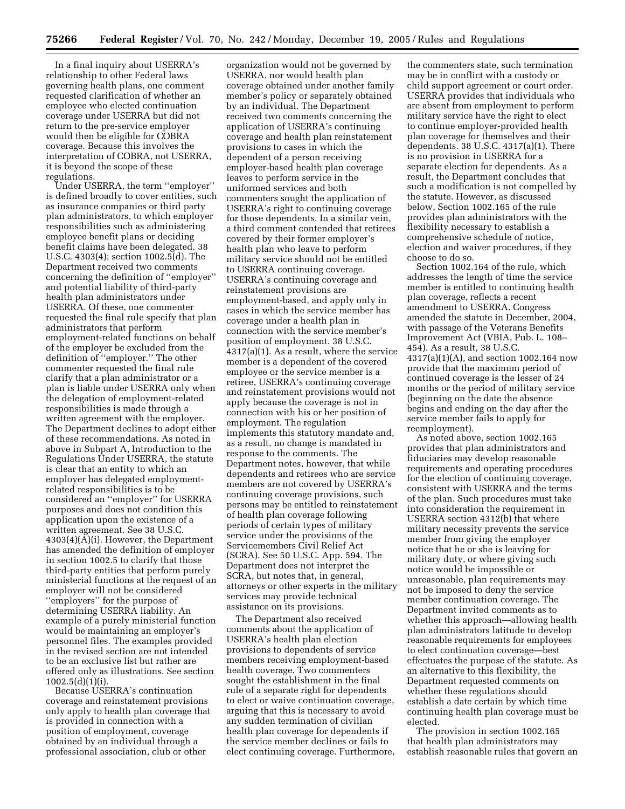In a final inquiry about USERRA's relationship to other Federal laws governing health plans, one comment requested clarification of whether an employee who elected continuation coverage under USERRA but did not return to the pre-service employer would then be eligible for COBRA coverage. Because this involves the interpretation of COBRA, not USERRA, it is beyond the scope of these regulations.

Under USERRA, the term ''employer'' is defined broadly to cover entities, such as insurance companies or third party plan administrators, to which employer responsibilities such as administering employee benefit plans or deciding benefit claims have been delegated. 38 U.S.C. 4303(4); section 1002.5(d). The Department received two comments concerning the definition of ''employer'' and potential liability of third-party health plan administrators under USERRA. Of these, one commenter requested the final rule specify that plan administrators that perform employment-related functions on behalf of the employer be excluded from the definition of ''employer.'' The other commenter requested the final rule clarify that a plan administrator or a plan is liable under USERRA only when the delegation of employment-related responsibilities is made through a written agreement with the employer. The Department declines to adopt either of these recommendations. As noted in above in Subpart A, Introduction to the Regulations Under USERRA, the statute is clear that an entity to which an employer has delegated employmentrelated responsibilities is to be considered an ''employer'' for USERRA purposes and does not condition this application upon the existence of a written agreement. See 38 U.S.C. 4303(4)(A)(i). However, the Department has amended the definition of employer in section 1002.5 to clarify that those third-party entities that perform purely ministerial functions at the request of an employer will not be considered ''employers'' for the purpose of determining USERRA liability. An example of a purely ministerial function would be maintaining an employer's personnel files. The examples provided in the revised section are not intended to be an exclusive list but rather are offered only as illustrations. See section 1002.5(d)(1)(i).

Because USERRA's continuation coverage and reinstatement provisions only apply to health plan coverage that is provided in connection with a position of employment, coverage obtained by an individual through a professional association, club or other

organization would not be governed by USERRA, nor would health plan coverage obtained under another family member's policy or separately obtained by an individual. The Department received two comments concerning the application of USERRA's continuing coverage and health plan reinstatement provisions to cases in which the dependent of a person receiving employer-based health plan coverage leaves to perform service in the uniformed services and both commenters sought the application of USERRA's right to continuing coverage for those dependents. In a similar vein, a third comment contended that retirees covered by their former employer's health plan who leave to perform military service should not be entitled to USERRA continuing coverage. USERRA's continuing coverage and reinstatement provisions are employment-based, and apply only in cases in which the service member has coverage under a health plan in connection with the service member's position of employment. 38 U.S.C. 4317(a)(1). As a result, where the service member is a dependent of the covered employee or the service member is a retiree, USERRA's continuing coverage and reinstatement provisions would not apply because the coverage is not in connection with his or her position of employment. The regulation implements this statutory mandate and, as a result, no change is mandated in response to the comments. The Department notes, however, that while dependents and retirees who are service members are not covered by USERRA's continuing coverage provisions, such persons may be entitled to reinstatement of health plan coverage following periods of certain types of military service under the provisions of the Servicemembers Civil Relief Act (SCRA). See 50 U.S.C. App. 594. The Department does not interpret the SCRA, but notes that, in general, attorneys or other experts in the military services may provide technical assistance on its provisions.

The Department also received comments about the application of USERRA's health plan election provisions to dependents of service members receiving employment-based health coverage. Two commenters sought the establishment in the final rule of a separate right for dependents to elect or waive continuation coverage, arguing that this is necessary to avoid any sudden termination of civilian health plan coverage for dependents if the service member declines or fails to elect continuing coverage. Furthermore,

the commenters state, such termination may be in conflict with a custody or child support agreement or court order. USERRA provides that individuals who are absent from employment to perform military service have the right to elect to continue employer-provided health plan coverage for themselves and their dependents. 38 U.S.C. 4317(a)(1). There is no provision in USERRA for a separate election for dependents. As a result, the Department concludes that such a modification is not compelled by the statute. However, as discussed below, Section 1002.165 of the rule provides plan administrators with the flexibility necessary to establish a comprehensive schedule of notice, election and waiver procedures, if they choose to do so.

Section 1002.164 of the rule, which addresses the length of time the service member is entitled to continuing health plan coverage, reflects a recent amendment to USERRA. Congress amended the statute in December, 2004, with passage of the Veterans Benefits Improvement Act (VBIA, Pub. L. 108– 454). As a result, 38 U.S.C. 4317(a)(1)(A), and section 1002.164 now provide that the maximum period of continued coverage is the lesser of 24 months or the period of military service (beginning on the date the absence begins and ending on the day after the service member fails to apply for reemployment).

As noted above, section 1002.165 provides that plan administrators and fiduciaries may develop reasonable requirements and operating procedures for the election of continuing coverage, consistent with USERRA and the terms of the plan. Such procedures must take into consideration the requirement in USERRA section 4312(b) that where military necessity prevents the service member from giving the employer notice that he or she is leaving for military duty, or where giving such notice would be impossible or unreasonable, plan requirements may not be imposed to deny the service member continuation coverage. The Department invited comments as to whether this approach—allowing health plan administrators latitude to develop reasonable requirements for employees to elect continuation coverage—best effectuates the purpose of the statute. As an alternative to this flexibility, the Department requested comments on whether these regulations should establish a date certain by which time continuing health plan coverage must be elected.

The provision in section 1002.165 that health plan administrators may establish reasonable rules that govern an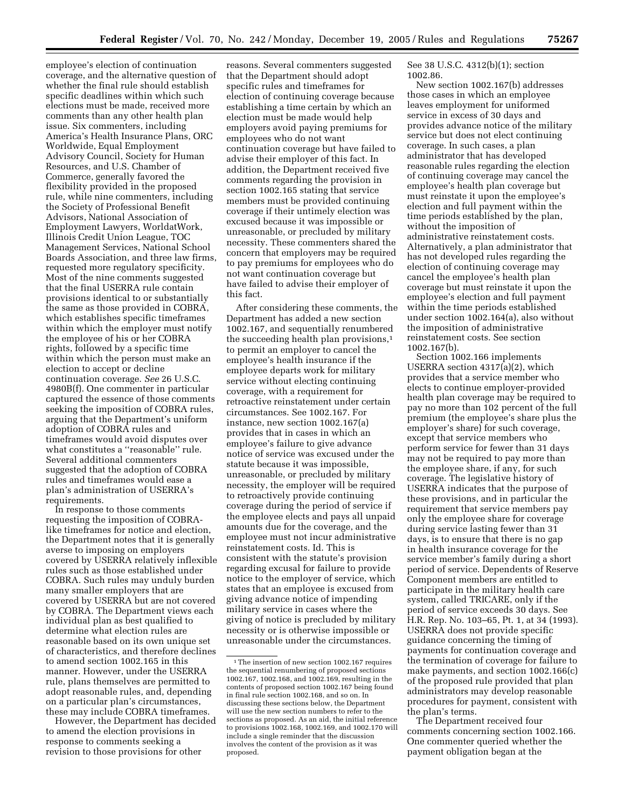employee's election of continuation coverage, and the alternative question of whether the final rule should establish specific deadlines within which such elections must be made, received more comments than any other health plan issue. Six commenters, including America's Health Insurance Plans, ORC Worldwide, Equal Employment Advisory Council, Society for Human Resources, and U.S. Chamber of Commerce, generally favored the flexibility provided in the proposed rule, while nine commenters, including the Society of Professional Benefit Advisors, National Association of Employment Lawyers, WorldatWork, Illinois Credit Union League, TOC Management Services, National School Boards Association, and three law firms, requested more regulatory specificity. Most of the nine comments suggested that the final USERRA rule contain provisions identical to or substantially the same as those provided in COBRA, which establishes specific timeframes within which the employer must notify the employee of his or her COBRA rights, followed by a specific time within which the person must make an election to accept or decline continuation coverage. *See* 26 U.S.C. 4980B(f). One commenter in particular captured the essence of those comments seeking the imposition of COBRA rules, arguing that the Department's uniform adoption of COBRA rules and timeframes would avoid disputes over what constitutes a ''reasonable'' rule. Several additional commenters suggested that the adoption of COBRA rules and timeframes would ease a plan's administration of USERRA's requirements.

In response to those comments requesting the imposition of COBRAlike timeframes for notice and election, the Department notes that it is generally averse to imposing on employers covered by USERRA relatively inflexible rules such as those established under COBRA. Such rules may unduly burden many smaller employers that are covered by USERRA but are not covered by COBRA. The Department views each individual plan as best qualified to determine what election rules are reasonable based on its own unique set of characteristics, and therefore declines to amend section 1002.165 in this manner. However, under the USERRA rule, plans themselves are permitted to adopt reasonable rules, and, depending on a particular plan's circumstances, these may include COBRA timeframes.

However, the Department has decided to amend the election provisions in response to comments seeking a revision to those provisions for other

reasons. Several commenters suggested that the Department should adopt specific rules and timeframes for election of continuing coverage because establishing a time certain by which an election must be made would help employers avoid paying premiums for employees who do not want continuation coverage but have failed to advise their employer of this fact. In addition, the Department received five comments regarding the provision in section 1002.165 stating that service members must be provided continuing coverage if their untimely election was excused because it was impossible or unreasonable, or precluded by military necessity. These commenters shared the concern that employers may be required to pay premiums for employees who do not want continuation coverage but have failed to advise their employer of this fact.

After considering these comments, the Department has added a new section 1002.167, and sequentially renumbered the succeeding health plan provisions,<sup>1</sup> to permit an employer to cancel the employee's health insurance if the employee departs work for military service without electing continuing coverage, with a requirement for retroactive reinstatement under certain circumstances. See 1002.167. For instance, new section 1002.167(a) provides that in cases in which an employee's failure to give advance notice of service was excused under the statute because it was impossible, unreasonable, or precluded by military necessity, the employer will be required to retroactively provide continuing coverage during the period of service if the employee elects and pays all unpaid amounts due for the coverage, and the employee must not incur administrative reinstatement costs. Id. This is consistent with the statute's provision regarding excusal for failure to provide notice to the employer of service, which states that an employee is excused from giving advance notice of impending military service in cases where the giving of notice is precluded by military necessity or is otherwise impossible or unreasonable under the circumstances.

See 38 U.S.C. 4312(b)(1); section 1002.86.

New section 1002.167(b) addresses those cases in which an employee leaves employment for uniformed service in excess of 30 days and provides advance notice of the military service but does not elect continuing coverage. In such cases, a plan administrator that has developed reasonable rules regarding the election of continuing coverage may cancel the employee's health plan coverage but must reinstate it upon the employee's election and full payment within the time periods established by the plan, without the imposition of administrative reinstatement costs. Alternatively, a plan administrator that has not developed rules regarding the election of continuing coverage may cancel the employee's health plan coverage but must reinstate it upon the employee's election and full payment within the time periods established under section 1002.164(a), also without the imposition of administrative reinstatement costs. See section 1002.167(b).

Section 1002.166 implements USERRA section 4317(a)(2), which provides that a service member who elects to continue employer-provided health plan coverage may be required to pay no more than 102 percent of the full premium (the employee's share plus the employer's share) for such coverage, except that service members who perform service for fewer than 31 days may not be required to pay more than the employee share, if any, for such coverage. The legislative history of USERRA indicates that the purpose of these provisions, and in particular the requirement that service members pay only the employee share for coverage during service lasting fewer than 31 days, is to ensure that there is no gap in health insurance coverage for the service member's family during a short period of service. Dependents of Reserve Component members are entitled to participate in the military health care system, called TRICARE, only if the period of service exceeds 30 days. See H.R. Rep. No. 103–65, Pt. 1, at 34 (1993). USERRA does not provide specific guidance concerning the timing of payments for continuation coverage and the termination of coverage for failure to make payments, and section 1002.166(c) of the proposed rule provided that plan administrators may develop reasonable procedures for payment, consistent with the plan's terms.

The Department received four comments concerning section 1002.166. One commenter queried whether the payment obligation began at the

 $^{\rm 1}\!$  The insertion of new section 1002.167 requires the sequential renumbering of proposed sections 1002.167, 1002.168, and 1002.169, resulting in the contents of proposed section 1002.167 being found in final rule section 1002.168, and so on. In discussing these sections below, the Department will use the new section numbers to refer to the sections as proposed. As an aid, the initial reference to provisions 1002.168, 1002.169, and 1002.170 will include a single reminder that the discussion involves the content of the provision as it was proposed.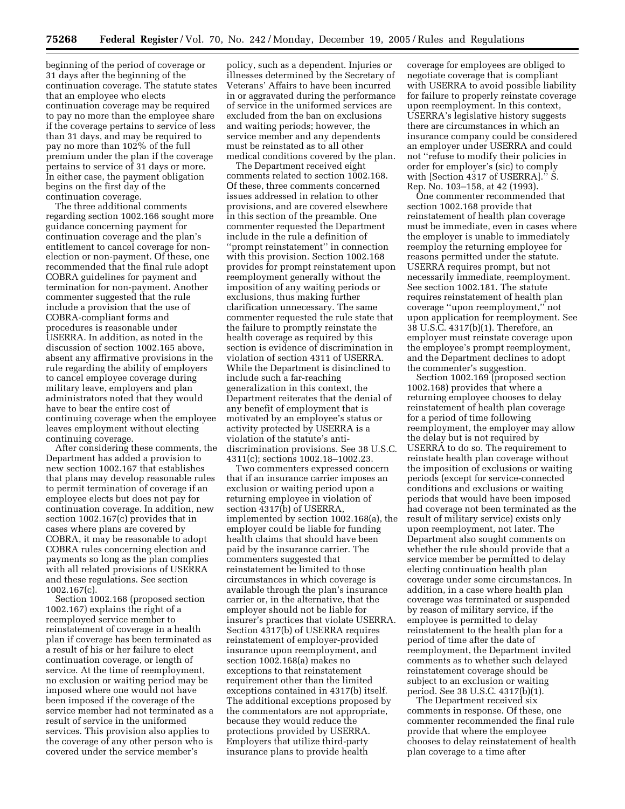beginning of the period of coverage or 31 days after the beginning of the continuation coverage. The statute states that an employee who elects continuation coverage may be required to pay no more than the employee share if the coverage pertains to service of less than 31 days, and may be required to pay no more than 102% of the full premium under the plan if the coverage pertains to service of 31 days or more. In either case, the payment obligation begins on the first day of the continuation coverage.

The three additional comments regarding section 1002.166 sought more guidance concerning payment for continuation coverage and the plan's entitlement to cancel coverage for nonelection or non-payment. Of these, one recommended that the final rule adopt COBRA guidelines for payment and termination for non-payment. Another commenter suggested that the rule include a provision that the use of COBRA-compliant forms and procedures is reasonable under USERRA. In addition, as noted in the discussion of section 1002.165 above, absent any affirmative provisions in the rule regarding the ability of employers to cancel employee coverage during military leave, employers and plan administrators noted that they would have to bear the entire cost of continuing coverage when the employee leaves employment without electing continuing coverage.

After considering these comments, the Department has added a provision to new section 1002.167 that establishes that plans may develop reasonable rules to permit termination of coverage if an employee elects but does not pay for continuation coverage. In addition, new section 1002.167(c) provides that in cases where plans are covered by COBRA, it may be reasonable to adopt COBRA rules concerning election and payments so long as the plan complies with all related provisions of USERRA and these regulations. See section 1002.167(c).

Section 1002.168 (proposed section 1002.167) explains the right of a reemployed service member to reinstatement of coverage in a health plan if coverage has been terminated as a result of his or her failure to elect continuation coverage, or length of service. At the time of reemployment, no exclusion or waiting period may be imposed where one would not have been imposed if the coverage of the service member had not terminated as a result of service in the uniformed services. This provision also applies to the coverage of any other person who is covered under the service member's

policy, such as a dependent. Injuries or illnesses determined by the Secretary of Veterans' Affairs to have been incurred in or aggravated during the performance of service in the uniformed services are excluded from the ban on exclusions and waiting periods; however, the service member and any dependents must be reinstated as to all other medical conditions covered by the plan.

The Department received eight comments related to section 1002.168. Of these, three comments concerned issues addressed in relation to other provisions, and are covered elsewhere in this section of the preamble. One commenter requested the Department include in the rule a definition of ''prompt reinstatement'' in connection with this provision. Section 1002.168 provides for prompt reinstatement upon reemployment generally without the imposition of any waiting periods or exclusions, thus making further clarification unnecessary. The same commenter requested the rule state that the failure to promptly reinstate the health coverage as required by this section is evidence of discrimination in violation of section 4311 of USERRA. While the Department is disinclined to include such a far-reaching generalization in this context, the Department reiterates that the denial of any benefit of employment that is motivated by an employee's status or activity protected by USERRA is a violation of the statute's antidiscrimination provisions. See 38 U.S.C. 4311(c); sections 1002.18–1002.23.

Two commenters expressed concern that if an insurance carrier imposes an exclusion or waiting period upon a returning employee in violation of section 4317(b) of USERRA, implemented by section 1002.168(a), the employer could be liable for funding health claims that should have been paid by the insurance carrier. The commenters suggested that reinstatement be limited to those circumstances in which coverage is available through the plan's insurance carrier or, in the alternative, that the employer should not be liable for insurer's practices that violate USERRA. Section 4317(b) of USERRA requires reinstatement of employer-provided insurance upon reemployment, and section 1002.168(a) makes no exceptions to that reinstatement requirement other than the limited exceptions contained in 4317(b) itself. The additional exceptions proposed by the commentators are not appropriate, because they would reduce the protections provided by USERRA. Employers that utilize third-party insurance plans to provide health

coverage for employees are obliged to negotiate coverage that is compliant with USERRA to avoid possible liability for failure to properly reinstate coverage upon reemployment. In this context, USERRA's legislative history suggests there are circumstances in which an insurance company could be considered an employer under USERRA and could not ''refuse to modify their policies in order for employer's (sic) to comply with [Section 4317 of USERRA].'' S. Rep. No. 103–158, at 42 (1993).

One commenter recommended that section 1002.168 provide that reinstatement of health plan coverage must be immediate, even in cases where the employer is unable to immediately reemploy the returning employee for reasons permitted under the statute. USERRA requires prompt, but not necessarily immediate, reemployment. See section 1002.181. The statute requires reinstatement of health plan coverage ''upon reemployment,'' not upon application for reemployment. See 38 U.S.C. 4317(b)(1). Therefore, an employer must reinstate coverage upon the employee's prompt reemployment, and the Department declines to adopt the commenter's suggestion.

Section 1002.169 (proposed section 1002.168) provides that where a returning employee chooses to delay reinstatement of health plan coverage for a period of time following reemployment, the employer may allow the delay but is not required by USERRA to do so. The requirement to reinstate health plan coverage without the imposition of exclusions or waiting periods (except for service-connected conditions and exclusions or waiting periods that would have been imposed had coverage not been terminated as the result of military service) exists only upon reemployment, not later. The Department also sought comments on whether the rule should provide that a service member be permitted to delay electing continuation health plan coverage under some circumstances. In addition, in a case where health plan coverage was terminated or suspended by reason of military service, if the employee is permitted to delay reinstatement to the health plan for a period of time after the date of reemployment, the Department invited comments as to whether such delayed reinstatement coverage should be subject to an exclusion or waiting period. See 38 U.S.C. 4317(b)(1).

The Department received six comments in response. Of these, one commenter recommended the final rule provide that where the employee chooses to delay reinstatement of health plan coverage to a time after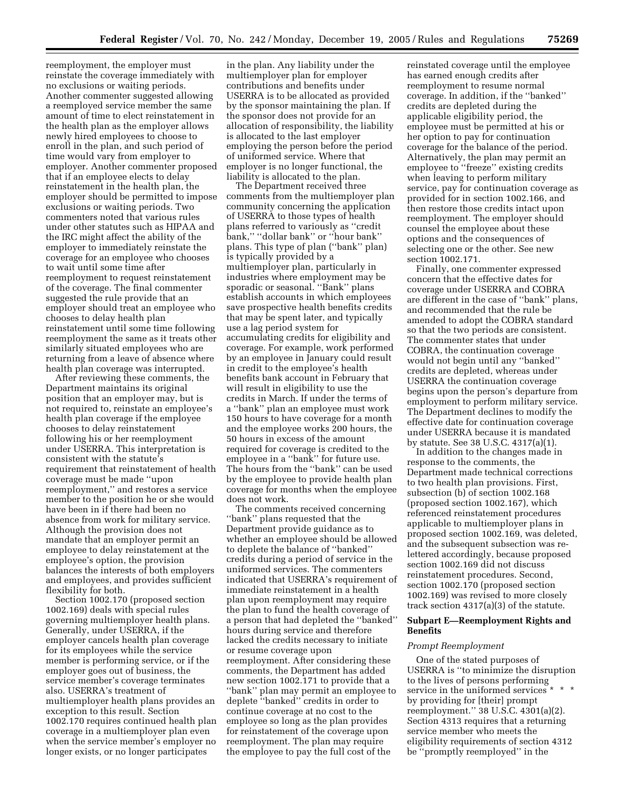reemployment, the employer must reinstate the coverage immediately with no exclusions or waiting periods. Another commenter suggested allowing a reemployed service member the same amount of time to elect reinstatement in the health plan as the employer allows newly hired employees to choose to enroll in the plan, and such period of time would vary from employer to employer. Another commenter proposed that if an employee elects to delay reinstatement in the health plan, the employer should be permitted to impose exclusions or waiting periods. Two commenters noted that various rules under other statutes such as HIPAA and the IRC might affect the ability of the employer to immediately reinstate the coverage for an employee who chooses to wait until some time after reemployment to request reinstatement of the coverage. The final commenter suggested the rule provide that an employer should treat an employee who chooses to delay health plan reinstatement until some time following reemployment the same as it treats other similarly situated employees who are returning from a leave of absence where health plan coverage was interrupted.

After reviewing these comments, the Department maintains its original position that an employer may, but is not required to, reinstate an employee's health plan coverage if the employee chooses to delay reinstatement following his or her reemployment under USERRA. This interpretation is consistent with the statute's requirement that reinstatement of health coverage must be made ''upon reemployment,'' and restores a service member to the position he or she would have been in if there had been no absence from work for military service. Although the provision does not mandate that an employer permit an employee to delay reinstatement at the employee's option, the provision balances the interests of both employers and employees, and provides sufficient flexibility for both.

Section 1002.170 (proposed section 1002.169) deals with special rules governing multiemployer health plans. Generally, under USERRA, if the employer cancels health plan coverage for its employees while the service member is performing service, or if the employer goes out of business, the service member's coverage terminates also. USERRA's treatment of multiemployer health plans provides an exception to this result. Section 1002.170 requires continued health plan coverage in a multiemployer plan even when the service member's employer no longer exists, or no longer participates

in the plan. Any liability under the multiemployer plan for employer contributions and benefits under USERRA is to be allocated as provided by the sponsor maintaining the plan. If the sponsor does not provide for an allocation of responsibility, the liability is allocated to the last employer employing the person before the period of uniformed service. Where that employer is no longer functional, the liability is allocated to the plan.

The Department received three comments from the multiemployer plan community concerning the application of USERRA to those types of health plans referred to variously as ''credit bank,'' ''dollar bank'' or ''hour bank'' plans. This type of plan (''bank'' plan) is typically provided by a multiemployer plan, particularly in industries where employment may be sporadic or seasonal. ''Bank'' plans establish accounts in which employees save prospective health benefits credits that may be spent later, and typically use a lag period system for accumulating credits for eligibility and coverage. For example, work performed by an employee in January could result in credit to the employee's health benefits bank account in February that will result in eligibility to use the credits in March. If under the terms of a ''bank'' plan an employee must work 150 hours to have coverage for a month and the employee works 200 hours, the 50 hours in excess of the amount required for coverage is credited to the employee in a ''bank'' for future use. The hours from the ''bank'' can be used by the employee to provide health plan coverage for months when the employee does not work.

The comments received concerning ''bank'' plans requested that the Department provide guidance as to whether an employee should be allowed to deplete the balance of ''banked'' credits during a period of service in the uniformed services. The commenters indicated that USERRA's requirement of immediate reinstatement in a health plan upon reemployment may require the plan to fund the health coverage of a person that had depleted the ''banked'' hours during service and therefore lacked the credits necessary to initiate or resume coverage upon reemployment. After considering these comments, the Department has added new section 1002.171 to provide that a ''bank'' plan may permit an employee to deplete ''banked'' credits in order to continue coverage at no cost to the employee so long as the plan provides for reinstatement of the coverage upon reemployment. The plan may require the employee to pay the full cost of the

reinstated coverage until the employee has earned enough credits after reemployment to resume normal coverage. In addition, if the ''banked'' credits are depleted during the applicable eligibility period, the employee must be permitted at his or her option to pay for continuation coverage for the balance of the period. Alternatively, the plan may permit an employee to ''freeze'' existing credits when leaving to perform military service, pay for continuation coverage as provided for in section 1002.166, and then restore those credits intact upon reemployment. The employer should counsel the employee about these options and the consequences of selecting one or the other. See new section 1002.171.

Finally, one commenter expressed concern that the effective dates for coverage under USERRA and COBRA are different in the case of ''bank'' plans, and recommended that the rule be amended to adopt the COBRA standard so that the two periods are consistent. The commenter states that under COBRA, the continuation coverage would not begin until any ''banked'' credits are depleted, whereas under USERRA the continuation coverage begins upon the person's departure from employment to perform military service. The Department declines to modify the effective date for continuation coverage under USERRA because it is mandated by statute. See 38 U.S.C. 4317(a)(1).

In addition to the changes made in response to the comments, the Department made technical corrections to two health plan provisions. First, subsection (b) of section 1002.168 (proposed section 1002.167), which referenced reinstatement procedures applicable to multiemployer plans in proposed section 1002.169, was deleted, and the subsequent subsection was relettered accordingly, because proposed section 1002.169 did not discuss reinstatement procedures. Second, section 1002.170 (proposed section 1002.169) was revised to more closely track section 4317(a)(3) of the statute.

# **Subpart E—Reemployment Rights and Benefits**

#### *Prompt Reemployment*

One of the stated purposes of USERRA is ''to minimize the disruption to the lives of persons performing service in the uniformed services by providing for [their] prompt reemployment.'' 38 U.S.C. 4301(a)(2). Section 4313 requires that a returning service member who meets the eligibility requirements of section 4312 be ''promptly reemployed'' in the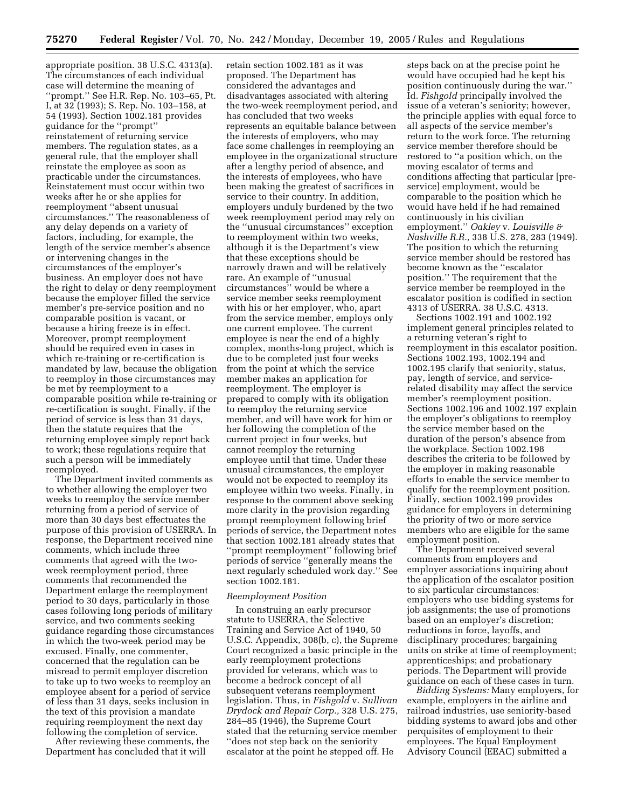appropriate position. 38 U.S.C. 4313(a). The circumstances of each individual case will determine the meaning of ''prompt.'' See H.R. Rep. No. 103–65, Pt. I, at 32 (1993); S. Rep. No. 103–158, at 54 (1993). Section 1002.181 provides guidance for the ''prompt'' reinstatement of returning service members. The regulation states, as a general rule, that the employer shall reinstate the employee as soon as practicable under the circumstances. Reinstatement must occur within two weeks after he or she applies for reemployment ''absent unusual circumstances.'' The reasonableness of any delay depends on a variety of factors, including, for example, the length of the service member's absence or intervening changes in the circumstances of the employer's business. An employer does not have the right to delay or deny reemployment because the employer filled the service member's pre-service position and no comparable position is vacant, or because a hiring freeze is in effect. Moreover, prompt reemployment should be required even in cases in which re-training or re-certification is mandated by law, because the obligation to reemploy in those circumstances may be met by reemployment to a comparable position while re-training or re-certification is sought. Finally, if the period of service is less than 31 days, then the statute requires that the returning employee simply report back to work; these regulations require that such a person will be immediately reemployed.

The Department invited comments as to whether allowing the employer two weeks to reemploy the service member returning from a period of service of more than 30 days best effectuates the purpose of this provision of USERRA. In response, the Department received nine comments, which include three comments that agreed with the twoweek reemployment period, three comments that recommended the Department enlarge the reemployment period to 30 days, particularly in those cases following long periods of military service, and two comments seeking guidance regarding those circumstances in which the two-week period may be excused. Finally, one commenter, concerned that the regulation can be misread to permit employer discretion to take up to two weeks to reemploy an employee absent for a period of service of less than 31 days, seeks inclusion in the text of this provision a mandate requiring reemployment the next day following the completion of service.

After reviewing these comments, the Department has concluded that it will

retain section 1002.181 as it was proposed. The Department has considered the advantages and disadvantages associated with altering the two-week reemployment period, and has concluded that two weeks represents an equitable balance between the interests of employers, who may face some challenges in reemploying an employee in the organizational structure after a lengthy period of absence, and the interests of employees, who have been making the greatest of sacrifices in service to their country. In addition, employers unduly burdened by the two week reemployment period may rely on the ''unusual circumstances'' exception to reemployment within two weeks, although it is the Department's view that these exceptions should be narrowly drawn and will be relatively rare. An example of ''unusual circumstances'' would be where a service member seeks reemployment with his or her employer, who, apart from the service member, employs only one current employee. The current employee is near the end of a highly complex, months-long project, which is due to be completed just four weeks from the point at which the service member makes an application for reemployment. The employer is prepared to comply with its obligation to reemploy the returning service member, and will have work for him or her following the completion of the current project in four weeks, but cannot reemploy the returning employee until that time. Under these unusual circumstances, the employer would not be expected to reemploy its employee within two weeks. Finally, in response to the comment above seeking more clarity in the provision regarding prompt reemployment following brief periods of service, the Department notes that section 1002.181 already states that ''prompt reemployment'' following brief periods of service ''generally means the next regularly scheduled work day.'' See section 1002.181.

#### *Reemployment Position*

In construing an early precursor statute to USERRA, the Selective Training and Service Act of 1940, 50 U.S.C. Appendix, 308(b, c), the Supreme Court recognized a basic principle in the early reemployment protections provided for veterans, which was to become a bedrock concept of all subsequent veterans reemployment legislation. Thus, in *Fishgold* v. *Sullivan Drydock and Repair Corp.,* 328 U.S. 275, 284–85 (1946), the Supreme Court stated that the returning service member ''does not step back on the seniority escalator at the point he stepped off. He

steps back on at the precise point he would have occupied had he kept his position continuously during the war.'' Id. *Fishgold* principally involved the issue of a veteran's seniority; however, the principle applies with equal force to all aspects of the service member's return to the work force. The returning service member therefore should be restored to ''a position which, on the moving escalator of terms and conditions affecting that particular [preservice] employment, would be comparable to the position which he would have held if he had remained continuously in his civilian employment.'' *Oakley* v. *Louisville & Nashville R.R.,* 338 U.S. 278, 283 (1949). The position to which the returning service member should be restored has become known as the ''escalator position.'' The requirement that the service member be reemployed in the escalator position is codified in section 4313 of USERRA. 38 U.S.C. 4313.

Sections 1002.191 and 1002.192 implement general principles related to a returning veteran's right to reemployment in this escalator position. Sections 1002.193, 1002.194 and 1002.195 clarify that seniority, status, pay, length of service, and servicerelated disability may affect the service member's reemployment position. Sections 1002.196 and 1002.197 explain the employer's obligations to reemploy the service member based on the duration of the person's absence from the workplace. Section 1002.198 describes the criteria to be followed by the employer in making reasonable efforts to enable the service member to qualify for the reemployment position. Finally, section 1002.199 provides guidance for employers in determining the priority of two or more service members who are eligible for the same employment position.

The Department received several comments from employers and employer associations inquiring about the application of the escalator position to six particular circumstances: employers who use bidding systems for job assignments; the use of promotions based on an employer's discretion; reductions in force, layoffs, and disciplinary procedures; bargaining units on strike at time of reemployment; apprenticeships; and probationary periods. The Department will provide guidance on each of these cases in turn.

*Bidding Systems:* Many employers, for example, employers in the airline and railroad industries, use seniority-based bidding systems to award jobs and other perquisites of employment to their employees. The Equal Employment Advisory Council (EEAC) submitted a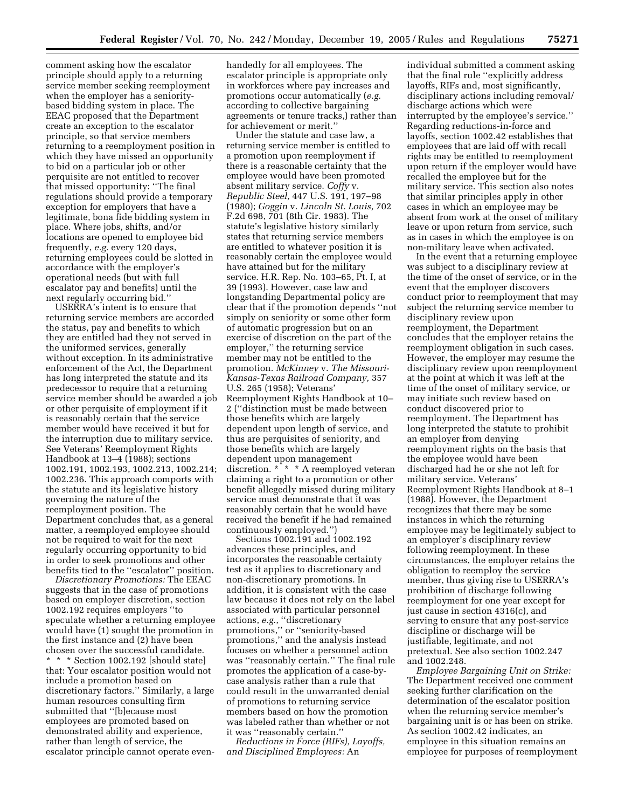comment asking how the escalator principle should apply to a returning service member seeking reemployment when the employer has a senioritybased bidding system in place. The EEAC proposed that the Department create an exception to the escalator principle, so that service members returning to a reemployment position in which they have missed an opportunity to bid on a particular job or other perquisite are not entitled to recover that missed opportunity: ''The final regulations should provide a temporary exception for employers that have a legitimate, bona fide bidding system in place. Where jobs, shifts, and/or locations are opened to employee bid frequently, *e.g.* every 120 days, returning employees could be slotted in accordance with the employer's operational needs (but with full escalator pay and benefits) until the next regularly occurring bid.''

USERRA's intent is to ensure that returning service members are accorded the status, pay and benefits to which they are entitled had they not served in the uniformed services, generally without exception. In its administrative enforcement of the Act, the Department has long interpreted the statute and its predecessor to require that a returning service member should be awarded a job or other perquisite of employment if it is reasonably certain that the service member would have received it but for the interruption due to military service. See Veterans' Reemployment Rights Handbook at 13-4 (1988); sections 1002.191, 1002.193, 1002.213, 1002.214; 1002.236. This approach comports with the statute and its legislative history governing the nature of the reemployment position. The Department concludes that, as a general matter, a reemployed employee should not be required to wait for the next regularly occurring opportunity to bid in order to seek promotions and other benefits tied to the ''escalator'' position.

*Discretionary Promotions:* The EEAC suggests that in the case of promotions based on employer discretion, section 1002.192 requires employers ''to speculate whether a returning employee would have (1) sought the promotion in the first instance and (2) have been chosen over the successful candidate. \* \* \* Section 1002.192 [should state] that: Your escalator position would not include a promotion based on discretionary factors.'' Similarly, a large human resources consulting firm submitted that ''[b]ecause most employees are promoted based on demonstrated ability and experience, rather than length of service, the escalator principle cannot operate evenhandedly for all employees. The escalator principle is appropriate only in workforces where pay increases and promotions occur automatically (*e.g.*  according to collective bargaining agreements or tenure tracks,) rather than for achievement or merit.''

Under the statute and case law, a returning service member is entitled to a promotion upon reemployment if there is a reasonable certainty that the employee would have been promoted absent military service. *Coffy* v. *Republic Steel,* 447 U.S. 191, 197–98 (1980); *Goggin* v. *Lincoln St. Louis,* 702 F.2d 698, 701 (8th Cir. 1983). The statute's legislative history similarly states that returning service members are entitled to whatever position it is reasonably certain the employee would have attained but for the military service. H.R. Rep. No. 103–65, Pt. I, at 39 (1993). However, case law and longstanding Departmental policy are clear that if the promotion depends ''not simply on seniority or some other form of automatic progression but on an exercise of discretion on the part of the employer,'' the returning service member may not be entitled to the promotion. *McKinney* v. *The Missouri-Kansas-Texas Railroad Company,* 357 U.S. 265 (1958); Veterans' Reemployment Rights Handbook at 10– 2 (''distinction must be made between those benefits which are largely dependent upon length of service, and thus are perquisites of seniority, and those benefits which are largely dependent upon management discretion. \* \* \* A reemployed veteran claiming a right to a promotion or other benefit allegedly missed during military service must demonstrate that it was reasonably certain that he would have received the benefit if he had remained continuously employed.'')

Sections 1002.191 and 1002.192 advances these principles, and incorporates the reasonable certainty test as it applies to discretionary and non-discretionary promotions. In addition, it is consistent with the case law because it does not rely on the label associated with particular personnel actions, *e.g.*, ''discretionary promotions,'' or ''seniority-based promotions,'' and the analysis instead focuses on whether a personnel action was ''reasonably certain.'' The final rule promotes the application of a case-bycase analysis rather than a rule that could result in the unwarranted denial of promotions to returning service members based on how the promotion was labeled rather than whether or not it was ''reasonably certain.''

*Reductions in Force (RIFs), Layoffs, and Disciplined Employees:* An

individual submitted a comment asking that the final rule ''explicitly address layoffs, RIFs and, most significantly, disciplinary actions including removal/ discharge actions which were interrupted by the employee's service.'' Regarding reductions-in-force and layoffs, section 1002.42 establishes that employees that are laid off with recall rights may be entitled to reemployment upon return if the employer would have recalled the employee but for the military service. This section also notes that similar principles apply in other cases in which an employee may be absent from work at the onset of military leave or upon return from service, such as in cases in which the employee is on non-military leave when activated.

In the event that a returning employee was subject to a disciplinary review at the time of the onset of service, or in the event that the employer discovers conduct prior to reemployment that may subject the returning service member to disciplinary review upon reemployment, the Department concludes that the employer retains the reemployment obligation in such cases. However, the employer may resume the disciplinary review upon reemployment at the point at which it was left at the time of the onset of military service, or may initiate such review based on conduct discovered prior to reemployment. The Department has long interpreted the statute to prohibit an employer from denying reemployment rights on the basis that the employee would have been discharged had he or she not left for military service. Veterans' Reemployment Rights Handbook at 8–1 (1988). However, the Department recognizes that there may be some instances in which the returning employee may be legitimately subject to an employer's disciplinary review following reemployment. In these circumstances, the employer retains the obligation to reemploy the service member, thus giving rise to USERRA's prohibition of discharge following reemployment for one year except for just cause in section 4316(c), and serving to ensure that any post-service discipline or discharge will be justifiable, legitimate, and not pretextual. See also section 1002.247 and 1002.248.

*Employee Bargaining Unit on Strike:*  The Department received one comment seeking further clarification on the determination of the escalator position when the returning service member's bargaining unit is or has been on strike. As section 1002.42 indicates, an employee in this situation remains an employee for purposes of reemployment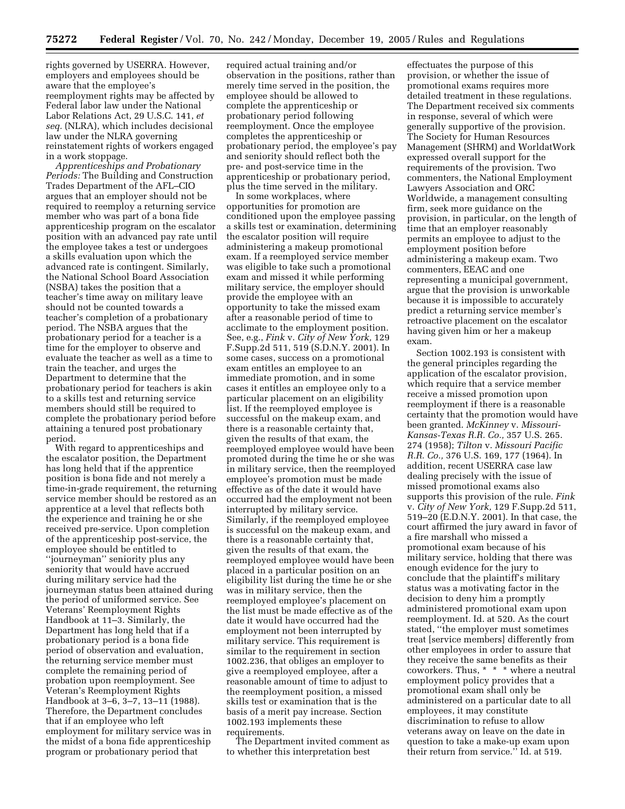rights governed by USERRA. However, employers and employees should be aware that the employee's reemployment rights may be affected by Federal labor law under the National Labor Relations Act, 29 U.S.C. 141, *et seq.* (NLRA), which includes decisional law under the NLRA governing reinstatement rights of workers engaged in a work stoppage.

*Apprenticeships and Probationary Periods:* The Building and Construction Trades Department of the AFL–CIO argues that an employer should not be required to reemploy a returning service member who was part of a bona fide apprenticeship program on the escalator position with an advanced pay rate until the employee takes a test or undergoes a skills evaluation upon which the advanced rate is contingent. Similarly, the National School Board Association (NSBA) takes the position that a teacher's time away on military leave should not be counted towards a teacher's completion of a probationary period. The NSBA argues that the probationary period for a teacher is a time for the employer to observe and evaluate the teacher as well as a time to train the teacher, and urges the Department to determine that the probationary period for teachers is akin to a skills test and returning service members should still be required to complete the probationary period before attaining a tenured post probationary period.

With regard to apprenticeships and the escalator position, the Department has long held that if the apprentice position is bona fide and not merely a time-in-grade requirement, the returning service member should be restored as an apprentice at a level that reflects both the experience and training he or she received pre-service. Upon completion of the apprenticeship post-service, the employee should be entitled to ''journeyman'' seniority plus any seniority that would have accrued during military service had the journeyman status been attained during the period of uniformed service. See Veterans' Reemployment Rights Handbook at 11–3. Similarly, the Department has long held that if a probationary period is a bona fide period of observation and evaluation, the returning service member must complete the remaining period of probation upon reemployment. See Veteran's Reemployment Rights Handbook at 3–6, 3–7, 13–11 (1988). Therefore, the Department concludes that if an employee who left employment for military service was in the midst of a bona fide apprenticeship program or probationary period that

required actual training and/or observation in the positions, rather than merely time served in the position, the employee should be allowed to complete the apprenticeship or probationary period following reemployment. Once the employee completes the apprenticeship or probationary period, the employee's pay and seniority should reflect both the pre- and post-service time in the apprenticeship or probationary period, plus the time served in the military.

In some workplaces, where opportunities for promotion are conditioned upon the employee passing a skills test or examination, determining the escalator position will require administering a makeup promotional exam. If a reemployed service member was eligible to take such a promotional exam and missed it while performing military service, the employer should provide the employee with an opportunity to take the missed exam after a reasonable period of time to acclimate to the employment position. See, e.g., *Fink* v. *City of New York,* 129 F.Supp.2d 511, 519 (S.D.N.Y. 2001). In some cases, success on a promotional exam entitles an employee to an immediate promotion, and in some cases it entitles an employee only to a particular placement on an eligibility list. If the reemployed employee is successful on the makeup exam, and there is a reasonable certainty that, given the results of that exam, the reemployed employee would have been promoted during the time he or she was in military service, then the reemployed employee's promotion must be made effective as of the date it would have occurred had the employment not been interrupted by military service. Similarly, if the reemployed employee is successful on the makeup exam, and there is a reasonable certainty that, given the results of that exam, the reemployed employee would have been placed in a particular position on an eligibility list during the time he or she was in military service, then the reemployed employee's placement on the list must be made effective as of the date it would have occurred had the employment not been interrupted by military service. This requirement is similar to the requirement in section 1002.236, that obliges an employer to give a reemployed employee, after a reasonable amount of time to adjust to the reemployment position, a missed skills test or examination that is the basis of a merit pay increase. Section 1002.193 implements these requirements.

The Department invited comment as to whether this interpretation best

effectuates the purpose of this provision, or whether the issue of promotional exams requires more detailed treatment in these regulations. The Department received six comments in response, several of which were generally supportive of the provision. The Society for Human Resources Management (SHRM) and WorldatWork expressed overall support for the requirements of the provision. Two commenters, the National Employment Lawyers Association and ORC Worldwide, a management consulting firm, seek more guidance on the provision, in particular, on the length of time that an employer reasonably permits an employee to adjust to the employment position before administering a makeup exam. Two commenters, EEAC and one representing a municipal government, argue that the provision is unworkable because it is impossible to accurately predict a returning service member's retroactive placement on the escalator having given him or her a makeup exam.

Section 1002.193 is consistent with the general principles regarding the application of the escalator provision, which require that a service member receive a missed promotion upon reemployment if there is a reasonable certainty that the promotion would have been granted. *McKinney* v. *Missouri-Kansas-Texas R.R. Co.,* 357 U.S. 265. 274 (1958); *Tilton* v. *Missouri Pacific R.R. Co.,* 376 U.S. 169, 177 (1964). In addition, recent USERRA case law dealing precisely with the issue of missed promotional exams also supports this provision of the rule. *Fink*  v. *City of New York,* 129 F.Supp.2d 511, 519–20 (E.D.N.Y. 2001). In that case, the court affirmed the jury award in favor of a fire marshall who missed a promotional exam because of his military service, holding that there was enough evidence for the jury to conclude that the plaintiff's military status was a motivating factor in the decision to deny him a promptly administered promotional exam upon reemployment. Id. at 520. As the court stated, ''the employer must sometimes treat [service members] differently from other employees in order to assure that they receive the same benefits as their coworkers. Thus, \* \* \* where a neutral employment policy provides that a promotional exam shall only be administered on a particular date to all employees, it may constitute discrimination to refuse to allow veterans away on leave on the date in question to take a make-up exam upon their return from service.'' Id. at 519.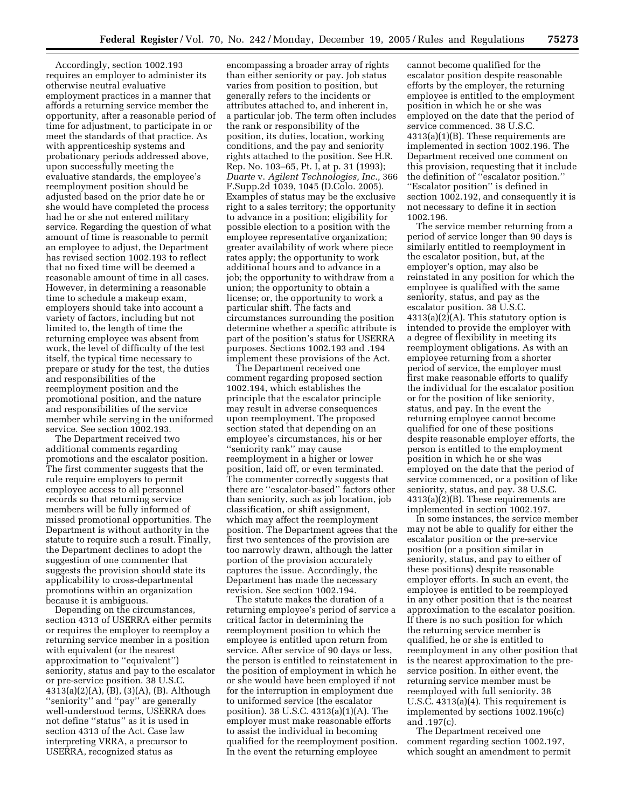Accordingly, section 1002.193 requires an employer to administer its otherwise neutral evaluative employment practices in a manner that affords a returning service member the opportunity, after a reasonable period of time for adjustment, to participate in or meet the standards of that practice. As with apprenticeship systems and probationary periods addressed above, upon successfully meeting the evaluative standards, the employee's reemployment position should be adjusted based on the prior date he or she would have completed the process had he or she not entered military service. Regarding the question of what amount of time is reasonable to permit an employee to adjust, the Department has revised section 1002.193 to reflect that no fixed time will be deemed a reasonable amount of time in all cases. However, in determining a reasonable time to schedule a makeup exam, employers should take into account a variety of factors, including but not limited to, the length of time the returning employee was absent from work, the level of difficulty of the test itself, the typical time necessary to prepare or study for the test, the duties and responsibilities of the reemployment position and the promotional position, and the nature and responsibilities of the service member while serving in the uniformed service. See section 1002.193.

The Department received two additional comments regarding promotions and the escalator position. The first commenter suggests that the rule require employers to permit employee access to all personnel records so that returning service members will be fully informed of missed promotional opportunities. The Department is without authority in the statute to require such a result. Finally, the Department declines to adopt the suggestion of one commenter that suggests the provision should state its applicability to cross-departmental promotions within an organization because it is ambiguous.

Depending on the circumstances, section 4313 of USERRA either permits or requires the employer to reemploy a returning service member in a position with equivalent (or the nearest approximation to ''equivalent'') seniority, status and pay to the escalator or pre-service position. 38 U.S.C. 4313(a)(2)(A), (B), (3)(A), (B). Although ''seniority'' and ''pay'' are generally well-understood terms, USERRA does not define ''status'' as it is used in section 4313 of the Act. Case law interpreting VRRA, a precursor to USERRA, recognized status as

encompassing a broader array of rights than either seniority or pay. Job status varies from position to position, but generally refers to the incidents or attributes attached to, and inherent in, a particular job. The term often includes the rank or responsibility of the position, its duties, location, working conditions, and the pay and seniority rights attached to the position. See H.R. Rep. No. 103–65, Pt. I, at p. 31 (1993); *Duarte* v. *Agilent Technologies, Inc.,* 366 F.Supp.2d 1039, 1045 (D.Colo. 2005). Examples of status may be the exclusive right to a sales territory; the opportunity to advance in a position; eligibility for possible election to a position with the employee representative organization; greater availability of work where piece rates apply; the opportunity to work additional hours and to advance in a job; the opportunity to withdraw from a union; the opportunity to obtain a license; or, the opportunity to work a particular shift. The facts and circumstances surrounding the position determine whether a specific attribute is part of the position's status for USERRA purposes. Sections 1002.193 and .194 implement these provisions of the Act.

The Department received one comment regarding proposed section 1002.194, which establishes the principle that the escalator principle may result in adverse consequences upon reemployment. The proposed section stated that depending on an employee's circumstances, his or her ''seniority rank'' may cause reemployment in a higher or lower position, laid off, or even terminated. The commenter correctly suggests that there are ''escalator-based'' factors other than seniority, such as job location, job classification, or shift assignment, which may affect the reemployment position. The Department agrees that the first two sentences of the provision are too narrowly drawn, although the latter portion of the provision accurately captures the issue. Accordingly, the Department has made the necessary revision. See section 1002.194.

The statute makes the duration of a returning employee's period of service a critical factor in determining the reemployment position to which the employee is entitled upon return from service. After service of 90 days or less, the person is entitled to reinstatement in the position of employment in which he or she would have been employed if not for the interruption in employment due to uniformed service (the escalator position). 38 U.S.C. 4313(a)(1)(A). The employer must make reasonable efforts to assist the individual in becoming qualified for the reemployment position. In the event the returning employee

cannot become qualified for the escalator position despite reasonable efforts by the employer, the returning employee is entitled to the employment position in which he or she was employed on the date that the period of service commenced. 38 U.S.C. 4313(a)(1)(B). These requirements are implemented in section 1002.196. The Department received one comment on this provision, requesting that it include the definition of ''escalator position.'' ''Escalator position'' is defined in section 1002.192, and consequently it is not necessary to define it in section 1002.196.

The service member returning from a period of service longer than 90 days is similarly entitled to reemployment in the escalator position, but, at the employer's option, may also be reinstated in any position for which the employee is qualified with the same seniority, status, and pay as the escalator position. 38 U.S.C.  $4313(a)(2)(A)$ . This statutory option is intended to provide the employer with a degree of flexibility in meeting its reemployment obligations. As with an employee returning from a shorter period of service, the employer must first make reasonable efforts to qualify the individual for the escalator position or for the position of like seniority, status, and pay. In the event the returning employee cannot become qualified for one of these positions despite reasonable employer efforts, the person is entitled to the employment position in which he or she was employed on the date that the period of service commenced, or a position of like seniority, status, and pay. 38 U.S.C. 4313(a)(2)(B). These requirements are implemented in section 1002.197.

In some instances, the service member may not be able to qualify for either the escalator position or the pre-service position (or a position similar in seniority, status, and pay to either of these positions) despite reasonable employer efforts. In such an event, the employee is entitled to be reemployed in any other position that is the nearest approximation to the escalator position. If there is no such position for which the returning service member is qualified, he or she is entitled to reemployment in any other position that is the nearest approximation to the preservice position. In either event, the returning service member must be reemployed with full seniority. 38 U.S.C. 4313(a)(4). This requirement is implemented by sections 1002.196(c) and .197(c).

The Department received one comment regarding section 1002.197, which sought an amendment to permit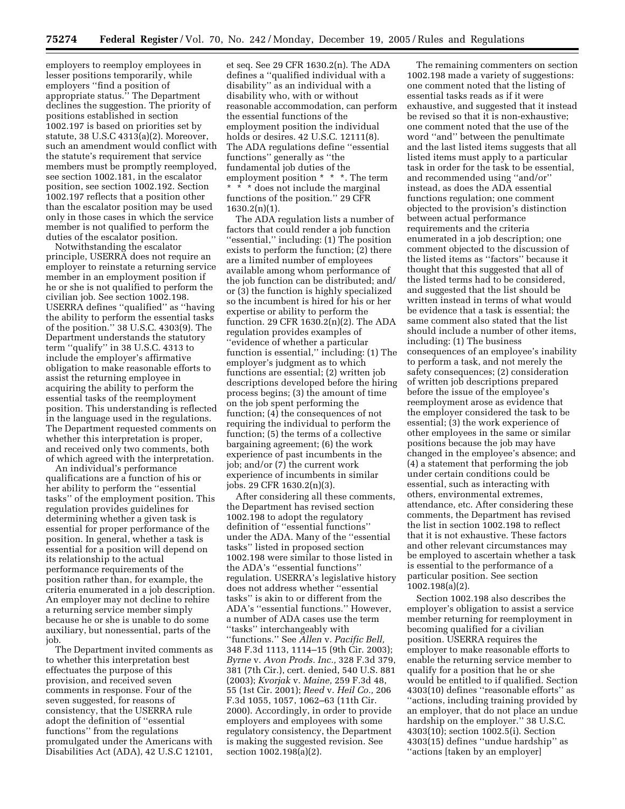employers to reemploy employees in lesser positions temporarily, while employers ''find a position of appropriate status.'' The Department declines the suggestion. The priority of positions established in section 1002.197 is based on priorities set by statute, 38 U.S.C 4313(a)(2). Moreover, such an amendment would conflict with the statute's requirement that service members must be promptly reemployed, see section 1002.181, in the escalator position, see section 1002.192. Section 1002.197 reflects that a position other than the escalator position may be used only in those cases in which the service member is not qualified to perform the duties of the escalator position.

Notwithstanding the escalator principle, USERRA does not require an employer to reinstate a returning service member in an employment position if he or she is not qualified to perform the civilian job. See section 1002.198. USERRA defines ''qualified'' as ''having the ability to perform the essential tasks of the position.'' 38 U.S.C. 4303(9). The Department understands the statutory term ''qualify'' in 38 U.S.C. 4313 to include the employer's affirmative obligation to make reasonable efforts to assist the returning employee in acquiring the ability to perform the essential tasks of the reemployment position. This understanding is reflected in the language used in the regulations. The Department requested comments on whether this interpretation is proper, and received only two comments, both of which agreed with the interpretation.

An individual's performance qualifications are a function of his or her ability to perform the ''essential tasks'' of the employment position. This regulation provides guidelines for determining whether a given task is essential for proper performance of the position. In general, whether a task is essential for a position will depend on its relationship to the actual performance requirements of the position rather than, for example, the criteria enumerated in a job description. An employer may not decline to rehire a returning service member simply because he or she is unable to do some auxiliary, but nonessential, parts of the job

The Department invited comments as to whether this interpretation best effectuates the purpose of this provision, and received seven comments in response. Four of the seven suggested, for reasons of consistency, that the USERRA rule adopt the definition of ''essential functions'' from the regulations promulgated under the Americans with Disabilities Act (ADA), 42 U.S.C 12101,

et seq. See 29 CFR 1630.2(n). The ADA defines a ''qualified individual with a disability'' as an individual with a disability who, with or without reasonable accommodation, can perform the essential functions of the employment position the individual holds or desires. 42 U.S.C. 12111(8). The ADA regulations define ''essential functions'' generally as ''the fundamental job duties of the employment position \* \* \*. The term \* \* \* does not include the marginal functions of the position.'' 29 CFR  $1630.2(n)(1)$ .

The ADA regulation lists a number of factors that could render a job function ''essential,'' including: (1) The position exists to perform the function; (2) there are a limited number of employees available among whom performance of the job function can be distributed; and/ or (3) the function is highly specialized so the incumbent is hired for his or her expertise or ability to perform the function. 29 CFR 1630.2(n)(2). The ADA regulation provides examples of ''evidence of whether a particular function is essential,'' including: (1) The employer's judgment as to which functions are essential; (2) written job descriptions developed before the hiring process begins; (3) the amount of time on the job spent performing the function; (4) the consequences of not requiring the individual to perform the function; (5) the terms of a collective bargaining agreement; (6) the work experience of past incumbents in the job; and/or (7) the current work experience of incumbents in similar jobs. 29 CFR 1630.2(n)(3).

After considering all these comments, the Department has revised section 1002.198 to adopt the regulatory definition of ''essential functions'' under the ADA. Many of the ''essential tasks'' listed in proposed section 1002.198 were similar to those listed in the ADA's ''essential functions'' regulation. USERRA's legislative history does not address whether ''essential tasks'' is akin to or different from the ADA's ''essential functions.'' However, a number of ADA cases use the term ''tasks'' interchangeably with ''functions.'' See *Allen* v. *Pacific Bell,*  348 F.3d 1113, 1114–15 (9th Cir. 2003); *Byrne* v. *Avon Prods. Inc.,* 328 F.3d 379, 381 (7th Cir.), cert. denied, 540 U.S. 881 (2003); *Kvorjak* v. *Maine,* 259 F.3d 48, 55 (1st Cir. 2001); *Reed* v. *Heil Co.,* 206 F.3d 1055, 1057, 1062–63 (11th Cir. 2000). Accordingly, in order to provide employers and employees with some regulatory consistency, the Department is making the suggested revision. See section 1002.198(a)(2).

The remaining commenters on section 1002.198 made a variety of suggestions: one comment noted that the listing of essential tasks reads as if it were exhaustive, and suggested that it instead be revised so that it is non-exhaustive; one comment noted that the use of the word ''and'' between the penultimate and the last listed items suggests that all listed items must apply to a particular task in order for the task to be essential, and recommended using ''and/or'' instead, as does the ADA essential functions regulation; one comment objected to the provision's distinction between actual performance requirements and the criteria enumerated in a job description; one comment objected to the discussion of the listed items as ''factors'' because it thought that this suggested that all of the listed terms had to be considered, and suggested that the list should be written instead in terms of what would be evidence that a task is essential; the same comment also stated that the list should include a number of other items, including: (1) The business consequences of an employee's inability to perform a task, and not merely the safety consequences; (2) consideration of written job descriptions prepared before the issue of the employee's reemployment arose as evidence that the employer considered the task to be essential; (3) the work experience of other employees in the same or similar positions because the job may have changed in the employee's absence; and (4) a statement that performing the job under certain conditions could be essential, such as interacting with others, environmental extremes, attendance, etc. After considering these comments, the Department has revised the list in section 1002.198 to reflect that it is not exhaustive. These factors and other relevant circumstances may be employed to ascertain whether a task is essential to the performance of a particular position. See section 1002.198(a)(2).

Section 1002.198 also describes the employer's obligation to assist a service member returning for reemployment in becoming qualified for a civilian position. USERRA requires the employer to make reasonable efforts to enable the returning service member to qualify for a position that he or she would be entitled to if qualified. Section 4303(10) defines ''reasonable efforts'' as ''actions, including training provided by an employer, that do not place an undue hardship on the employer.'' 38 U.S.C. 4303(10); section 1002.5(i). Section 4303(15) defines ''undue hardship'' as ''actions [taken by an employer]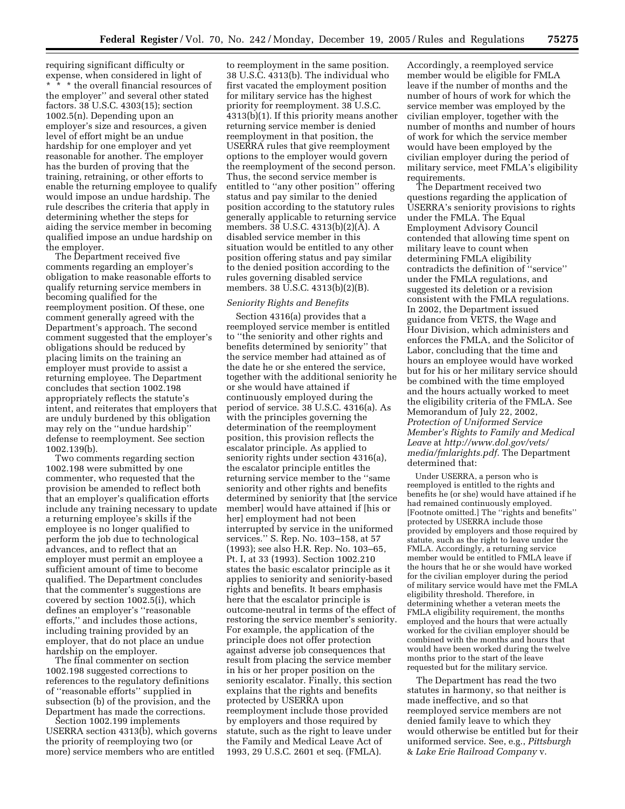requiring significant difficulty or expense, when considered in light of \* the overall financial resources of the employer'' and several other stated factors. 38 U.S.C. 4303(15); section 1002.5(n). Depending upon an employer's size and resources, a given level of effort might be an undue hardship for one employer and yet reasonable for another. The employer has the burden of proving that the training, retraining, or other efforts to enable the returning employee to qualify would impose an undue hardship. The rule describes the criteria that apply in determining whether the steps for aiding the service member in becoming qualified impose an undue hardship on the employer.

The Department received five comments regarding an employer's obligation to make reasonable efforts to qualify returning service members in becoming qualified for the reemployment position. Of these, one comment generally agreed with the Department's approach. The second comment suggested that the employer's obligations should be reduced by placing limits on the training an employer must provide to assist a returning employee. The Department concludes that section 1002.198 appropriately reflects the statute's intent, and reiterates that employers that are unduly burdened by this obligation may rely on the ''undue hardship'' defense to reemployment. See section 1002.139(b).

Two comments regarding section 1002.198 were submitted by one commenter, who requested that the provision be amended to reflect both that an employer's qualification efforts include any training necessary to update a returning employee's skills if the employee is no longer qualified to perform the job due to technological advances, and to reflect that an employer must permit an employee a sufficient amount of time to become qualified. The Department concludes that the commenter's suggestions are covered by section 1002.5(i), which defines an employer's ''reasonable efforts,'' and includes those actions, including training provided by an employer, that do not place an undue hardship on the employer.

The final commenter on section 1002.198 suggested corrections to references to the regulatory definitions of ''reasonable efforts'' supplied in subsection (b) of the provision, and the Department has made the corrections.

Section 1002.199 implements USERRA section 4313(b), which governs the priority of reemploying two (or more) service members who are entitled

to reemployment in the same position. 38 U.S.C. 4313(b). The individual who first vacated the employment position for military service has the highest priority for reemployment. 38 U.S.C. 4313(b)(1). If this priority means another returning service member is denied reemployment in that position, the USERRA rules that give reemployment options to the employer would govern the reemployment of the second person. Thus, the second service member is entitled to ''any other position'' offering status and pay similar to the denied position according to the statutory rules generally applicable to returning service members. 38 U.S.C. 4313(b)(2)(A). A disabled service member in this situation would be entitled to any other position offering status and pay similar to the denied position according to the rules governing disabled service members. 38 U.S.C. 4313(b)(2)(B).

#### *Seniority Rights and Benefits*

Section 4316(a) provides that a reemployed service member is entitled to ''the seniority and other rights and benefits determined by seniority'' that the service member had attained as of the date he or she entered the service, together with the additional seniority he or she would have attained if continuously employed during the period of service. 38 U.S.C. 4316(a). As with the principles governing the determination of the reemployment position, this provision reflects the escalator principle. As applied to seniority rights under section 4316(a), the escalator principle entitles the returning service member to the ''same seniority and other rights and benefits determined by seniority that [the service member] would have attained if [his or her] employment had not been interrupted by service in the uniformed services.'' S. Rep. No. 103–158, at 57 (1993); see also H.R. Rep. No. 103–65, Pt. I, at 33 (1993). Section 1002.210 states the basic escalator principle as it applies to seniority and seniority-based rights and benefits. It bears emphasis here that the escalator principle is outcome-neutral in terms of the effect of restoring the service member's seniority. For example, the application of the principle does not offer protection against adverse job consequences that result from placing the service member in his or her proper position on the seniority escalator. Finally, this section explains that the rights and benefits protected by USERRA upon reemployment include those provided by employers and those required by statute, such as the right to leave under the Family and Medical Leave Act of 1993, 29 U.S.C. 2601 et seq. (FMLA).

Accordingly, a reemployed service member would be eligible for FMLA leave if the number of months and the number of hours of work for which the service member was employed by the civilian employer, together with the number of months and number of hours of work for which the service member would have been employed by the civilian employer during the period of military service, meet FMLA's eligibility requirements.

The Department received two questions regarding the application of USERRA's seniority provisions to rights under the FMLA. The Equal Employment Advisory Council contended that allowing time spent on military leave to count when determining FMLA eligibility contradicts the definition of ''service'' under the FMLA regulations, and suggested its deletion or a revision consistent with the FMLA regulations. In 2002, the Department issued guidance from VETS, the Wage and Hour Division, which administers and enforces the FMLA, and the Solicitor of Labor, concluding that the time and hours an employee would have worked but for his or her military service should be combined with the time employed and the hours actually worked to meet the eligibility criteria of the FMLA. See Memorandum of July 22, 2002, *Protection of Uniformed Service Member's Rights to Family and Medical Leave* at *[http://www.dol.gov/vets/](http://www.dol.gov/vets/media/fmlarights.pdf)  media/fmlarights.pdf.* The Department determined that:

Under USERRA, a person who is reemployed is entitled to the rights and benefits he (or she) would have attained if he had remained continuously employed. [Footnote omitted.] The ''rights and benefits'' protected by USERRA include those provided by employers and those required by statute, such as the right to leave under the FMLA. Accordingly, a returning service member would be entitled to FMLA leave if the hours that he or she would have worked for the civilian employer during the period of military service would have met the FMLA eligibility threshold. Therefore, in determining whether a veteran meets the FMLA eligibility requirement, the months employed and the hours that were actually worked for the civilian employer should be combined with the months and hours that would have been worked during the twelve months prior to the start of the leave requested but for the military service.

The Department has read the two statutes in harmony, so that neither is made ineffective, and so that reemployed service members are not denied family leave to which they would otherwise be entitled but for their uniformed service. See, e.g., *Pittsburgh*  & *Lake Erie Railroad Company* v.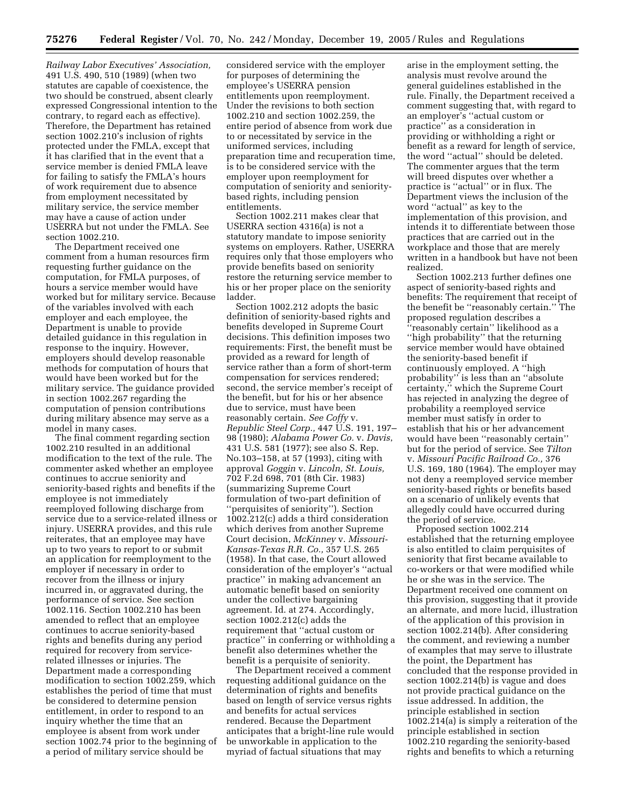*Railway Labor Executives' Association,*  491 U.S. 490, 510 (1989) (when two statutes are capable of coexistence, the two should be construed, absent clearly expressed Congressional intention to the contrary, to regard each as effective). Therefore, the Department has retained section 1002.210's inclusion of rights protected under the FMLA, except that it has clarified that in the event that a service member is denied FMLA leave for failing to satisfy the FMLA's hours of work requirement due to absence from employment necessitated by military service, the service member may have a cause of action under USERRA but not under the FMLA. See section 1002.210.

The Department received one comment from a human resources firm requesting further guidance on the computation, for FMLA purposes, of hours a service member would have worked but for military service. Because of the variables involved with each employer and each employee, the Department is unable to provide detailed guidance in this regulation in response to the inquiry. However, employers should develop reasonable methods for computation of hours that would have been worked but for the military service. The guidance provided in section 1002.267 regarding the computation of pension contributions during military absence may serve as a model in many cases.

The final comment regarding section 1002.210 resulted in an additional modification to the text of the rule. The commenter asked whether an employee continues to accrue seniority and seniority-based rights and benefits if the employee is not immediately reemployed following discharge from service due to a service-related illness or injury. USERRA provides, and this rule reiterates, that an employee may have up to two years to report to or submit an application for reemployment to the employer if necessary in order to recover from the illness or injury incurred in, or aggravated during, the performance of service. See section 1002.116. Section 1002.210 has been amended to reflect that an employee continues to accrue seniority-based rights and benefits during any period required for recovery from servicerelated illnesses or injuries. The Department made a corresponding modification to section 1002.259, which establishes the period of time that must be considered to determine pension entitlement, in order to respond to an inquiry whether the time that an employee is absent from work under section 1002.74 prior to the beginning of a period of military service should be

considered service with the employer for purposes of determining the employee's USERRA pension entitlements upon reemployment. Under the revisions to both section 1002.210 and section 1002.259, the entire period of absence from work due to or necessitated by service in the uniformed services, including preparation time and recuperation time, is to be considered service with the employer upon reemployment for computation of seniority and senioritybased rights, including pension entitlements.

Section 1002.211 makes clear that USERRA section 4316(a) is not a statutory mandate to impose seniority systems on employers. Rather, USERRA requires only that those employers who provide benefits based on seniority restore the returning service member to his or her proper place on the seniority ladder.

Section 1002.212 adopts the basic definition of seniority-based rights and benefits developed in Supreme Court decisions. This definition imposes two requirements: First, the benefit must be provided as a reward for length of service rather than a form of short-term compensation for services rendered; second, the service member's receipt of the benefit, but for his or her absence due to service, must have been reasonably certain. *See Coffy* v. *Republic Steel Corp.,* 447 U.S. 191, 197– 98 (1980); *Alabama Power Co.* v. *Davis*, 431 U.S. 581 (1977); see also S. Rep. No.103–158, at 57 (1993), citing with approval *Goggin* v. *Lincoln, St. Louis,*  702 F.2d 698, 701 (8th Cir. 1983) (summarizing Supreme Court formulation of two-part definition of ''perquisites of seniority''). Section 1002.212(c) adds a third consideration which derives from another Supreme Court decision, *McKinney* v. *Missouri-Kansas-Texas R.R. Co.,* 357 U.S. 265 (1958). In that case, the Court allowed consideration of the employer's ''actual practice'' in making advancement an automatic benefit based on seniority under the collective bargaining agreement. Id. at 274. Accordingly, section 1002.212(c) adds the requirement that ''actual custom or practice'' in conferring or withholding a benefit also determines whether the benefit is a perquisite of seniority.

The Department received a comment requesting additional guidance on the determination of rights and benefits based on length of service versus rights and benefits for actual services rendered. Because the Department anticipates that a bright-line rule would be unworkable in application to the myriad of factual situations that may

arise in the employment setting, the analysis must revolve around the general guidelines established in the rule. Finally, the Department received a comment suggesting that, with regard to an employer's ''actual custom or practice'' as a consideration in providing or withholding a right or benefit as a reward for length of service, the word ''actual'' should be deleted. The commenter argues that the term will breed disputes over whether a practice is ''actual'' or in flux. The Department views the inclusion of the word ''actual'' as key to the implementation of this provision, and intends it to differentiate between those practices that are carried out in the workplace and those that are merely written in a handbook but have not been realized.

Section 1002.213 further defines one aspect of seniority-based rights and benefits: The requirement that receipt of the benefit be ''reasonably certain.'' The proposed regulation describes a ''reasonably certain'' likelihood as a ''high probability'' that the returning service member would have obtained the seniority-based benefit if continuously employed. A ''high probability'' is less than an ''absolute certainty,'' which the Supreme Court has rejected in analyzing the degree of probability a reemployed service member must satisfy in order to establish that his or her advancement would have been ''reasonably certain'' but for the period of service. See *Tilton*  v. *Missouri Pacific Railroad Co.,* 376 U.S. 169, 180 (1964). The employer may not deny a reemployed service member seniority-based rights or benefits based on a scenario of unlikely events that allegedly could have occurred during the period of service.

Proposed section 1002.214 established that the returning employee is also entitled to claim perquisites of seniority that first became available to co-workers or that were modified while he or she was in the service. The Department received one comment on this provision, suggesting that it provide an alternate, and more lucid, illustration of the application of this provision in section 1002.214(b). After considering the comment, and reviewing a number of examples that may serve to illustrate the point, the Department has concluded that the response provided in section 1002.214(b) is vague and does not provide practical guidance on the issue addressed. In addition, the principle established in section 1002.214(a) is simply a reiteration of the principle established in section 1002.210 regarding the seniority-based rights and benefits to which a returning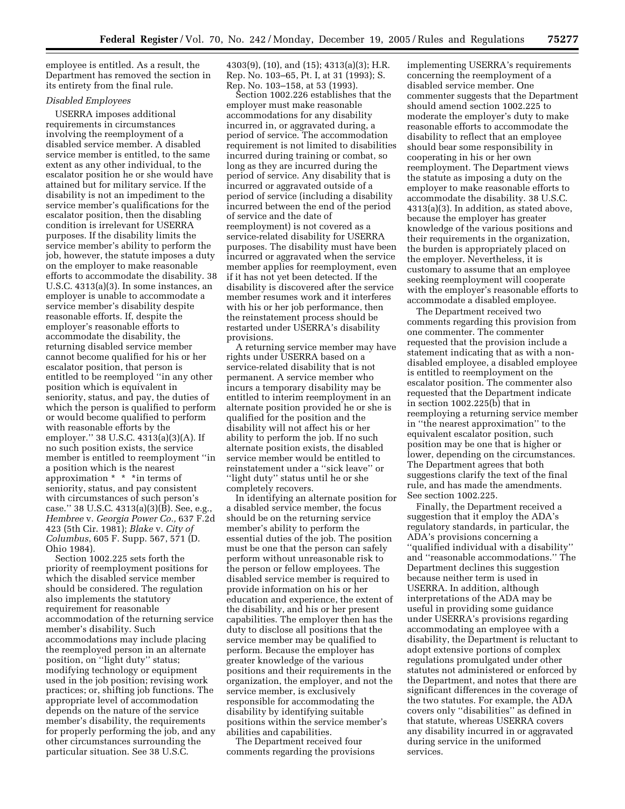employee is entitled. As a result, the Department has removed the section in its entirety from the final rule.

# *Disabled Employees*

USERRA imposes additional requirements in circumstances involving the reemployment of a disabled service member. A disabled service member is entitled, to the same extent as any other individual, to the escalator position he or she would have attained but for military service. If the disability is not an impediment to the service member's qualifications for the escalator position, then the disabling condition is irrelevant for USERRA purposes. If the disability limits the service member's ability to perform the job, however, the statute imposes a duty on the employer to make reasonable efforts to accommodate the disability. 38 U.S.C. 4313(a)(3). In some instances, an employer is unable to accommodate a service member's disability despite reasonable efforts. If, despite the employer's reasonable efforts to accommodate the disability, the returning disabled service member cannot become qualified for his or her escalator position, that person is entitled to be reemployed ''in any other position which is equivalent in seniority, status, and pay, the duties of which the person is qualified to perform or would become qualified to perform with reasonable efforts by the employer.'' 38 U.S.C. 4313(a)(3)(A). If no such position exists, the service member is entitled to reemployment ''in a position which is the nearest approximation  $* * *in terms of$ seniority, status, and pay consistent with circumstances of such person's case.'' 38 U.S.C. 4313(a)(3)(B). See, e.g., *Hembree* v. *Georgia Power Co.,* 637 F.2d 423 (5th Cir. 1981); *Blake* v. *City of Columbus*, 605 F. Supp. 567, 571 (D. Ohio 1984).

Section 1002.225 sets forth the priority of reemployment positions for which the disabled service member should be considered. The regulation also implements the statutory requirement for reasonable accommodation of the returning service member's disability. Such accommodations may include placing the reemployed person in an alternate position, on ''light duty'' status; modifying technology or equipment used in the job position; revising work practices; or, shifting job functions. The appropriate level of accommodation depends on the nature of the service member's disability, the requirements for properly performing the job, and any other circumstances surrounding the particular situation. See 38 U.S.C.

4303(9), (10), and (15); 4313(a)(3); H.R. Rep. No. 103–65, Pt. I, at 31 (1993); S. Rep. No. 103–158, at 53 (1993).

Section 1002.226 establishes that the employer must make reasonable accommodations for any disability incurred in, or aggravated during, a period of service. The accommodation requirement is not limited to disabilities incurred during training or combat, so long as they are incurred during the period of service. Any disability that is incurred or aggravated outside of a period of service (including a disability incurred between the end of the period of service and the date of reemployment) is not covered as a service-related disability for USERRA purposes. The disability must have been incurred or aggravated when the service member applies for reemployment, even if it has not yet been detected. If the disability is discovered after the service member resumes work and it interferes with his or her job performance, then the reinstatement process should be restarted under USERRA's disability provisions.

A returning service member may have rights under USERRA based on a service-related disability that is not permanent. A service member who incurs a temporary disability may be entitled to interim reemployment in an alternate position provided he or she is qualified for the position and the disability will not affect his or her ability to perform the job. If no such alternate position exists, the disabled service member would be entitled to reinstatement under a ''sick leave'' or ''light duty'' status until he or she completely recovers.

In identifying an alternate position for a disabled service member, the focus should be on the returning service member's ability to perform the essential duties of the job. The position must be one that the person can safely perform without unreasonable risk to the person or fellow employees. The disabled service member is required to provide information on his or her education and experience, the extent of the disability, and his or her present capabilities. The employer then has the duty to disclose all positions that the service member may be qualified to perform. Because the employer has greater knowledge of the various positions and their requirements in the organization, the employer, and not the service member, is exclusively responsible for accommodating the disability by identifying suitable positions within the service member's abilities and capabilities.

The Department received four comments regarding the provisions implementing USERRA's requirements concerning the reemployment of a disabled service member. One commenter suggests that the Department should amend section 1002.225 to moderate the employer's duty to make reasonable efforts to accommodate the disability to reflect that an employee should bear some responsibility in cooperating in his or her own reemployment. The Department views the statute as imposing a duty on the employer to make reasonable efforts to accommodate the disability. 38 U.S.C. 4313(a)(3). In addition, as stated above, because the employer has greater knowledge of the various positions and their requirements in the organization, the burden is appropriately placed on the employer. Nevertheless, it is customary to assume that an employee seeking reemployment will cooperate with the employer's reasonable efforts to accommodate a disabled employee.

The Department received two comments regarding this provision from one commenter. The commenter requested that the provision include a statement indicating that as with a nondisabled employee, a disabled employee is entitled to reemployment on the escalator position. The commenter also requested that the Department indicate in section 1002.225(b) that in reemploying a returning service member in ''the nearest approximation'' to the equivalent escalator position, such position may be one that is higher or lower, depending on the circumstances. The Department agrees that both suggestions clarify the text of the final rule, and has made the amendments. See section 1002.225.

Finally, the Department received a suggestion that it employ the ADA's regulatory standards, in particular, the ADA's provisions concerning a ''qualified individual with a disability'' and ''reasonable accommodations.'' The Department declines this suggestion because neither term is used in USERRA. In addition, although interpretations of the ADA may be useful in providing some guidance under USERRA's provisions regarding accommodating an employee with a disability, the Department is reluctant to adopt extensive portions of complex regulations promulgated under other statutes not administered or enforced by the Department, and notes that there are significant differences in the coverage of the two statutes. For example, the ADA covers only ''disabilities'' as defined in that statute, whereas USERRA covers any disability incurred in or aggravated during service in the uniformed services.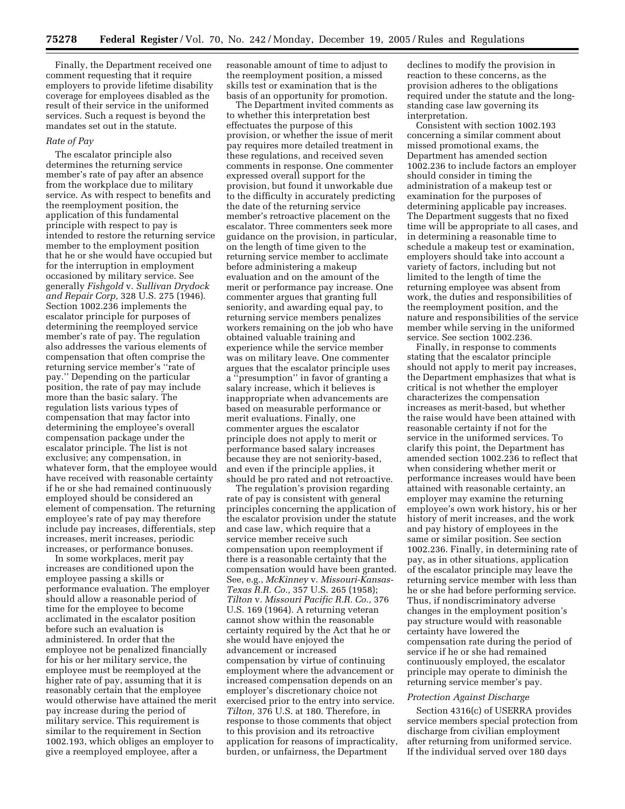Finally, the Department received one comment requesting that it require employers to provide lifetime disability coverage for employees disabled as the result of their service in the uniformed services. Such a request is beyond the mandates set out in the statute.

# *Rate of Pay*

The escalator principle also determines the returning service member's rate of pay after an absence from the workplace due to military service. As with respect to benefits and the reemployment position, the application of this fundamental principle with respect to pay is intended to restore the returning service member to the employment position that he or she would have occupied but for the interruption in employment occasioned by military service. See generally *Fishgold* v. *Sullivan Drydock and Repair Corp,* 328 U.S. 275 (1946). Section 1002.236 implements the escalator principle for purposes of determining the reemployed service member's rate of pay. The regulation also addresses the various elements of compensation that often comprise the returning service member's ''rate of pay.'' Depending on the particular position, the rate of pay may include more than the basic salary. The regulation lists various types of compensation that may factor into determining the employee's overall compensation package under the escalator principle. The list is not exclusive; any compensation, in whatever form, that the employee would have received with reasonable certainty if he or she had remained continuously employed should be considered an element of compensation. The returning employee's rate of pay may therefore include pay increases, differentials, step increases, merit increases, periodic increases, or performance bonuses.

In some workplaces, merit pay increases are conditioned upon the employee passing a skills or performance evaluation. The employer should allow a reasonable period of time for the employee to become acclimated in the escalator position before such an evaluation is administered. In order that the employee not be penalized financially for his or her military service, the employee must be reemployed at the higher rate of pay, assuming that it is reasonably certain that the employee would otherwise have attained the merit pay increase during the period of military service. This requirement is similar to the requirement in Section 1002.193, which obliges an employer to give a reemployed employee, after a

reasonable amount of time to adjust to the reemployment position, a missed skills test or examination that is the basis of an opportunity for promotion.

The Department invited comments as to whether this interpretation best effectuates the purpose of this provision, or whether the issue of merit pay requires more detailed treatment in these regulations, and received seven comments in response. One commenter expressed overall support for the provision, but found it unworkable due to the difficulty in accurately predicting the date of the returning service member's retroactive placement on the escalator. Three commenters seek more guidance on the provision, in particular, on the length of time given to the returning service member to acclimate before administering a makeup evaluation and on the amount of the merit or performance pay increase. One commenter argues that granting full seniority, and awarding equal pay, to returning service members penalizes workers remaining on the job who have obtained valuable training and experience while the service member was on military leave. One commenter argues that the escalator principle uses a ''presumption'' in favor of granting a salary increase, which it believes is inappropriate when advancements are based on measurable performance or merit evaluations. Finally, one commenter argues the escalator principle does not apply to merit or performance based salary increases because they are not seniority-based, and even if the principle applies, it should be pro rated and not retroactive.

The regulation's provision regarding rate of pay is consistent with general principles concerning the application of the escalator provision under the statute and case law, which require that a service member receive such compensation upon reemployment if there is a reasonable certainty that the compensation would have been granted. See, e.g., *McKinney* v. *Missouri-Kansas-Texas R.R. Co.,* 357 U.S. 265 (1958); *Tilton* v. *Missouri Pacific R.R. Co.,* 376 U.S. 169 (1964). A returning veteran cannot show within the reasonable certainty required by the Act that he or she would have enjoyed the advancement or increased compensation by virtue of continuing employment where the advancement or increased compensation depends on an employer's discretionary choice not exercised prior to the entry into service. *Tilton,* 376 U.S. at 180. Therefore, in response to those comments that object to this provision and its retroactive application for reasons of impracticality, burden, or unfairness, the Department

declines to modify the provision in reaction to these concerns, as the provision adheres to the obligations required under the statute and the longstanding case law governing its interpretation.

Consistent with section 1002.193 concerning a similar comment about missed promotional exams, the Department has amended section 1002.236 to include factors an employer should consider in timing the administration of a makeup test or examination for the purposes of determining applicable pay increases. The Department suggests that no fixed time will be appropriate to all cases, and in determining a reasonable time to schedule a makeup test or examination, employers should take into account a variety of factors, including but not limited to the length of time the returning employee was absent from work, the duties and responsibilities of the reemployment position, and the nature and responsibilities of the service member while serving in the uniformed service. See section 1002.236.

Finally, in response to comments stating that the escalator principle should not apply to merit pay increases, the Department emphasizes that what is critical is not whether the employer characterizes the compensation increases as merit-based, but whether the raise would have been attained with reasonable certainty if not for the service in the uniformed services. To clarify this point, the Department has amended section 1002.236 to reflect that when considering whether merit or performance increases would have been attained with reasonable certainty, an employer may examine the returning employee's own work history, his or her history of merit increases, and the work and pay history of employees in the same or similar position. See section 1002.236. Finally, in determining rate of pay, as in other situations, application of the escalator principle may leave the returning service member with less than he or she had before performing service. Thus, if nondiscriminatory adverse changes in the employment position's pay structure would with reasonable certainty have lowered the compensation rate during the period of service if he or she had remained continuously employed, the escalator principle may operate to diminish the returning service member's pay.

#### *Protection Against Discharge*

Section 4316(c) of USERRA provides service members special protection from discharge from civilian employment after returning from uniformed service. If the individual served over 180 days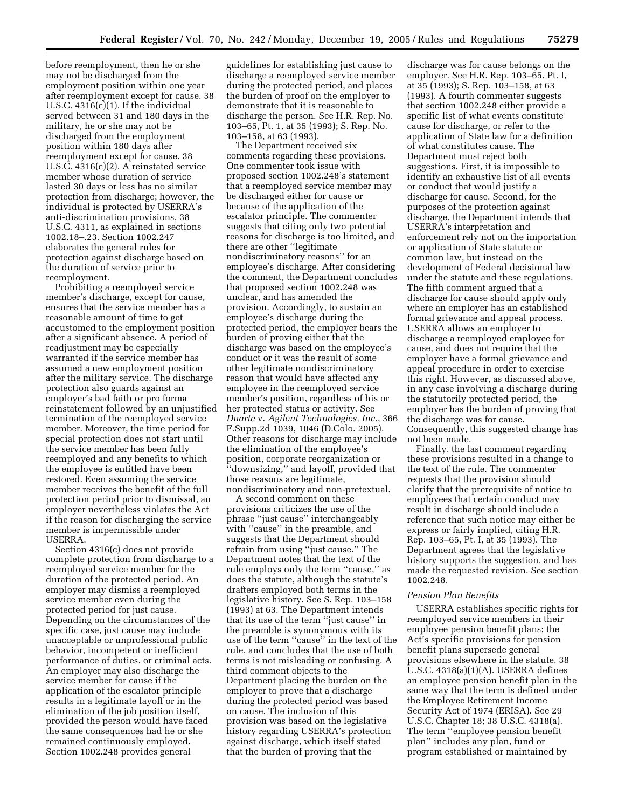before reemployment, then he or she may not be discharged from the employment position within one year after reemployment except for cause. 38 U.S.C.  $4316(c)(1)$ . If the individual served between 31 and 180 days in the military, he or she may not be discharged from the employment position within 180 days after reemployment except for cause. 38 U.S.C. 4316(c)(2). A reinstated service member whose duration of service lasted 30 days or less has no similar protection from discharge; however, the individual is protected by USERRA's anti-discrimination provisions, 38 U.S.C. 4311, as explained in sections 1002.18–.23. Section 1002.247 elaborates the general rules for protection against discharge based on the duration of service prior to reemployment.

Prohibiting a reemployed service member's discharge, except for cause, ensures that the service member has a reasonable amount of time to get accustomed to the employment position after a significant absence. A period of readjustment may be especially warranted if the service member has assumed a new employment position after the military service. The discharge protection also guards against an employer's bad faith or pro forma reinstatement followed by an unjustified termination of the reemployed service member. Moreover, the time period for special protection does not start until the service member has been fully reemployed and any benefits to which the employee is entitled have been restored. Even assuming the service member receives the benefit of the full protection period prior to dismissal, an employer nevertheless violates the Act if the reason for discharging the service member is impermissible under USERRA.

Section 4316(c) does not provide complete protection from discharge to a reemployed service member for the duration of the protected period. An employer may dismiss a reemployed service member even during the protected period for just cause. Depending on the circumstances of the specific case, just cause may include unacceptable or unprofessional public behavior, incompetent or inefficient performance of duties, or criminal acts. An employer may also discharge the service member for cause if the application of the escalator principle results in a legitimate layoff or in the elimination of the job position itself, provided the person would have faced the same consequences had he or she remained continuously employed. Section 1002.248 provides general

guidelines for establishing just cause to discharge a reemployed service member during the protected period, and places the burden of proof on the employer to demonstrate that it is reasonable to discharge the person. See H.R. Rep. No. 103–65, Pt. 1, at 35 (1993); S. Rep. No. 103–158, at 63 (1993).

The Department received six comments regarding these provisions. One commenter took issue with proposed section 1002.248's statement that a reemployed service member may be discharged either for cause or because of the application of the escalator principle. The commenter suggests that citing only two potential reasons for discharge is too limited, and there are other ''legitimate nondiscriminatory reasons'' for an employee's discharge. After considering the comment, the Department concludes that proposed section 1002.248 was unclear, and has amended the provision. Accordingly, to sustain an employee's discharge during the protected period, the employer bears the burden of proving either that the discharge was based on the employee's conduct or it was the result of some other legitimate nondiscriminatory reason that would have affected any employee in the reemployed service member's position, regardless of his or her protected status or activity. See *Duarte* v. *Agilent Technologies, Inc.*, 366 F.Supp.2d 1039, 1046 (D.Colo. 2005). Other reasons for discharge may include the elimination of the employee's position, corporate reorganization or ''downsizing,'' and layoff, provided that those reasons are legitimate, nondiscriminatory and non-pretextual.

A second comment on these provisions criticizes the use of the phrase ''just cause'' interchangeably with ''cause'' in the preamble, and suggests that the Department should refrain from using ''just cause.'' The Department notes that the text of the rule employs only the term "cause," as does the statute, although the statute's drafters employed both terms in the legislative history. See S. Rep. 103–158 (1993) at 63. The Department intends that its use of the term ''just cause'' in the preamble is synonymous with its use of the term ''cause'' in the text of the rule, and concludes that the use of both terms is not misleading or confusing. A third comment objects to the Department placing the burden on the employer to prove that a discharge during the protected period was based on cause. The inclusion of this provision was based on the legislative history regarding USERRA's protection against discharge, which itself stated that the burden of proving that the

discharge was for cause belongs on the employer. See H.R. Rep. 103–65, Pt. I, at 35 (1993); S. Rep. 103–158, at 63 (1993). A fourth commenter suggests that section 1002.248 either provide a specific list of what events constitute cause for discharge, or refer to the application of State law for a definition of what constitutes cause. The Department must reject both suggestions. First, it is impossible to identify an exhaustive list of all events or conduct that would justify a discharge for cause. Second, for the purposes of the protection against discharge, the Department intends that USERRA's interpretation and enforcement rely not on the importation or application of State statute or common law, but instead on the development of Federal decisional law under the statute and these regulations. The fifth comment argued that a discharge for cause should apply only where an employer has an established formal grievance and appeal process. USERRA allows an employer to discharge a reemployed employee for cause, and does not require that the employer have a formal grievance and appeal procedure in order to exercise this right. However, as discussed above, in any case involving a discharge during the statutorily protected period, the employer has the burden of proving that the discharge was for cause. Consequently, this suggested change has not been made.

Finally, the last comment regarding these provisions resulted in a change to the text of the rule. The commenter requests that the provision should clarify that the prerequisite of notice to employees that certain conduct may result in discharge should include a reference that such notice may either be express or fairly implied, citing H.R. Rep. 103–65, Pt. I, at 35 (1993). The Department agrees that the legislative history supports the suggestion, and has made the requested revision. See section 1002.248.

#### *Pension Plan Benefits*

USERRA establishes specific rights for reemployed service members in their employee pension benefit plans; the Act's specific provisions for pension benefit plans supersede general provisions elsewhere in the statute. 38 U.S.C. 4318(a)(1)(A). USERRA defines an employee pension benefit plan in the same way that the term is defined under the Employee Retirement Income Security Act of 1974 (ERISA). See 29 U.S.C. Chapter 18; 38 U.S.C. 4318(a). The term ''employee pension benefit plan'' includes any plan, fund or program established or maintained by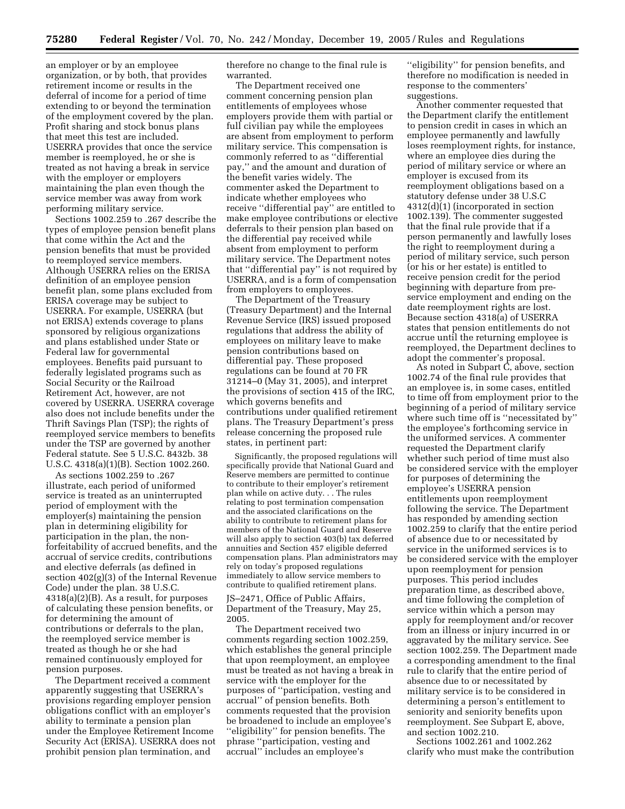an employer or by an employee organization, or by both, that provides retirement income or results in the deferral of income for a period of time extending to or beyond the termination of the employment covered by the plan. Profit sharing and stock bonus plans that meet this test are included. USERRA provides that once the service member is reemployed, he or she is treated as not having a break in service with the employer or employers maintaining the plan even though the service member was away from work performing military service.

Sections 1002.259 to .267 describe the types of employee pension benefit plans that come within the Act and the pension benefits that must be provided to reemployed service members. Although USERRA relies on the ERISA definition of an employee pension benefit plan, some plans excluded from ERISA coverage may be subject to USERRA. For example, USERRA (but not ERISA) extends coverage to plans sponsored by religious organizations and plans established under State or Federal law for governmental employees. Benefits paid pursuant to federally legislated programs such as Social Security or the Railroad Retirement Act, however, are not covered by USERRA. USERRA coverage also does not include benefits under the Thrift Savings Plan (TSP); the rights of reemployed service members to benefits under the TSP are governed by another Federal statute. See 5 U.S.C. 8432b. 38 U.S.C. 4318(a)(1)(B). Section 1002.260.

As sections 1002.259 to .267 illustrate, each period of uniformed service is treated as an uninterrupted period of employment with the employer(s) maintaining the pension plan in determining eligibility for participation in the plan, the nonforfeitability of accrued benefits, and the accrual of service credits, contributions and elective deferrals (as defined in section 402(g)(3) of the Internal Revenue Code) under the plan. 38 U.S.C. 4318(a)(2)(B). As a result, for purposes of calculating these pension benefits, or for determining the amount of contributions or deferrals to the plan, the reemployed service member is treated as though he or she had remained continuously employed for pension purposes.

The Department received a comment apparently suggesting that USERRA's provisions regarding employer pension obligations conflict with an employer's ability to terminate a pension plan under the Employee Retirement Income Security Act (ERISA). USERRA does not prohibit pension plan termination, and

therefore no change to the final rule is warranted.

The Department received one comment concerning pension plan entitlements of employees whose employers provide them with partial or full civilian pay while the employees are absent from employment to perform military service. This compensation is commonly referred to as ''differential pay,'' and the amount and duration of the benefit varies widely. The commenter asked the Department to indicate whether employees who receive ''differential pay'' are entitled to make employee contributions or elective deferrals to their pension plan based on the differential pay received while absent from employment to perform military service. The Department notes that ''differential pay'' is not required by USERRA, and is a form of compensation from employers to employees.

The Department of the Treasury (Treasury Department) and the Internal Revenue Service (IRS) issued proposed regulations that address the ability of employees on military leave to make pension contributions based on differential pay. These proposed regulations can be found at 70 FR 31214–0 (May 31, 2005), and interpret the provisions of section 415 of the IRC, which governs benefits and contributions under qualified retirement plans. The Treasury Department's press release concerning the proposed rule states, in pertinent part:

Significantly, the proposed regulations will specifically provide that National Guard and Reserve members are permitted to continue to contribute to their employer's retirement plan while on active duty. . . The rules relating to post termination compensation and the associated clarifications on the ability to contribute to retirement plans for members of the National Guard and Reserve will also apply to section 403(b) tax deferred annuities and Section 457 eligible deferred compensation plans. Plan administrators may rely on today's proposed regulations immediately to allow service members to contribute to qualified retirement plans.

JS–2471, Office of Public Affairs, Department of the Treasury, May 25, 2005.

The Department received two comments regarding section 1002.259, which establishes the general principle that upon reemployment, an employee must be treated as not having a break in service with the employer for the purposes of ''participation, vesting and accrual'' of pension benefits. Both comments requested that the provision be broadened to include an employee's ''eligibility'' for pension benefits. The phrase ''participation, vesting and accrual'' includes an employee's

''eligibility'' for pension benefits, and therefore no modification is needed in response to the commenters' suggestions.

Another commenter requested that the Department clarify the entitlement to pension credit in cases in which an employee permanently and lawfully loses reemployment rights, for instance, where an employee dies during the period of military service or where an employer is excused from its reemployment obligations based on a statutory defense under 38 U.S.C 4312(d)(1) (incorporated in section 1002.139). The commenter suggested that the final rule provide that if a person permanently and lawfully loses the right to reemployment during a period of military service, such person (or his or her estate) is entitled to receive pension credit for the period beginning with departure from preservice employment and ending on the date reemployment rights are lost. Because section 4318(a) of USERRA states that pension entitlements do not accrue until the returning employee is reemployed, the Department declines to adopt the commenter's proposal.

As noted in Subpart C, above, section 1002.74 of the final rule provides that an employee is, in some cases, entitled to time off from employment prior to the beginning of a period of military service where such time off is ''necessitated by'' the employee's forthcoming service in the uniformed services. A commenter requested the Department clarify whether such period of time must also be considered service with the employer for purposes of determining the employee's USERRA pension entitlements upon reemployment following the service. The Department has responded by amending section 1002.259 to clarify that the entire period of absence due to or necessitated by service in the uniformed services is to be considered service with the employer upon reemployment for pension purposes. This period includes preparation time, as described above, and time following the completion of service within which a person may apply for reemployment and/or recover from an illness or injury incurred in or aggravated by the military service. See section 1002.259. The Department made a corresponding amendment to the final rule to clarify that the entire period of absence due to or necessitated by military service is to be considered in determining a person's entitlement to seniority and seniority benefits upon reemployment. See Subpart E, above, and section 1002.210.

Sections 1002.261 and 1002.262 clarify who must make the contribution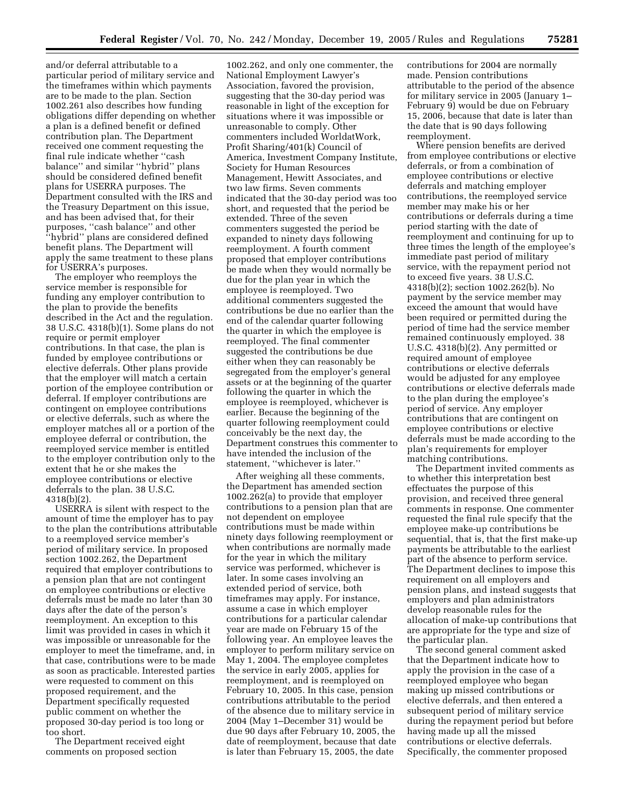and/or deferral attributable to a particular period of military service and the timeframes within which payments are to be made to the plan. Section 1002.261 also describes how funding obligations differ depending on whether a plan is a defined benefit or defined contribution plan. The Department received one comment requesting the final rule indicate whether ''cash balance'' and similar ''hybrid'' plans should be considered defined benefit plans for USERRA purposes. The Department consulted with the IRS and the Treasury Department on this issue, and has been advised that, for their purposes, ''cash balance'' and other ''hybrid'' plans are considered defined benefit plans. The Department will apply the same treatment to these plans for USERRA's purposes.

The employer who reemploys the service member is responsible for funding any employer contribution to the plan to provide the benefits described in the Act and the regulation. 38 U.S.C. 4318(b)(1). Some plans do not require or permit employer contributions. In that case, the plan is funded by employee contributions or elective deferrals. Other plans provide that the employer will match a certain portion of the employee contribution or deferral. If employer contributions are contingent on employee contributions or elective deferrals, such as where the employer matches all or a portion of the employee deferral or contribution, the reemployed service member is entitled to the employer contribution only to the extent that he or she makes the employee contributions or elective deferrals to the plan. 38 U.S.C. 4318(b)(2).

USERRA is silent with respect to the amount of time the employer has to pay to the plan the contributions attributable to a reemployed service member's period of military service. In proposed section 1002.262, the Department required that employer contributions to a pension plan that are not contingent on employee contributions or elective deferrals must be made no later than 30 days after the date of the person's reemployment. An exception to this limit was provided in cases in which it was impossible or unreasonable for the employer to meet the timeframe, and, in that case, contributions were to be made as soon as practicable. Interested parties were requested to comment on this proposed requirement, and the Department specifically requested public comment on whether the proposed 30-day period is too long or too short.

The Department received eight comments on proposed section

1002.262, and only one commenter, the National Employment Lawyer's Association, favored the provision, suggesting that the 30-day period was reasonable in light of the exception for situations where it was impossible or unreasonable to comply. Other commenters included WorldatWork, Profit Sharing/401(k) Council of America, Investment Company Institute, Society for Human Resources Management, Hewitt Associates, and two law firms. Seven comments indicated that the 30-day period was too short, and requested that the period be extended. Three of the seven commenters suggested the period be expanded to ninety days following reemployment. A fourth comment proposed that employer contributions be made when they would normally be due for the plan year in which the employee is reemployed. Two additional commenters suggested the contributions be due no earlier than the end of the calendar quarter following the quarter in which the employee is reemployed. The final commenter suggested the contributions be due either when they can reasonably be segregated from the employer's general assets or at the beginning of the quarter following the quarter in which the employee is reemployed, whichever is earlier. Because the beginning of the quarter following reemployment could conceivably be the next day, the Department construes this commenter to have intended the inclusion of the statement, ''whichever is later.''

After weighing all these comments, the Department has amended section 1002.262(a) to provide that employer contributions to a pension plan that are not dependent on employee contributions must be made within ninety days following reemployment or when contributions are normally made for the year in which the military service was performed, whichever is later. In some cases involving an extended period of service, both timeframes may apply. For instance, assume a case in which employer contributions for a particular calendar year are made on February 15 of the following year. An employee leaves the employer to perform military service on May 1, 2004. The employee completes the service in early 2005, applies for reemployment, and is reemployed on February 10, 2005. In this case, pension contributions attributable to the period of the absence due to military service in 2004 (May 1–December 31) would be due 90 days after February 10, 2005, the date of reemployment, because that date is later than February 15, 2005, the date

contributions for 2004 are normally made. Pension contributions attributable to the period of the absence for military service in 2005 (January 1– February 9) would be due on February 15, 2006, because that date is later than the date that is 90 days following reemployment.

Where pension benefits are derived from employee contributions or elective deferrals, or from a combination of employee contributions or elective deferrals and matching employer contributions, the reemployed service member may make his or her contributions or deferrals during a time period starting with the date of reemployment and continuing for up to three times the length of the employee's immediate past period of military service, with the repayment period not to exceed five years. 38 U.S.C. 4318(b)(2); section 1002.262(b). No payment by the service member may exceed the amount that would have been required or permitted during the period of time had the service member remained continuously employed. 38 U.S.C. 4318(b)(2). Any permitted or required amount of employee contributions or elective deferrals would be adjusted for any employee contributions or elective deferrals made to the plan during the employee's period of service. Any employer contributions that are contingent on employee contributions or elective deferrals must be made according to the plan's requirements for employer matching contributions.

The Department invited comments as to whether this interpretation best effectuates the purpose of this provision, and received three general comments in response. One commenter requested the final rule specify that the employee make-up contributions be sequential, that is, that the first make-up payments be attributable to the earliest part of the absence to perform service. The Department declines to impose this requirement on all employers and pension plans, and instead suggests that employers and plan administrators develop reasonable rules for the allocation of make-up contributions that are appropriate for the type and size of the particular plan.

The second general comment asked that the Department indicate how to apply the provision in the case of a reemployed employee who began making up missed contributions or elective deferrals, and then entered a subsequent period of military service during the repayment period but before having made up all the missed contributions or elective deferrals. Specifically, the commenter proposed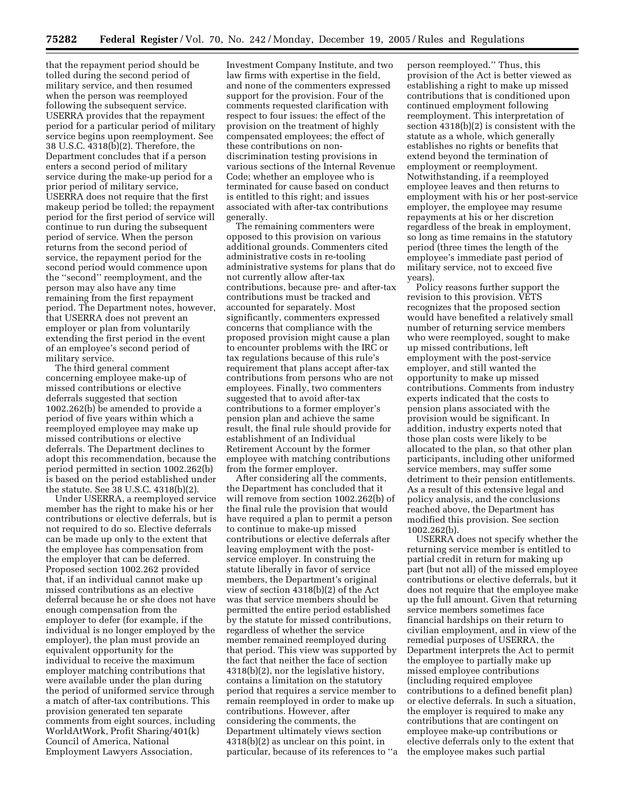that the repayment period should be tolled during the second period of military service, and then resumed when the person was reemployed following the subsequent service. USERRA provides that the repayment period for a particular period of military service begins upon reemployment. See 38 U.S.C. 4318(b)(2). Therefore, the Department concludes that if a person enters a second period of military service during the make-up period for a prior period of military service, USERRA does not require that the first makeup period be tolled; the repayment period for the first period of service will continue to run during the subsequent period of service. When the person returns from the second period of service, the repayment period for the second period would commence upon the ''second'' reemployment, and the person may also have any time remaining from the first repayment period. The Department notes, however, that USERRA does not prevent an employer or plan from voluntarily extending the first period in the event of an employee's second period of military service.

The third general comment concerning employee make-up of missed contributions or elective deferrals suggested that section 1002.262(b) be amended to provide a period of five years within which a reemployed employee may make up missed contributions or elective deferrals. The Department declines to adopt this recommendation, because the period permitted in section 1002.262(b) is based on the period established under the statute. See 38 U.S.C. 4318(b)(2).

Under USERRA, a reemployed service member has the right to make his or her contributions or elective deferrals, but is not required to do so. Elective deferrals can be made up only to the extent that the employee has compensation from the employer that can be deferred. Proposed section 1002.262 provided that, if an individual cannot make up missed contributions as an elective deferral because he or she does not have enough compensation from the employer to defer (for example, if the individual is no longer employed by the employer), the plan must provide an equivalent opportunity for the individual to receive the maximum employer matching contributions that were available under the plan during the period of uniformed service through a match of after-tax contributions. This provision generated ten separate comments from eight sources, including WorldAtWork, Profit Sharing/401(k) Council of America, National Employment Lawyers Association,

Investment Company Institute, and two law firms with expertise in the field, and none of the commenters expressed support for the provision. Four of the comments requested clarification with respect to four issues: the effect of the provision on the treatment of highly compensated employees; the effect of these contributions on nondiscrimination testing provisions in various sections of the Internal Revenue Code; whether an employee who is terminated for cause based on conduct is entitled to this right; and issues associated with after-tax contributions generally.

The remaining commenters were opposed to this provision on various additional grounds. Commenters cited administrative costs in re-tooling administrative systems for plans that do not currently allow after-tax contributions, because pre- and after-tax contributions must be tracked and accounted for separately. Most significantly, commenters expressed concerns that compliance with the proposed provision might cause a plan to encounter problems with the IRC or tax regulations because of this rule's requirement that plans accept after-tax contributions from persons who are not employees. Finally, two commenters suggested that to avoid after-tax contributions to a former employer's pension plan and achieve the same result, the final rule should provide for establishment of an Individual Retirement Account by the former employee with matching contributions from the former employer.

After considering all the comments, the Department has concluded that it will remove from section 1002.262(b) of the final rule the provision that would have required a plan to permit a person to continue to make-up missed contributions or elective deferrals after leaving employment with the postservice employer. In construing the statute liberally in favor of service members, the Department's original view of section 4318(b)(2) of the Act was that service members should be permitted the entire period established by the statute for missed contributions, regardless of whether the service member remained reemployed during that period. This view was supported by the fact that neither the face of section 4318(b)(2), nor the legislative history, contains a limitation on the statutory period that requires a service member to remain reemployed in order to make up contributions. However, after considering the comments, the Department ultimately views section 4318(b)(2) as unclear on this point, in particular, because of its references to ''a

person reemployed.'' Thus, this provision of the Act is better viewed as establishing a right to make up missed contributions that is conditioned upon continued employment following reemployment. This interpretation of section 4318(b)(2) is consistent with the statute as a whole, which generally establishes no rights or benefits that extend beyond the termination of employment or reemployment. Notwithstanding, if a reemployed employee leaves and then returns to employment with his or her post-service employer, the employee may resume repayments at his or her discretion regardless of the break in employment, so long as time remains in the statutory period (three times the length of the employee's immediate past period of military service, not to exceed five years).

Policy reasons further support the revision to this provision. VETS recognizes that the proposed section would have benefited a relatively small number of returning service members who were reemployed, sought to make up missed contributions, left employment with the post-service employer, and still wanted the opportunity to make up missed contributions. Comments from industry experts indicated that the costs to pension plans associated with the provision would be significant. In addition, industry experts noted that those plan costs were likely to be allocated to the plan, so that other plan participants, including other uniformed service members, may suffer some detriment to their pension entitlements. As a result of this extensive legal and policy analysis, and the conclusions reached above, the Department has modified this provision. See section 1002.262(b).

USERRA does not specify whether the returning service member is entitled to partial credit in return for making up part (but not all) of the missed employee contributions or elective deferrals, but it does not require that the employee make up the full amount. Given that returning service members sometimes face financial hardships on their return to civilian employment, and in view of the remedial purposes of USERRA, the Department interprets the Act to permit the employee to partially make up missed employee contributions (including required employee contributions to a defined benefit plan) or elective deferrals. In such a situation, the employer is required to make any contributions that are contingent on employee make-up contributions or elective deferrals only to the extent that the employee makes such partial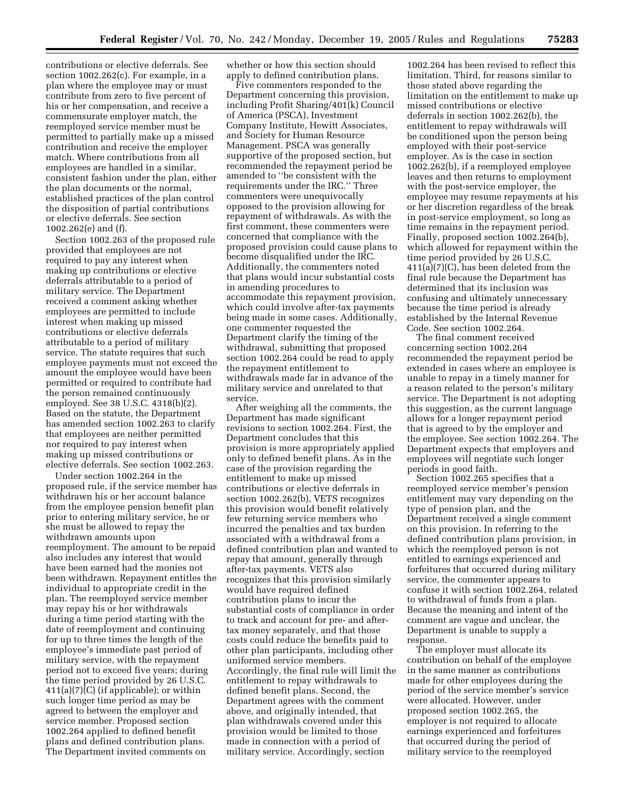contributions or elective deferrals. See section 1002.262(c). For example, in a plan where the employee may or must contribute from zero to five percent of his or her compensation, and receive a commensurate employer match, the reemployed service member must be permitted to partially make up a missed contribution and receive the employer match. Where contributions from all employees are handled in a similar, consistent fashion under the plan, either the plan documents or the normal, established practices of the plan control the disposition of partial contributions or elective deferrals. See section 1002.262(e) and (f).

Section 1002.263 of the proposed rule provided that employees are not required to pay any interest when making up contributions or elective deferrals attributable to a period of military service. The Department received a comment asking whether employees are permitted to include interest when making up missed contributions or elective deferrals attributable to a period of military service. The statute requires that such employee payments must not exceed the amount the employee would have been permitted or required to contribute had the person remained continuously employed. See 38 U.S.C. 4318(b)(2). Based on the statute, the Department has amended section 1002.263 to clarify that employees are neither permitted nor required to pay interest when making up missed contributions or elective deferrals. See section 1002.263.

Under section 1002.264 in the proposed rule, if the service member has withdrawn his or her account balance from the employee pension benefit plan prior to entering military service, he or she must be allowed to repay the withdrawn amounts upon reemployment. The amount to be repaid also includes any interest that would have been earned had the monies not been withdrawn. Repayment entitles the individual to appropriate credit in the plan. The reemployed service member may repay his or her withdrawals during a time period starting with the date of reemployment and continuing for up to three times the length of the employee's immediate past period of military service, with the repayment period not to exceed five years; during the time period provided by 26 U.S.C. 411(a)(7)(C) (if applicable); or within such longer time period as may be agreed to between the employer and service member. Proposed section 1002.264 applied to defined benefit plans and defined contribution plans. The Department invited comments on

whether or how this section should apply to defined contribution plans.

Five commenters responded to the Department concerning this provision, including Profit Sharing/401(k) Council of America (PSCA), Investment Company Institute, Hewitt Associates, and Society for Human Resource Management. PSCA was generally supportive of the proposed section, but recommended the repayment period be amended to ''be consistent with the requirements under the IRC.'' Three commenters were unequivocally opposed to the provision allowing for repayment of withdrawals. As with the first comment, these commenters were concerned that compliance with the proposed provision could cause plans to become disqualified under the IRC. Additionally, the commenters noted that plans would incur substantial costs in amending procedures to accommodate this repayment provision, which could involve after-tax payments being made in some cases. Additionally, one commenter requested the Department clarify the timing of the withdrawal, submitting that proposed section 1002.264 could be read to apply the repayment entitlement to withdrawals made far in advance of the military service and unrelated to that service.

After weighing all the comments, the Department has made significant revisions to section 1002.264. First, the Department concludes that this provision is more appropriately applied only to defined benefit plans. As in the case of the provision regarding the entitlement to make up missed contributions or elective deferrals in section 1002.262(b), VETS recognizes this provision would benefit relatively few returning service members who incurred the penalties and tax burden associated with a withdrawal from a defined contribution plan and wanted to repay that amount, generally through after-tax payments. VETS also recognizes that this provision similarly would have required defined contribution plans to incur the substantial costs of compliance in order to track and account for pre- and aftertax money separately, and that those costs could reduce the benefits paid to other plan participants, including other uniformed service members. Accordingly, the final rule will limit the entitlement to repay withdrawals to defined benefit plans. Second, the Department agrees with the comment above, and originally intended, that plan withdrawals covered under this provision would be limited to those made in connection with a period of military service. Accordingly, section

1002.264 has been revised to reflect this limitation. Third, for reasons similar to those stated above regarding the limitation on the entitlement to make up missed contributions or elective deferrals in section 1002.262(b), the entitlement to repay withdrawals will be conditioned upon the person being employed with their post-service employer. As is the case in section 1002.262(b), if a reemployed employee leaves and then returns to employment with the post-service employer, the employee may resume repayments at his or her discretion regardless of the break in post-service employment, so long as time remains in the repayment period. Finally, proposed section 1002.264(b), which allowed for repayment within the time period provided by 26 U.S.C. 411(a)(7)(C), has been deleted from the final rule because the Department has determined that its inclusion was confusing and ultimately unnecessary because the time period is already established by the Internal Revenue Code. See section 1002.264.

The final comment received concerning section 1002.264 recommended the repayment period be extended in cases where an employee is unable to repay in a timely manner for a reason related to the person's military service. The Department is not adopting this suggestion, as the current language allows for a longer repayment period that is agreed to by the employer and the employee. See section 1002.264. The Department expects that employers and employees will negotiate such longer periods in good faith.

Section 1002.265 specifies that a reemployed service member's pension entitlement may vary depending on the type of pension plan, and the Department received a single comment on this provision. In referring to the defined contribution plans provision, in which the reemployed person is not entitled to earnings experienced and forfeitures that occurred during military service, the commenter appears to confuse it with section 1002.264, related to withdrawal of funds from a plan. Because the meaning and intent of the comment are vague and unclear, the Department is unable to supply a response.

The employer must allocate its contribution on behalf of the employee in the same manner as contributions made for other employees during the period of the service member's service were allocated. However, under proposed section 1002.265, the employer is not required to allocate earnings experienced and forfeitures that occurred during the period of military service to the reemployed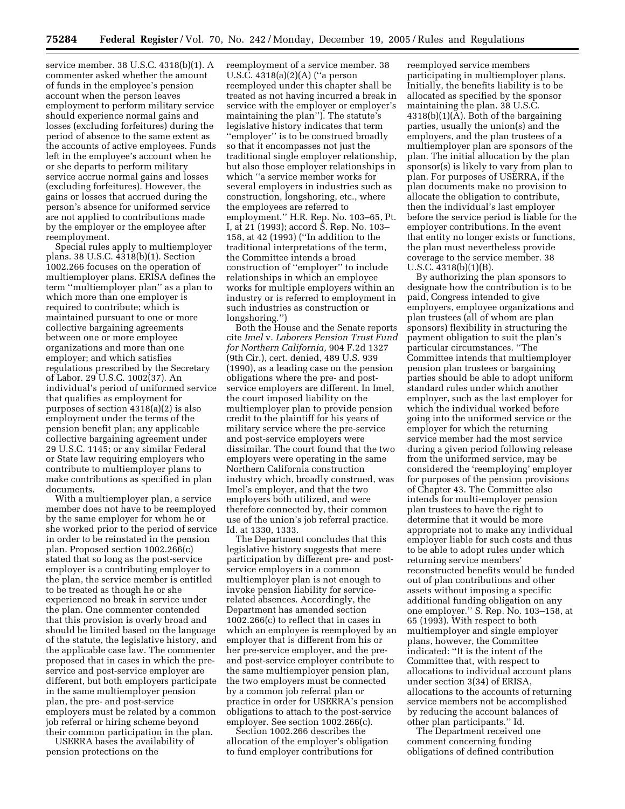service member. 38 U.S.C. 4318(b)(1). A commenter asked whether the amount of funds in the employee's pension account when the person leaves employment to perform military service should experience normal gains and losses (excluding forfeitures) during the period of absence to the same extent as the accounts of active employees. Funds left in the employee's account when he or she departs to perform military service accrue normal gains and losses (excluding forfeitures). However, the gains or losses that accrued during the person's absence for uniformed service are not applied to contributions made by the employer or the employee after reemployment.

Special rules apply to multiemployer plans. 38 U.S.C. 4318(b)(1). Section 1002.266 focuses on the operation of multiemployer plans. ERISA defines the term ''multiemployer plan'' as a plan to which more than one employer is required to contribute; which is maintained pursuant to one or more collective bargaining agreements between one or more employee organizations and more than one employer; and which satisfies regulations prescribed by the Secretary of Labor. 29 U.S.C. 1002(37). An individual's period of uniformed service that qualifies as employment for purposes of section 4318(a)(2) is also employment under the terms of the pension benefit plan; any applicable collective bargaining agreement under 29 U.S.C. 1145; or any similar Federal or State law requiring employers who contribute to multiemployer plans to make contributions as specified in plan documents.

With a multiemployer plan, a service member does not have to be reemployed by the same employer for whom he or she worked prior to the period of service in order to be reinstated in the pension plan. Proposed section 1002.266(c) stated that so long as the post-service employer is a contributing employer to the plan, the service member is entitled to be treated as though he or she experienced no break in service under the plan. One commenter contended that this provision is overly broad and should be limited based on the language of the statute, the legislative history, and the applicable case law. The commenter proposed that in cases in which the preservice and post-service employer are different, but both employers participate in the same multiemployer pension plan, the pre- and post-service employers must be related by a common job referral or hiring scheme beyond their common participation in the plan.

USERRA bases the availability of pension protections on the

reemployment of a service member. 38 U.S.C. 4318(a)(2)(A) (''a person reemployed under this chapter shall be treated as not having incurred a break in service with the employer or employer's maintaining the plan''). The statute's legislative history indicates that term ''employer'' is to be construed broadly so that it encompasses not just the traditional single employer relationship, but also those employer relationships in which ''a service member works for several employers in industries such as construction, longshoring, etc., where the employees are referred to employment.'' H.R. Rep. No. 103–65, Pt. I, at 21 (1993); accord S. Rep. No. 103– 158, at 42 (1993) (''In addition to the traditional interpretations of the term, the Committee intends a broad construction of ''employer'' to include relationships in which an employee works for multiple employers within an industry or is referred to employment in such industries as construction or longshoring.'')

Both the House and the Senate reports cite *Imel* v. *Laborers Pension Trust Fund for Northern California,* 904 F.2d 1327 (9th Cir.), cert. denied, 489 U.S. 939 (1990), as a leading case on the pension obligations where the pre- and postservice employers are different. In Imel, the court imposed liability on the multiemployer plan to provide pension credit to the plaintiff for his years of military service where the pre-service and post-service employers were dissimilar. The court found that the two employers were operating in the same Northern California construction industry which, broadly construed, was Imel's employer, and that the two employers both utilized, and were therefore connected by, their common use of the union's job referral practice. Id. at 1330, 1333.

The Department concludes that this legislative history suggests that mere participation by different pre- and postservice employers in a common multiemployer plan is not enough to invoke pension liability for servicerelated absences. Accordingly, the Department has amended section 1002.266(c) to reflect that in cases in which an employee is reemployed by an employer that is different from his or her pre-service employer, and the preand post-service employer contribute to the same multiemployer pension plan, the two employers must be connected by a common job referral plan or practice in order for USERRA's pension obligations to attach to the post-service employer. See section 1002.266(c).

Section 1002.266 describes the allocation of the employer's obligation to fund employer contributions for

reemployed service members participating in multiemployer plans. Initially, the benefits liability is to be allocated as specified by the sponsor maintaining the plan. 38 U.S.C. 4318(b)(1)(A). Both of the bargaining parties, usually the union(s) and the employers, and the plan trustees of a multiemployer plan are sponsors of the plan. The initial allocation by the plan sponsor(s) is likely to vary from plan to plan. For purposes of USERRA, if the plan documents make no provision to allocate the obligation to contribute, then the individual's last employer before the service period is liable for the employer contributions. In the event that entity no longer exists or functions, the plan must nevertheless provide coverage to the service member. 38 U.S.C. 4318(b)(1)(B).

By authorizing the plan sponsors to designate how the contribution is to be paid, Congress intended to give employers, employee organizations and plan trustees (all of whom are plan sponsors) flexibility in structuring the payment obligation to suit the plan's particular circumstances. ''The Committee intends that multiemployer pension plan trustees or bargaining parties should be able to adopt uniform standard rules under which another employer, such as the last employer for which the individual worked before going into the uniformed service or the employer for which the returning service member had the most service during a given period following release from the uniformed service, may be considered the 'reemploying' employer for purposes of the pension provisions of Chapter 43. The Committee also intends for multi-employer pension plan trustees to have the right to determine that it would be more appropriate not to make any individual employer liable for such costs and thus to be able to adopt rules under which returning service members' reconstructed benefits would be funded out of plan contributions and other assets without imposing a specific additional funding obligation on any one employer.'' S. Rep. No. 103–158, at 65 (1993). With respect to both multiemployer and single employer plans, however, the Committee indicated: ''It is the intent of the Committee that, with respect to allocations to individual account plans under section 3(34) of ERISA, allocations to the accounts of returning service members not be accomplished by reducing the account balances of other plan participants.'' Id.

The Department received one comment concerning funding obligations of defined contribution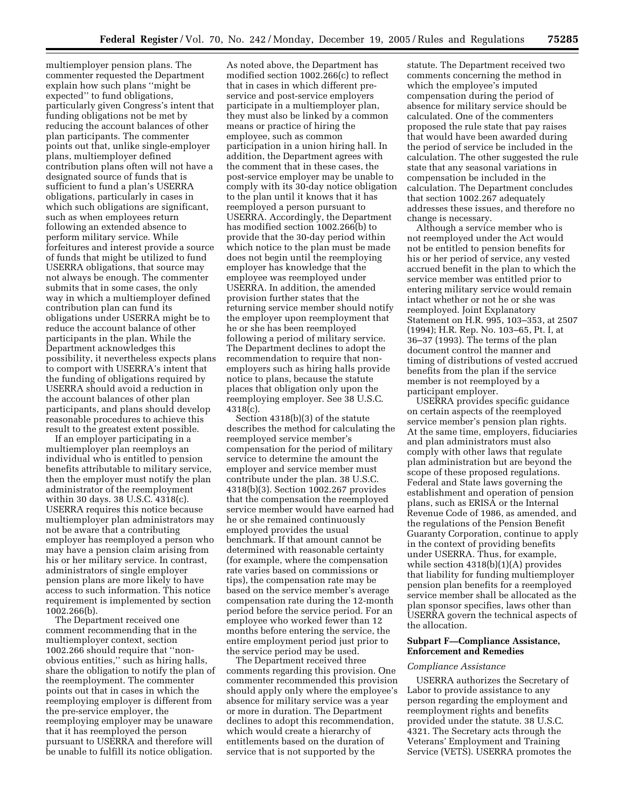multiemployer pension plans. The commenter requested the Department explain how such plans ''might be expected'' to fund obligations, particularly given Congress's intent that funding obligations not be met by reducing the account balances of other plan participants. The commenter points out that, unlike single-employer plans, multiemployer defined contribution plans often will not have a designated source of funds that is sufficient to fund a plan's USERRA obligations, particularly in cases in which such obligations are significant, such as when employees return following an extended absence to perform military service. While forfeitures and interest provide a source of funds that might be utilized to fund USERRA obligations, that source may not always be enough. The commenter submits that in some cases, the only way in which a multiemployer defined contribution plan can fund its obligations under USERRA might be to reduce the account balance of other participants in the plan. While the Department acknowledges this possibility, it nevertheless expects plans to comport with USERRA's intent that the funding of obligations required by USERRA should avoid a reduction in the account balances of other plan participants, and plans should develop reasonable procedures to achieve this result to the greatest extent possible.

If an employer participating in a multiemployer plan reemploys an individual who is entitled to pension benefits attributable to military service, then the employer must notify the plan administrator of the reemployment within 30 days. 38 U.S.C. 4318(c). USERRA requires this notice because multiemployer plan administrators may not be aware that a contributing employer has reemployed a person who may have a pension claim arising from his or her military service. In contrast, administrators of single employer pension plans are more likely to have access to such information. This notice requirement is implemented by section 1002.266(b).

The Department received one comment recommending that in the multiemployer context, section 1002.266 should require that ''nonobvious entities,'' such as hiring halls, share the obligation to notify the plan of the reemployment. The commenter points out that in cases in which the reemploying employer is different from the pre-service employer, the reemploying employer may be unaware that it has reemployed the person pursuant to USERRA and therefore will be unable to fulfill its notice obligation.

As noted above, the Department has modified section 1002.266(c) to reflect that in cases in which different preservice and post-service employers participate in a multiemployer plan, they must also be linked by a common means or practice of hiring the employee, such as common participation in a union hiring hall. In addition, the Department agrees with the comment that in these cases, the post-service employer may be unable to comply with its 30-day notice obligation to the plan until it knows that it has reemployed a person pursuant to USERRA. Accordingly, the Department has modified section 1002.266(b) to provide that the 30-day period within which notice to the plan must be made does not begin until the reemploying employer has knowledge that the employee was reemployed under USERRA. In addition, the amended provision further states that the returning service member should notify the employer upon reemployment that he or she has been reemployed following a period of military service. The Department declines to adopt the recommendation to require that nonemployers such as hiring halls provide notice to plans, because the statute places that obligation only upon the reemploying employer. See 38 U.S.C. 4318(c).

Section 4318(b)(3) of the statute describes the method for calculating the reemployed service member's compensation for the period of military service to determine the amount the employer and service member must contribute under the plan. 38 U.S.C. 4318(b)(3). Section 1002.267 provides that the compensation the reemployed service member would have earned had he or she remained continuously employed provides the usual benchmark. If that amount cannot be determined with reasonable certainty (for example, where the compensation rate varies based on commissions or tips), the compensation rate may be based on the service member's average compensation rate during the 12-month period before the service period. For an employee who worked fewer than 12 months before entering the service, the entire employment period just prior to the service period may be used.

The Department received three comments regarding this provision. One commenter recommended this provision should apply only where the employee's absence for military service was a year or more in duration. The Department declines to adopt this recommendation, which would create a hierarchy of entitlements based on the duration of service that is not supported by the

statute. The Department received two comments concerning the method in which the employee's imputed compensation during the period of absence for military service should be calculated. One of the commenters proposed the rule state that pay raises that would have been awarded during the period of service be included in the calculation. The other suggested the rule state that any seasonal variations in compensation be included in the calculation. The Department concludes that section 1002.267 adequately addresses these issues, and therefore no change is necessary.

Although a service member who is not reemployed under the Act would not be entitled to pension benefits for his or her period of service, any vested accrued benefit in the plan to which the service member was entitled prior to entering military service would remain intact whether or not he or she was reemployed. Joint Explanatory Statement on H.R. 995, 103–353, at 2507 (1994); H.R. Rep. No. 103–65, Pt. I, at 36–37 (1993). The terms of the plan document control the manner and timing of distributions of vested accrued benefits from the plan if the service member is not reemployed by a participant employer.

USERRA provides specific guidance on certain aspects of the reemployed service member's pension plan rights. At the same time, employers, fiduciaries and plan administrators must also comply with other laws that regulate plan administration but are beyond the scope of these proposed regulations. Federal and State laws governing the establishment and operation of pension plans, such as ERISA or the Internal Revenue Code of 1986, as amended, and the regulations of the Pension Benefit Guaranty Corporation, continue to apply in the context of providing benefits under USERRA. Thus, for example, while section 4318(b)(1)(A) provides that liability for funding multiemployer pension plan benefits for a reemployed service member shall be allocated as the plan sponsor specifies, laws other than USERRA govern the technical aspects of the allocation.

# **Subpart F—Compliance Assistance, Enforcement and Remedies**

#### *Compliance Assistance*

USERRA authorizes the Secretary of Labor to provide assistance to any person regarding the employment and reemployment rights and benefits provided under the statute. 38 U.S.C. 4321. The Secretary acts through the Veterans' Employment and Training Service (VETS). USERRA promotes the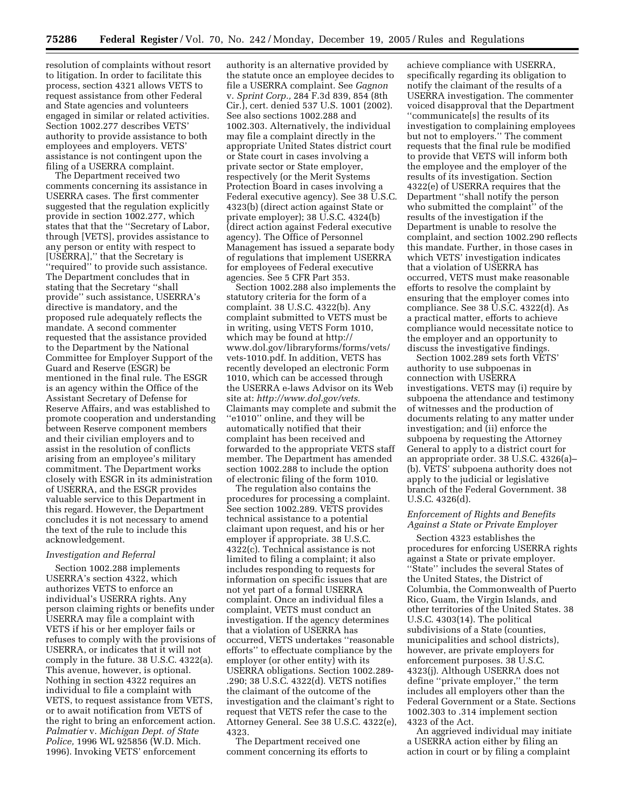resolution of complaints without resort to litigation. In order to facilitate this process, section 4321 allows VETS to request assistance from other Federal and State agencies and volunteers engaged in similar or related activities. Section 1002.277 describes VETS' authority to provide assistance to both employees and employers. VETS' assistance is not contingent upon the filing of a USERRA complaint.

The Department received two comments concerning its assistance in USERRA cases. The first commenter suggested that the regulation explicitly provide in section 1002.277, which states that that the ''Secretary of Labor, through [VETS], provides assistance to any person or entity with respect to [USERRA],'' that the Secretary is ''required'' to provide such assistance. The Department concludes that in stating that the Secretary ''shall provide'' such assistance, USERRA's directive is mandatory, and the proposed rule adequately reflects the mandate. A second commenter requested that the assistance provided to the Department by the National Committee for Employer Support of the Guard and Reserve (ESGR) be mentioned in the final rule. The ESGR is an agency within the Office of the Assistant Secretary of Defense for Reserve Affairs, and was established to promote cooperation and understanding between Reserve component members and their civilian employers and to assist in the resolution of conflicts arising from an employee's military commitment. The Department works closely with ESGR in its administration of USERRA, and the ESGR provides valuable service to this Department in this regard. However, the Department concludes it is not necessary to amend the text of the rule to include this acknowledgement.

#### *Investigation and Referral*

Section 1002.288 implements USERRA's section 4322, which authorizes VETS to enforce an individual's USERRA rights. Any person claiming rights or benefits under USERRA may file a complaint with VETS if his or her employer fails or refuses to comply with the provisions of USERRA, or indicates that it will not comply in the future. 38 U.S.C. 4322(a). This avenue, however, is optional. Nothing in section 4322 requires an individual to file a complaint with VETS, to request assistance from VETS, or to await notification from VETS of the right to bring an enforcement action. *Palmatier* v. *Michigan Dept. of State Police,* 1996 WL 925856 (W.D. Mich. 1996). Invoking VETS' enforcement

authority is an alternative provided by the statute once an employee decides to file a USERRA complaint. See *Gagnon*  v. *Sprint Corp.,* 284 F.3d 839, 854 (8th Cir.), cert. denied 537 U.S. 1001 (2002). See also sections 1002.288 and 1002.303. Alternatively, the individual may file a complaint directly in the appropriate United States district court or State court in cases involving a private sector or State employer, respectively (or the Merit Systems Protection Board in cases involving a Federal executive agency). See 38 U.S.C. 4323(b) (direct action against State or private employer); 38 U.S.C. 4324(b) (direct action against Federal executive agency). The Office of Personnel Management has issued a separate body of regulations that implement USERRA for employees of Federal executive agencies. See 5 CFR Part 353.

Section 1002.288 also implements the statutory criteria for the form of a complaint. 38 U.S.C. 4322(b). Any complaint submitted to VETS must be in writing, using VETS Form 1010, which may be found at http:// [www.dol.gov/libraryforms/forms/vets/](http://www.dol.gov/libraryforms/forms/vets/vets-1010.pdf)  vets-1010.pdf. In addition, VETS has recently developed an electronic Form 1010, which can be accessed through the USERRA e-laws Advisor on its Web site at: *[http://www.dol.gov/vets.](http://www.dol.gov/vets)*  Claimants may complete and submit the ''e1010'' online, and they will be automatically notified that their complaint has been received and forwarded to the appropriate VETS staff member. The Department has amended section 1002.288 to include the option of electronic filing of the form 1010.

The regulation also contains the procedures for processing a complaint. See section 1002.289. VETS provides technical assistance to a potential claimant upon request, and his or her employer if appropriate. 38 U.S.C. 4322(c). Technical assistance is not limited to filing a complaint; it also includes responding to requests for information on specific issues that are not yet part of a formal USERRA complaint. Once an individual files a complaint, VETS must conduct an investigation. If the agency determines that a violation of USERRA has occurred, VETS undertakes ''reasonable efforts'' to effectuate compliance by the employer (or other entity) with its USERRA obligations. Section 1002.289- .290; 38 U.S.C. 4322(d). VETS notifies the claimant of the outcome of the investigation and the claimant's right to request that VETS refer the case to the Attorney General. See 38 U.S.C. 4322(e), 4323.

The Department received one comment concerning its efforts to

achieve compliance with USERRA, specifically regarding its obligation to notify the claimant of the results of a USERRA investigation. The commenter voiced disapproval that the Department ''communicate[s] the results of its investigation to complaining employees but not to employers.'' The comment requests that the final rule be modified to provide that VETS will inform both the employee and the employer of the results of its investigation. Section 4322(e) of USERRA requires that the Department ''shall notify the person who submitted the complaint'' of the results of the investigation if the Department is unable to resolve the complaint, and section 1002.290 reflects this mandate. Further, in those cases in which VETS' investigation indicates that a violation of USERRA has occurred, VETS must make reasonable efforts to resolve the complaint by ensuring that the employer comes into compliance. See 38 U.S.C. 4322(d). As a practical matter, efforts to achieve compliance would necessitate notice to the employer and an opportunity to discuss the investigative findings.

Section 1002.289 sets forth VETS' authority to use subpoenas in connection with USERRA investigations. VETS may (i) require by subpoena the attendance and testimony of witnesses and the production of documents relating to any matter under investigation; and (ii) enforce the subpoena by requesting the Attorney General to apply to a district court for an appropriate order. 38 U.S.C. 4326(a)– (b). VETS' subpoena authority does not apply to the judicial or legislative branch of the Federal Government. 38 U.S.C. 4326(d).

# *Enforcement of Rights and Benefits Against a State or Private Employer*

Section 4323 establishes the procedures for enforcing USERRA rights against a State or private employer. ''State'' includes the several States of the United States, the District of Columbia, the Commonwealth of Puerto Rico, Guam, the Virgin Islands, and other territories of the United States. 38 U.S.C. 4303(14). The political subdivisions of a State (counties, municipalities and school districts), however, are private employers for enforcement purposes. 38 U.S.C. 4323(j). Although USERRA does not define ''private employer,'' the term includes all employers other than the Federal Government or a State. Sections 1002.303 to .314 implement section 4323 of the Act.

An aggrieved individual may initiate a USERRA action either by filing an action in court or by filing a complaint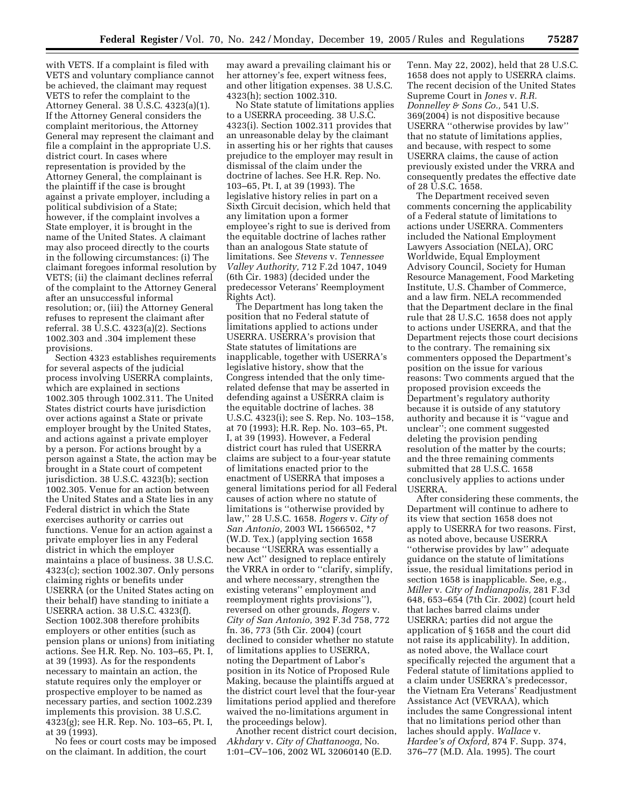with VETS. If a complaint is filed with VETS and voluntary compliance cannot be achieved, the claimant may request VETS to refer the complaint to the Attorney General. 38 U.S.C. 4323(a)(1). If the Attorney General considers the complaint meritorious, the Attorney General may represent the claimant and file a complaint in the appropriate U.S. district court. In cases where representation is provided by the Attorney General, the complainant is the plaintiff if the case is brought against a private employer, including a political subdivision of a State; however, if the complaint involves a State employer, it is brought in the name of the United States. A claimant may also proceed directly to the courts in the following circumstances: (i) The claimant foregoes informal resolution by VETS; (ii) the claimant declines referral of the complaint to the Attorney General after an unsuccessful informal resolution; or, (iii) the Attorney General refuses to represent the claimant after referral. 38 U.S.C. 4323(a)(2). Sections 1002.303 and .304 implement these provisions.

Section 4323 establishes requirements for several aspects of the judicial process involving USERRA complaints, which are explained in sections 1002.305 through 1002.311. The United States district courts have jurisdiction over actions against a State or private employer brought by the United States, and actions against a private employer by a person. For actions brought by a person against a State, the action may be brought in a State court of competent jurisdiction. 38 U.S.C. 4323(b); section 1002.305. Venue for an action between the United States and a State lies in any Federal district in which the State exercises authority or carries out functions. Venue for an action against a private employer lies in any Federal district in which the employer maintains a place of business. 38 U.S.C. 4323(c); section 1002.307. Only persons claiming rights or benefits under USERRA (or the United States acting on their behalf) have standing to initiate a USERRA action. 38 U.S.C. 4323(f). Section 1002.308 therefore prohibits employers or other entities (such as pension plans or unions) from initiating actions. See H.R. Rep. No. 103–65, Pt. I, at 39 (1993). As for the respondents necessary to maintain an action, the statute requires only the employer or prospective employer to be named as necessary parties, and section 1002.239 implements this provision. 38 U.S.C. 4323(g); see H.R. Rep. No. 103–65, Pt. I, at 39 (1993).

No fees or court costs may be imposed on the claimant. In addition, the court

may award a prevailing claimant his or her attorney's fee, expert witness fees, and other litigation expenses. 38 U.S.C. 4323(h); section 1002.310.

No State statute of limitations applies to a USERRA proceeding. 38 U.S.C. 4323(i). Section 1002.311 provides that an unreasonable delay by the claimant in asserting his or her rights that causes prejudice to the employer may result in dismissal of the claim under the doctrine of laches. See H.R. Rep. No. 103–65, Pt. I, at 39 (1993). The legislative history relies in part on a Sixth Circuit decision, which held that any limitation upon a former employee's right to sue is derived from the equitable doctrine of laches rather than an analogous State statute of limitations. See *Stevens* v. *Tennessee Valley Authority,* 712 F.2d 1047, 1049 (6th Cir. 1983) (decided under the predecessor Veterans' Reemployment Rights Act).

The Department has long taken the position that no Federal statute of limitations applied to actions under USERRA. USERRA's provision that State statutes of limitations are inapplicable, together with USERRA's legislative history, show that the Congress intended that the only timerelated defense that may be asserted in defending against a USERRA claim is the equitable doctrine of laches. 38 U.S.C. 4323(i); see S. Rep. No. 103–158, at 70 (1993); H.R. Rep. No. 103–65, Pt. I, at 39 (1993). However, a Federal district court has ruled that USERRA claims are subject to a four-year statute of limitations enacted prior to the enactment of USERRA that imposes a general limitations period for all Federal causes of action where no statute of limitations is ''otherwise provided by law,'' 28 U.S.C. 1658. *Rogers* v. *City of San Antonio,* 2003 WL 1566502, \*7 (W.D. Tex.) (applying section 1658 because ''USERRA was essentially a new Act'' designed to replace entirely the VRRA in order to ''clarify, simplify, and where necessary, strengthen the existing veterans'' employment and reemployment rights provisions''), reversed on other grounds, *Rogers* v. *City of San Antonio,* 392 F.3d 758, 772 fn. 36, 773 (5th Cir. 2004) (court declined to consider whether no statute of limitations applies to USERRA, noting the Department of Labor's position in its Notice of Proposed Rule Making, because the plaintiffs argued at the district court level that the four-year limitations period applied and therefore waived the no-limitations argument in the proceedings below).

Another recent district court decision, *Akhdary* v. *City of Chattanooga,* No. 1:01–CV–106, 2002 WL 32060140 (E.D.

Tenn. May 22, 2002), held that 28 U.S.C. 1658 does not apply to USERRA claims. The recent decision of the United States Supreme Court in *Jones* v. *R.R. Donnelley & Sons Co.,* 541 U.S. 369(2004) is not dispositive because USERRA ''otherwise provides by law'' that no statute of limitations applies, and because, with respect to some USERRA claims, the cause of action previously existed under the VRRA and consequently predates the effective date of 28 U.S.C. 1658.

The Department received seven comments concerning the applicability of a Federal statute of limitations to actions under USERRA. Commenters included the National Employment Lawyers Association (NELA), ORC Worldwide, Equal Employment Advisory Council, Society for Human Resource Management, Food Marketing Institute, U.S. Chamber of Commerce, and a law firm. NELA recommended that the Department declare in the final rule that 28 U.S.C. 1658 does not apply to actions under USERRA, and that the Department rejects those court decisions to the contrary. The remaining six commenters opposed the Department's position on the issue for various reasons: Two comments argued that the proposed provision exceeds the Department's regulatory authority because it is outside of any statutory authority and because it is ''vague and unclear''; one comment suggested deleting the provision pending resolution of the matter by the courts; and the three remaining comments submitted that 28 U.S.C. 1658 conclusively applies to actions under USERRA.

After considering these comments, the Department will continue to adhere to its view that section 1658 does not apply to USERRA for two reasons. First, as noted above, because USERRA ''otherwise provides by law'' adequate guidance on the statute of limitations issue, the residual limitations period in section 1658 is inapplicable. See, e.g., *Miller* v. *City of Indianapolis,* 281 F.3d 648, 653–654 (7th Cir. 2002) (court held that laches barred claims under USERRA; parties did not argue the application of § 1658 and the court did not raise its applicability). In addition, as noted above, the Wallace court specifically rejected the argument that a Federal statute of limitations applied to a claim under USERRA's predecessor, the Vietnam Era Veterans' Readjustment Assistance Act (VEVRAA), which includes the same Congressional intent that no limitations period other than laches should apply. *Wallace* v. *Hardee's of Oxford,* 874 F. Supp. 374, 376–77 (M.D. Ala. 1995). The court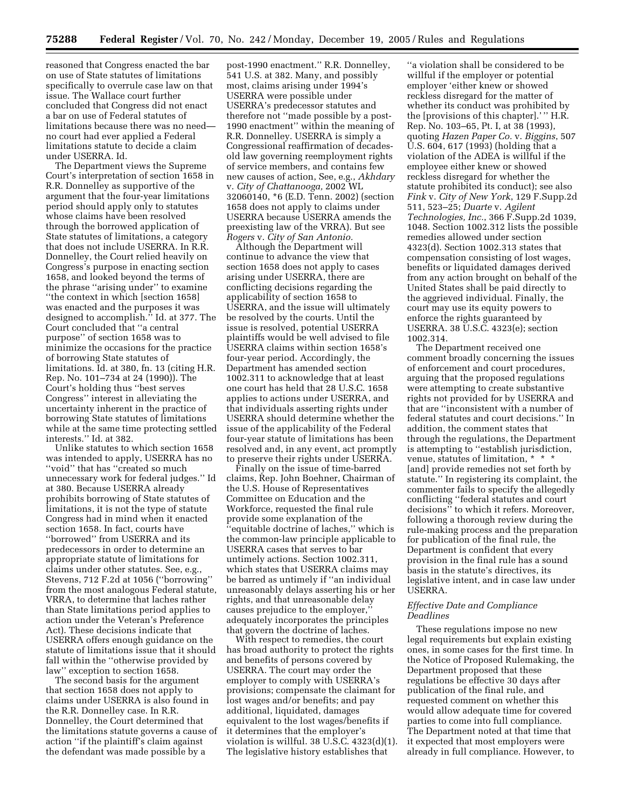reasoned that Congress enacted the bar on use of State statutes of limitations specifically to overrule case law on that issue. The Wallace court further concluded that Congress did not enact a bar on use of Federal statutes of limitations because there was no need no court had ever applied a Federal limitations statute to decide a claim under USERRA. Id.

The Department views the Supreme Court's interpretation of section 1658 in R.R. Donnelley as supportive of the argument that the four-year limitations period should apply only to statutes whose claims have been resolved through the borrowed application of State statutes of limitations, a category that does not include USERRA. In R.R. Donnelley, the Court relied heavily on Congress's purpose in enacting section 1658, and looked beyond the terms of the phrase ''arising under'' to examine ''the context in which [section 1658] was enacted and the purposes it was designed to accomplish.'' Id. at 377. The Court concluded that ''a central purpose'' of section 1658 was to minimize the occasions for the practice of borrowing State statutes of limitations. Id. at 380, fn. 13 (citing H.R. Rep. No. 101–734 at 24 (1990)). The Court's holding thus ''best serves Congress'' interest in alleviating the uncertainty inherent in the practice of borrowing State statutes of limitations while at the same time protecting settled interests.'' Id. at 382.

Unlike statutes to which section 1658 was intended to apply, USERRA has no "void" that has "created so much unnecessary work for federal judges.'' Id at 380. Because USERRA already prohibits borrowing of State statutes of limitations, it is not the type of statute Congress had in mind when it enacted section 1658. In fact, courts have ''borrowed'' from USERRA and its predecessors in order to determine an appropriate statute of limitations for claims under other statutes. See, e.g., Stevens, 712 F.2d at 1056 (''borrowing'' from the most analogous Federal statute, VRRA, to determine that laches rather than State limitations period applies to action under the Veteran's Preference Act). These decisions indicate that USERRA offers enough guidance on the statute of limitations issue that it should fall within the ''otherwise provided by law'' exception to section 1658.

The second basis for the argument that section 1658 does not apply to claims under USERRA is also found in the R.R. Donnelley case. In R.R. Donnelley, the Court determined that the limitations statute governs a cause of action ''if the plaintiff's claim against the defendant was made possible by a

post-1990 enactment.'' R.R. Donnelley, 541 U.S. at 382. Many, and possibly most, claims arising under 1994's USERRA were possible under USERRA's predecessor statutes and therefore not ''made possible by a post-1990 enactment'' within the meaning of R.R. Donnelley. USERRA is simply a Congressional reaffirmation of decadesold law governing reemployment rights of service members, and contains few new causes of action, See, e.g., *Akhdary*  v. *City of Chattanooga,* 2002 WL 32060140, \*6 (E.D. Tenn. 2002) (section 1658 does not apply to claims under USERRA because USERRA amends the preexisting law of the VRRA). But see *Rogers* v. *City of San Antonio.* 

Although the Department will continue to advance the view that section 1658 does not apply to cases arising under USERRA, there are conflicting decisions regarding the applicability of section 1658 to USERRA, and the issue will ultimately be resolved by the courts. Until the issue is resolved, potential USERRA plaintiffs would be well advised to file USERRA claims within section 1658's four-year period. Accordingly, the Department has amended section 1002.311 to acknowledge that at least one court has held that 28 U.S.C. 1658 applies to actions under USERRA, and that individuals asserting rights under USERRA should determine whether the issue of the applicability of the Federal four-year statute of limitations has been resolved and, in any event, act promptly to preserve their rights under USERRA.

Finally on the issue of time-barred claims, Rep. John Boehner, Chairman of the U.S. House of Representatives Committee on Education and the Workforce, requested the final rule provide some explanation of the ''equitable doctrine of laches,'' which is the common-law principle applicable to USERRA cases that serves to bar untimely actions. Section 1002.311, which states that USERRA claims may be barred as untimely if ''an individual unreasonably delays asserting his or her rights, and that unreasonable delay causes prejudice to the employer,'' adequately incorporates the principles that govern the doctrine of laches.

With respect to remedies, the court has broad authority to protect the rights and benefits of persons covered by USERRA. The court may order the employer to comply with USERRA's provisions; compensate the claimant for lost wages and/or benefits; and pay additional, liquidated, damages equivalent to the lost wages/benefits if it determines that the employer's violation is willful. 38 U.S.C. 4323(d)(1). The legislative history establishes that

''a violation shall be considered to be willful if the employer or potential employer 'either knew or showed reckless disregard for the matter of whether its conduct was prohibited by the [provisions of this chapter].' '' H.R. Rep. No. 103–65, Pt. I, at 38 (1993), quoting *Hazen Paper Co.* v. *Biggins*, 507 U.S. 604, 617 (1993) (holding that a violation of the ADEA is willful if the employee either knew or showed reckless disregard for whether the statute prohibited its conduct); see also *Fink* v. *City of New York*, 129 F.Supp.2d 511, 523–25; *Duarte* v. *Agilent Technologies, Inc.*, 366 F.Supp.2d 1039, 1048. Section 1002.312 lists the possible remedies allowed under section 4323(d). Section 1002.313 states that compensation consisting of lost wages, benefits or liquidated damages derived from any action brought on behalf of the United States shall be paid directly to the aggrieved individual. Finally, the court may use its equity powers to enforce the rights guaranteed by USERRA. 38 U.S.C. 4323(e); section 1002.314.

The Department received one comment broadly concerning the issues of enforcement and court procedures, arguing that the proposed regulations were attempting to create substantive rights not provided for by USERRA and that are ''inconsistent with a number of federal statutes and court decisions.'' In addition, the comment states that through the regulations, the Department is attempting to ''establish jurisdiction, venue, statutes of limitation, \* \* \* [and] provide remedies not set forth by statute.'' In registering its complaint, the commenter fails to specify the allegedly conflicting ''federal statutes and court decisions'' to which it refers. Moreover, following a thorough review during the rule-making process and the preparation for publication of the final rule, the Department is confident that every provision in the final rule has a sound basis in the statute's directives, its legislative intent, and in case law under USERRA.

# *Effective Date and Compliance Deadlines*

These regulations impose no new legal requirements but explain existing ones, in some cases for the first time. In the Notice of Proposed Rulemaking, the Department proposed that these regulations be effective 30 days after publication of the final rule, and requested comment on whether this would allow adequate time for covered parties to come into full compliance. The Department noted at that time that it expected that most employers were already in full compliance. However, to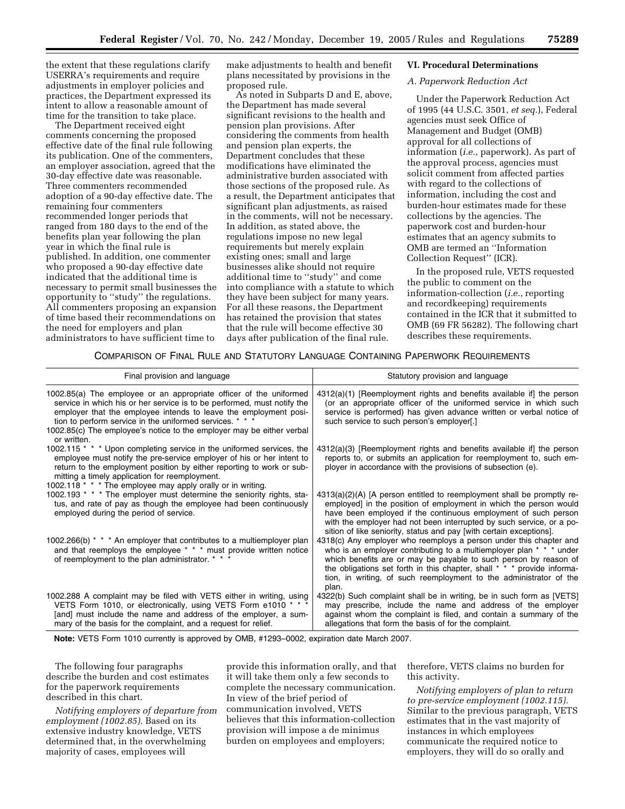the extent that these regulations clarify USERRA's requirements and require adjustments in employer policies and practices, the Department expressed its intent to allow a reasonable amount of time for the transition to take place.

The Department received eight comments concerning the proposed effective date of the final rule following its publication. One of the commenters, an employer association, agreed that the 30-day effective date was reasonable. Three commenters recommended adoption of a 90-day effective date. The remaining four commenters recommended longer periods that ranged from 180 days to the end of the benefits plan year following the plan year in which the final rule is published. In addition, one commenter who proposed a 90-day effective date indicated that the additional time is necessary to permit small businesses the opportunity to ''study'' the regulations. All commenters proposing an expansion of time based their recommendations on the need for employers and plan administrators to have sufficient time to

make adjustments to health and benefit plans necessitated by provisions in the proposed rule.

As noted in Subparts D and E, above, the Department has made several significant revisions to the health and pension plan provisions. After considering the comments from health and pension plan experts, the Department concludes that these modifications have eliminated the administrative burden associated with those sections of the proposed rule. As a result, the Department anticipates that significant plan adjustments, as raised in the comments, will not be necessary. In addition, as stated above, the regulations impose no new legal requirements but merely explain existing ones; small and large businesses alike should not require additional time to ''study'' and come into compliance with a statute to which they have been subject for many years. For all these reasons, the Department has retained the provision that states that the rule will become effective 30 days after publication of the final rule.

# **VI. Procedural Determinations**

# *A. Paperwork Reduction Act*

Under the Paperwork Reduction Act of 1995 (44 U.S.C. 3501, *et seq.*), Federal agencies must seek Office of Management and Budget (OMB) approval for all collections of information (*i.e.*, paperwork). As part of the approval process, agencies must solicit comment from affected parties with regard to the collections of information, including the cost and burden-hour estimates made for these collections by the agencies. The paperwork cost and burden-hour estimates that an agency submits to OMB are termed an ''Information Collection Request'' (ICR).

In the proposed rule, VETS requested the public to comment on the information-collection (*i.e.*, reporting and recordkeeping) requirements contained in the ICR that it submitted to OMB (69 FR 56282). The following chart describes these requirements.

# COMPARISON OF FINAL RULE AND STATUTORY LANGUAGE CONTAINING PAPERWORK REQUIREMENTS

| Final provision and language                                                                                                                                                                                                                                                  | Statutory provision and language                                                                                                                                                                                                                                                                                                                                          |
|-------------------------------------------------------------------------------------------------------------------------------------------------------------------------------------------------------------------------------------------------------------------------------|---------------------------------------------------------------------------------------------------------------------------------------------------------------------------------------------------------------------------------------------------------------------------------------------------------------------------------------------------------------------------|
| 1002.85(a) The employee or an appropriate officer of the uniformed<br>service in which his or her service is to be performed, must notify the<br>employer that the employee intends to leave the employment posi-<br>tion to perform service in the uniformed services. * * * | 4312(a)(1) [Reemployment rights and benefits available if] the person<br>(or an appropriate officer of the uniformed service in which such<br>service is performed) has given advance written or verbal notice of<br>such service to such person's employer[.]                                                                                                            |
| 1002.85(c) The employee's notice to the employer may be either verbal<br>or written.                                                                                                                                                                                          |                                                                                                                                                                                                                                                                                                                                                                           |
| 1002.115 * * * Upon completing service in the uniformed services, the<br>employee must notify the pre-service employer of his or her intent to<br>return to the employment position by either reporting to work or sub-<br>mitting a timely application for reemployment.     | 4312(a)(3) [Reemployment rights and benefits available if] the person<br>reports to, or submits an application for reemployment to, such em-<br>ployer in accordance with the provisions of subsection (e).                                                                                                                                                               |
| 1002.118 * * * The employee may apply orally or in writing.                                                                                                                                                                                                                   |                                                                                                                                                                                                                                                                                                                                                                           |
| 1002.193 * * * The employer must determine the seniority rights, sta-<br>tus, and rate of pay as though the employee had been continuously<br>employed during the period of service.                                                                                          | $4313(a)(2)(A)$ [A person entitled to reemployment shall be promptly re-<br>employed] in the position of employment in which the person would<br>have been employed if the continuous employment of such person<br>with the employer had not been interrupted by such service, or a po-<br>sition of like seniority, status and pay with certain exceptions].             |
| 1002.266(b) $*$ * * An employer that contributes to a multiemployer plan<br>and that reemploys the employee $* * *$ must provide written notice<br>of reemployment to the plan administrator. * * *                                                                           | 4318(c) Any employer who reemploys a person under this chapter and<br>who is an employer contributing to a multiemployer plan $* * *$ under<br>which benefits are or may be payable to such person by reason of<br>the obligations set forth in this chapter, shall * * * provide informa-<br>tion, in writing, of such reemployment to the administrator of the<br>plan. |
| 1002.288 A complaint may be filed with VETS either in writing, using<br>VETS Form 1010, or electronically, using VETS Form e1010 * * *<br>[and] must include the name and address of the employer, a sum-<br>mary of the basis for the complaint, and a request for relief.   | 4322(b) Such complaint shall be in writing, be in such form as [VETS]<br>may prescribe, include the name and address of the employer<br>against whom the complaint is filed, and contain a summary of the<br>allegations that form the basis of for the complaint.                                                                                                        |

**Note:** VETS Form 1010 currently is approved by OMB, #1293–0002, expiration date March 2007.

The following four paragraphs describe the burden and cost estimates for the paperwork requirements described in this chart.

*Notifying employers of departure from employment (1002.85).* Based on its extensive industry knowledge, VETS determined that, in the overwhelming majority of cases, employees will

provide this information orally, and that it will take them only a few seconds to complete the necessary communication. In view of the brief period of communication involved, VETS believes that this information-collection provision will impose a de minimus burden on employees and employers;

therefore, VETS claims no burden for this activity.

*Notifying employers of plan to return to pre-service employment (1002.115).*  Similar to the previous paragraph, VETS estimates that in the vast majority of instances in which employees communicate the required notice to employers, they will do so orally and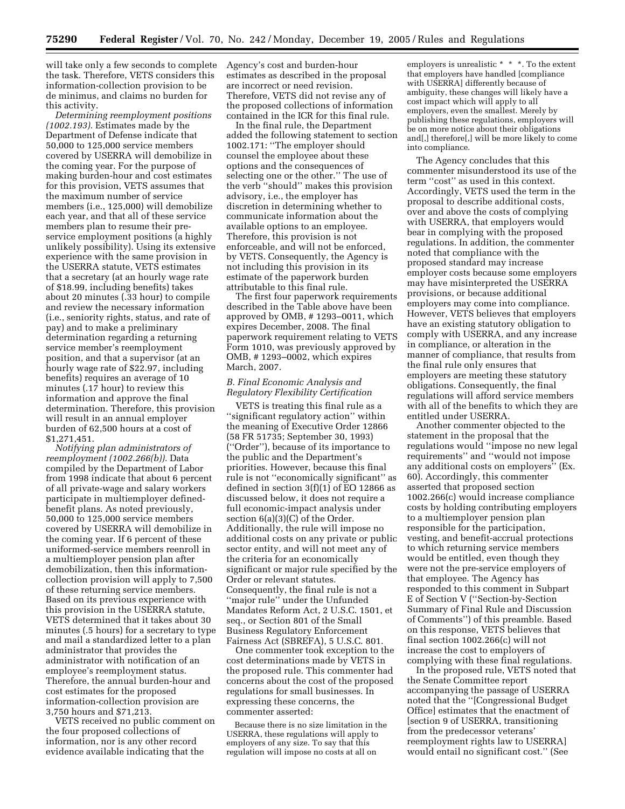will take only a few seconds to complete the task. Therefore, VETS considers this information-collection provision to be de minimus, and claims no burden for this activity.

*Determining reemployment positions (1002.193).* Estimates made by the Department of Defense indicate that 50,000 to 125,000 service members covered by USERRA will demobilize in the coming year. For the purpose of making burden-hour and cost estimates for this provision, VETS assumes that the maximum number of service members (i.e., 125,000) will demobilize each year, and that all of these service members plan to resume their preservice employment positions (a highly unlikely possibility). Using its extensive experience with the same provision in the USERRA statute, VETS estimates that a secretary (at an hourly wage rate of \$18.99, including benefits) takes about 20 minutes (.33 hour) to compile and review the necessary information (i.e., seniority rights, status, and rate of pay) and to make a preliminary determination regarding a returning service member's reemployment position, and that a supervisor (at an hourly wage rate of \$22.97, including benefits) requires an average of 10 minutes (.17 hour) to review this information and approve the final determination. Therefore, this provision will result in an annual employer burden of 62,500 hours at a cost of \$1,271,451.

*Notifying plan administrators of reemployment (1002.266(b)).* Data compiled by the Department of Labor from 1998 indicate that about 6 percent of all private-wage and salary workers participate in multiemployer definedbenefit plans. As noted previously, 50,000 to 125,000 service members covered by USERRA will demobilize in the coming year. If 6 percent of these uniformed-service members reenroll in a multiemployer pension plan after demobilization, then this informationcollection provision will apply to 7,500 of these returning service members. Based on its previous experience with this provision in the USERRA statute, VETS determined that it takes about 30 minutes (.5 hours) for a secretary to type and mail a standardized letter to a plan administrator that provides the administrator with notification of an employee's reemployment status. Therefore, the annual burden-hour and cost estimates for the proposed information-collection provision are 3,750 hours and \$71,213.

VETS received no public comment on the four proposed collections of information, nor is any other record evidence available indicating that the

Agency's cost and burden-hour estimates as described in the proposal are incorrect or need revision. Therefore, VETS did not revise any of the proposed collections of information contained in the ICR for this final rule.

In the final rule, the Department added the following statement to section 1002.171: ''The employer should counsel the employee about these options and the consequences of selecting one or the other.'' The use of the verb ''should'' makes this provision advisory, i.e., the employer has discretion in determining whether to communicate information about the available options to an employee. Therefore, this provision is not enforceable, and will not be enforced, by VETS. Consequently, the Agency is not including this provision in its estimate of the paperwork burden attributable to this final rule.

The first four paperwork requirements described in the Table above have been approved by OMB, # 1293–0011, which expires December, 2008. The final paperwork requirement relating to VETS Form 1010, was previously approved by OMB, # 1293–0002, which expires March, 2007.

# *B. Final Economic Analysis and Regulatory Flexibility Certification*

VETS is treating this final rule as a ''significant regulatory action'' within the meaning of Executive Order 12866 (58 FR 51735; September 30, 1993) (''Order''), because of its importance to the public and the Department's priorities. However, because this final rule is not ''economically significant'' as defined in section  $3(f)(1)$  of EO 12866 as discussed below, it does not require a full economic-impact analysis under section 6(a)(3)(C) of the Order. Additionally, the rule will impose no additional costs on any private or public sector entity, and will not meet any of the criteria for an economically significant or major rule specified by the Order or relevant statutes. Consequently, the final rule is not a ''major rule'' under the Unfunded Mandates Reform Act, 2 U.S.C. 1501, et seq., or Section 801 of the Small Business Regulatory Enforcement Fairness Act (SBREFA), 5 U.S.C. 801.

One commenter took exception to the cost determinations made by VETS in the proposed rule. This commenter had concerns about the cost of the proposed regulations for small businesses. In expressing these concerns, the commenter asserted:

Because there is no size limitation in the USERRA, these regulations will apply to employers of any size. To say that this regulation will impose no costs at all on

employers is unrealistic \* \* \*. To the extent that employers have handled [compliance with USERRA] differently because of ambiguity, these changes will likely have a cost impact which will apply to all employers, even the smallest. Merely by publishing these regulations, employers will be on more notice about their obligations and[,] therefore[,] will be more likely to come into compliance.

The Agency concludes that this commenter misunderstood its use of the term ''cost'' as used in this context. Accordingly, VETS used the term in the proposal to describe additional costs, over and above the costs of complying with USERRA, that employers would bear in complying with the proposed regulations. In addition, the commenter noted that compliance with the proposed standard may increase employer costs because some employers may have misinterpreted the USERRA provisions, or because additional employers may come into compliance. However, VETS believes that employers have an existing statutory obligation to comply with USERRA, and any increase in compliance, or alteration in the manner of compliance, that results from the final rule only ensures that employers are meeting these statutory obligations. Consequently, the final regulations will afford service members with all of the benefits to which they are entitled under USERRA.

Another commenter objected to the statement in the proposal that the regulations would ''impose no new legal requirements'' and ''would not impose any additional costs on employers'' (Ex. 60). Accordingly, this commenter asserted that proposed section 1002.266(c) would increase compliance costs by holding contributing employers to a multiemployer pension plan responsible for the participation, vesting, and benefit-accrual protections to which returning service members would be entitled, even though they were not the pre-service employers of that employee. The Agency has responded to this comment in Subpart E of Section V (''Section-by-Section Summary of Final Rule and Discussion of Comments'') of this preamble. Based on this response, VETS believes that final section 1002.266(c) will not increase the cost to employers of complying with these final regulations.

In the proposed rule, VETS noted that the Senate Committee report accompanying the passage of USERRA noted that the ''[Congressional Budget Office] estimates that the enactment of [section 9 of USERRA, transitioning from the predecessor veterans' reemployment rights law to USERRA] would entail no significant cost.'' (See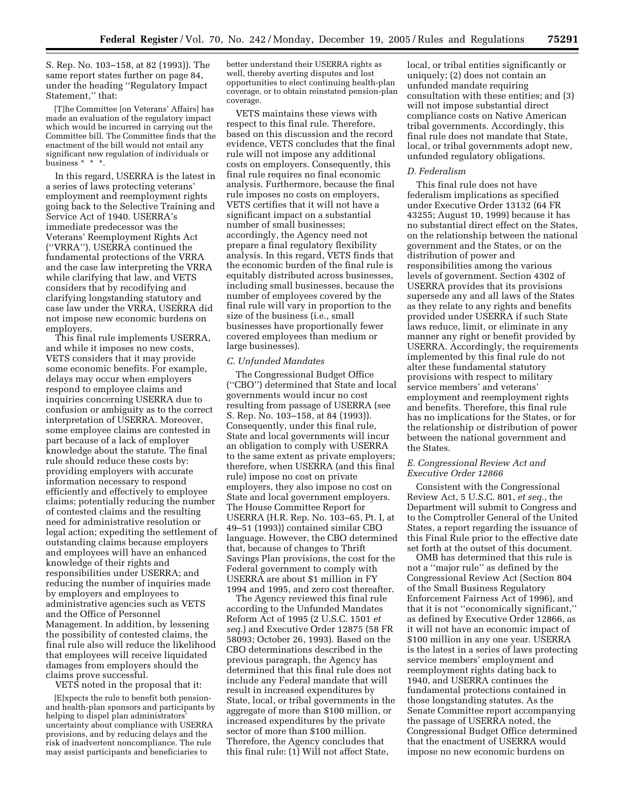S. Rep. No. 103–158, at 82 (1993)). The same report states further on page 84, under the heading ''Regulatory Impact Statement,'' that:

[T]he Committee [on Veterans' Affairs] has made an evaluation of the regulatory impact which would be incurred in carrying out the Committee bill. The Committee finds that the enactment of the bill would not entail any significant new regulation of individuals or business \* \* \*.

In this regard, USERRA is the latest in a series of laws protecting veterans' employment and reemployment rights going back to the Selective Training and Service Act of 1940. USERRA's immediate predecessor was the Veterans' Reemployment Rights Act (''VRRA''). USERRA continued the fundamental protections of the VRRA and the case law interpreting the VRRA while clarifying that law, and VETS considers that by recodifying and clarifying longstanding statutory and case law under the VRRA, USERRA did not impose new economic burdens on employers.

This final rule implements USERRA, and while it imposes no new costs, VETS considers that it may provide some economic benefits. For example, delays may occur when employers respond to employee claims and inquiries concerning USERRA due to confusion or ambiguity as to the correct interpretation of USERRA. Moreover, some employee claims are contested in part because of a lack of employer knowledge about the statute. The final rule should reduce these costs by: providing employers with accurate information necessary to respond efficiently and effectively to employee claims; potentially reducing the number of contested claims and the resulting need for administrative resolution or legal action; expediting the settlement of outstanding claims because employers and employees will have an enhanced knowledge of their rights and responsibilities under USERRA; and reducing the number of inquiries made by employers and employees to administrative agencies such as VETS and the Office of Personnel Management. In addition, by lessening the possibility of contested claims, the final rule also will reduce the likelihood that employees will receive liquidated damages from employers should the claims prove successful.

VETS noted in the proposal that it:

[E]xpects the rule to benefit both pensionand health-plan sponsors and participants by helping to dispel plan administrators' uncertainty about compliance with USERRA provisions, and by reducing delays and the risk of inadvertent noncompliance. The rule may assist participants and beneficiaries to

better understand their USERRA rights as well, thereby averting disputes and lost opportunities to elect continuing health-plan coverage, or to obtain reinstated pension-plan coverage.

VETS maintains these views with respect to this final rule. Therefore, based on this discussion and the record evidence, VETS concludes that the final rule will not impose any additional costs on employers. Consequently, this final rule requires no final economic analysis. Furthermore, because the final rule imposes no costs on employers, VETS certifies that it will not have a significant impact on a substantial number of small businesses; accordingly, the Agency need not prepare a final regulatory flexibility analysis. In this regard, VETS finds that the economic burden of the final rule is equitably distributed across businesses, including small businesses, because the number of employees covered by the final rule will vary in proportion to the size of the business (i.e., small businesses have proportionally fewer covered employees than medium or large businesses).

#### *C. Unfunded Mandates*

The Congressional Budget Office (''CBO'') determined that State and local governments would incur no cost resulting from passage of USERRA (see S. Rep. No. 103–158, at 84 (1993)). Consequently, under this final rule, State and local governments will incur an obligation to comply with USERRA to the same extent as private employers; therefore, when USERRA (and this final rule) impose no cost on private employers, they also impose no cost on State and local government employers. The House Committee Report for USERRA (H.R. Rep. No. 103–65, Pt. I, at 49–51 (1993)) contained similar CBO language. However, the CBO determined that, because of changes to Thrift Savings Plan provisions, the cost for the Federal government to comply with USERRA are about \$1 million in FY 1994 and 1995, and zero cost thereafter.

The Agency reviewed this final rule according to the Unfunded Mandates Reform Act of 1995 (2 U.S.C. 1501 *et seq.*) and Executive Order 12875 (58 FR 58093; October 26, 1993). Based on the CBO determinations described in the previous paragraph, the Agency has determined that this final rule does not include any Federal mandate that will result in increased expenditures by State, local, or tribal governments in the aggregate of more than \$100 million, or increased expenditures by the private sector of more than \$100 million. Therefore, the Agency concludes that this final rule: (1) Will not affect State,

local, or tribal entities significantly or uniquely; (2) does not contain an unfunded mandate requiring consultation with these entities; and (3) will not impose substantial direct compliance costs on Native American tribal governments. Accordingly, this final rule does not mandate that State, local, or tribal governments adopt new, unfunded regulatory obligations.

#### *D. Federalism*

This final rule does not have federalism implications as specified under Executive Order 13132 (64 FR 43255; August 10, 1999) because it has no substantial direct effect on the States, on the relationship between the national government and the States, or on the distribution of power and responsibilities among the various levels of government. Section 4302 of USERRA provides that its provisions supersede any and all laws of the States as they relate to any rights and benefits provided under USERRA if such State laws reduce, limit, or eliminate in any manner any right or benefit provided by USERRA. Accordingly, the requirements implemented by this final rule do not alter these fundamental statutory provisions with respect to military service members' and veterans' employment and reemployment rights and benefits. Therefore, this final rule has no implications for the States, or for the relationship or distribution of power between the national government and the States.

# *E. Congressional Review Act and Executive Order 12866*

Consistent with the Congressional Review Act, 5 U.S.C. 801, *et seq.*, the Department will submit to Congress and to the Comptroller General of the United States, a report regarding the issuance of this Final Rule prior to the effective date set forth at the outset of this document.

OMB has determined that this rule is not a ''major rule'' as defined by the Congressional Review Act (Section 804 of the Small Business Regulatory Enforcement Fairness Act of 1996), and that it is not ''economically significant,'' as defined by Executive Order 12866, as it will not have an economic impact of \$100 million in any one year. USERRA is the latest in a series of laws protecting service members' employment and reemployment rights dating back to 1940, and USERRA continues the fundamental protections contained in those longstanding statutes. As the Senate Committee report accompanying the passage of USERRA noted, the Congressional Budget Office determined that the enactment of USERRA would impose no new economic burdens on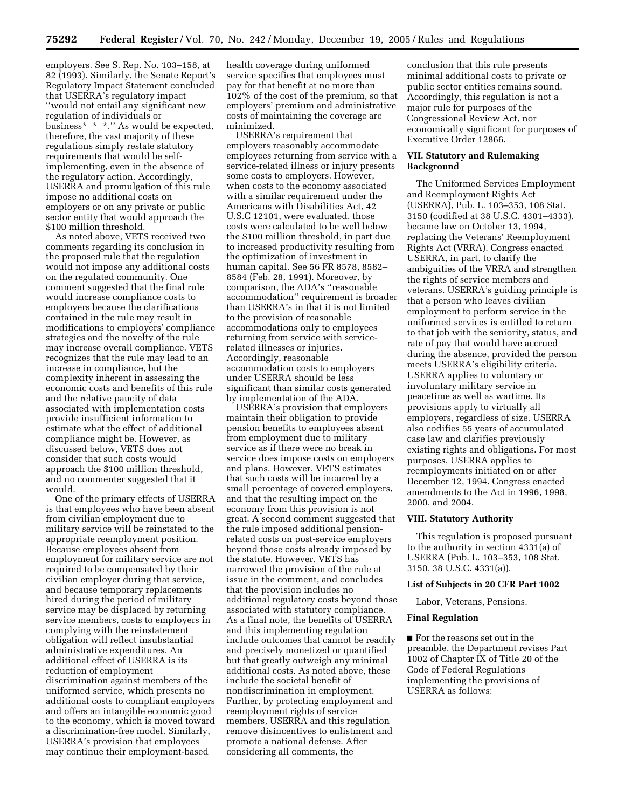employers. See S. Rep. No. 103–158, at 82 (1993). Similarly, the Senate Report's Regulatory Impact Statement concluded that USERRA's regulatory impact ''would not entail any significant new regulation of individuals or business\* \* \*.'' As would be expected, therefore, the vast majority of these regulations simply restate statutory requirements that would be selfimplementing, even in the absence of the regulatory action. Accordingly, USERRA and promulgation of this rule impose no additional costs on employers or on any private or public sector entity that would approach the \$100 million threshold.

As noted above, VETS received two comments regarding its conclusion in the proposed rule that the regulation would not impose any additional costs on the regulated community. One comment suggested that the final rule would increase compliance costs to employers because the clarifications contained in the rule may result in modifications to employers' compliance strategies and the novelty of the rule may increase overall compliance. VETS recognizes that the rule may lead to an increase in compliance, but the complexity inherent in assessing the economic costs and benefits of this rule and the relative paucity of data associated with implementation costs provide insufficient information to estimate what the effect of additional compliance might be. However, as discussed below, VETS does not consider that such costs would approach the \$100 million threshold, and no commenter suggested that it would.

One of the primary effects of USERRA is that employees who have been absent from civilian employment due to military service will be reinstated to the appropriate reemployment position. Because employees absent from employment for military service are not required to be compensated by their civilian employer during that service, and because temporary replacements hired during the period of military service may be displaced by returning service members, costs to employers in complying with the reinstatement obligation will reflect insubstantial administrative expenditures. An additional effect of USERRA is its reduction of employment discrimination against members of the uniformed service, which presents no additional costs to compliant employers and offers an intangible economic good to the economy, which is moved toward a discrimination-free model. Similarly, USERRA's provision that employees may continue their employment-based

health coverage during uniformed service specifies that employees must pay for that benefit at no more than 102% of the cost of the premium, so that employers' premium and administrative costs of maintaining the coverage are minimized.

USERRA's requirement that employers reasonably accommodate employees returning from service with a service-related illness or injury presents some costs to employers. However, when costs to the economy associated with a similar requirement under the Americans with Disabilities Act, 42 U.S.C 12101, were evaluated, those costs were calculated to be well below the \$100 million threshold, in part due to increased productivity resulting from the optimization of investment in human capital. See 56 FR 8578, 8582– 8584 (Feb. 28, 1991). Moreover, by comparison, the ADA's ''reasonable accommodation'' requirement is broader than USERRA's in that it is not limited to the provision of reasonable accommodations only to employees returning from service with servicerelated illnesses or injuries. Accordingly, reasonable accommodation costs to employers under USERRA should be less significant than similar costs generated by implementation of the ADA.

USERRA's provision that employers maintain their obligation to provide pension benefits to employees absent from employment due to military service as if there were no break in service does impose costs on employers and plans. However, VETS estimates that such costs will be incurred by a small percentage of covered employers, and that the resulting impact on the economy from this provision is not great. A second comment suggested that the rule imposed additional pensionrelated costs on post-service employers beyond those costs already imposed by the statute. However, VETS has narrowed the provision of the rule at issue in the comment, and concludes that the provision includes no additional regulatory costs beyond those associated with statutory compliance. As a final note, the benefits of USERRA and this implementing regulation include outcomes that cannot be readily and precisely monetized or quantified but that greatly outweigh any minimal additional costs. As noted above, these include the societal benefit of nondiscrimination in employment. Further, by protecting employment and reemployment rights of service members, USERRA and this regulation remove disincentives to enlistment and promote a national defense. After considering all comments, the

conclusion that this rule presents minimal additional costs to private or public sector entities remains sound. Accordingly, this regulation is not a major rule for purposes of the Congressional Review Act, nor economically significant for purposes of Executive Order 12866.

# **VII. Statutory and Rulemaking Background**

The Uniformed Services Employment and Reemployment Rights Act (USERRA), Pub. L. 103–353, 108 Stat. 3150 (codified at 38 U.S.C. 4301–4333), became law on October 13, 1994, replacing the Veterans' Reemployment Rights Act (VRRA). Congress enacted USERRA, in part, to clarify the ambiguities of the VRRA and strengthen the rights of service members and veterans. USERRA's guiding principle is that a person who leaves civilian employment to perform service in the uniformed services is entitled to return to that job with the seniority, status, and rate of pay that would have accrued during the absence, provided the person meets USERRA's eligibility criteria. USERRA applies to voluntary or involuntary military service in peacetime as well as wartime. Its provisions apply to virtually all employers, regardless of size. USERRA also codifies 55 years of accumulated case law and clarifies previously existing rights and obligations. For most purposes, USERRA applies to reemployments initiated on or after December 12, 1994. Congress enacted amendments to the Act in 1996, 1998, 2000, and 2004.

# **VIII. Statutory Authority**

This regulation is proposed pursuant to the authority in section 4331(a) of USERRA (Pub. L. 103–353, 108 Stat. 3150, 38 U.S.C. 4331(a)).

# **List of Subjects in 20 CFR Part 1002**

Labor, Veterans, Pensions.

#### **Final Regulation**

■ For the reasons set out in the preamble, the Department revises Part 1002 of Chapter IX of Title 20 of the Code of Federal Regulations implementing the provisions of USERRA as follows: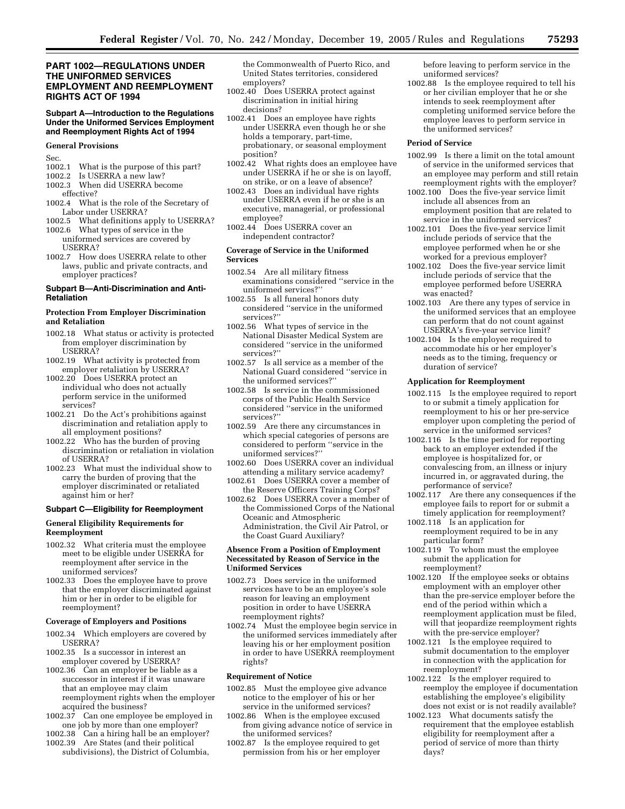# **PART 1002—REGULATIONS UNDER THE UNIFORMED SERVICES EMPLOYMENT AND REEMPLOYMENT RIGHTS ACT OF 1994**

# **Subpart A—Introduction to the Regulations Under the Uniformed Services Employment and Reemployment Rights Act of 1994**

#### **General Provisions**

Sec.

- 1002.1 What is the purpose of this part?
- 1002.2 Is USERRA a new law?
- 1002.3 When did USERRA become effective?
- 1002.4 What is the role of the Secretary of Labor under USERRA?
- 1002.5 What definitions apply to USERRA?
- 1002.6 What types of service in the
- uniformed services are covered by USERRA?
- 1002.7 How does USERRA relate to other laws, public and private contracts, and employer practices?

# **Subpart B—Anti-Discrimination and Anti-Retaliation**

#### **Protection From Employer Discrimination and Retaliation**

- 1002.18 What status or activity is protected from employer discrimination by USERRA?
- 1002.19 What activity is protected from employer retaliation by USERRA?
- 1002.20 Does USERRA protect an individual who does not actually perform service in the uniformed services?
- 1002.21 Do the Act's prohibitions against discrimination and retaliation apply to all employment positions?
- 1002.22 Who has the burden of proving discrimination or retaliation in violation of USERRA?
- 1002.23 What must the individual show to carry the burden of proving that the employer discriminated or retaliated against him or her?

#### **Subpart C—Eligibility for Reemployment**

# **General Eligibility Requirements for Reemployment**

- 1002.32 What criteria must the employee meet to be eligible under USERRA for reemployment after service in the uniformed services?
- 1002.33 Does the employee have to prove that the employer discriminated against him or her in order to be eligible for reemployment?

#### **Coverage of Employers and Positions**

- 1002.34 Which employers are covered by USERRA?
- 1002.35 Is a successor in interest an employer covered by USERRA?
- 1002.36 Can an employer be liable as a successor in interest if it was unaware that an employee may claim reemployment rights when the employer acquired the business?
- 1002.37 Can one employee be employed in one job by more than one employer?
- 1002.38 Can a hiring hall be an employer? 1002.39 Are States (and their political
- subdivisions), the District of Columbia,

the Commonwealth of Puerto Rico, and United States territories, considered employers?

- 1002.40 Does USERRA protect against discrimination in initial hiring decisions?
- 1002.41 Does an employee have rights under USERRA even though he or she holds a temporary, part-time, probationary, or seasonal employment position?
- 1002.42 What rights does an employee have under USERRA if he or she is on layoff, on strike, or on a leave of absence?
- 1002.43 Does an individual have rights under USERRA even if he or she is an
- executive, managerial, or professional employee? 1002.44 Does USERRA cover an
- independent contractor?

#### **Coverage of Service in the Uniformed Services**

- 1002.54 Are all military fitness examinations considered ''service in the uniformed services?''
- 1002.55 Is all funeral honors duty considered ''service in the uniformed services?''
- 1002.56 What types of service in the National Disaster Medical System are considered ''service in the uniformed services?''
- 1002.57 Is all service as a member of the National Guard considered ''service in the uniformed services?''
- 1002.58 Is service in the commissioned corps of the Public Health Service considered ''service in the uniformed services?''
- 1002.59 Are there any circumstances in which special categories of persons are considered to perform ''service in the uniformed services?''
- 1002.60 Does USERRA cover an individual attending a military service academy?
- 1002.61 Does USERRA cover a member of the Reserve Officers Training Corps?
- 1002.62 Does USERRA cover a member of the Commissioned Corps of the National Oceanic and Atmospheric Administration, the Civil Air Patrol, or the Coast Guard Auxiliary?

#### **Absence From a Position of Employment Necessitated by Reason of Service in the Uniformed Services**

- 1002.73 Does service in the uniformed services have to be an employee's sole reason for leaving an employment position in order to have USERRA reemployment rights?
- 1002.74 Must the employee begin service in the uniformed services immediately after leaving his or her employment position in order to have USERRA reemployment rights?

#### **Requirement of Notice**

- 1002.85 Must the employee give advance notice to the employer of his or her service in the uniformed services?
- 1002.86 When is the employee excused from giving advance notice of service in the uniformed services?
- 1002.87 Is the employee required to get permission from his or her employer

before leaving to perform service in the uniformed services?

1002.88 Is the employee required to tell his or her civilian employer that he or she intends to seek reemployment after completing uniformed service before the employee leaves to perform service in the uniformed services?

# **Period of Service**

- 1002.99 Is there a limit on the total amount of service in the uniformed services that an employee may perform and still retain reemployment rights with the employer?
- 1002.100 Does the five-year service limit include all absences from an employment position that are related to service in the uniformed services?
- 1002.101 Does the five-year service limit include periods of service that the employee performed when he or she worked for a previous employer?
- 1002.102 Does the five-year service limit include periods of service that the employee performed before USERRA was enacted?
- 1002.103 Are there any types of service in the uniformed services that an employee can perform that do not count against USERRA's five-year service limit?
- 1002.104 Is the employee required to accommodate his or her employer's needs as to the timing, frequency or duration of service?

# **Application for Reemployment**

- 1002.115 Is the employee required to report to or submit a timely application for reemployment to his or her pre-service employer upon completing the period of service in the uniformed services?
- 1002.116 Is the time period for reporting back to an employer extended if the employee is hospitalized for, or convalescing from, an illness or injury incurred in, or aggravated during, the performance of service?
- 1002.117 Are there any consequences if the employee fails to report for or submit a timely application for reemployment?
- 1002.118 Is an application for reemployment required to be in any particular form?
- 1002.119 To whom must the employee submit the application for reemployment?
- 1002.120 If the employee seeks or obtains employment with an employer other than the pre-service employer before the end of the period within which a reemployment application must be filed, will that jeopardize reemployment rights with the pre-service employer?
- 1002.121 Is the employee required to submit documentation to the employer in connection with the application for reemployment?
- 1002.122 Is the employer required to reemploy the employee if documentation establishing the employee's eligibility does not exist or is not readily available?
- 1002.123 What documents satisfy the requirement that the employee establish eligibility for reemployment after a period of service of more than thirty days?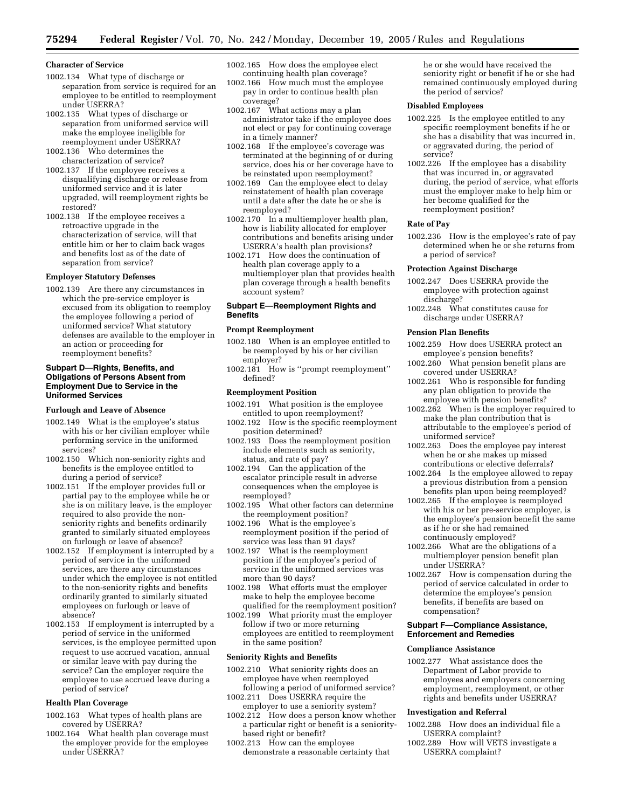#### **Character of Service**

- 1002.134 What type of discharge or separation from service is required for an employee to be entitled to reemployment under USERRA?
- 1002.135 What types of discharge or separation from uniformed service will make the employee ineligible for reemployment under USERRA? 1002.136 Who determines the
- characterization of service?
- 1002.137 If the employee receives a disqualifying discharge or release from uniformed service and it is later upgraded, will reemployment rights be restored?
- 1002.138 If the employee receives a retroactive upgrade in the characterization of service, will that entitle him or her to claim back wages and benefits lost as of the date of separation from service?

#### **Employer Statutory Defenses**

1002.139 Are there any circumstances in which the pre-service employer is excused from its obligation to reemploy the employee following a period of uniformed service? What statutory defenses are available to the employer in an action or proceeding for reemployment benefits?

#### **Subpart D—Rights, Benefits, and Obligations of Persons Absent from Employment Due to Service in the Uniformed Services**

# **Furlough and Leave of Absence**

- 1002.149 What is the employee's status with his or her civilian employer while performing service in the uniformed services?
- 1002.150 Which non-seniority rights and benefits is the employee entitled to during a period of service?
- 1002.151 If the employer provides full or partial pay to the employee while he or she is on military leave, is the employer required to also provide the nonseniority rights and benefits ordinarily granted to similarly situated employees on furlough or leave of absence?
- 1002.152 If employment is interrupted by a period of service in the uniformed services, are there any circumstances under which the employee is not entitled to the non-seniority rights and benefits ordinarily granted to similarly situated employees on furlough or leave of absence?
- 1002.153 If employment is interrupted by a period of service in the uniformed services, is the employee permitted upon request to use accrued vacation, annual or similar leave with pay during the service? Can the employer require the employee to use accrued leave during a period of service?

#### **Health Plan Coverage**

- 1002.163 What types of health plans are covered by USERRA?
- 1002.164 What health plan coverage must the employer provide for the employee under USERRA?

1002.165 How does the employee elect continuing health plan coverage?

- 1002.166 How much must the employee pay in order to continue health plan coverage?
- 1002.167 What actions may a plan administrator take if the employee does not elect or pay for continuing coverage in a timely manner?
- 1002.168 If the employee's coverage was terminated at the beginning of or during service, does his or her coverage have to be reinstated upon reemployment?
- 1002.169 Can the employee elect to delay reinstatement of health plan coverage until a date after the date he or she is reemployed?
- 1002.170 In a multiemployer health plan, how is liability allocated for employer contributions and benefits arising under USERRA's health plan provisions?
- 1002.171 How does the continuation of health plan coverage apply to a multiemployer plan that provides health plan coverage through a health benefits account system?

# **Subpart E—Reemployment Rights and Benefits**

#### **Prompt Reemployment**

- 1002.180 When is an employee entitled to be reemployed by his or her civilian employer?
- 1002.181 How is ''prompt reemployment'' defined?

#### **Reemployment Position**

- 1002.191 What position is the employee entitled to upon reemployment?
- 1002.192 How is the specific reemployment position determined?
- 1002.193 Does the reemployment position include elements such as seniority, status, and rate of pay?
- 1002.194 Can the application of the escalator principle result in adverse consequences when the employee is reemployed?
- 1002.195 What other factors can determine the reemployment position?
- 1002.196 What is the employee's reemployment position if the period of service was less than 91 days?
- 1002.197 What is the reemployment position if the employee's period of service in the uniformed services was more than 90 days?
- 1002.198 What efforts must the employer make to help the employee become qualified for the reemployment position?
- 1002.199 What priority must the employer follow if two or more returning employees are entitled to reemployment in the same position?

#### **Seniority Rights and Benefits**

- 1002.210 What seniority rights does an employee have when reemployed following a period of uniformed service?
- 1002.211 Does USERRA require the employer to use a seniority system?
- 1002.212 How does a person know whether a particular right or benefit is a senioritybased right or benefit?
- 1002.213 How can the employee demonstrate a reasonable certainty that

he or she would have received the seniority right or benefit if he or she had remained continuously employed during the period of service?

# **Disabled Employees**

- 1002.225 Is the employee entitled to any specific reemployment benefits if he or she has a disability that was incurred in, or aggravated during, the period of service?
- 1002.226 If the employee has a disability that was incurred in, or aggravated during, the period of service, what efforts must the employer make to help him or her become qualified for the reemployment position?

# **Rate of Pay**

1002.236 How is the employee's rate of pay determined when he or she returns from a period of service?

#### **Protection Against Discharge**

- 1002.247 Does USERRA provide the employee with protection against discharge?
- 1002.248 What constitutes cause for discharge under USERRA?

# **Pension Plan Benefits**

- 1002.259 How does USERRA protect an employee's pension benefits?
- 1002.260 What pension benefit plans are covered under USERRA?
- 1002.261 Who is responsible for funding any plan obligation to provide the employee with pension benefits?
- 1002.262 When is the employer required to make the plan contribution that is attributable to the employee's period of uniformed service?
- 1002.263 Does the employee pay interest when he or she makes up missed contributions or elective deferrals?
- 1002.264 Is the employee allowed to repay a previous distribution from a pension benefits plan upon being reemployed?
- 1002.265 If the employee is reemployed with his or her pre-service employer, is the employee's pension benefit the same as if he or she had remained continuously employed?
- 1002.266 What are the obligations of a multiemployer pension benefit plan under USERRA?
- 1002.267 How is compensation during the period of service calculated in order to determine the employee's pension benefits, if benefits are based on compensation?

#### **Subpart F—Compliance Assistance, Enforcement and Remedies**

#### **Compliance Assistance**

1002.277 What assistance does the Department of Labor provide to employees and employers concerning employment, reemployment, or other rights and benefits under USERRA?

#### **Investigation and Referral**

- 1002.288 How does an individual file a USERRA complaint?
- 1002.289 How will VETS investigate a USERRA complaint?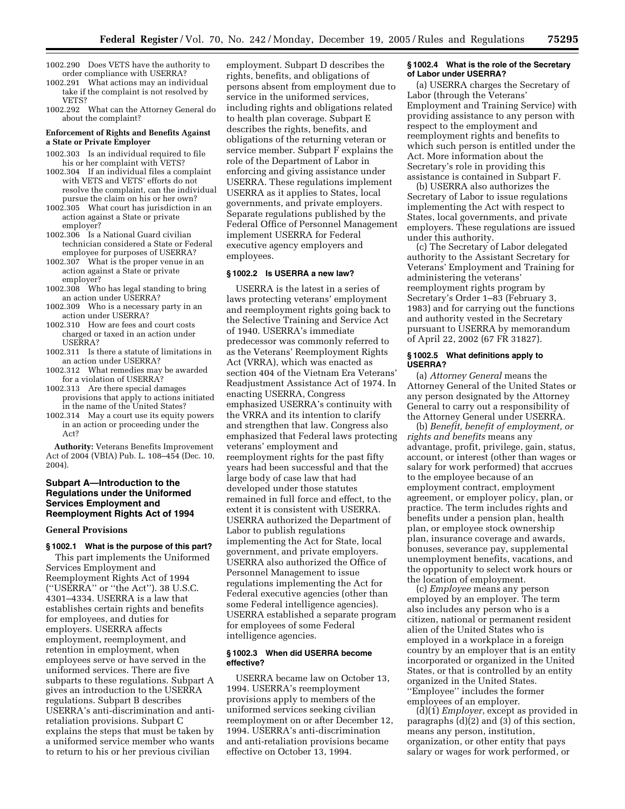- 1002.290 Does VETS have the authority to order compliance with USERRA?
- 1002.291 What actions may an individual take if the complaint is not resolved by VETS?
- 1002.292 What can the Attorney General do about the complaint?

# **Enforcement of Rights and Benefits Against a State or Private Employer**

- 1002.303 Is an individual required to file his or her complaint with VETS?
- 1002.304 If an individual files a complaint with VETS and VETS' efforts do not resolve the complaint, can the individual pursue the claim on his or her own?
- 1002.305 What court has jurisdiction in an action against a State or private employer?
- 1002.306 Is a National Guard civilian technician considered a State or Federal employee for purposes of USERRA?
- 1002.307 What is the proper venue in an action against a State or private employer?
- 1002.308 Who has legal standing to bring an action under USERRA?
- 1002.309 Who is a necessary party in an action under USERRA?
- 1002.310 How are fees and court costs charged or taxed in an action under USERRA?
- 1002.311 Is there a statute of limitations in an action under USERRA?
- 1002.312 What remedies may be awarded for a violation of USERRA?
- 1002.313 Are there special damages provisions that apply to actions initiated in the name of the United States?
- 1002.314 May a court use its equity powers in an action or proceeding under the Act?

**Authority:** Veterans Benefits Improvement Act of 2004 (VBIA) Pub. L. 108–454 (Dec. 10, 2004).

# **Subpart A—Introduction to the Regulations under the Uniformed Services Employment and Reemployment Rights Act of 1994**

#### **General Provisions**

#### **§ 1002.1 What is the purpose of this part?**

This part implements the Uniformed Services Employment and Reemployment Rights Act of 1994 (''USERRA'' or ''the Act''). 38 U.S.C. 4301–4334. USERRA is a law that establishes certain rights and benefits for employees, and duties for employers. USERRA affects employment, reemployment, and retention in employment, when employees serve or have served in the uniformed services. There are five subparts to these regulations. Subpart A gives an introduction to the USERRA regulations. Subpart B describes USERRA's anti-discrimination and antiretaliation provisions. Subpart C explains the steps that must be taken by a uniformed service member who wants to return to his or her previous civilian

employment. Subpart D describes the rights, benefits, and obligations of persons absent from employment due to service in the uniformed services, including rights and obligations related to health plan coverage. Subpart E describes the rights, benefits, and obligations of the returning veteran or service member. Subpart F explains the role of the Department of Labor in enforcing and giving assistance under USERRA. These regulations implement USERRA as it applies to States, local governments, and private employers. Separate regulations published by the Federal Office of Personnel Management implement USERRA for Federal executive agency employers and employees.

# **§ 1002.2 Is USERRA a new law?**

USERRA is the latest in a series of laws protecting veterans' employment and reemployment rights going back to the Selective Training and Service Act of 1940. USERRA's immediate predecessor was commonly referred to as the Veterans' Reemployment Rights Act (VRRA), which was enacted as section 404 of the Vietnam Era Veterans' Readjustment Assistance Act of 1974. In enacting USERRA, Congress emphasized USERRA's continuity with the VRRA and its intention to clarify and strengthen that law. Congress also emphasized that Federal laws protecting veterans' employment and reemployment rights for the past fifty years had been successful and that the large body of case law that had developed under those statutes remained in full force and effect, to the extent it is consistent with USERRA. USERRA authorized the Department of Labor to publish regulations implementing the Act for State, local government, and private employers. USERRA also authorized the Office of Personnel Management to issue regulations implementing the Act for Federal executive agencies (other than some Federal intelligence agencies). USERRA established a separate program for employees of some Federal intelligence agencies.

#### **§ 1002.3 When did USERRA become effective?**

USERRA became law on October 13, 1994. USERRA's reemployment provisions apply to members of the uniformed services seeking civilian reemployment on or after December 12, 1994. USERRA's anti-discrimination and anti-retaliation provisions became effective on October 13, 1994.

#### **§ 1002.4 What is the role of the Secretary of Labor under USERRA?**

(a) USERRA charges the Secretary of Labor (through the Veterans' Employment and Training Service) with providing assistance to any person with respect to the employment and reemployment rights and benefits to which such person is entitled under the Act. More information about the Secretary's role in providing this assistance is contained in Subpart F.

(b) USERRA also authorizes the Secretary of Labor to issue regulations implementing the Act with respect to States, local governments, and private employers. These regulations are issued under this authority.

(c) The Secretary of Labor delegated authority to the Assistant Secretary for Veterans' Employment and Training for administering the veterans' reemployment rights program by Secretary's Order 1–83 (February 3, 1983) and for carrying out the functions and authority vested in the Secretary pursuant to USERRA by memorandum of April 22, 2002 (67 FR 31827).

#### **§ 1002.5 What definitions apply to USERRA?**

(a) *Attorney General* means the Attorney General of the United States or any person designated by the Attorney General to carry out a responsibility of the Attorney General under USERRA.

(b) *Benefit, benefit of employment, or rights and benefits* means any advantage, profit, privilege, gain, status, account, or interest (other than wages or salary for work performed) that accrues to the employee because of an employment contract, employment agreement, or employer policy, plan, or practice. The term includes rights and benefits under a pension plan, health plan, or employee stock ownership plan, insurance coverage and awards, bonuses, severance pay, supplemental unemployment benefits, vacations, and the opportunity to select work hours or the location of employment.

(c) *Employee* means any person employed by an employer. The term also includes any person who is a citizen, national or permanent resident alien of the United States who is employed in a workplace in a foreign country by an employer that is an entity incorporated or organized in the United States, or that is controlled by an entity organized in the United States. ''Employee'' includes the former employees of an employer.

(d)(1) *Employer*, except as provided in paragraphs (d)(2) and (3) of this section, means any person, institution, organization, or other entity that pays salary or wages for work performed, or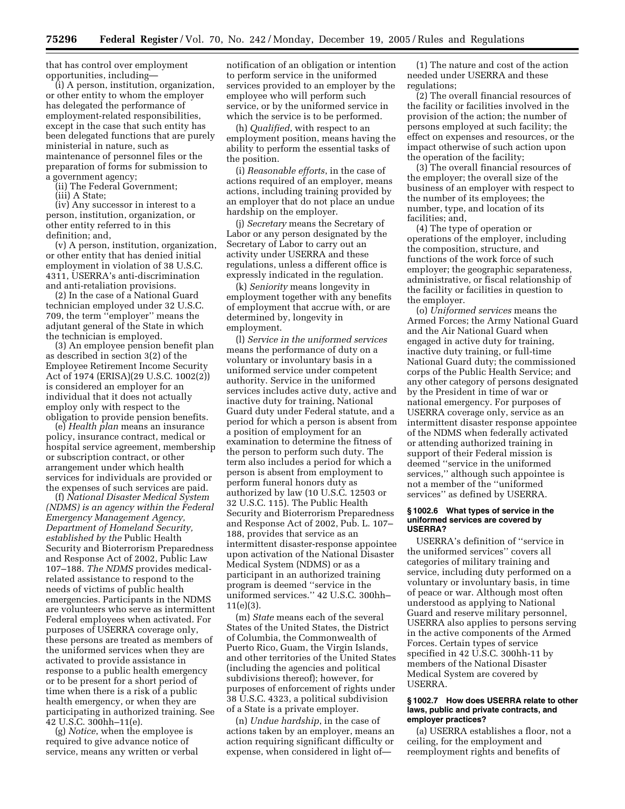that has control over employment opportunities, including—

(i) A person, institution, organization, or other entity to whom the employer has delegated the performance of employment-related responsibilities, except in the case that such entity has been delegated functions that are purely ministerial in nature, such as maintenance of personnel files or the preparation of forms for submission to a government agency;

(ii) The Federal Government;

(iii) A State;

(iv) Any successor in interest to a person, institution, organization, or other entity referred to in this definition; and,

(v) A person, institution, organization, or other entity that has denied initial employment in violation of 38 U.S.C. 4311, USERRA's anti-discrimination and anti-retaliation provisions.

(2) In the case of a National Guard technician employed under 32 U.S.C. 709, the term ''employer'' means the adjutant general of the State in which the technician is employed.

(3) An employee pension benefit plan as described in section 3(2) of the Employee Retirement Income Security Act of 1974 (ERISA)(29 U.S.C. 1002(2)) is considered an employer for an individual that it does not actually employ only with respect to the obligation to provide pension benefits.

(e) *Health plan* means an insurance policy, insurance contract, medical or hospital service agreement, membership or subscription contract, or other arrangement under which health services for individuals are provided or the expenses of such services are paid.

(f) *National Disaster Medical System (NDMS) is an agency within the Federal Emergency Management Agency, Department of Homeland Security, established by the* Public Health Security and Bioterrorism Preparedness and Response Act of 2002, Public Law 107–188. *The NDMS* provides medicalrelated assistance to respond to the needs of victims of public health emergencies. Participants in the NDMS are volunteers who serve as intermittent Federal employees when activated. For purposes of USERRA coverage only, these persons are treated as members of the uniformed services when they are activated to provide assistance in response to a public health emergency or to be present for a short period of time when there is a risk of a public health emergency, or when they are participating in authorized training. See 42 U.S.C. 300hh–11(e).

(g) *Notice*, when the employee is required to give advance notice of service, means any written or verbal

notification of an obligation or intention to perform service in the uniformed services provided to an employer by the employee who will perform such service, or by the uniformed service in which the service is to be performed.

(h) *Qualified*, with respect to an employment position, means having the ability to perform the essential tasks of the position.

(i) *Reasonable efforts*, in the case of actions required of an employer, means actions, including training provided by an employer that do not place an undue hardship on the employer.

(j) *Secretary* means the Secretary of Labor or any person designated by the Secretary of Labor to carry out an activity under USERRA and these regulations, unless a different office is expressly indicated in the regulation.

(k) *Seniority* means longevity in employment together with any benefits of employment that accrue with, or are determined by, longevity in employment.

(l) *Service in the uniformed services*  means the performance of duty on a voluntary or involuntary basis in a uniformed service under competent authority. Service in the uniformed services includes active duty, active and inactive duty for training, National Guard duty under Federal statute, and a period for which a person is absent from a position of employment for an examination to determine the fitness of the person to perform such duty. The term also includes a period for which a person is absent from employment to perform funeral honors duty as authorized by law (10 U.S.C. 12503 or 32 U.S.C. 115). The Public Health Security and Bioterrorism Preparedness and Response Act of 2002, Pub. L. 107– 188, provides that service as an intermittent disaster-response appointee upon activation of the National Disaster Medical System (NDMS) or as a participant in an authorized training program is deemed ''service in the uniformed services.'' 42 U.S.C. 300hh– 11(e)(3).

(m) *State* means each of the several States of the United States, the District of Columbia, the Commonwealth of Puerto Rico, Guam, the Virgin Islands, and other territories of the United States (including the agencies and political subdivisions thereof); however, for purposes of enforcement of rights under 38 U.S.C. 4323, a political subdivision of a State is a private employer.

(n) *Undue hardship*, in the case of actions taken by an employer, means an action requiring significant difficulty or expense, when considered in light of—

(1) The nature and cost of the action needed under USERRA and these regulations;

(2) The overall financial resources of the facility or facilities involved in the provision of the action; the number of persons employed at such facility; the effect on expenses and resources, or the impact otherwise of such action upon the operation of the facility;

(3) The overall financial resources of the employer; the overall size of the business of an employer with respect to the number of its employees; the number, type, and location of its facilities; and,

(4) The type of operation or operations of the employer, including the composition, structure, and functions of the work force of such employer; the geographic separateness, administrative, or fiscal relationship of the facility or facilities in question to the employer.

(o) *Uniformed services* means the Armed Forces; the Army National Guard and the Air National Guard when engaged in active duty for training, inactive duty training, or full-time National Guard duty; the commissioned corps of the Public Health Service; and any other category of persons designated by the President in time of war or national emergency. For purposes of USERRA coverage only, service as an intermittent disaster response appointee of the NDMS when federally activated or attending authorized training in support of their Federal mission is deemed ''service in the uniformed services,'' although such appointee is not a member of the ''uniformed services'' as defined by USERRA.

#### **§ 1002.6 What types of service in the uniformed services are covered by USERRA?**

USERRA's definition of ''service in the uniformed services'' covers all categories of military training and service, including duty performed on a voluntary or involuntary basis, in time of peace or war. Although most often understood as applying to National Guard and reserve military personnel, USERRA also applies to persons serving in the active components of the Armed Forces. Certain types of service specified in 42 U.S.C. 300hh-11 by members of the National Disaster Medical System are covered by USERRA.

# **§ 1002.7 How does USERRA relate to other laws, public and private contracts, and employer practices?**

(a) USERRA establishes a floor, not a ceiling, for the employment and reemployment rights and benefits of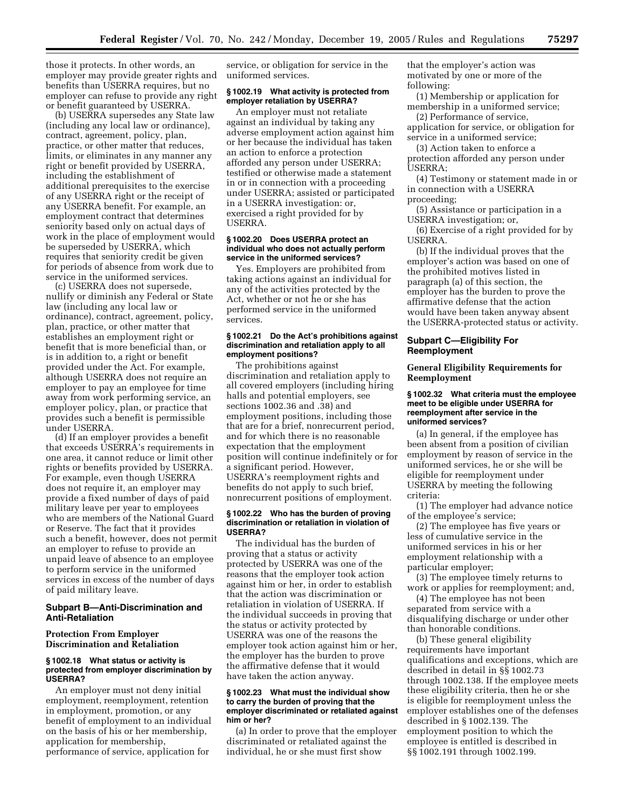those it protects. In other words, an employer may provide greater rights and benefits than USERRA requires, but no employer can refuse to provide any right or benefit guaranteed by USERRA.

(b) USERRA supersedes any State law (including any local law or ordinance), contract, agreement, policy, plan, practice, or other matter that reduces, limits, or eliminates in any manner any right or benefit provided by USERRA, including the establishment of additional prerequisites to the exercise of any USERRA right or the receipt of any USERRA benefit. For example, an employment contract that determines seniority based only on actual days of work in the place of employment would be superseded by USERRA, which requires that seniority credit be given for periods of absence from work due to service in the uniformed services.

(c) USERRA does not supersede, nullify or diminish any Federal or State law (including any local law or ordinance), contract, agreement, policy, plan, practice, or other matter that establishes an employment right or benefit that is more beneficial than, or is in addition to, a right or benefit provided under the Act. For example, although USERRA does not require an employer to pay an employee for time away from work performing service, an employer policy, plan, or practice that provides such a benefit is permissible under USERRA.

(d) If an employer provides a benefit that exceeds USERRA's requirements in one area, it cannot reduce or limit other rights or benefits provided by USERRA. For example, even though USERRA does not require it, an employer may provide a fixed number of days of paid military leave per year to employees who are members of the National Guard or Reserve. The fact that it provides such a benefit, however, does not permit an employer to refuse to provide an unpaid leave of absence to an employee to perform service in the uniformed services in excess of the number of days of paid military leave.

# **Subpart B—Anti-Discrimination and Anti-Retaliation**

#### **Protection From Employer Discrimination and Retaliation**

#### **§ 1002.18 What status or activity is protected from employer discrimination by USERRA?**

An employer must not deny initial employment, reemployment, retention in employment, promotion, or any benefit of employment to an individual on the basis of his or her membership, application for membership, performance of service, application for

service, or obligation for service in the uniformed services.

# **§ 1002.19 What activity is protected from employer retaliation by USERRA?**

An employer must not retaliate against an individual by taking any adverse employment action against him or her because the individual has taken an action to enforce a protection afforded any person under USERRA; testified or otherwise made a statement in or in connection with a proceeding under USERRA; assisted or participated in a USERRA investigation: or, exercised a right provided for by USERRA.

#### **§ 1002.20 Does USERRA protect an individual who does not actually perform service in the uniformed services?**

Yes. Employers are prohibited from taking actions against an individual for any of the activities protected by the Act, whether or not he or she has performed service in the uniformed services.

# **§ 1002.21 Do the Act's prohibitions against discrimination and retaliation apply to all employment positions?**

The prohibitions against discrimination and retaliation apply to all covered employers (including hiring halls and potential employers, see sections 1002.36 and .38) and employment positions, including those that are for a brief, nonrecurrent period, and for which there is no reasonable expectation that the employment position will continue indefinitely or for a significant period. However, USERRA's reemployment rights and benefits do not apply to such brief, nonrecurrent positions of employment.

#### **§ 1002.22 Who has the burden of proving discrimination or retaliation in violation of USERRA?**

The individual has the burden of proving that a status or activity protected by USERRA was one of the reasons that the employer took action against him or her, in order to establish that the action was discrimination or retaliation in violation of USERRA. If the individual succeeds in proving that the status or activity protected by USERRA was one of the reasons the employer took action against him or her, the employer has the burden to prove the affirmative defense that it would have taken the action anyway.

#### **§ 1002.23 What must the individual show to carry the burden of proving that the employer discriminated or retaliated against him or her?**

(a) In order to prove that the employer discriminated or retaliated against the individual, he or she must first show

that the employer's action was motivated by one or more of the following:

(1) Membership or application for membership in a uniformed service;

(2) Performance of service, application for service, or obligation for service in a uniformed service;

(3) Action taken to enforce a

protection afforded any person under USERRA;

(4) Testimony or statement made in or in connection with a USERRA proceeding;

(5) Assistance or participation in a USERRA investigation; or,

(6) Exercise of a right provided for by USERRA.

(b) If the individual proves that the employer's action was based on one of the prohibited motives listed in paragraph (a) of this section, the employer has the burden to prove the affirmative defense that the action would have been taken anyway absent the USERRA-protected status or activity.

# **Subpart C—Eligibility For Reemployment**

#### **General Eligibility Requirements for Reemployment**

# **§ 1002.32 What criteria must the employee meet to be eligible under USERRA for reemployment after service in the uniformed services?**

(a) In general, if the employee has been absent from a position of civilian employment by reason of service in the uniformed services, he or she will be eligible for reemployment under USERRA by meeting the following criteria:

(1) The employer had advance notice of the employee's service;

(2) The employee has five years or less of cumulative service in the uniformed services in his or her employment relationship with a particular employer;

(3) The employee timely returns to work or applies for reemployment; and,

(4) The employee has not been separated from service with a disqualifying discharge or under other than honorable conditions.

(b) These general eligibility requirements have important qualifications and exceptions, which are described in detail in §§ 1002.73 through 1002.138. If the employee meets these eligibility criteria, then he or she is eligible for reemployment unless the employer establishes one of the defenses described in § 1002.139. The employment position to which the employee is entitled is described in §§ 1002.191 through 1002.199.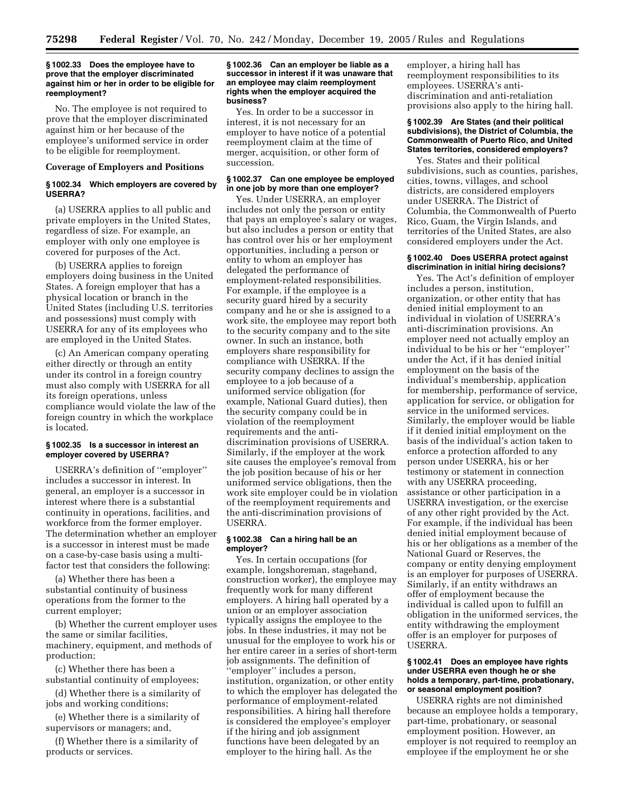# **§ 1002.33 Does the employee have to prove that the employer discriminated against him or her in order to be eligible for reemployment?**

No. The employee is not required to prove that the employer discriminated against him or her because of the employee's uniformed service in order to be eligible for reemployment.

# **Coverage of Employers and Positions**

#### **§ 1002.34 Which employers are covered by USERRA?**

(a) USERRA applies to all public and private employers in the United States, regardless of size. For example, an employer with only one employee is covered for purposes of the Act.

(b) USERRA applies to foreign employers doing business in the United States. A foreign employer that has a physical location or branch in the United States (including U.S. territories and possessions) must comply with USERRA for any of its employees who are employed in the United States.

(c) An American company operating either directly or through an entity under its control in a foreign country must also comply with USERRA for all its foreign operations, unless compliance would violate the law of the foreign country in which the workplace is located.

# **§ 1002.35 Is a successor in interest an employer covered by USERRA?**

USERRA's definition of ''employer'' includes a successor in interest. In general, an employer is a successor in interest where there is a substantial continuity in operations, facilities, and workforce from the former employer. The determination whether an employer is a successor in interest must be made on a case-by-case basis using a multifactor test that considers the following:

(a) Whether there has been a substantial continuity of business operations from the former to the current employer;

(b) Whether the current employer uses the same or similar facilities, machinery, equipment, and methods of production;

(c) Whether there has been a substantial continuity of employees;

(d) Whether there is a similarity of jobs and working conditions;

(e) Whether there is a similarity of supervisors or managers; and,

(f) Whether there is a similarity of products or services.

#### **§ 1002.36 Can an employer be liable as a successor in interest if it was unaware that an employee may claim reemployment rights when the employer acquired the business?**

Yes. In order to be a successor in interest, it is not necessary for an employer to have notice of a potential reemployment claim at the time of merger, acquisition, or other form of succession.

# **§ 1002.37 Can one employee be employed in one job by more than one employer?**

Yes. Under USERRA, an employer includes not only the person or entity that pays an employee's salary or wages, but also includes a person or entity that has control over his or her employment opportunities, including a person or entity to whom an employer has delegated the performance of employment-related responsibilities. For example, if the employee is a security guard hired by a security company and he or she is assigned to a work site, the employee may report both to the security company and to the site owner. In such an instance, both employers share responsibility for compliance with USERRA. If the security company declines to assign the employee to a job because of a uniformed service obligation (for example, National Guard duties), then the security company could be in violation of the reemployment requirements and the antidiscrimination provisions of USERRA. Similarly, if the employer at the work site causes the employee's removal from the job position because of his or her uniformed service obligations, then the work site employer could be in violation of the reemployment requirements and the anti-discrimination provisions of USERRA.

#### **§ 1002.38 Can a hiring hall be an employer?**

Yes. In certain occupations (for example, longshoreman, stagehand, construction worker), the employee may frequently work for many different employers. A hiring hall operated by a union or an employer association typically assigns the employee to the jobs. In these industries, it may not be unusual for the employee to work his or her entire career in a series of short-term job assignments. The definition of ''employer'' includes a person, institution, organization, or other entity to which the employer has delegated the performance of employment-related responsibilities. A hiring hall therefore is considered the employee's employer if the hiring and job assignment functions have been delegated by an employer to the hiring hall. As the

employer, a hiring hall has reemployment responsibilities to its employees. USERRA's antidiscrimination and anti-retaliation provisions also apply to the hiring hall.

#### **§ 1002.39 Are States (and their political subdivisions), the District of Columbia, the Commonwealth of Puerto Rico, and United States territories, considered employers?**

Yes. States and their political subdivisions, such as counties, parishes, cities, towns, villages, and school districts, are considered employers under USERRA. The District of Columbia, the Commonwealth of Puerto Rico, Guam, the Virgin Islands, and territories of the United States, are also considered employers under the Act.

#### **§ 1002.40 Does USERRA protect against discrimination in initial hiring decisions?**

Yes. The Act's definition of employer includes a person, institution, organization, or other entity that has denied initial employment to an individual in violation of USERRA's anti-discrimination provisions. An employer need not actually employ an individual to be his or her ''employer'' under the Act, if it has denied initial employment on the basis of the individual's membership, application for membership, performance of service, application for service, or obligation for service in the uniformed services. Similarly, the employer would be liable if it denied initial employment on the basis of the individual's action taken to enforce a protection afforded to any person under USERRA, his or her testimony or statement in connection with any USERRA proceeding, assistance or other participation in a USERRA investigation, or the exercise of any other right provided by the Act. For example, if the individual has been denied initial employment because of his or her obligations as a member of the National Guard or Reserves, the company or entity denying employment is an employer for purposes of USERRA. Similarly, if an entity withdraws an offer of employment because the individual is called upon to fulfill an obligation in the uniformed services, the entity withdrawing the employment offer is an employer for purposes of USERRA.

# **§ 1002.41 Does an employee have rights under USERRA even though he or she holds a temporary, part-time, probationary, or seasonal employment position?**

USERRA rights are not diminished because an employee holds a temporary, part-time, probationary, or seasonal employment position. However, an employer is not required to reemploy an employee if the employment he or she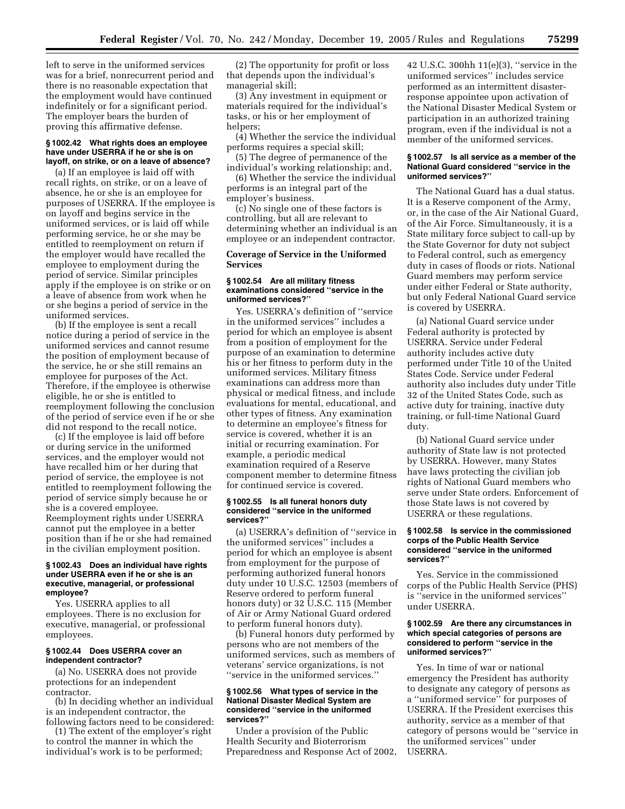left to serve in the uniformed services was for a brief, nonrecurrent period and there is no reasonable expectation that the employment would have continued indefinitely or for a significant period. The employer bears the burden of proving this affirmative defense.

#### **§ 1002.42 What rights does an employee have under USERRA if he or she is on layoff, on strike, or on a leave of absence?**

(a) If an employee is laid off with recall rights, on strike, or on a leave of absence, he or she is an employee for purposes of USERRA. If the employee is on layoff and begins service in the uniformed services, or is laid off while performing service, he or she may be entitled to reemployment on return if the employer would have recalled the employee to employment during the period of service. Similar principles apply if the employee is on strike or on a leave of absence from work when he or she begins a period of service in the uniformed services.

(b) If the employee is sent a recall notice during a period of service in the uniformed services and cannot resume the position of employment because of the service, he or she still remains an employee for purposes of the Act. Therefore, if the employee is otherwise eligible, he or she is entitled to reemployment following the conclusion of the period of service even if he or she did not respond to the recall notice.

(c) If the employee is laid off before or during service in the uniformed services, and the employer would not have recalled him or her during that period of service, the employee is not entitled to reemployment following the period of service simply because he or she is a covered employee. Reemployment rights under USERRA cannot put the employee in a better position than if he or she had remained in the civilian employment position.

# **§ 1002.43 Does an individual have rights under USERRA even if he or she is an executive, managerial, or professional employee?**

Yes. USERRA applies to all employees. There is no exclusion for executive, managerial, or professional employees.

# **§ 1002.44 Does USERRA cover an independent contractor?**

(a) No. USERRA does not provide protections for an independent contractor.

(b) In deciding whether an individual is an independent contractor, the following factors need to be considered:

(1) The extent of the employer's right to control the manner in which the individual's work is to be performed;

(2) The opportunity for profit or loss that depends upon the individual's managerial skill;

(3) Any investment in equipment or materials required for the individual's tasks, or his or her employment of helpers;

(4) Whether the service the individual performs requires a special skill;

(5) The degree of permanence of the individual's working relationship; and,

(6) Whether the service the individual performs is an integral part of the employer's business.

(c) No single one of these factors is controlling, but all are relevant to determining whether an individual is an employee or an independent contractor.

# **Coverage of Service in the Uniformed Services**

#### **§ 1002.54 Are all military fitness examinations considered ''service in the uniformed services?''**

Yes. USERRA's definition of ''service in the uniformed services'' includes a period for which an employee is absent from a position of employment for the purpose of an examination to determine his or her fitness to perform duty in the uniformed services. Military fitness examinations can address more than physical or medical fitness, and include evaluations for mental, educational, and other types of fitness. Any examination to determine an employee's fitness for service is covered, whether it is an initial or recurring examination. For example, a periodic medical examination required of a Reserve component member to determine fitness for continued service is covered.

#### **§ 1002.55 Is all funeral honors duty considered ''service in the uniformed services?''**

(a) USERRA's definition of ''service in the uniformed services'' includes a period for which an employee is absent from employment for the purpose of performing authorized funeral honors duty under 10 U.S.C. 12503 (members of Reserve ordered to perform funeral honors duty) or 32 U.S.C. 115 (Member of Air or Army National Guard ordered to perform funeral honors duty).

(b) Funeral honors duty performed by persons who are not members of the uniformed services, such as members of veterans' service organizations, is not ''service in the uniformed services.''

#### **§ 1002.56 What types of service in the National Disaster Medical System are considered ''service in the uniformed services?''**

Under a provision of the Public Health Security and Bioterrorism Preparedness and Response Act of 2002,

42 U.S.C. 300hh 11(e)(3), ''service in the uniformed services'' includes service performed as an intermittent disasterresponse appointee upon activation of the National Disaster Medical System or participation in an authorized training program, even if the individual is not a member of the uniformed services.

# **§ 1002.57 Is all service as a member of the National Guard considered ''service in the uniformed services?''**

The National Guard has a dual status. It is a Reserve component of the Army, or, in the case of the Air National Guard, of the Air Force. Simultaneously, it is a State military force subject to call-up by the State Governor for duty not subject to Federal control, such as emergency duty in cases of floods or riots. National Guard members may perform service under either Federal or State authority, but only Federal National Guard service is covered by USERRA.

(a) National Guard service under Federal authority is protected by USERRA. Service under Federal authority includes active duty performed under Title 10 of the United States Code. Service under Federal authority also includes duty under Title 32 of the United States Code, such as active duty for training, inactive duty training, or full-time National Guard duty.

(b) National Guard service under authority of State law is not protected by USERRA. However, many States have laws protecting the civilian job rights of National Guard members who serve under State orders. Enforcement of those State laws is not covered by USERRA or these regulations.

# **§ 1002.58 Is service in the commissioned corps of the Public Health Service considered ''service in the uniformed services?''**

Yes. Service in the commissioned corps of the Public Health Service (PHS) is ''service in the uniformed services'' under USERRA.

# **§ 1002.59 Are there any circumstances in which special categories of persons are considered to perform ''service in the uniformed services?''**

Yes. In time of war or national emergency the President has authority to designate any category of persons as a ''uniformed service'' for purposes of USERRA. If the President exercises this authority, service as a member of that category of persons would be ''service in the uniformed services'' under USERRA.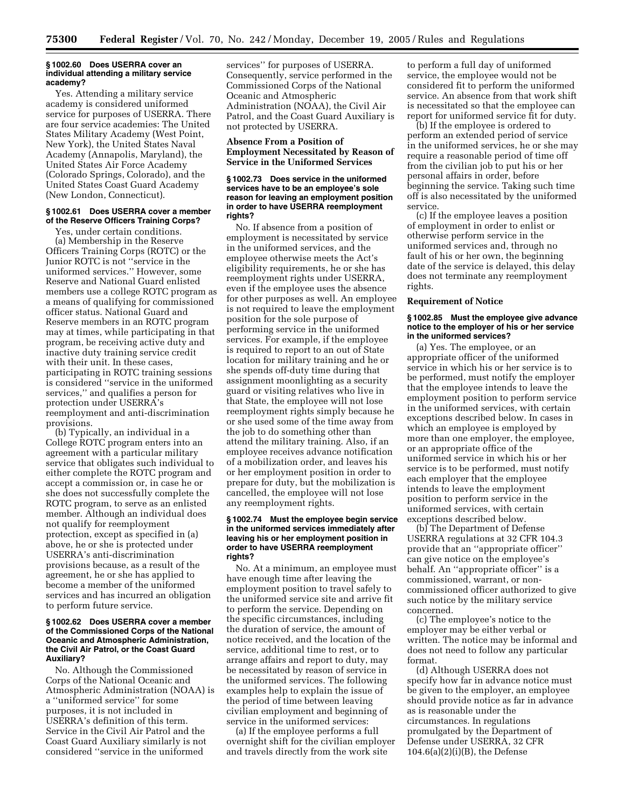#### **§ 1002.60 Does USERRA cover an individual attending a military service academy?**

Yes. Attending a military service academy is considered uniformed service for purposes of USERRA. There are four service academies: The United States Military Academy (West Point, New York), the United States Naval Academy (Annapolis, Maryland), the United States Air Force Academy (Colorado Springs, Colorado), and the United States Coast Guard Academy (New London, Connecticut).

# **§ 1002.61 Does USERRA cover a member of the Reserve Officers Training Corps?**

Yes, under certain conditions. (a) Membership in the Reserve Officers Training Corps (ROTC) or the Junior ROTC is not ''service in the uniformed services.'' However, some Reserve and National Guard enlisted members use a college ROTC program as a means of qualifying for commissioned officer status. National Guard and Reserve members in an ROTC program may at times, while participating in that program, be receiving active duty and inactive duty training service credit with their unit. In these cases, participating in ROTC training sessions is considered ''service in the uniformed services,'' and qualifies a person for protection under USERRA's reemployment and anti-discrimination provisions.

(b) Typically, an individual in a College ROTC program enters into an agreement with a particular military service that obligates such individual to either complete the ROTC program and accept a commission or, in case he or she does not successfully complete the ROTC program, to serve as an enlisted member. Although an individual does not qualify for reemployment protection, except as specified in (a) above, he or she is protected under USERRA's anti-discrimination provisions because, as a result of the agreement, he or she has applied to become a member of the uniformed services and has incurred an obligation to perform future service.

#### **§ 1002.62 Does USERRA cover a member of the Commissioned Corps of the National Oceanic and Atmospheric Administration, the Civil Air Patrol, or the Coast Guard Auxiliary?**

No. Although the Commissioned Corps of the National Oceanic and Atmospheric Administration (NOAA) is a ''uniformed service'' for some purposes, it is not included in USERRA's definition of this term. Service in the Civil Air Patrol and the Coast Guard Auxiliary similarly is not considered ''service in the uniformed

services'' for purposes of USERRA. Consequently, service performed in the Commissioned Corps of the National Oceanic and Atmospheric Administration (NOAA), the Civil Air Patrol, and the Coast Guard Auxiliary is not protected by USERRA.

# **Absence From a Position of Employment Necessitated by Reason of Service in the Uniformed Services**

#### **§ 1002.73 Does service in the uniformed services have to be an employee's sole reason for leaving an employment position in order to have USERRA reemployment rights?**

No. If absence from a position of employment is necessitated by service in the uniformed services, and the employee otherwise meets the Act's eligibility requirements, he or she has reemployment rights under USERRA, even if the employee uses the absence for other purposes as well. An employee is not required to leave the employment position for the sole purpose of performing service in the uniformed services. For example, if the employee is required to report to an out of State location for military training and he or she spends off-duty time during that assignment moonlighting as a security guard or visiting relatives who live in that State, the employee will not lose reemployment rights simply because he or she used some of the time away from the job to do something other than attend the military training. Also, if an employee receives advance notification of a mobilization order, and leaves his or her employment position in order to prepare for duty, but the mobilization is cancelled, the employee will not lose any reemployment rights.

#### **§ 1002.74 Must the employee begin service in the uniformed services immediately after leaving his or her employment position in order to have USERRA reemployment rights?**

No. At a minimum, an employee must have enough time after leaving the employment position to travel safely to the uniformed service site and arrive fit to perform the service. Depending on the specific circumstances, including the duration of service, the amount of notice received, and the location of the service, additional time to rest, or to arrange affairs and report to duty, may be necessitated by reason of service in the uniformed services. The following examples help to explain the issue of the period of time between leaving civilian employment and beginning of service in the uniformed services:

(a) If the employee performs a full overnight shift for the civilian employer and travels directly from the work site

to perform a full day of uniformed service, the employee would not be considered fit to perform the uniformed service. An absence from that work shift is necessitated so that the employee can report for uniformed service fit for duty.

(b) If the employee is ordered to perform an extended period of service in the uniformed services, he or she may require a reasonable period of time off from the civilian job to put his or her personal affairs in order, before beginning the service. Taking such time off is also necessitated by the uniformed service.

(c) If the employee leaves a position of employment in order to enlist or otherwise perform service in the uniformed services and, through no fault of his or her own, the beginning date of the service is delayed, this delay does not terminate any reemployment rights.

#### **Requirement of Notice**

#### **§ 1002.85 Must the employee give advance notice to the employer of his or her service in the uniformed services?**

(a) Yes. The employee, or an appropriate officer of the uniformed service in which his or her service is to be performed, must notify the employer that the employee intends to leave the employment position to perform service in the uniformed services, with certain exceptions described below. In cases in which an employee is employed by more than one employer, the employee, or an appropriate office of the uniformed service in which his or her service is to be performed, must notify each employer that the employee intends to leave the employment position to perform service in the uniformed services, with certain exceptions described below.

(b) The Department of Defense USERRA regulations at 32 CFR 104.3 provide that an ''appropriate officer'' can give notice on the employee's behalf. An ''appropriate officer'' is a commissioned, warrant, or noncommissioned officer authorized to give such notice by the military service concerned.

(c) The employee's notice to the employer may be either verbal or written. The notice may be informal and does not need to follow any particular format.

(d) Although USERRA does not specify how far in advance notice must be given to the employer, an employee should provide notice as far in advance as is reasonable under the circumstances. In regulations promulgated by the Department of Defense under USERRA, 32 CFR  $104.6(a)(2)(i)(B)$ , the Defense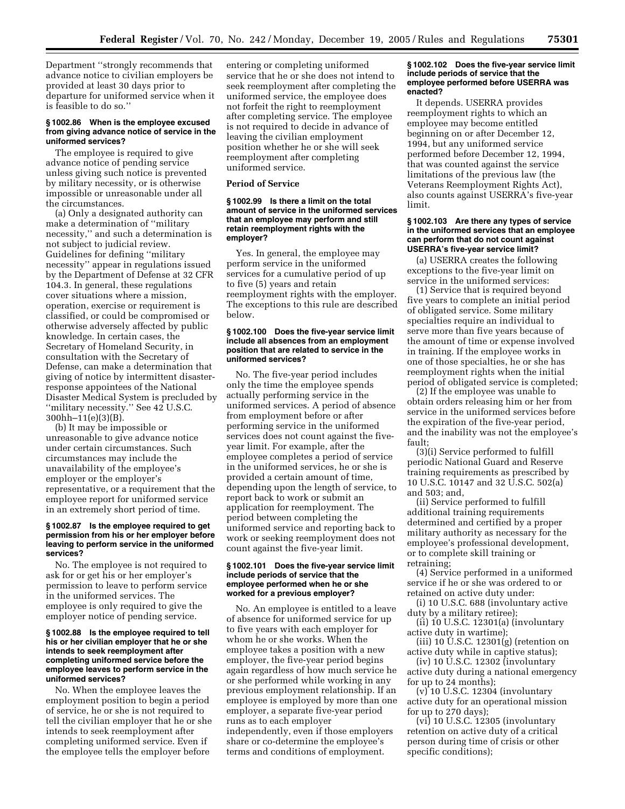Department ''strongly recommends that advance notice to civilian employers be provided at least 30 days prior to departure for uniformed service when it is feasible to do so.''

#### **§ 1002.86 When is the employee excused from giving advance notice of service in the uniformed services?**

The employee is required to give advance notice of pending service unless giving such notice is prevented by military necessity, or is otherwise impossible or unreasonable under all the circumstances.

(a) Only a designated authority can make a determination of ''military necessity,'' and such a determination is not subject to judicial review. Guidelines for defining ''military necessity'' appear in regulations issued by the Department of Defense at 32 CFR 104.3. In general, these regulations cover situations where a mission, operation, exercise or requirement is classified, or could be compromised or otherwise adversely affected by public knowledge. In certain cases, the Secretary of Homeland Security, in consultation with the Secretary of Defense, can make a determination that giving of notice by intermittent disasterresponse appointees of the National Disaster Medical System is precluded by ''military necessity.'' See 42 U.S.C. 300hh–11(e)(3)(B).

(b) It may be impossible or unreasonable to give advance notice under certain circumstances. Such circumstances may include the unavailability of the employee's employer or the employer's representative, or a requirement that the employee report for uniformed service in an extremely short period of time.

#### **§ 1002.87 Is the employee required to get permission from his or her employer before leaving to perform service in the uniformed services?**

No. The employee is not required to ask for or get his or her employer's permission to leave to perform service in the uniformed services. The employee is only required to give the employer notice of pending service.

#### **§ 1002.88 Is the employee required to tell his or her civilian employer that he or she intends to seek reemployment after completing uniformed service before the employee leaves to perform service in the uniformed services?**

No. When the employee leaves the employment position to begin a period of service, he or she is not required to tell the civilian employer that he or she intends to seek reemployment after completing uniformed service. Even if the employee tells the employer before

entering or completing uniformed service that he or she does not intend to seek reemployment after completing the uniformed service, the employee does not forfeit the right to reemployment after completing service. The employee is not required to decide in advance of leaving the civilian employment position whether he or she will seek reemployment after completing uniformed service.

# **Period of Service**

#### **§ 1002.99 Is there a limit on the total amount of service in the uniformed services that an employee may perform and still retain reemployment rights with the employer?**

Yes. In general, the employee may perform service in the uniformed services for a cumulative period of up to five (5) years and retain reemployment rights with the employer. The exceptions to this rule are described below.

#### **§ 1002.100 Does the five-year service limit include all absences from an employment position that are related to service in the uniformed services?**

No. The five-year period includes only the time the employee spends actually performing service in the uniformed services. A period of absence from employment before or after performing service in the uniformed services does not count against the fiveyear limit. For example, after the employee completes a period of service in the uniformed services, he or she is provided a certain amount of time, depending upon the length of service, to report back to work or submit an application for reemployment. The period between completing the uniformed service and reporting back to work or seeking reemployment does not count against the five-year limit.

#### **§ 1002.101 Does the five-year service limit include periods of service that the employee performed when he or she worked for a previous employer?**

No. An employee is entitled to a leave of absence for uniformed service for up to five years with each employer for whom he or she works. When the employee takes a position with a new employer, the five-year period begins again regardless of how much service he or she performed while working in any previous employment relationship. If an employee is employed by more than one employer, a separate five-year period runs as to each employer independently, even if those employers share or co-determine the employee's terms and conditions of employment.

#### **§ 1002.102 Does the five-year service limit include periods of service that the employee performed before USERRA was enacted?**

It depends. USERRA provides reemployment rights to which an employee may become entitled beginning on or after December 12, 1994, but any uniformed service performed before December 12, 1994, that was counted against the service limitations of the previous law (the Veterans Reemployment Rights Act), also counts against USERRA's five-year limit.

#### **§ 1002.103 Are there any types of service in the uniformed services that an employee can perform that do not count against USERRA's five-year service limit?**

(a) USERRA creates the following exceptions to the five-year limit on service in the uniformed services:

(1) Service that is required beyond five years to complete an initial period of obligated service. Some military specialties require an individual to serve more than five years because of the amount of time or expense involved in training. If the employee works in one of those specialties, he or she has reemployment rights when the initial period of obligated service is completed;

(2) If the employee was unable to obtain orders releasing him or her from service in the uniformed services before the expiration of the five-year period, and the inability was not the employee's fault;

(3)(i) Service performed to fulfill periodic National Guard and Reserve training requirements as prescribed by 10 U.S.C. 10147 and 32 U.S.C. 502(a) and 503; and,

(ii) Service performed to fulfill additional training requirements determined and certified by a proper military authority as necessary for the employee's professional development, or to complete skill training or retraining;

(4) Service performed in a uniformed service if he or she was ordered to or retained on active duty under:

(i) 10 U.S.C. 688 (involuntary active duty by a military retiree);

 $(iii)$  10 U.S.C. 12301(a) (involuntary active duty in wartime);

 $(iii)$  10 U.S.C. 12301 $(g)$  (retention on active duty while in captive status);

(iv) 10 U.S.C. 12302 (involuntary active duty during a national emergency for up to 24 months);

 $(v)$  10 U.S.C. 12304 (involuntary active duty for an operational mission for up to 270 days);

(vi) 10 U.S.C. 12305 (involuntary retention on active duty of a critical person during time of crisis or other specific conditions);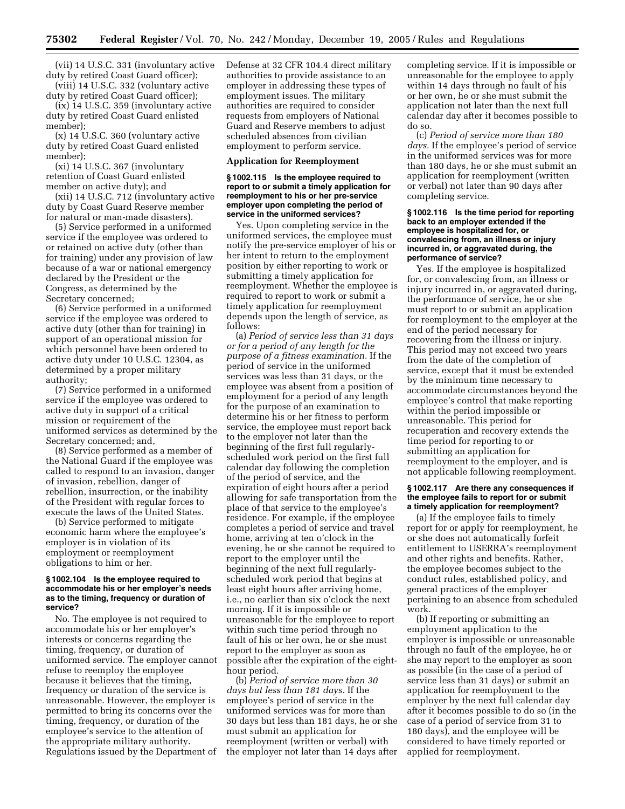(vii) 14 U.S.C. 331 (involuntary active duty by retired Coast Guard officer); (viii) 14 U.S.C. 332 (voluntary active

duty by retired Coast Guard officer); (ix) 14 U.S.C. 359 (involuntary active duty by retired Coast Guard enlisted member);

(x) 14 U.S.C. 360 (voluntary active duty by retired Coast Guard enlisted member);

(xi) 14 U.S.C. 367 (involuntary retention of Coast Guard enlisted member on active duty); and

(xii) 14 U.S.C. 712 (involuntary active duty by Coast Guard Reserve member for natural or man-made disasters).

(5) Service performed in a uniformed service if the employee was ordered to or retained on active duty (other than for training) under any provision of law because of a war or national emergency declared by the President or the Congress, as determined by the Secretary concerned;

(6) Service performed in a uniformed service if the employee was ordered to active duty (other than for training) in support of an operational mission for which personnel have been ordered to active duty under 10 U.S.C. 12304, as determined by a proper military authority;

(7) Service performed in a uniformed service if the employee was ordered to active duty in support of a critical mission or requirement of the uniformed services as determined by the Secretary concerned; and,

(8) Service performed as a member of the National Guard if the employee was called to respond to an invasion, danger of invasion, rebellion, danger of rebellion, insurrection, or the inability of the President with regular forces to execute the laws of the United States.

(b) Service performed to mitigate economic harm where the employee's employer is in violation of its employment or reemployment obligations to him or her.

#### **§ 1002.104 Is the employee required to accommodate his or her employer's needs as to the timing, frequency or duration of service?**

No. The employee is not required to accommodate his or her employer's interests or concerns regarding the timing, frequency, or duration of uniformed service. The employer cannot refuse to reemploy the employee because it believes that the timing, frequency or duration of the service is unreasonable. However, the employer is permitted to bring its concerns over the timing, frequency, or duration of the employee's service to the attention of the appropriate military authority. Regulations issued by the Department of Defense at 32 CFR 104.4 direct military authorities to provide assistance to an employer in addressing these types of employment issues. The military authorities are required to consider requests from employers of National Guard and Reserve members to adjust scheduled absences from civilian employment to perform service.

#### **Application for Reemployment**

#### **§ 1002.115 Is the employee required to report to or submit a timely application for reemployment to his or her pre-service employer upon completing the period of service in the uniformed services?**

Yes. Upon completing service in the uniformed services, the employee must notify the pre-service employer of his or her intent to return to the employment position by either reporting to work or submitting a timely application for reemployment. Whether the employee is required to report to work or submit a timely application for reemployment depends upon the length of service, as follows:

(a) *Period of service less than 31 days or for a period of any length for the purpose of a fitness examination.* If the period of service in the uniformed services was less than 31 days, or the employee was absent from a position of employment for a period of any length for the purpose of an examination to determine his or her fitness to perform service, the employee must report back to the employer not later than the beginning of the first full regularlyscheduled work period on the first full calendar day following the completion of the period of service, and the expiration of eight hours after a period allowing for safe transportation from the place of that service to the employee's residence. For example, if the employee completes a period of service and travel home, arriving at ten o'clock in the evening, he or she cannot be required to report to the employer until the beginning of the next full regularlyscheduled work period that begins at least eight hours after arriving home, i.e., no earlier than six o'clock the next morning. If it is impossible or unreasonable for the employee to report within such time period through no fault of his or her own, he or she must report to the employer as soon as possible after the expiration of the eighthour period.

(b) *Period of service more than 30 days but less than 181 days.* If the employee's period of service in the uniformed services was for more than 30 days but less than 181 days, he or she must submit an application for reemployment (written or verbal) with the employer not later than 14 days after completing service. If it is impossible or unreasonable for the employee to apply within 14 days through no fault of his or her own, he or she must submit the application not later than the next full calendar day after it becomes possible to do so.

(c) *Period of service more than 180 days.* If the employee's period of service in the uniformed services was for more than 180 days, he or she must submit an application for reemployment (written or verbal) not later than 90 days after completing service.

#### **§ 1002.116 Is the time period for reporting back to an employer extended if the employee is hospitalized for, or convalescing from, an illness or injury incurred in, or aggravated during, the performance of service?**

Yes. If the employee is hospitalized for, or convalescing from, an illness or injury incurred in, or aggravated during, the performance of service, he or she must report to or submit an application for reemployment to the employer at the end of the period necessary for recovering from the illness or injury. This period may not exceed two years from the date of the completion of service, except that it must be extended by the minimum time necessary to accommodate circumstances beyond the employee's control that make reporting within the period impossible or unreasonable. This period for recuperation and recovery extends the time period for reporting to or submitting an application for reemployment to the employer, and is not applicable following reemployment.

# **§ 1002.117 Are there any consequences if the employee fails to report for or submit a timely application for reemployment?**

(a) If the employee fails to timely report for or apply for reemployment, he or she does not automatically forfeit entitlement to USERRA's reemployment and other rights and benefits. Rather, the employee becomes subject to the conduct rules, established policy, and general practices of the employer pertaining to an absence from scheduled work.

(b) If reporting or submitting an employment application to the employer is impossible or unreasonable through no fault of the employee, he or she may report to the employer as soon as possible (in the case of a period of service less than 31 days) or submit an application for reemployment to the employer by the next full calendar day after it becomes possible to do so (in the case of a period of service from 31 to 180 days), and the employee will be considered to have timely reported or applied for reemployment.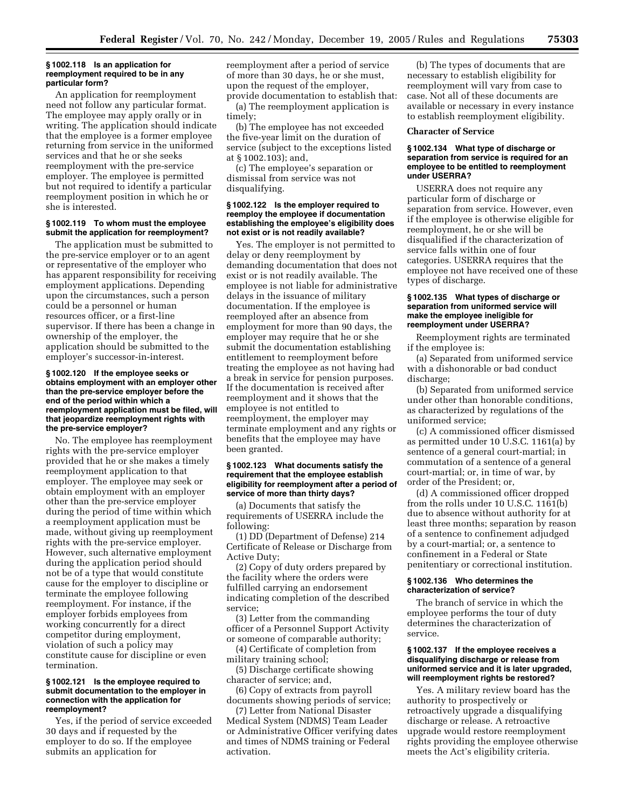#### **§ 1002.118 Is an application for reemployment required to be in any particular form?**

An application for reemployment need not follow any particular format. The employee may apply orally or in writing. The application should indicate that the employee is a former employee returning from service in the uniformed services and that he or she seeks reemployment with the pre-service employer. The employee is permitted but not required to identify a particular reemployment position in which he or she is interested.

# **§ 1002.119 To whom must the employee submit the application for reemployment?**

The application must be submitted to the pre-service employer or to an agent or representative of the employer who has apparent responsibility for receiving employment applications. Depending upon the circumstances, such a person could be a personnel or human resources officer, or a first-line supervisor. If there has been a change in ownership of the employer, the application should be submitted to the employer's successor-in-interest.

#### **§ 1002.120 If the employee seeks or obtains employment with an employer other than the pre-service employer before the end of the period within which a reemployment application must be filed, will that jeopardize reemployment rights with the pre-service employer?**

No. The employee has reemployment rights with the pre-service employer provided that he or she makes a timely reemployment application to that employer. The employee may seek or obtain employment with an employer other than the pre-service employer during the period of time within which a reemployment application must be made, without giving up reemployment rights with the pre-service employer. However, such alternative employment during the application period should not be of a type that would constitute cause for the employer to discipline or terminate the employee following reemployment. For instance, if the employer forbids employees from working concurrently for a direct competitor during employment, violation of such a policy may constitute cause for discipline or even termination.

#### **§ 1002.121 Is the employee required to submit documentation to the employer in connection with the application for reemployment?**

Yes, if the period of service exceeded 30 days and if requested by the employer to do so. If the employee submits an application for

reemployment after a period of service of more than 30 days, he or she must, upon the request of the employer, provide documentation to establish that:

(a) The reemployment application is timely;

(b) The employee has not exceeded the five-year limit on the duration of service (subject to the exceptions listed at § 1002.103); and,

(c) The employee's separation or dismissal from service was not disqualifying.

#### **§ 1002.122 Is the employer required to reemploy the employee if documentation establishing the employee's eligibility does not exist or is not readily available?**

Yes. The employer is not permitted to delay or deny reemployment by demanding documentation that does not exist or is not readily available. The employee is not liable for administrative delays in the issuance of military documentation. If the employee is reemployed after an absence from employment for more than 90 days, the employer may require that he or she submit the documentation establishing entitlement to reemployment before treating the employee as not having had a break in service for pension purposes. If the documentation is received after reemployment and it shows that the employee is not entitled to reemployment, the employer may terminate employment and any rights or benefits that the employee may have been granted.

#### **§ 1002.123 What documents satisfy the requirement that the employee establish eligibility for reemployment after a period of service of more than thirty days?**

(a) Documents that satisfy the requirements of USERRA include the following:

(1) DD (Department of Defense) 214 Certificate of Release or Discharge from Active Duty;

(2) Copy of duty orders prepared by the facility where the orders were fulfilled carrying an endorsement indicating completion of the described service;

(3) Letter from the commanding officer of a Personnel Support Activity or someone of comparable authority;

(4) Certificate of completion from military training school;

(5) Discharge certificate showing character of service; and,

(6) Copy of extracts from payroll documents showing periods of service;

(7) Letter from National Disaster Medical System (NDMS) Team Leader or Administrative Officer verifying dates and times of NDMS training or Federal activation.

(b) The types of documents that are necessary to establish eligibility for reemployment will vary from case to case. Not all of these documents are available or necessary in every instance to establish reemployment eligibility.

#### **Character of Service**

#### **§ 1002.134 What type of discharge or separation from service is required for an employee to be entitled to reemployment under USERRA?**

USERRA does not require any particular form of discharge or separation from service. However, even if the employee is otherwise eligible for reemployment, he or she will be disqualified if the characterization of service falls within one of four categories. USERRA requires that the employee not have received one of these types of discharge.

#### **§ 1002.135 What types of discharge or separation from uniformed service will make the employee ineligible for reemployment under USERRA?**

Reemployment rights are terminated if the employee is:

(a) Separated from uniformed service with a dishonorable or bad conduct discharge;

(b) Separated from uniformed service under other than honorable conditions, as characterized by regulations of the uniformed service;

(c) A commissioned officer dismissed as permitted under 10 U.S.C. 1161(a) by sentence of a general court-martial; in commutation of a sentence of a general court-martial; or, in time of war, by order of the President; or,

(d) A commissioned officer dropped from the rolls under 10 U.S.C. 1161(b) due to absence without authority for at least three months; separation by reason of a sentence to confinement adjudged by a court-martial; or, a sentence to confinement in a Federal or State penitentiary or correctional institution.

# **§ 1002.136 Who determines the characterization of service?**

The branch of service in which the employee performs the tour of duty determines the characterization of service.

# **§ 1002.137 If the employee receives a disqualifying discharge or release from uniformed service and it is later upgraded, will reemployment rights be restored?**

Yes. A military review board has the authority to prospectively or retroactively upgrade a disqualifying discharge or release. A retroactive upgrade would restore reemployment rights providing the employee otherwise meets the Act's eligibility criteria.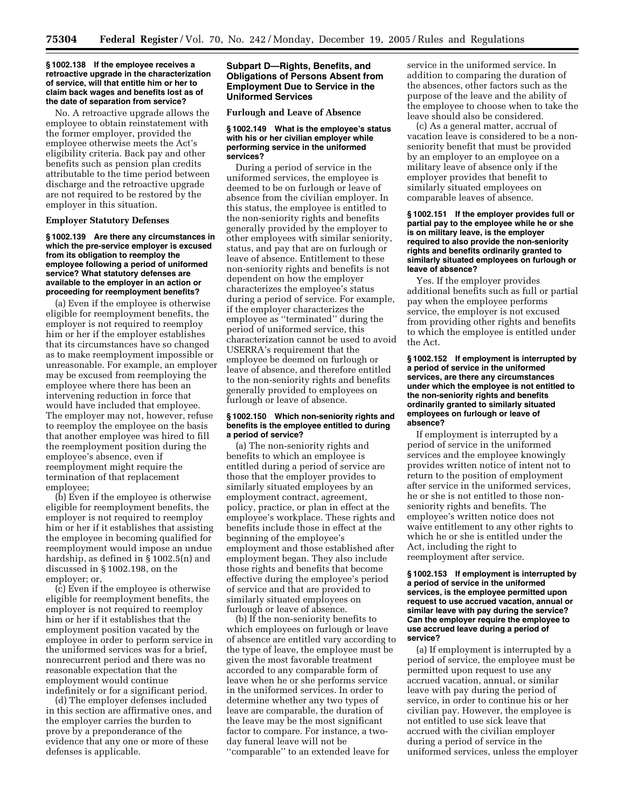#### **§ 1002.138 If the employee receives a retroactive upgrade in the characterization of service, will that entitle him or her to claim back wages and benefits lost as of the date of separation from service?**

No. A retroactive upgrade allows the employee to obtain reinstatement with the former employer, provided the employee otherwise meets the Act's eligibility criteria. Back pay and other benefits such as pension plan credits attributable to the time period between discharge and the retroactive upgrade are not required to be restored by the employer in this situation.

#### **Employer Statutory Defenses**

#### **§ 1002.139 Are there any circumstances in which the pre-service employer is excused from its obligation to reemploy the employee following a period of uniformed service? What statutory defenses are available to the employer in an action or proceeding for reemployment benefits?**

(a) Even if the employee is otherwise eligible for reemployment benefits, the employer is not required to reemploy him or her if the employer establishes that its circumstances have so changed as to make reemployment impossible or unreasonable. For example, an employer may be excused from reemploying the employee where there has been an intervening reduction in force that would have included that employee. The employer may not, however, refuse to reemploy the employee on the basis that another employee was hired to fill the reemployment position during the employee's absence, even if reemployment might require the termination of that replacement employee;

(b) Even if the employee is otherwise eligible for reemployment benefits, the employer is not required to reemploy him or her if it establishes that assisting the employee in becoming qualified for reemployment would impose an undue hardship, as defined in § 1002.5(n) and discussed in § 1002.198, on the employer; or,

(c) Even if the employee is otherwise eligible for reemployment benefits, the employer is not required to reemploy him or her if it establishes that the employment position vacated by the employee in order to perform service in the uniformed services was for a brief, nonrecurrent period and there was no reasonable expectation that the employment would continue indefinitely or for a significant period.

(d) The employer defenses included in this section are affirmative ones, and the employer carries the burden to prove by a preponderance of the evidence that any one or more of these defenses is applicable.

# **Subpart D—Rights, Benefits, and Obligations of Persons Absent from Employment Due to Service in the Uniformed Services**

**Furlough and Leave of Absence** 

#### **§ 1002.149 What is the employee's status with his or her civilian employer while performing service in the uniformed services?**

During a period of service in the uniformed services, the employee is deemed to be on furlough or leave of absence from the civilian employer. In this status, the employee is entitled to the non-seniority rights and benefits generally provided by the employer to other employees with similar seniority, status, and pay that are on furlough or leave of absence. Entitlement to these non-seniority rights and benefits is not dependent on how the employer characterizes the employee's status during a period of service. For example, if the employer characterizes the employee as ''terminated'' during the period of uniformed service, this characterization cannot be used to avoid USERRA's requirement that the employee be deemed on furlough or leave of absence, and therefore entitled to the non-seniority rights and benefits generally provided to employees on furlough or leave of absence.

#### **§ 1002.150 Which non-seniority rights and benefits is the employee entitled to during a period of service?**

(a) The non-seniority rights and benefits to which an employee is entitled during a period of service are those that the employer provides to similarly situated employees by an employment contract, agreement, policy, practice, or plan in effect at the employee's workplace. These rights and benefits include those in effect at the beginning of the employee's employment and those established after employment began. They also include those rights and benefits that become effective during the employee's period of service and that are provided to similarly situated employees on furlough or leave of absence.

(b) If the non-seniority benefits to which employees on furlough or leave of absence are entitled vary according to the type of leave, the employee must be given the most favorable treatment accorded to any comparable form of leave when he or she performs service in the uniformed services. In order to determine whether any two types of leave are comparable, the duration of the leave may be the most significant factor to compare. For instance, a twoday funeral leave will not be ''comparable'' to an extended leave for

service in the uniformed service. In addition to comparing the duration of the absences, other factors such as the purpose of the leave and the ability of the employee to choose when to take the leave should also be considered.

(c) As a general matter, accrual of vacation leave is considered to be a nonseniority benefit that must be provided by an employer to an employee on a military leave of absence only if the employer provides that benefit to similarly situated employees on comparable leaves of absence.

#### **§ 1002.151 If the employer provides full or partial pay to the employee while he or she is on military leave, is the employer required to also provide the non-seniority rights and benefits ordinarily granted to similarly situated employees on furlough or leave of absence?**

Yes. If the employer provides additional benefits such as full or partial pay when the employee performs service, the employer is not excused from providing other rights and benefits to which the employee is entitled under the Act.

#### **§ 1002.152 If employment is interrupted by a period of service in the uniformed services, are there any circumstances under which the employee is not entitled to the non-seniority rights and benefits ordinarily granted to similarly situated employees on furlough or leave of absence?**

If employment is interrupted by a period of service in the uniformed services and the employee knowingly provides written notice of intent not to return to the position of employment after service in the uniformed services, he or she is not entitled to those nonseniority rights and benefits. The employee's written notice does not waive entitlement to any other rights to which he or she is entitled under the Act, including the right to reemployment after service.

#### **§ 1002.153 If employment is interrupted by a period of service in the uniformed services, is the employee permitted upon request to use accrued vacation, annual or similar leave with pay during the service? Can the employer require the employee to use accrued leave during a period of service?**

(a) If employment is interrupted by a period of service, the employee must be permitted upon request to use any accrued vacation, annual, or similar leave with pay during the period of service, in order to continue his or her civilian pay. However, the employee is not entitled to use sick leave that accrued with the civilian employer during a period of service in the uniformed services, unless the employer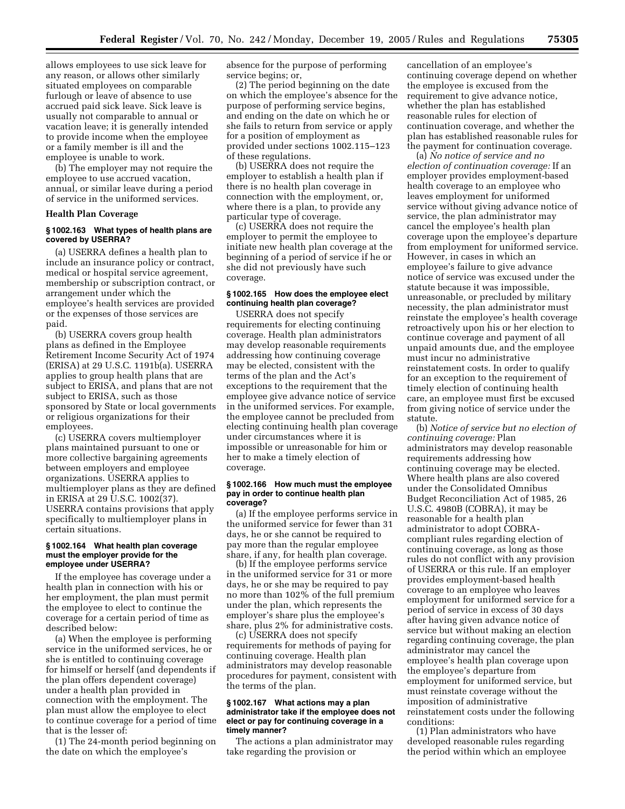allows employees to use sick leave for any reason, or allows other similarly situated employees on comparable furlough or leave of absence to use accrued paid sick leave. Sick leave is usually not comparable to annual or vacation leave; it is generally intended to provide income when the employee or a family member is ill and the employee is unable to work.

(b) The employer may not require the employee to use accrued vacation, annual, or similar leave during a period of service in the uniformed services.

#### **Health Plan Coverage**

#### **§ 1002.163 What types of health plans are covered by USERRA?**

(a) USERRA defines a health plan to include an insurance policy or contract, medical or hospital service agreement, membership or subscription contract, or arrangement under which the employee's health services are provided or the expenses of those services are paid.

(b) USERRA covers group health plans as defined in the Employee Retirement Income Security Act of 1974 (ERISA) at 29 U.S.C. 1191b(a). USERRA applies to group health plans that are subject to ERISA, and plans that are not subject to ERISA, such as those sponsored by State or local governments or religious organizations for their employees.

(c) USERRA covers multiemployer plans maintained pursuant to one or more collective bargaining agreements between employers and employee organizations. USERRA applies to multiemployer plans as they are defined in ERISA at 29 U.S.C. 1002(37). USERRA contains provisions that apply specifically to multiemployer plans in certain situations.

#### **§ 1002.164 What health plan coverage must the employer provide for the employee under USERRA?**

If the employee has coverage under a health plan in connection with his or her employment, the plan must permit the employee to elect to continue the coverage for a certain period of time as described below:

(a) When the employee is performing service in the uniformed services, he or she is entitled to continuing coverage for himself or herself (and dependents if the plan offers dependent coverage) under a health plan provided in connection with the employment. The plan must allow the employee to elect to continue coverage for a period of time that is the lesser of:

(1) The 24-month period beginning on the date on which the employee's

absence for the purpose of performing service begins; or,

(2) The period beginning on the date on which the employee's absence for the purpose of performing service begins, and ending on the date on which he or she fails to return from service or apply for a position of employment as provided under sections 1002.115–123 of these regulations.

(b) USERRA does not require the employer to establish a health plan if there is no health plan coverage in connection with the employment, or, where there is a plan, to provide any particular type of coverage.

(c) USERRA does not require the employer to permit the employee to initiate new health plan coverage at the beginning of a period of service if he or she did not previously have such coverage.

# **§ 1002.165 How does the employee elect continuing health plan coverage?**

USERRA does not specify requirements for electing continuing coverage. Health plan administrators may develop reasonable requirements addressing how continuing coverage may be elected, consistent with the terms of the plan and the Act's exceptions to the requirement that the employee give advance notice of service in the uniformed services. For example, the employee cannot be precluded from electing continuing health plan coverage under circumstances where it is impossible or unreasonable for him or her to make a timely election of coverage.

#### **§ 1002.166 How much must the employee pay in order to continue health plan coverage?**

(a) If the employee performs service in the uniformed service for fewer than 31 days, he or she cannot be required to pay more than the regular employee share, if any, for health plan coverage.

(b) If the employee performs service in the uniformed service for 31 or more days, he or she may be required to pay no more than 102% of the full premium under the plan, which represents the employer's share plus the employee's share, plus 2% for administrative costs.

(c) USERRA does not specify requirements for methods of paying for continuing coverage. Health plan administrators may develop reasonable procedures for payment, consistent with the terms of the plan.

#### **§ 1002.167 What actions may a plan administrator take if the employee does not elect or pay for continuing coverage in a timely manner?**

The actions a plan administrator may take regarding the provision or

cancellation of an employee's continuing coverage depend on whether the employee is excused from the requirement to give advance notice, whether the plan has established reasonable rules for election of continuation coverage, and whether the plan has established reasonable rules for the payment for continuation coverage.

(a) *No notice of service and no election of continuation coverage:* If an employer provides employment-based health coverage to an employee who leaves employment for uniformed service without giving advance notice of service, the plan administrator may cancel the employee's health plan coverage upon the employee's departure from employment for uniformed service. However, in cases in which an employee's failure to give advance notice of service was excused under the statute because it was impossible, unreasonable, or precluded by military necessity, the plan administrator must reinstate the employee's health coverage retroactively upon his or her election to continue coverage and payment of all unpaid amounts due, and the employee must incur no administrative reinstatement costs. In order to qualify for an exception to the requirement of timely election of continuing health care, an employee must first be excused from giving notice of service under the statute.

(b) *Notice of service but no election of continuing coverage:* Plan administrators may develop reasonable requirements addressing how continuing coverage may be elected. Where health plans are also covered under the Consolidated Omnibus Budget Reconciliation Act of 1985, 26 U.S.C. 4980B (COBRA), it may be reasonable for a health plan administrator to adopt COBRAcompliant rules regarding election of continuing coverage, as long as those rules do not conflict with any provision of USERRA or this rule. If an employer provides employment-based health coverage to an employee who leaves employment for uniformed service for a period of service in excess of 30 days after having given advance notice of service but without making an election regarding continuing coverage, the plan administrator may cancel the employee's health plan coverage upon the employee's departure from employment for uniformed service, but must reinstate coverage without the imposition of administrative reinstatement costs under the following conditions:

(1) Plan administrators who have developed reasonable rules regarding the period within which an employee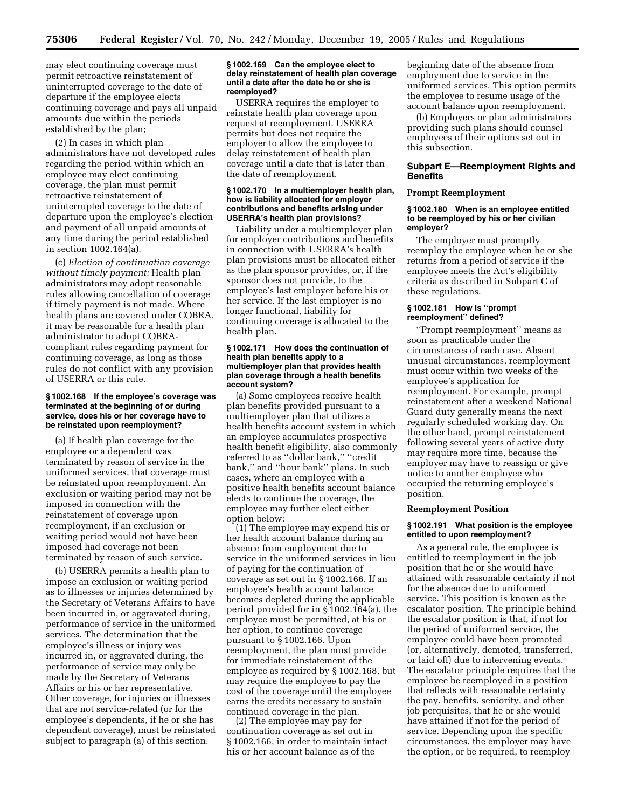may elect continuing coverage must permit retroactive reinstatement of uninterrupted coverage to the date of departure if the employee elects continuing coverage and pays all unpaid amounts due within the periods established by the plan;

(2) In cases in which plan administrators have not developed rules regarding the period within which an employee may elect continuing coverage, the plan must permit retroactive reinstatement of uninterrupted coverage to the date of departure upon the employee's election and payment of all unpaid amounts at any time during the period established in section 1002.164(a).

(c) *Election of continuation coverage without timely payment:* Health plan administrators may adopt reasonable rules allowing cancellation of coverage if timely payment is not made. Where health plans are covered under COBRA, it may be reasonable for a health plan administrator to adopt COBRAcompliant rules regarding payment for continuing coverage, as long as those rules do not conflict with any provision of USERRA or this rule.

# **§ 1002.168 If the employee's coverage was terminated at the beginning of or during service, does his or her coverage have to be reinstated upon reemployment?**

(a) If health plan coverage for the employee or a dependent was terminated by reason of service in the uniformed services, that coverage must be reinstated upon reemployment. An exclusion or waiting period may not be imposed in connection with the reinstatement of coverage upon reemployment, if an exclusion or waiting period would not have been imposed had coverage not been terminated by reason of such service.

(b) USERRA permits a health plan to impose an exclusion or waiting period as to illnesses or injuries determined by the Secretary of Veterans Affairs to have been incurred in, or aggravated during, performance of service in the uniformed services. The determination that the employee's illness or injury was incurred in, or aggravated during, the performance of service may only be made by the Secretary of Veterans Affairs or his or her representative. Other coverage, for injuries or illnesses that are not service-related (or for the employee's dependents, if he or she has dependent coverage), must be reinstated subject to paragraph (a) of this section.

# **§ 1002.169 Can the employee elect to delay reinstatement of health plan coverage until a date after the date he or she is reemployed?**

USERRA requires the employer to reinstate health plan coverage upon request at reemployment. USERRA permits but does not require the employer to allow the employee to delay reinstatement of health plan coverage until a date that is later than the date of reemployment.

#### **§ 1002.170 In a multiemployer health plan, how is liability allocated for employer contributions and benefits arising under USERRA's health plan provisions?**

Liability under a multiemployer plan for employer contributions and benefits in connection with USERRA's health plan provisions must be allocated either as the plan sponsor provides, or, if the sponsor does not provide, to the employee's last employer before his or her service. If the last employer is no longer functional, liability for continuing coverage is allocated to the health plan.

#### **§ 1002.171 How does the continuation of health plan benefits apply to a multiemployer plan that provides health plan coverage through a health benefits account system?**

(a) Some employees receive health plan benefits provided pursuant to a multiemployer plan that utilizes a health benefits account system in which an employee accumulates prospective health benefit eligibility, also commonly referred to as ''dollar bank,'' ''credit bank,'' and ''hour bank'' plans. In such cases, where an employee with a positive health benefits account balance elects to continue the coverage, the employee may further elect either option below:

(1) The employee may expend his or her health account balance during an absence from employment due to service in the uniformed services in lieu of paying for the continuation of coverage as set out in § 1002.166. If an employee's health account balance becomes depleted during the applicable period provided for in § 1002.164(a), the employee must be permitted, at his or her option, to continue coverage pursuant to § 1002.166. Upon reemployment, the plan must provide for immediate reinstatement of the employee as required by § 1002.168, but may require the employee to pay the cost of the coverage until the employee earns the credits necessary to sustain continued coverage in the plan.

(2) The employee may pay for continuation coverage as set out in § 1002.166, in order to maintain intact his or her account balance as of the

beginning date of the absence from employment due to service in the uniformed services. This option permits the employee to resume usage of the account balance upon reemployment.

(b) Employers or plan administrators providing such plans should counsel employees of their options set out in this subsection.

# **Subpart E—Reemployment Rights and Benefits**

#### **Prompt Reemployment**

#### **§ 1002.180 When is an employee entitled to be reemployed by his or her civilian employer?**

The employer must promptly reemploy the employee when he or she returns from a period of service if the employee meets the Act's eligibility criteria as described in Subpart C of these regulations.

# **§ 1002.181 How is ''prompt reemployment'' defined?**

''Prompt reemployment'' means as soon as practicable under the circumstances of each case. Absent unusual circumstances, reemployment must occur within two weeks of the employee's application for reemployment. For example, prompt reinstatement after a weekend National Guard duty generally means the next regularly scheduled working day. On the other hand, prompt reinstatement following several years of active duty may require more time, because the employer may have to reassign or give notice to another employee who occupied the returning employee's position.

#### **Reemployment Position**

#### **§ 1002.191 What position is the employee entitled to upon reemployment?**

As a general rule, the employee is entitled to reemployment in the job position that he or she would have attained with reasonable certainty if not for the absence due to uniformed service. This position is known as the escalator position. The principle behind the escalator position is that, if not for the period of uniformed service, the employee could have been promoted (or, alternatively, demoted, transferred, or laid off) due to intervening events. The escalator principle requires that the employee be reemployed in a position that reflects with reasonable certainty the pay, benefits, seniority, and other job perquisites, that he or she would have attained if not for the period of service. Depending upon the specific circumstances, the employer may have the option, or be required, to reemploy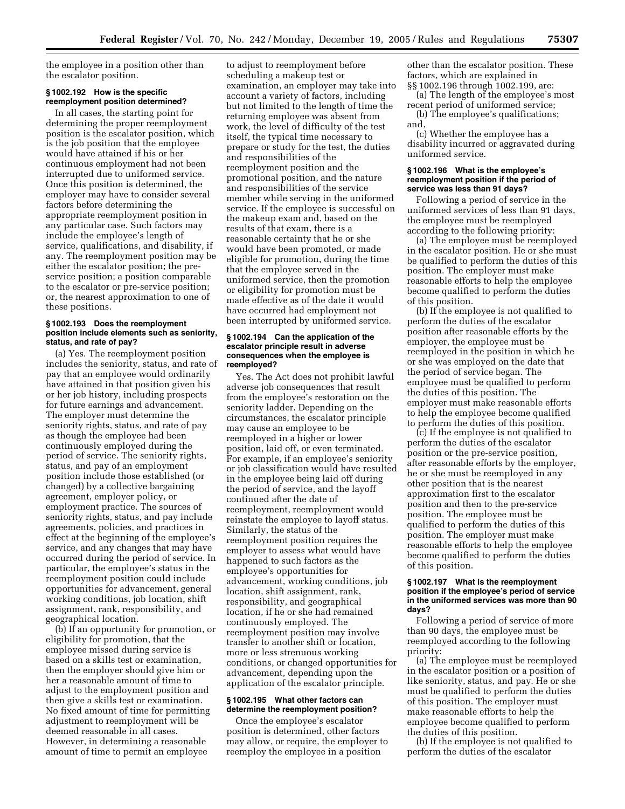the employee in a position other than the escalator position.

# **§ 1002.192 How is the specific reemployment position determined?**

In all cases, the starting point for determining the proper reemployment position is the escalator position, which is the job position that the employee would have attained if his or her continuous employment had not been interrupted due to uniformed service. Once this position is determined, the employer may have to consider several factors before determining the appropriate reemployment position in any particular case. Such factors may include the employee's length of service, qualifications, and disability, if any. The reemployment position may be either the escalator position; the preservice position; a position comparable to the escalator or pre-service position; or, the nearest approximation to one of these positions.

#### **§ 1002.193 Does the reemployment position include elements such as seniority, status, and rate of pay?**

(a) Yes. The reemployment position includes the seniority, status, and rate of pay that an employee would ordinarily have attained in that position given his or her job history, including prospects for future earnings and advancement. The employer must determine the seniority rights, status, and rate of pay as though the employee had been continuously employed during the period of service. The seniority rights, status, and pay of an employment position include those established (or changed) by a collective bargaining agreement, employer policy, or employment practice. The sources of seniority rights, status, and pay include agreements, policies, and practices in effect at the beginning of the employee's service, and any changes that may have occurred during the period of service. In particular, the employee's status in the reemployment position could include opportunities for advancement, general working conditions, job location, shift assignment, rank, responsibility, and geographical location.

(b) If an opportunity for promotion, or eligibility for promotion, that the employee missed during service is based on a skills test or examination, then the employer should give him or her a reasonable amount of time to adjust to the employment position and then give a skills test or examination. No fixed amount of time for permitting adjustment to reemployment will be deemed reasonable in all cases. However, in determining a reasonable amount of time to permit an employee

to adjust to reemployment before scheduling a makeup test or examination, an employer may take into account a variety of factors, including but not limited to the length of time the returning employee was absent from work, the level of difficulty of the test itself, the typical time necessary to prepare or study for the test, the duties and responsibilities of the reemployment position and the promotional position, and the nature and responsibilities of the service member while serving in the uniformed service. If the employee is successful on the makeup exam and, based on the results of that exam, there is a reasonable certainty that he or she would have been promoted, or made eligible for promotion, during the time that the employee served in the uniformed service, then the promotion or eligibility for promotion must be made effective as of the date it would have occurred had employment not been interrupted by uniformed service.

# **§ 1002.194 Can the application of the escalator principle result in adverse consequences when the employee is reemployed?**

Yes. The Act does not prohibit lawful adverse job consequences that result from the employee's restoration on the seniority ladder. Depending on the circumstances, the escalator principle may cause an employee to be reemployed in a higher or lower position, laid off, or even terminated. For example, if an employee's seniority or job classification would have resulted in the employee being laid off during the period of service, and the layoff continued after the date of reemployment, reemployment would reinstate the employee to layoff status. Similarly, the status of the reemployment position requires the employer to assess what would have happened to such factors as the employee's opportunities for advancement, working conditions, job location, shift assignment, rank, responsibility, and geographical location, if he or she had remained continuously employed. The reemployment position may involve transfer to another shift or location, more or less strenuous working conditions, or changed opportunities for advancement, depending upon the application of the escalator principle.

# **§ 1002.195 What other factors can determine the reemployment position?**

Once the employee's escalator position is determined, other factors may allow, or require, the employer to reemploy the employee in a position

other than the escalator position. These factors, which are explained in §§ 1002.196 through 1002.199, are:

(a) The length of the employee's most recent period of uniformed service;

(b) The employee's qualifications; and,

(c) Whether the employee has a disability incurred or aggravated during uniformed service.

#### **§ 1002.196 What is the employee's reemployment position if the period of service was less than 91 days?**

Following a period of service in the uniformed services of less than 91 days, the employee must be reemployed according to the following priority:

(a) The employee must be reemployed in the escalator position. He or she must be qualified to perform the duties of this position. The employer must make reasonable efforts to help the employee become qualified to perform the duties of this position.

(b) If the employee is not qualified to perform the duties of the escalator position after reasonable efforts by the employer, the employee must be reemployed in the position in which he or she was employed on the date that the period of service began. The employee must be qualified to perform the duties of this position. The employer must make reasonable efforts to help the employee become qualified to perform the duties of this position.

(c) If the employee is not qualified to perform the duties of the escalator position or the pre-service position, after reasonable efforts by the employer, he or she must be reemployed in any other position that is the nearest approximation first to the escalator position and then to the pre-service position. The employee must be qualified to perform the duties of this position. The employer must make reasonable efforts to help the employee become qualified to perform the duties of this position.

#### **§ 1002.197 What is the reemployment position if the employee's period of service in the uniformed services was more than 90 days?**

Following a period of service of more than 90 days, the employee must be reemployed according to the following priority:

(a) The employee must be reemployed in the escalator position or a position of like seniority, status, and pay. He or she must be qualified to perform the duties of this position. The employer must make reasonable efforts to help the employee become qualified to perform the duties of this position.

(b) If the employee is not qualified to perform the duties of the escalator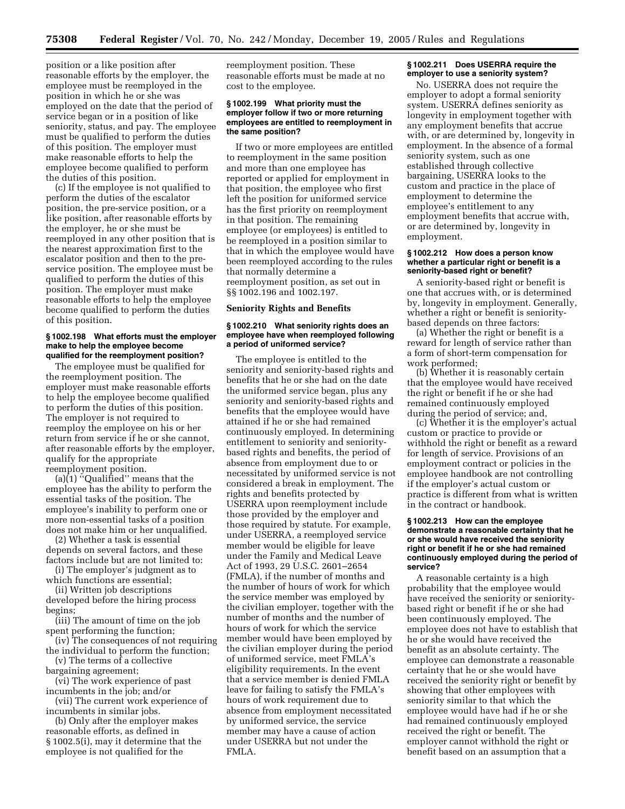position or a like position after reasonable efforts by the employer, the employee must be reemployed in the position in which he or she was employed on the date that the period of service began or in a position of like seniority, status, and pay. The employee must be qualified to perform the duties of this position. The employer must make reasonable efforts to help the employee become qualified to perform the duties of this position.

(c) If the employee is not qualified to perform the duties of the escalator position, the pre-service position, or a like position, after reasonable efforts by the employer, he or she must be reemployed in any other position that is the nearest approximation first to the escalator position and then to the preservice position. The employee must be qualified to perform the duties of this position. The employer must make reasonable efforts to help the employee become qualified to perform the duties of this position.

#### **§ 1002.198 What efforts must the employer make to help the employee become qualified for the reemployment position?**

The employee must be qualified for the reemployment position. The employer must make reasonable efforts to help the employee become qualified to perform the duties of this position. The employer is not required to reemploy the employee on his or her return from service if he or she cannot, after reasonable efforts by the employer, qualify for the appropriate reemployment position.

(a)(1) ''Qualified'' means that the employee has the ability to perform the essential tasks of the position. The employee's inability to perform one or more non-essential tasks of a position does not make him or her unqualified.

(2) Whether a task is essential depends on several factors, and these factors include but are not limited to:

(i) The employer's judgment as to which functions are essential;

(ii) Written job descriptions developed before the hiring process begins;

(iii) The amount of time on the job spent performing the function;

(iv) The consequences of not requiring the individual to perform the function;

(v) The terms of a collective bargaining agreement;

(vi) The work experience of past incumbents in the job; and/or

(vii) The current work experience of incumbents in similar jobs.

(b) Only after the employer makes reasonable efforts, as defined in § 1002.5(i), may it determine that the employee is not qualified for the

reemployment position. These reasonable efforts must be made at no cost to the employee.

#### **§ 1002.199 What priority must the employer follow if two or more returning employees are entitled to reemployment in the same position?**

If two or more employees are entitled to reemployment in the same position and more than one employee has reported or applied for employment in that position, the employee who first left the position for uniformed service has the first priority on reemployment in that position. The remaining employee (or employees) is entitled to be reemployed in a position similar to that in which the employee would have been reemployed according to the rules that normally determine a reemployment position, as set out in §§ 1002.196 and 1002.197.

# **Seniority Rights and Benefits**

#### **§ 1002.210 What seniority rights does an employee have when reemployed following a period of uniformed service?**

The employee is entitled to the seniority and seniority-based rights and benefits that he or she had on the date the uniformed service began, plus any seniority and seniority-based rights and benefits that the employee would have attained if he or she had remained continuously employed. In determining entitlement to seniority and senioritybased rights and benefits, the period of absence from employment due to or necessitated by uniformed service is not considered a break in employment. The rights and benefits protected by USERRA upon reemployment include those provided by the employer and those required by statute. For example, under USERRA, a reemployed service member would be eligible for leave under the Family and Medical Leave Act of 1993, 29 U.S.C. 2601–2654 (FMLA), if the number of months and the number of hours of work for which the service member was employed by the civilian employer, together with the number of months and the number of hours of work for which the service member would have been employed by the civilian employer during the period of uniformed service, meet FMLA's eligibility requirements. In the event that a service member is denied FMLA leave for failing to satisfy the FMLA's hours of work requirement due to absence from employment necessitated by uniformed service, the service member may have a cause of action under USERRA but not under the FMLA.

# **§ 1002.211 Does USERRA require the employer to use a seniority system?**

No. USERRA does not require the employer to adopt a formal seniority system. USERRA defines seniority as longevity in employment together with any employment benefits that accrue with, or are determined by, longevity in employment. In the absence of a formal seniority system, such as one established through collective bargaining, USERRA looks to the custom and practice in the place of employment to determine the employee's entitlement to any employment benefits that accrue with, or are determined by, longevity in employment.

#### **§ 1002.212 How does a person know whether a particular right or benefit is a seniority-based right or benefit?**

A seniority-based right or benefit is one that accrues with, or is determined by, longevity in employment. Generally, whether a right or benefit is senioritybased depends on three factors:

(a) Whether the right or benefit is a reward for length of service rather than a form of short-term compensation for work performed;

(b) Whether it is reasonably certain that the employee would have received the right or benefit if he or she had remained continuously employed during the period of service; and,

(c) Whether it is the employer's actual custom or practice to provide or withhold the right or benefit as a reward for length of service. Provisions of an employment contract or policies in the employee handbook are not controlling if the employer's actual custom or practice is different from what is written in the contract or handbook.

#### **§ 1002.213 How can the employee demonstrate a reasonable certainty that he or she would have received the seniority right or benefit if he or she had remained continuously employed during the period of service?**

A reasonable certainty is a high probability that the employee would have received the seniority or senioritybased right or benefit if he or she had been continuously employed. The employee does not have to establish that he or she would have received the benefit as an absolute certainty. The employee can demonstrate a reasonable certainty that he or she would have received the seniority right or benefit by showing that other employees with seniority similar to that which the employee would have had if he or she had remained continuously employed received the right or benefit. The employer cannot withhold the right or benefit based on an assumption that a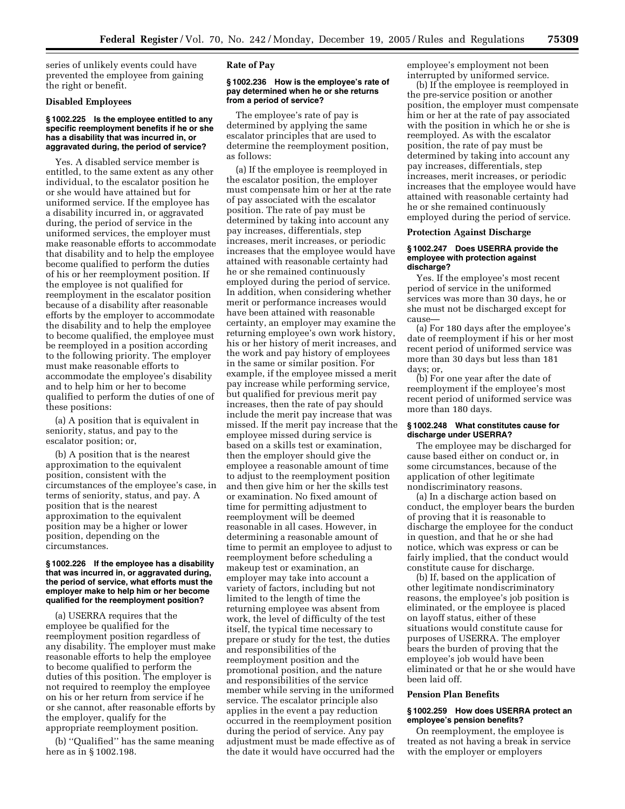series of unlikely events could have prevented the employee from gaining the right or benefit.

#### **Disabled Employees**

#### **§ 1002.225 Is the employee entitled to any specific reemployment benefits if he or she has a disability that was incurred in, or aggravated during, the period of service?**

Yes. A disabled service member is entitled, to the same extent as any other individual, to the escalator position he or she would have attained but for uniformed service. If the employee has a disability incurred in, or aggravated during, the period of service in the uniformed services, the employer must make reasonable efforts to accommodate that disability and to help the employee become qualified to perform the duties of his or her reemployment position. If the employee is not qualified for reemployment in the escalator position because of a disability after reasonable efforts by the employer to accommodate the disability and to help the employee to become qualified, the employee must be reemployed in a position according to the following priority. The employer must make reasonable efforts to accommodate the employee's disability and to help him or her to become qualified to perform the duties of one of these positions:

(a) A position that is equivalent in seniority, status, and pay to the escalator position; or,

(b) A position that is the nearest approximation to the equivalent position, consistent with the circumstances of the employee's case, in terms of seniority, status, and pay. A position that is the nearest approximation to the equivalent position may be a higher or lower position, depending on the circumstances.

#### **§ 1002.226 If the employee has a disability that was incurred in, or aggravated during, the period of service, what efforts must the employer make to help him or her become qualified for the reemployment position?**

(a) USERRA requires that the employee be qualified for the reemployment position regardless of any disability. The employer must make reasonable efforts to help the employee to become qualified to perform the duties of this position. The employer is not required to reemploy the employee on his or her return from service if he or she cannot, after reasonable efforts by the employer, qualify for the appropriate reemployment position.

(b) ''Qualified'' has the same meaning here as in § 1002.198.

# **Rate of Pay**

#### **§ 1002.236 How is the employee's rate of pay determined when he or she returns from a period of service?**

The employee's rate of pay is determined by applying the same escalator principles that are used to determine the reemployment position, as follows:

(a) If the employee is reemployed in the escalator position, the employer must compensate him or her at the rate of pay associated with the escalator position. The rate of pay must be determined by taking into account any pay increases, differentials, step increases, merit increases, or periodic increases that the employee would have attained with reasonable certainty had he or she remained continuously employed during the period of service. In addition, when considering whether merit or performance increases would have been attained with reasonable certainty, an employer may examine the returning employee's own work history, his or her history of merit increases, and the work and pay history of employees in the same or similar position. For example, if the employee missed a merit pay increase while performing service, but qualified for previous merit pay increases, then the rate of pay should include the merit pay increase that was missed. If the merit pay increase that the employee missed during service is based on a skills test or examination, then the employer should give the employee a reasonable amount of time to adjust to the reemployment position and then give him or her the skills test or examination. No fixed amount of time for permitting adjustment to reemployment will be deemed reasonable in all cases. However, in determining a reasonable amount of time to permit an employee to adjust to reemployment before scheduling a makeup test or examination, an employer may take into account a variety of factors, including but not limited to the length of time the returning employee was absent from work, the level of difficulty of the test itself, the typical time necessary to prepare or study for the test, the duties and responsibilities of the reemployment position and the promotional position, and the nature and responsibilities of the service member while serving in the uniformed service. The escalator principle also applies in the event a pay reduction occurred in the reemployment position during the period of service. Any pay adjustment must be made effective as of the date it would have occurred had the

employee's employment not been interrupted by uniformed service.

(b) If the employee is reemployed in the pre-service position or another position, the employer must compensate him or her at the rate of pay associated with the position in which he or she is reemployed. As with the escalator position, the rate of pay must be determined by taking into account any pay increases, differentials, step increases, merit increases, or periodic increases that the employee would have attained with reasonable certainty had he or she remained continuously employed during the period of service.

#### **Protection Against Discharge**

#### **§ 1002.247 Does USERRA provide the employee with protection against discharge?**

Yes. If the employee's most recent period of service in the uniformed services was more than 30 days, he or she must not be discharged except for cause—

(a) For 180 days after the employee's date of reemployment if his or her most recent period of uniformed service was more than 30 days but less than 181 days; or,

(b) For one year after the date of reemployment if the employee's most recent period of uniformed service was more than 180 days.

# **§ 1002.248 What constitutes cause for discharge under USERRA?**

The employee may be discharged for cause based either on conduct or, in some circumstances, because of the application of other legitimate nondiscriminatory reasons.

(a) In a discharge action based on conduct, the employer bears the burden of proving that it is reasonable to discharge the employee for the conduct in question, and that he or she had notice, which was express or can be fairly implied, that the conduct would constitute cause for discharge.

(b) If, based on the application of other legitimate nondiscriminatory reasons, the employee's job position is eliminated, or the employee is placed on layoff status, either of these situations would constitute cause for purposes of USERRA. The employer bears the burden of proving that the employee's job would have been eliminated or that he or she would have been laid off.

# **Pension Plan Benefits**

# **§ 1002.259 How does USERRA protect an employee's pension benefits?**

On reemployment, the employee is treated as not having a break in service with the employer or employers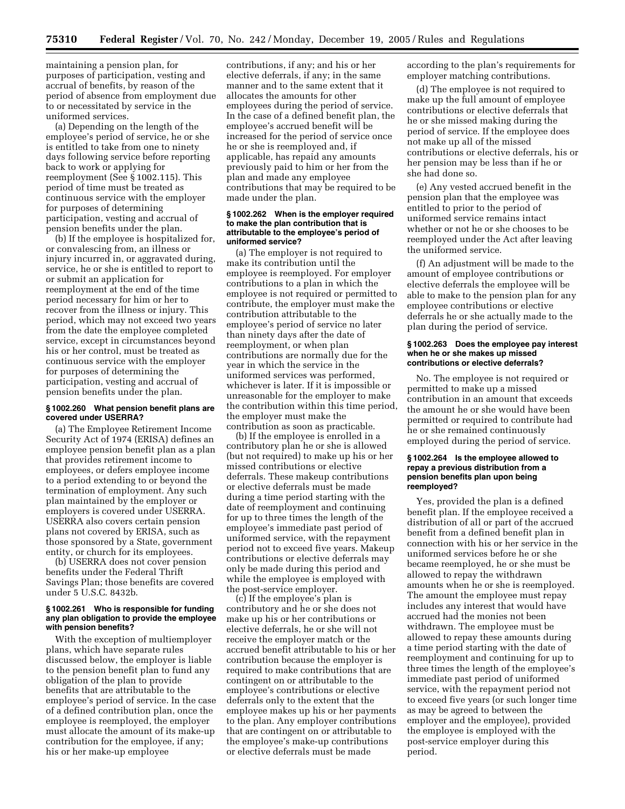maintaining a pension plan, for purposes of participation, vesting and accrual of benefits, by reason of the period of absence from employment due to or necessitated by service in the uniformed services.

(a) Depending on the length of the employee's period of service, he or she is entitled to take from one to ninety days following service before reporting back to work or applying for reemployment (See § 1002.115). This period of time must be treated as continuous service with the employer for purposes of determining participation, vesting and accrual of pension benefits under the plan.

(b) If the employee is hospitalized for, or convalescing from, an illness or injury incurred in, or aggravated during, service, he or she is entitled to report to or submit an application for reemployment at the end of the time period necessary for him or her to recover from the illness or injury. This period, which may not exceed two years from the date the employee completed service, except in circumstances beyond his or her control, must be treated as continuous service with the employer for purposes of determining the participation, vesting and accrual of pension benefits under the plan.

# **§ 1002.260 What pension benefit plans are covered under USERRA?**

(a) The Employee Retirement Income Security Act of 1974 (ERISA) defines an employee pension benefit plan as a plan that provides retirement income to employees, or defers employee income to a period extending to or beyond the termination of employment. Any such plan maintained by the employer or employers is covered under USERRA. USERRA also covers certain pension plans not covered by ERISA, such as those sponsored by a State, government entity, or church for its employees.

(b) USERRA does not cover pension benefits under the Federal Thrift Savings Plan; those benefits are covered under 5 U.S.C. 8432b.

#### **§ 1002.261 Who is responsible for funding any plan obligation to provide the employee with pension benefits?**

With the exception of multiemployer plans, which have separate rules discussed below, the employer is liable to the pension benefit plan to fund any obligation of the plan to provide benefits that are attributable to the employee's period of service. In the case of a defined contribution plan, once the employee is reemployed, the employer must allocate the amount of its make-up contribution for the employee, if any; his or her make-up employee

contributions, if any; and his or her elective deferrals, if any; in the same manner and to the same extent that it allocates the amounts for other employees during the period of service. In the case of a defined benefit plan, the employee's accrued benefit will be increased for the period of service once he or she is reemployed and, if applicable, has repaid any amounts previously paid to him or her from the plan and made any employee contributions that may be required to be made under the plan.

#### **§ 1002.262 When is the employer required to make the plan contribution that is attributable to the employee's period of uniformed service?**

(a) The employer is not required to make its contribution until the employee is reemployed. For employer contributions to a plan in which the employee is not required or permitted to contribute, the employer must make the contribution attributable to the employee's period of service no later than ninety days after the date of reemployment, or when plan contributions are normally due for the year in which the service in the uniformed services was performed, whichever is later. If it is impossible or unreasonable for the employer to make the contribution within this time period, the employer must make the contribution as soon as practicable.

(b) If the employee is enrolled in a contributory plan he or she is allowed (but not required) to make up his or her missed contributions or elective deferrals. These makeup contributions or elective deferrals must be made during a time period starting with the date of reemployment and continuing for up to three times the length of the employee's immediate past period of uniformed service, with the repayment period not to exceed five years. Makeup contributions or elective deferrals may only be made during this period and while the employee is employed with the post-service employer.

(c) If the employee's plan is contributory and he or she does not make up his or her contributions or elective deferrals, he or she will not receive the employer match or the accrued benefit attributable to his or her contribution because the employer is required to make contributions that are contingent on or attributable to the employee's contributions or elective deferrals only to the extent that the employee makes up his or her payments to the plan. Any employer contributions that are contingent on or attributable to the employee's make-up contributions or elective deferrals must be made

according to the plan's requirements for employer matching contributions.

(d) The employee is not required to make up the full amount of employee contributions or elective deferrals that he or she missed making during the period of service. If the employee does not make up all of the missed contributions or elective deferrals, his or her pension may be less than if he or she had done so.

(e) Any vested accrued benefit in the pension plan that the employee was entitled to prior to the period of uniformed service remains intact whether or not he or she chooses to be reemployed under the Act after leaving the uniformed service.

(f) An adjustment will be made to the amount of employee contributions or elective deferrals the employee will be able to make to the pension plan for any employee contributions or elective deferrals he or she actually made to the plan during the period of service.

#### **§ 1002.263 Does the employee pay interest when he or she makes up missed contributions or elective deferrals?**

No. The employee is not required or permitted to make up a missed contribution in an amount that exceeds the amount he or she would have been permitted or required to contribute had he or she remained continuously employed during the period of service.

#### **§ 1002.264 Is the employee allowed to repay a previous distribution from a pension benefits plan upon being reemployed?**

Yes, provided the plan is a defined benefit plan. If the employee received a distribution of all or part of the accrued benefit from a defined benefit plan in connection with his or her service in the uniformed services before he or she became reemployed, he or she must be allowed to repay the withdrawn amounts when he or she is reemployed. The amount the employee must repay includes any interest that would have accrued had the monies not been withdrawn. The employee must be allowed to repay these amounts during a time period starting with the date of reemployment and continuing for up to three times the length of the employee's immediate past period of uniformed service, with the repayment period not to exceed five years (or such longer time as may be agreed to between the employer and the employee), provided the employee is employed with the post-service employer during this period.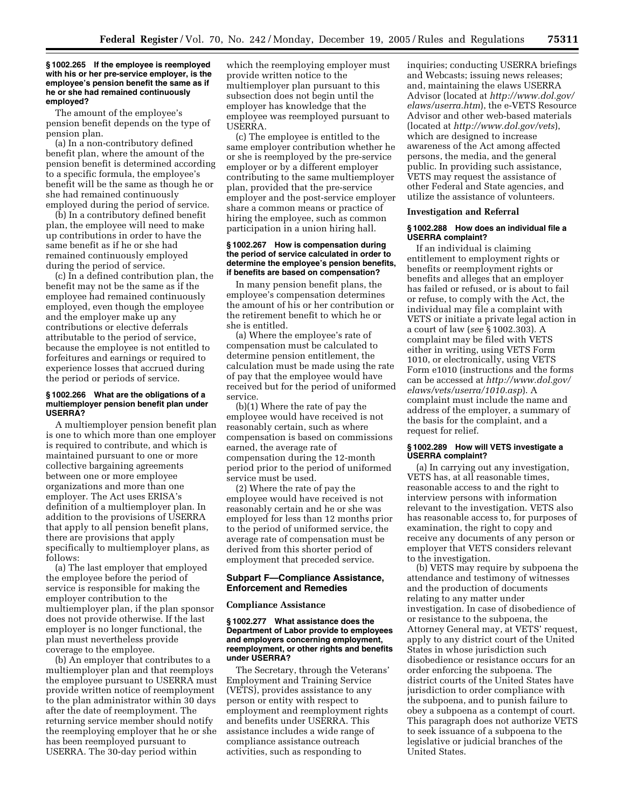#### **§ 1002.265 If the employee is reemployed with his or her pre-service employer, is the employee's pension benefit the same as if he or she had remained continuously employed?**

The amount of the employee's pension benefit depends on the type of pension plan.

(a) In a non-contributory defined benefit plan, where the amount of the pension benefit is determined according to a specific formula, the employee's benefit will be the same as though he or she had remained continuously employed during the period of service.

(b) In a contributory defined benefit plan, the employee will need to make up contributions in order to have the same benefit as if he or she had remained continuously employed during the period of service.

(c) In a defined contribution plan, the benefit may not be the same as if the employee had remained continuously employed, even though the employee and the employer make up any contributions or elective deferrals attributable to the period of service, because the employee is not entitled to forfeitures and earnings or required to experience losses that accrued during the period or periods of service.

#### **§ 1002.266 What are the obligations of a multiemployer pension benefit plan under USERRA?**

A multiemployer pension benefit plan is one to which more than one employer is required to contribute, and which is maintained pursuant to one or more collective bargaining agreements between one or more employee organizations and more than one employer. The Act uses ERISA's definition of a multiemployer plan. In addition to the provisions of USERRA that apply to all pension benefit plans, there are provisions that apply specifically to multiemployer plans, as follows:

(a) The last employer that employed the employee before the period of service is responsible for making the employer contribution to the multiemployer plan, if the plan sponsor does not provide otherwise. If the last employer is no longer functional, the plan must nevertheless provide coverage to the employee.

(b) An employer that contributes to a multiemployer plan and that reemploys the employee pursuant to USERRA must provide written notice of reemployment to the plan administrator within 30 days after the date of reemployment. The returning service member should notify the reemploying employer that he or she has been reemployed pursuant to USERRA. The 30-day period within

which the reemploying employer must provide written notice to the multiemployer plan pursuant to this subsection does not begin until the employer has knowledge that the employee was reemployed pursuant to USERRA.

(c) The employee is entitled to the same employer contribution whether he or she is reemployed by the pre-service employer or by a different employer contributing to the same multiemployer plan, provided that the pre-service employer and the post-service employer share a common means or practice of hiring the employee, such as common participation in a union hiring hall.

#### **§ 1002.267 How is compensation during the period of service calculated in order to determine the employee's pension benefits, if benefits are based on compensation?**

In many pension benefit plans, the employee's compensation determines the amount of his or her contribution or the retirement benefit to which he or she is entitled.

(a) Where the employee's rate of compensation must be calculated to determine pension entitlement, the calculation must be made using the rate of pay that the employee would have received but for the period of uniformed service.

(b)(1) Where the rate of pay the employee would have received is not reasonably certain, such as where compensation is based on commissions earned, the average rate of compensation during the 12-month period prior to the period of uniformed service must be used.

(2) Where the rate of pay the employee would have received is not reasonably certain and he or she was employed for less than 12 months prior to the period of uniformed service, the average rate of compensation must be derived from this shorter period of employment that preceded service.

#### **Subpart F—Compliance Assistance, Enforcement and Remedies**

#### **Compliance Assistance**

#### **§ 1002.277 What assistance does the Department of Labor provide to employees and employers concerning employment, reemployment, or other rights and benefits under USERRA?**

The Secretary, through the Veterans' Employment and Training Service (VETS), provides assistance to any person or entity with respect to employment and reemployment rights and benefits under USERRA. This assistance includes a wide range of compliance assistance outreach activities, such as responding to

inquiries; conducting USERRA briefings and Webcasts; issuing news releases; and, maintaining the elaws USERRA Advisor (located at *http://www.dol.gov/ elaws/userra.htm*[\), the e-VETS Resource](http://www.dol.gov/elaws/userra.htm)  Advisor and other web-based materials (located at *<http://www.dol.gov/vets>*), which are designed to increase awareness of the Act among affected persons, the media, and the general public. In providing such assistance, VETS may request the assistance of other Federal and State agencies, and utilize the assistance of volunteers.

#### **Investigation and Referral**

# **§ 1002.288 How does an individual file a USERRA complaint?**

If an individual is claiming entitlement to employment rights or benefits or reemployment rights or benefits and alleges that an employer has failed or refused, or is about to fail or refuse, to comply with the Act, the individual may file a complaint with VETS or initiate a private legal action in a court of law (*see* § 1002.303). A complaint may be filed with VETS either in writing, using VETS Form 1010, or electronically, using VETS Form e1010 (instructions and the forms can be accessed at *http://www.dol.gov/ [elaws/vets/userra/1010.asp](http://www.dol.gov/elaws/vets/userra/1010.asp)*). A complaint must include the name and address of the employer, a summary of the basis for the complaint, and a request for relief.

#### **§ 1002.289 How will VETS investigate a USERRA complaint?**

(a) In carrying out any investigation, VETS has, at all reasonable times, reasonable access to and the right to interview persons with information relevant to the investigation. VETS also has reasonable access to, for purposes of examination, the right to copy and receive any documents of any person or employer that VETS considers relevant to the investigation.

(b) VETS may require by subpoena the attendance and testimony of witnesses and the production of documents relating to any matter under investigation. In case of disobedience of or resistance to the subpoena, the Attorney General may, at VETS' request, apply to any district court of the United States in whose jurisdiction such disobedience or resistance occurs for an order enforcing the subpoena. The district courts of the United States have jurisdiction to order compliance with the subpoena, and to punish failure to obey a subpoena as a contempt of court. This paragraph does not authorize VETS to seek issuance of a subpoena to the legislative or judicial branches of the United States.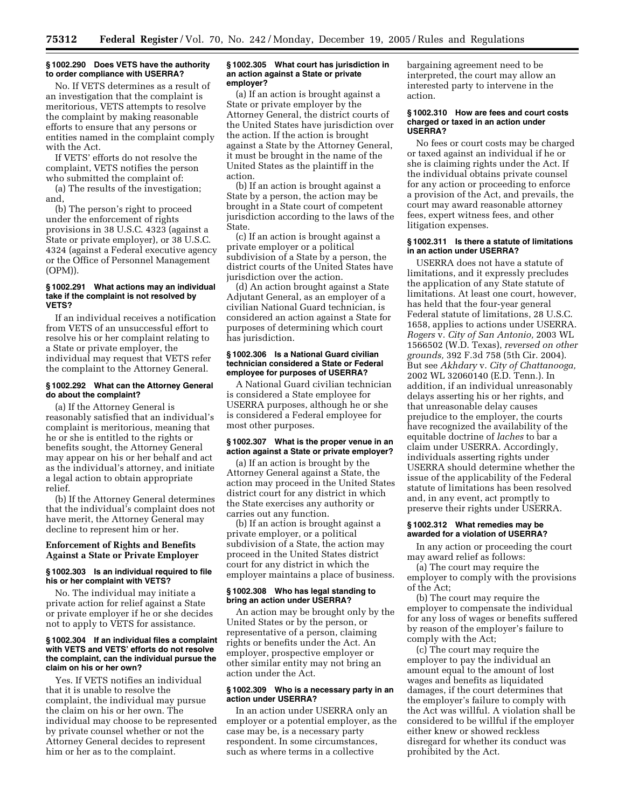# **§ 1002.290 Does VETS have the authority to order compliance with USERRA?**

No. If VETS determines as a result of an investigation that the complaint is meritorious, VETS attempts to resolve the complaint by making reasonable efforts to ensure that any persons or entities named in the complaint comply with the Act.

If VETS' efforts do not resolve the complaint, VETS notifies the person who submitted the complaint of:

(a) The results of the investigation; and,

(b) The person's right to proceed under the enforcement of rights provisions in 38 U.S.C. 4323 (against a State or private employer), or 38 U.S.C. 4324 (against a Federal executive agency or the Office of Personnel Management (OPM)).

#### **§ 1002.291 What actions may an individual take if the complaint is not resolved by VETS?**

If an individual receives a notification from VETS of an unsuccessful effort to resolve his or her complaint relating to a State or private employer, the individual may request that VETS refer the complaint to the Attorney General.

# **§ 1002.292 What can the Attorney General do about the complaint?**

(a) If the Attorney General is reasonably satisfied that an individual's complaint is meritorious, meaning that he or she is entitled to the rights or benefits sought, the Attorney General may appear on his or her behalf and act as the individual's attorney, and initiate a legal action to obtain appropriate relief.

(b) If the Attorney General determines that the individual's complaint does not have merit, the Attorney General may decline to represent him or her.

# **Enforcement of Rights and Benefits Against a State or Private Employer**

# **§ 1002.303 Is an individual required to file his or her complaint with VETS?**

No. The individual may initiate a private action for relief against a State or private employer if he or she decides not to apply to VETS for assistance.

#### **§ 1002.304 If an individual files a complaint with VETS and VETS' efforts do not resolve the complaint, can the individual pursue the claim on his or her own?**

Yes. If VETS notifies an individual that it is unable to resolve the complaint, the individual may pursue the claim on his or her own. The individual may choose to be represented by private counsel whether or not the Attorney General decides to represent him or her as to the complaint.

#### **§ 1002.305 What court has jurisdiction in an action against a State or private employer?**

(a) If an action is brought against a State or private employer by the Attorney General, the district courts of the United States have jurisdiction over the action. If the action is brought against a State by the Attorney General, it must be brought in the name of the United States as the plaintiff in the action.

(b) If an action is brought against a State by a person, the action may be brought in a State court of competent jurisdiction according to the laws of the State.

(c) If an action is brought against a private employer or a political subdivision of a State by a person, the district courts of the United States have jurisdiction over the action.

(d) An action brought against a State Adjutant General, as an employer of a civilian National Guard technician, is considered an action against a State for purposes of determining which court has jurisdiction.

#### **§ 1002.306 Is a National Guard civilian technician considered a State or Federal employee for purposes of USERRA?**

A National Guard civilian technician is considered a State employee for USERRA purposes, although he or she is considered a Federal employee for most other purposes.

### **§ 1002.307 What is the proper venue in an action against a State or private employer?**

(a) If an action is brought by the Attorney General against a State, the action may proceed in the United States district court for any district in which the State exercises any authority or carries out any function.

(b) If an action is brought against a private employer, or a political subdivision of a State, the action may proceed in the United States district court for any district in which the employer maintains a place of business.

# **§ 1002.308 Who has legal standing to bring an action under USERRA?**

An action may be brought only by the United States or by the person, or representative of a person, claiming rights or benefits under the Act. An employer, prospective employer or other similar entity may not bring an action under the Act.

#### **§ 1002.309 Who is a necessary party in an action under USERRA?**

In an action under USERRA only an employer or a potential employer, as the case may be, is a necessary party respondent. In some circumstances, such as where terms in a collective

bargaining agreement need to be interpreted, the court may allow an interested party to intervene in the action.

#### **§ 1002.310 How are fees and court costs charged or taxed in an action under USERRA?**

No fees or court costs may be charged or taxed against an individual if he or she is claiming rights under the Act. If the individual obtains private counsel for any action or proceeding to enforce a provision of the Act, and prevails, the court may award reasonable attorney fees, expert witness fees, and other litigation expenses.

# **§ 1002.311 Is there a statute of limitations in an action under USERRA?**

USERRA does not have a statute of limitations, and it expressly precludes the application of any State statute of limitations. At least one court, however, has held that the four-year general Federal statute of limitations, 28 U.S.C. 1658, applies to actions under USERRA. *Rogers* v. *City of San Antonio,* 2003 WL 1566502 (W.D. Texas), *reversed on other grounds,* 392 F.3d 758 (5th Cir. 2004). But see *Akhdary* v. *City of Chattanooga,*  2002 WL 32060140 (E.D. Tenn.). In addition, if an individual unreasonably delays asserting his or her rights, and that unreasonable delay causes prejudice to the employer, the courts have recognized the availability of the equitable doctrine of *laches* to bar a claim under USERRA. Accordingly, individuals asserting rights under USERRA should determine whether the issue of the applicability of the Federal statute of limitations has been resolved and, in any event, act promptly to preserve their rights under USERRA.

#### **§ 1002.312 What remedies may be awarded for a violation of USERRA?**

In any action or proceeding the court may award relief as follows:

(a) The court may require the employer to comply with the provisions of the Act;

(b) The court may require the employer to compensate the individual for any loss of wages or benefits suffered by reason of the employer's failure to comply with the Act;

(c) The court may require the employer to pay the individual an amount equal to the amount of lost wages and benefits as liquidated damages, if the court determines that the employer's failure to comply with the Act was willful. A violation shall be considered to be willful if the employer either knew or showed reckless disregard for whether its conduct was prohibited by the Act.